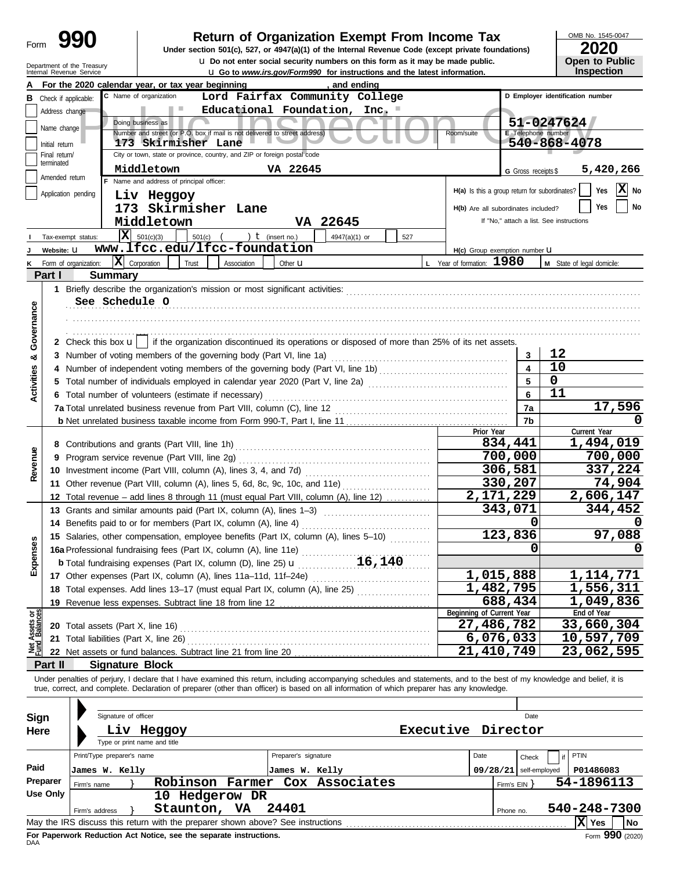| Form |  |
|------|--|
|      |  |

Department of the Treasury

# **Return of Organization Exempt From Income Tax**  $\frac{\text{OMB No. 1545-00}}{2020}$

**u** Do not enter social security numbers on this form as it may be made public.<br> **Open to Public** COV/Form 000, for instructions and the latest information **Under section 501(c), 527, or 4947(a)(1) of the Internal Revenue Code (except private foundations)** OMB No. 1545-0047

|  | LULU                  |
|--|-----------------------|
|  | <b>Open to Public</b> |
|  | <b>Inspection</b>     |

|                                |                                                | Internal Revenue Service                                                        |                                          |       |                                                                            |                      | <b>u Go to www.irs.gov/Form990 for instructions and the latest information.</b>                                                                                            |     |  |                             |                                                 |                    | <b>Inspection</b>                |
|--------------------------------|------------------------------------------------|---------------------------------------------------------------------------------|------------------------------------------|-------|----------------------------------------------------------------------------|----------------------|----------------------------------------------------------------------------------------------------------------------------------------------------------------------------|-----|--|-----------------------------|-------------------------------------------------|--------------------|----------------------------------|
|                                |                                                | For the 2020 calendar year, or tax year beginning                               |                                          |       |                                                                            |                      | , and ending                                                                                                                                                               |     |  |                             |                                                 |                    |                                  |
|                                |                                                | <b>B</b> Check if applicable:                                                   | C Name of organization                   |       |                                                                            |                      | Lord Fairfax Community College                                                                                                                                             |     |  |                             |                                                 |                    | D Employer identification number |
|                                | Educational Foundation, Inc.<br>Address change |                                                                                 |                                          |       |                                                                            |                      |                                                                                                                                                                            |     |  |                             |                                                 |                    |                                  |
|                                | 51-0247624<br>Doing business as<br>Name change |                                                                                 |                                          |       |                                                                            |                      |                                                                                                                                                                            |     |  |                             |                                                 |                    |                                  |
|                                |                                                |                                                                                 |                                          |       | Number and street (or P.O. box if mail is not delivered to street address) |                      |                                                                                                                                                                            |     |  | Room/suite                  |                                                 | E Telephone number |                                  |
|                                | Initial return                                 |                                                                                 | 173 Skirmisher Lane                      |       |                                                                            |                      |                                                                                                                                                                            |     |  |                             |                                                 | 540-868-4078       |                                  |
|                                | Final return/<br>terminated                    |                                                                                 |                                          |       | City or town, state or province, country, and ZIP or foreign postal code   |                      |                                                                                                                                                                            |     |  |                             |                                                 |                    |                                  |
|                                | Amended return                                 |                                                                                 | Middletown                               |       |                                                                            | VA 22645             |                                                                                                                                                                            |     |  |                             | G Gross receipts \$                             |                    | 5,420,266                        |
|                                |                                                |                                                                                 | F Name and address of principal officer: |       |                                                                            |                      |                                                                                                                                                                            |     |  |                             |                                                 |                    | X No                             |
|                                |                                                | Application pending                                                             | Liv Heggoy                               |       |                                                                            |                      |                                                                                                                                                                            |     |  |                             | $H(a)$ Is this a group return for subordinates? |                    | Yes                              |
|                                |                                                |                                                                                 |                                          |       | 173 Skirmisher Lane                                                        |                      |                                                                                                                                                                            |     |  |                             | H(b) Are all subordinates included?             |                    | No<br>Yes                        |
|                                |                                                |                                                                                 | Middletown                               |       |                                                                            |                      | VA 22645                                                                                                                                                                   |     |  |                             | If "No," attach a list. See instructions        |                    |                                  |
|                                |                                                | x <br>Tax-exempt status:                                                        | 501(c)(3)                                |       | 501(c) $($ $)$ $($ $)$ $($ (insert no.)                                    |                      | $4947(a)(1)$ or                                                                                                                                                            | 527 |  |                             |                                                 |                    |                                  |
| J                              | Website: U                                     |                                                                                 |                                          |       | www.lfcc.edu/lfcc-foundation                                               |                      |                                                                                                                                                                            |     |  |                             | H(c) Group exemption number <b>U</b>            |                    |                                  |
| κ                              |                                                | Form of organization:                                                           | $ \mathbf{X} $ Corporation               | Trust | Association                                                                | Other <b>u</b>       |                                                                                                                                                                            |     |  | L Year of formation: $1980$ |                                                 |                    | M State of legal domicile:       |
|                                | Part I                                         | <b>Summary</b>                                                                  |                                          |       |                                                                            |                      |                                                                                                                                                                            |     |  |                             |                                                 |                    |                                  |
|                                |                                                |                                                                                 |                                          |       |                                                                            |                      |                                                                                                                                                                            |     |  |                             |                                                 |                    |                                  |
|                                |                                                |                                                                                 |                                          |       |                                                                            |                      |                                                                                                                                                                            |     |  |                             |                                                 |                    |                                  |
|                                |                                                | See Schedule O                                                                  |                                          |       |                                                                            |                      |                                                                                                                                                                            |     |  |                             |                                                 |                    |                                  |
|                                |                                                |                                                                                 |                                          |       |                                                                            |                      |                                                                                                                                                                            |     |  |                             |                                                 |                    |                                  |
|                                |                                                |                                                                                 |                                          |       |                                                                            |                      |                                                                                                                                                                            |     |  |                             |                                                 |                    |                                  |
| Governance                     |                                                |                                                                                 |                                          |       |                                                                            |                      | 2 Check this box $\mathbf{u}$   if the organization discontinued its operations or disposed of more than 25% of its net assets.                                            |     |  |                             |                                                 |                    |                                  |
| ಯ                              |                                                |                                                                                 |                                          |       |                                                                            |                      |                                                                                                                                                                            |     |  |                             | 3                                               | 12                 |                                  |
|                                |                                                |                                                                                 |                                          |       |                                                                            |                      |                                                                                                                                                                            |     |  |                             |                                                 | 10                 |                                  |
| <b>Activities</b>              | 5                                              |                                                                                 |                                          |       |                                                                            |                      | Total number of individuals employed in calendar year 2020 (Part V, line 2a) [[[[[[[[[[[[[[[[[[[[[[[[[[[[[[[[                                                              |     |  |                             |                                                 | 0                  |                                  |
|                                |                                                | 6 Total number of volunteers (estimate if necessary)                            |                                          |       |                                                                            |                      |                                                                                                                                                                            |     |  |                             | 6                                               | 11                 |                                  |
|                                |                                                |                                                                                 |                                          |       |                                                                            |                      | 7a Total unrelated business revenue from Part VIII, column (C), line 12 <b>Collation Construes</b> content content content                                                 |     |  |                             | 7a                                              |                    | 17,596                           |
|                                |                                                |                                                                                 |                                          |       |                                                                            |                      |                                                                                                                                                                            |     |  |                             | 7b                                              |                    |                                  |
|                                |                                                |                                                                                 |                                          |       |                                                                            |                      |                                                                                                                                                                            |     |  | Prior Year                  |                                                 |                    | Current Year                     |
|                                |                                                | 8 Contributions and grants (Part VIII, line 1h)                                 |                                          |       |                                                                            |                      |                                                                                                                                                                            |     |  |                             | 834,441                                         |                    | 1,494,019                        |
| Revenue                        | 9                                              | Program service revenue (Part VIII, line 2g)                                    |                                          |       |                                                                            |                      |                                                                                                                                                                            |     |  |                             | 700,000                                         |                    | 700,000                          |
|                                |                                                | 10 Investment income (Part VIII, column (A), lines 3, 4, and 7d)                |                                          |       |                                                                            |                      |                                                                                                                                                                            |     |  |                             | 306,581                                         |                    | 337,224                          |
|                                |                                                |                                                                                 |                                          |       |                                                                            |                      | 11 Other revenue (Part VIII, column (A), lines 5, 6d, 8c, 9c, 10c, and 11e)                                                                                                |     |  |                             | 330,207                                         |                    | 74,904                           |
|                                |                                                |                                                                                 |                                          |       |                                                                            |                      | 12 Total revenue - add lines 8 through 11 (must equal Part VIII, column (A), line 12)                                                                                      |     |  |                             | 2,171,229                                       |                    | 2,606,147                        |
|                                |                                                |                                                                                 |                                          |       |                                                                            |                      | 13 Grants and similar amounts paid (Part IX, column (A), lines 1-3)                                                                                                        |     |  |                             | 343,071                                         |                    | 344,452                          |
|                                | 14                                             | Benefits paid to or for members (Part IX, column (A), line 4)                   |                                          |       |                                                                            |                      |                                                                                                                                                                            |     |  |                             |                                                 |                    |                                  |
|                                |                                                |                                                                                 |                                          |       |                                                                            |                      |                                                                                                                                                                            |     |  |                             | 123,836                                         |                    | 97,088                           |
|                                |                                                |                                                                                 |                                          |       |                                                                            |                      | 15 Salaries, other compensation, employee benefits (Part IX, column (A), lines 5-10)                                                                                       |     |  |                             |                                                 | 0                  |                                  |
| enses                          |                                                | 16a Professional fundraising fees (Part IX, column (A), line 11e)               |                                          |       |                                                                            |                      |                                                                                                                                                                            |     |  |                             |                                                 |                    |                                  |
| 망                              |                                                | <b>b</b> Total fundraising expenses (Part IX, column (D), line 25) <b>u</b>     |                                          |       |                                                                            |                      | 16,140                                                                                                                                                                     |     |  |                             |                                                 |                    |                                  |
|                                |                                                | 17 Other expenses (Part IX, column (A), lines 11a-11d, 11f-24e)                 |                                          |       |                                                                            |                      |                                                                                                                                                                            |     |  |                             | 1,015,888                                       |                    | 1,114,771                        |
|                                |                                                | 18 Total expenses. Add lines 13-17 (must equal Part IX, column (A), line 25)    |                                          |       |                                                                            |                      |                                                                                                                                                                            |     |  |                             | $\overline{1,}$ 482,795                         |                    | 1,556,311                        |
|                                |                                                | 19 Revenue less expenses. Subtract line 18 from line 12                         |                                          |       |                                                                            |                      |                                                                                                                                                                            |     |  |                             | 688,434                                         |                    | 1,049,836                        |
| Net Assets or<br>Fund Balances |                                                |                                                                                 |                                          |       |                                                                            |                      |                                                                                                                                                                            |     |  | Beginning of Current Year   |                                                 |                    | End of Year                      |
|                                |                                                | <b>20</b> Total assets (Part X, line 16)                                        |                                          |       |                                                                            |                      |                                                                                                                                                                            |     |  |                             | 27,486,782                                      |                    | 33,660,304                       |
|                                |                                                |                                                                                 |                                          |       |                                                                            |                      | 21 Total liabilities (Part X, line 26) [11] Total and Total lines in the US of Total liabilities (Part X, line 26)                                                         |     |  |                             | 6,076,033                                       |                    | 10,597,709                       |
|                                |                                                |                                                                                 |                                          |       |                                                                            |                      |                                                                                                                                                                            |     |  |                             | 21,410,749                                      |                    | 23,062,595                       |
|                                | Part II                                        | <b>Signature Block</b>                                                          |                                          |       |                                                                            |                      |                                                                                                                                                                            |     |  |                             |                                                 |                    |                                  |
|                                |                                                |                                                                                 |                                          |       |                                                                            |                      | Under penalties of perjury, I declare that I have examined this return, including accompanying schedules and statements, and to the best of my knowledge and belief, it is |     |  |                             |                                                 |                    |                                  |
|                                |                                                |                                                                                 |                                          |       |                                                                            |                      | true, correct, and complete. Declaration of preparer (other than officer) is based on all information of which preparer has any knowledge.                                 |     |  |                             |                                                 |                    |                                  |
|                                |                                                |                                                                                 |                                          |       |                                                                            |                      |                                                                                                                                                                            |     |  |                             |                                                 |                    |                                  |
| Sign                           |                                                | Signature of officer                                                            |                                          |       |                                                                            |                      |                                                                                                                                                                            |     |  |                             | Date                                            |                    |                                  |
| Here                           |                                                |                                                                                 | Liv Heggoy                               |       |                                                                            |                      |                                                                                                                                                                            |     |  | Executive Director          |                                                 |                    |                                  |
|                                |                                                |                                                                                 | Type or print name and title             |       |                                                                            |                      |                                                                                                                                                                            |     |  |                             |                                                 |                    |                                  |
|                                |                                                | Print/Type preparer's name                                                      |                                          |       |                                                                            | Preparer's signature |                                                                                                                                                                            |     |  | Date                        | Check                                           |                    | PTIN                             |
| Paid                           |                                                | James W. Kelly                                                                  |                                          |       |                                                                            | James W. Kelly       |                                                                                                                                                                            |     |  |                             | $09/28/21$ self-employed                        |                    | P01486083                        |
|                                | <b>Preparer</b>                                |                                                                                 |                                          |       | <b>Robinson Farmer</b>                                                     |                      | Cox Associates                                                                                                                                                             |     |  |                             |                                                 |                    | 54-1896113                       |
|                                | <b>Use Only</b>                                | Firm's name                                                                     |                                          |       | 10 Hedgerow DR                                                             |                      |                                                                                                                                                                            |     |  |                             | Firm's $EIN$ }                                  |                    |                                  |
|                                |                                                |                                                                                 |                                          |       | Staunton, VA                                                               | 24401                |                                                                                                                                                                            |     |  |                             |                                                 |                    | 540-248-7300                     |
|                                |                                                | Firm's address                                                                  |                                          |       |                                                                            |                      |                                                                                                                                                                            |     |  |                             | Phone no.                                       |                    |                                  |
|                                |                                                | May the IRS discuss this return with the preparer shown above? See instructions |                                          |       |                                                                            |                      |                                                                                                                                                                            |     |  |                             |                                                 |                    | X Yes<br>No                      |

| Sign<br>Here     | Signature of officer<br>Liv Heggoy<br>Type or print name and title                                                                                                                                                 | <b>Executive</b>                                                | Date<br>Director |                                        |                                 |  |  |  |  |
|------------------|--------------------------------------------------------------------------------------------------------------------------------------------------------------------------------------------------------------------|-----------------------------------------------------------------|------------------|----------------------------------------|---------------------------------|--|--|--|--|
| Paid<br>Preparer | Print/Type preparer's name<br>James W. Kelly<br>Robinson<br>Firm's name                                                                                                                                            | Preparer's signature<br>James W. Kelly<br>Farmer Cox Associates | Date<br>09/28/21 | Check<br>self-employed<br>Firm's $EIN$ | PTIN<br>P01486083<br>54-1896113 |  |  |  |  |
| Use Only         | <b>Hedgerow DR</b><br>10.<br>Staunton,<br>VA.<br>Firm's address                                                                                                                                                    | 24401                                                           | Phone no.        |                                        | 540-248-7300                    |  |  |  |  |
|                  | $ \mathbf{X} $ Yes<br>l No<br>May the IRS discuss this return with the preparer shown above? See instructions<br>$F_{\text{Orm}}$ 990 (2020)<br>For Paperwork Reduction Act Notice, see the separate instructions. |                                                                 |                  |                                        |                                 |  |  |  |  |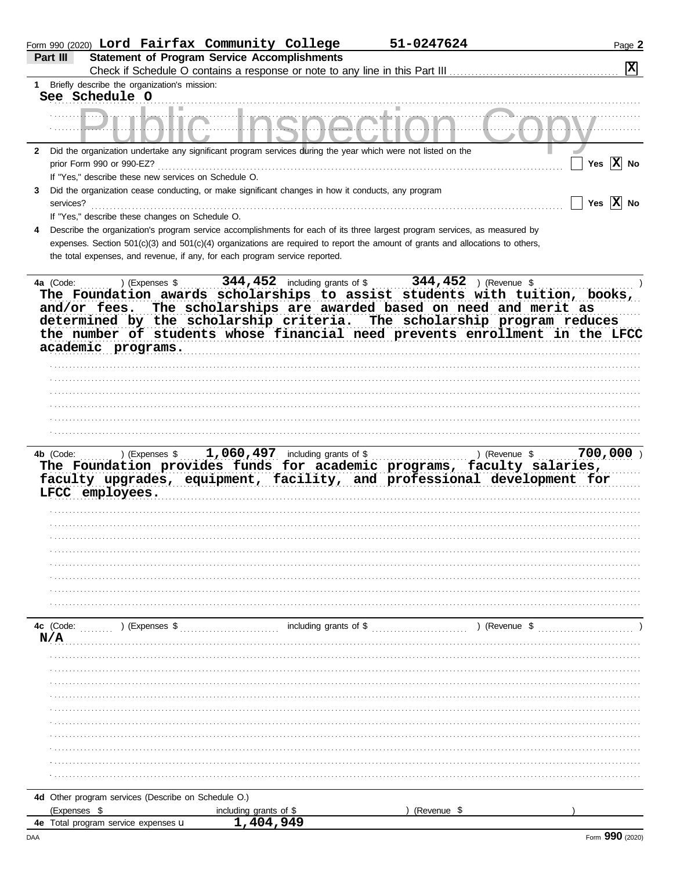|              |                                                                             | Form 990 (2020) Lord Fairfax Community College |                                                     | 51-0247624                                                                                                                     | Page 2                                                                      |
|--------------|-----------------------------------------------------------------------------|------------------------------------------------|-----------------------------------------------------|--------------------------------------------------------------------------------------------------------------------------------|-----------------------------------------------------------------------------|
|              | Part III                                                                    |                                                | <b>Statement of Program Service Accomplishments</b> |                                                                                                                                |                                                                             |
|              |                                                                             |                                                |                                                     | Check if Schedule O contains a response or note to any line in this Part III                                                   | X                                                                           |
| 1            | Briefly describe the organization's mission:                                |                                                |                                                     |                                                                                                                                |                                                                             |
|              | See Schedule O                                                              |                                                |                                                     |                                                                                                                                |                                                                             |
|              |                                                                             |                                                |                                                     |                                                                                                                                |                                                                             |
|              |                                                                             |                                                |                                                     |                                                                                                                                |                                                                             |
| $\mathbf{2}$ |                                                                             |                                                |                                                     | Did the organization undertake any significant program services during the year which were not listed on the                   |                                                                             |
|              | prior Form 990 or 990-EZ?                                                   |                                                |                                                     |                                                                                                                                | Yes $ X $ No                                                                |
|              | If "Yes," describe these new services on Schedule O.                        |                                                |                                                     |                                                                                                                                |                                                                             |
| 3            |                                                                             |                                                |                                                     | Did the organization cease conducting, or make significant changes in how it conducts, any program                             |                                                                             |
|              | services?                                                                   |                                                |                                                     |                                                                                                                                | Yes $ X $ No                                                                |
|              | If "Yes," describe these changes on Schedule O.                             |                                                |                                                     |                                                                                                                                |                                                                             |
| 4            |                                                                             |                                                |                                                     | Describe the organization's program service accomplishments for each of its three largest program services, as measured by     |                                                                             |
|              |                                                                             |                                                |                                                     | expenses. Section 501(c)(3) and 501(c)(4) organizations are required to report the amount of grants and allocations to others, |                                                                             |
|              | the total expenses, and revenue, if any, for each program service reported. |                                                |                                                     |                                                                                                                                |                                                                             |
|              |                                                                             |                                                |                                                     |                                                                                                                                |                                                                             |
|              | 4a (Code:                                                                   | ) (Expenses \$                                 | 344, 452 including grants of \$                     | 344,452                                                                                                                        | ) (Revenue \$                                                               |
|              |                                                                             |                                                |                                                     |                                                                                                                                | The Foundation awards scholarships to assist students with tuition, books,  |
|              | and/or fees.                                                                |                                                |                                                     | The scholarships are awarded based on need and merit as                                                                        |                                                                             |
|              | determined by the scholarship criteria.                                     |                                                |                                                     |                                                                                                                                | The scholarship program reduces                                             |
|              |                                                                             |                                                |                                                     |                                                                                                                                | the number of students whose financial need prevents enrollment in the LFCC |
|              | academic programs.                                                          |                                                |                                                     |                                                                                                                                |                                                                             |
|              |                                                                             |                                                |                                                     |                                                                                                                                |                                                                             |
|              |                                                                             |                                                |                                                     |                                                                                                                                |                                                                             |
|              |                                                                             |                                                |                                                     |                                                                                                                                |                                                                             |
|              |                                                                             |                                                |                                                     |                                                                                                                                |                                                                             |
|              |                                                                             |                                                |                                                     |                                                                                                                                |                                                                             |
|              |                                                                             |                                                |                                                     |                                                                                                                                |                                                                             |
|              |                                                                             |                                                |                                                     |                                                                                                                                |                                                                             |
|              |                                                                             |                                                |                                                     |                                                                                                                                |                                                                             |
|              | 4b (Code:                                                                   | ) (Expenses \$                                 | 1,060,497<br>including grants of \$                 |                                                                                                                                | 700,000<br>) (Revenue \$                                                    |
|              |                                                                             |                                                |                                                     | The Foundation provides funds for academic programs, faculty salaries,                                                         |                                                                             |
|              |                                                                             |                                                |                                                     |                                                                                                                                | faculty upgrades, equipment, facility, and professional development for     |
|              | LFCC employees.                                                             |                                                |                                                     |                                                                                                                                |                                                                             |
|              |                                                                             |                                                |                                                     |                                                                                                                                |                                                                             |
|              |                                                                             |                                                |                                                     |                                                                                                                                |                                                                             |
|              |                                                                             |                                                |                                                     |                                                                                                                                |                                                                             |
|              |                                                                             |                                                |                                                     |                                                                                                                                |                                                                             |
|              |                                                                             |                                                |                                                     |                                                                                                                                |                                                                             |
|              |                                                                             |                                                |                                                     |                                                                                                                                |                                                                             |
|              |                                                                             |                                                |                                                     |                                                                                                                                |                                                                             |
|              |                                                                             |                                                |                                                     |                                                                                                                                |                                                                             |
|              |                                                                             |                                                |                                                     |                                                                                                                                |                                                                             |
|              | 4c (Code:<br>) (Expenses \$                                                 |                                                |                                                     |                                                                                                                                | ) (Revenue \$                                                               |
|              | N/A                                                                         |                                                |                                                     |                                                                                                                                |                                                                             |
|              |                                                                             |                                                |                                                     |                                                                                                                                |                                                                             |
|              |                                                                             |                                                |                                                     |                                                                                                                                |                                                                             |
|              |                                                                             |                                                |                                                     |                                                                                                                                |                                                                             |
|              |                                                                             |                                                |                                                     |                                                                                                                                |                                                                             |
|              |                                                                             |                                                |                                                     |                                                                                                                                |                                                                             |
|              |                                                                             |                                                |                                                     |                                                                                                                                |                                                                             |
|              |                                                                             |                                                |                                                     |                                                                                                                                |                                                                             |
|              |                                                                             |                                                |                                                     |                                                                                                                                |                                                                             |
|              |                                                                             |                                                |                                                     |                                                                                                                                |                                                                             |
|              |                                                                             |                                                |                                                     |                                                                                                                                |                                                                             |
|              |                                                                             |                                                |                                                     |                                                                                                                                |                                                                             |
|              | 4d Other program services (Describe on Schedule O.)<br>(Expenses \$         |                                                | including grants of \$                              | (Revenue \$                                                                                                                    |                                                                             |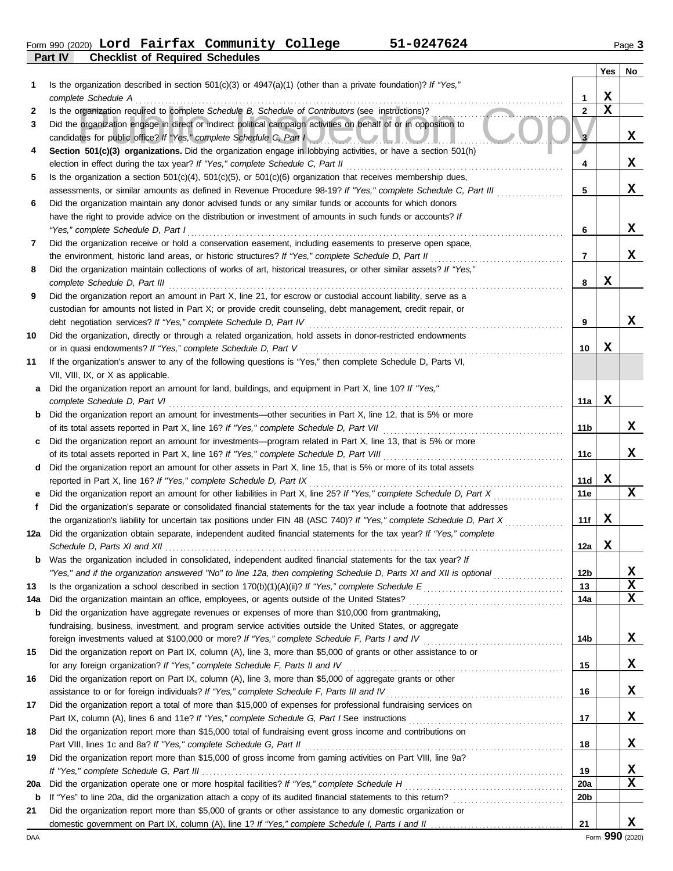**Part IV Checklist of Required Schedules** Form 990 (2020) Lord Fairfax Community College 51-0247624 Page 3

|          |                                                                                                                                                                                                                                    |                        | Yes         | No     |
|----------|------------------------------------------------------------------------------------------------------------------------------------------------------------------------------------------------------------------------------------|------------------------|-------------|--------|
| 1        | Is the organization described in section $501(c)(3)$ or $4947(a)(1)$ (other than a private foundation)? If "Yes,"                                                                                                                  |                        |             |        |
|          | complete Schedule A                                                                                                                                                                                                                | 1                      | X           |        |
| 2        | Is the organization required to complete Schedule B, Schedule of Contributors (see instructions)?                                                                                                                                  | $\overline{2}$         | $\mathbf x$ |        |
| 3        | Did the organization engage in direct or indirect political campaign activities on behalf of or in opposition to<br>candidates for public office? If "Yes," complete Schedule C, Part I                                            | 3                      |             | x      |
| 4        | Section 501(c)(3) organizations. Did the organization engage in lobbying activities, or have a section 501(h)                                                                                                                      |                        |             |        |
|          | election in effect during the tax year? If "Yes," complete Schedule C, Part II                                                                                                                                                     | 4                      |             | x      |
| 5        | Is the organization a section $501(c)(4)$ , $501(c)(5)$ , or $501(c)(6)$ organization that receives membership dues,                                                                                                               |                        |             |        |
|          | assessments, or similar amounts as defined in Revenue Procedure 98-19? If "Yes," complete Schedule C, Part III                                                                                                                     | 5                      |             | x      |
| 6        | Did the organization maintain any donor advised funds or any similar funds or accounts for which donors                                                                                                                            |                        |             |        |
|          | have the right to provide advice on the distribution or investment of amounts in such funds or accounts? If                                                                                                                        |                        |             |        |
|          | "Yes," complete Schedule D, Part I                                                                                                                                                                                                 | 6                      |             | X      |
| 7        | Did the organization receive or hold a conservation easement, including easements to preserve open space,                                                                                                                          |                        |             |        |
|          | the environment, historic land areas, or historic structures? If "Yes," complete Schedule D, Part II                                                                                                                               | 7                      |             | x      |
| 8        | Did the organization maintain collections of works of art, historical treasures, or other similar assets? If "Yes,"                                                                                                                |                        |             |        |
|          |                                                                                                                                                                                                                                    | 8                      | x           |        |
| 9        | Did the organization report an amount in Part X, line 21, for escrow or custodial account liability, serve as a                                                                                                                    |                        |             |        |
|          | custodian for amounts not listed in Part X; or provide credit counseling, debt management, credit repair, or                                                                                                                       |                        |             | x      |
| 10       | Did the organization, directly or through a related organization, hold assets in donor-restricted endowments                                                                                                                       | 9                      |             |        |
|          |                                                                                                                                                                                                                                    | 10                     | x           |        |
| 11       | If the organization's answer to any of the following questions is "Yes," then complete Schedule D, Parts VI,                                                                                                                       |                        |             |        |
|          | VII, VIII, IX, or X as applicable.                                                                                                                                                                                                 |                        |             |        |
| a        | Did the organization report an amount for land, buildings, and equipment in Part X, line 10? If "Yes,"                                                                                                                             |                        |             |        |
|          | complete Schedule D, Part VI                                                                                                                                                                                                       | 11a                    | $\mathbf x$ |        |
|          | <b>b</b> Did the organization report an amount for investments—other securities in Part X, line 12, that is 5% or more                                                                                                             |                        |             |        |
|          |                                                                                                                                                                                                                                    | 11b                    |             | x      |
| c        | Did the organization report an amount for investments-program related in Part X, line 13, that is 5% or more                                                                                                                       |                        |             |        |
|          |                                                                                                                                                                                                                                    | 11c                    |             | x      |
| d        | Did the organization report an amount for other assets in Part X, line 15, that is 5% or more of its total assets                                                                                                                  |                        |             |        |
|          | reported in Part X, line 16? If "Yes," complete Schedule D, Part IX                                                                                                                                                                | 11d                    | X           |        |
| е        | Did the organization report an amount for other liabilities in Part X, line 25? If "Yes," complete Schedule D, Part X                                                                                                              | 11e                    |             | X      |
| f        | Did the organization's separate or consolidated financial statements for the tax year include a footnote that addresses                                                                                                            |                        |             |        |
|          | the organization's liability for uncertain tax positions under FIN 48 (ASC 740)? If "Yes," complete Schedule D, Part X                                                                                                             | 11f                    | x           |        |
| 12a      | Did the organization obtain separate, independent audited financial statements for the tax year? If "Yes," complete                                                                                                                |                        |             |        |
|          |                                                                                                                                                                                                                                    | 12a                    | x           |        |
| b        | Was the organization included in consolidated, independent audited financial statements for the tax year? If<br>"Yes," and if the organization answered "No" to line 12a, then completing Schedule D, Parts XI and XII is optional | 12 <sub>b</sub>        |             | X      |
| 13       |                                                                                                                                                                                                                                    | 13                     |             | X      |
| 14a      |                                                                                                                                                                                                                                    | 14a                    |             | X      |
| b        | Did the organization have aggregate revenues or expenses of more than \$10,000 from grantmaking,                                                                                                                                   |                        |             |        |
|          | fundraising, business, investment, and program service activities outside the United States, or aggregate                                                                                                                          |                        |             |        |
|          | foreign investments valued at \$100,000 or more? If "Yes," complete Schedule F, Parts I and IV [[[[[[[[[[[[[[[                                                                                                                     | 14b                    |             | X      |
| 15       | Did the organization report on Part IX, column (A), line 3, more than \$5,000 of grants or other assistance to or                                                                                                                  |                        |             |        |
|          | for any foreign organization? If "Yes," complete Schedule F, Parts II and IV                                                                                                                                                       | 15                     |             | X      |
| 16       | Did the organization report on Part IX, column (A), line 3, more than \$5,000 of aggregate grants or other                                                                                                                         |                        |             |        |
|          |                                                                                                                                                                                                                                    | 16                     |             | X      |
| 17       | Did the organization report a total of more than \$15,000 of expenses for professional fundraising services on                                                                                                                     |                        |             |        |
|          |                                                                                                                                                                                                                                    | 17                     |             | X      |
| 18       | Did the organization report more than \$15,000 total of fundraising event gross income and contributions on                                                                                                                        |                        |             |        |
|          |                                                                                                                                                                                                                                    | 18                     |             | X      |
| 19       | Did the organization report more than \$15,000 of gross income from gaming activities on Part VIII, line 9a?                                                                                                                       |                        |             |        |
|          |                                                                                                                                                                                                                                    | 19                     |             | X<br>X |
| 20a<br>b |                                                                                                                                                                                                                                    | 20a<br>20 <sub>b</sub> |             |        |
| 21       | Did the organization report more than \$5,000 of grants or other assistance to any domestic organization or                                                                                                                        |                        |             |        |
|          |                                                                                                                                                                                                                                    | 21                     |             | x      |
|          |                                                                                                                                                                                                                                    |                        |             |        |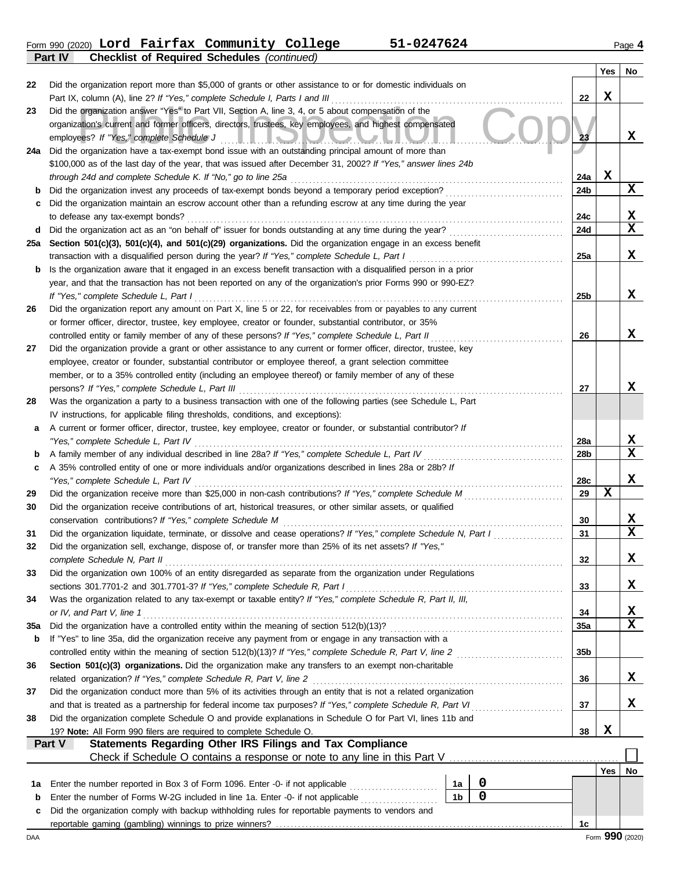Form 990 (2020) **Lord Fairfax Community College 51-0247624** Page **4 Part IV Checklist of Required Schedules** *(continued)* **Lord Fairfax Community College 51-0247624**

|     |                                                                                                                                                                                                                                  |                 | Yes             | No |
|-----|----------------------------------------------------------------------------------------------------------------------------------------------------------------------------------------------------------------------------------|-----------------|-----------------|----|
| 22  | Did the organization report more than \$5,000 of grants or other assistance to or for domestic individuals on                                                                                                                    |                 |                 |    |
|     | Part IX, column (A), line 2? If "Yes," complete Schedule I, Parts I and III                                                                                                                                                      | 22              | x               |    |
| 23  | Did the organization answer "Yes" to Part VII, Section A, line 3, 4, or 5 about compensation of the                                                                                                                              |                 |                 |    |
|     | organization's current and former officers, directors, trustees, key employees, and highest compensated                                                                                                                          |                 |                 |    |
|     | employees? If "Yes," complete Schedule J<br><u>III.ovvoda</u>                                                                                                                                                                    | 23              |                 | x  |
| 24a | Did the organization have a tax-exempt bond issue with an outstanding principal amount of more than                                                                                                                              |                 |                 |    |
|     | \$100,000 as of the last day of the year, that was issued after December 31, 2002? If "Yes," answer lines 24b                                                                                                                    |                 |                 |    |
|     | through 24d and complete Schedule K. If "No," go to line 25a                                                                                                                                                                     | 24a             | X               |    |
| b   | Did the organization invest any proceeds of tax-exempt bonds beyond a temporary period exception?                                                                                                                                | 24b             |                 | x  |
| c   | Did the organization maintain an escrow account other than a refunding escrow at any time during the year                                                                                                                        |                 |                 |    |
|     | to defease any tax-exempt bonds?                                                                                                                                                                                                 | 24c             |                 | х  |
| d   |                                                                                                                                                                                                                                  | 24d             |                 | X  |
| 25a | Section 501(c)(3), 501(c)(4), and 501(c)(29) organizations. Did the organization engage in an excess benefit                                                                                                                     |                 |                 | x  |
|     | transaction with a disqualified person during the year? If "Yes," complete Schedule L, Part I                                                                                                                                    | 25a             |                 |    |
| b   | Is the organization aware that it engaged in an excess benefit transaction with a disqualified person in a prior<br>year, and that the transaction has not been reported on any of the organization's prior Forms 990 or 990-EZ? |                 |                 |    |
|     | If "Yes," complete Schedule L, Part I                                                                                                                                                                                            | 25b             |                 | x  |
| 26  | Did the organization report any amount on Part X, line 5 or 22, for receivables from or payables to any current                                                                                                                  |                 |                 |    |
|     | or former officer, director, trustee, key employee, creator or founder, substantial contributor, or 35%                                                                                                                          |                 |                 |    |
|     | controlled entity or family member of any of these persons? If "Yes," complete Schedule L, Part II                                                                                                                               | 26              |                 | x  |
| 27  | Did the organization provide a grant or other assistance to any current or former officer, director, trustee, key                                                                                                                |                 |                 |    |
|     | employee, creator or founder, substantial contributor or employee thereof, a grant selection committee                                                                                                                           |                 |                 |    |
|     | member, or to a 35% controlled entity (including an employee thereof) or family member of any of these                                                                                                                           |                 |                 |    |
|     | persons? If "Yes," complete Schedule L, Part III                                                                                                                                                                                 | 27              |                 | x  |
| 28  | Was the organization a party to a business transaction with one of the following parties (see Schedule L, Part                                                                                                                   |                 |                 |    |
|     | IV instructions, for applicable filing thresholds, conditions, and exceptions):                                                                                                                                                  |                 |                 |    |
| а   | A current or former officer, director, trustee, key employee, creator or founder, or substantial contributor? If                                                                                                                 |                 |                 |    |
|     | "Yes," complete Schedule L, Part IV                                                                                                                                                                                              | <b>28a</b>      |                 | X  |
| b   | A family member of any individual described in line 28a? If "Yes," complete Schedule L, Part IV [[[[[[[[[[[[[                                                                                                                    | 28b             |                 | X  |
| c   | A 35% controlled entity of one or more individuals and/or organizations described in lines 28a or 28b? If                                                                                                                        |                 |                 |    |
|     | "Yes," complete Schedule L, Part IV                                                                                                                                                                                              | 28c             |                 | x  |
| 29  | Did the organization receive more than \$25,000 in non-cash contributions? If "Yes," complete Schedule M                                                                                                                         | 29              | x               |    |
| 30  | Did the organization receive contributions of art, historical treasures, or other similar assets, or qualified                                                                                                                   |                 |                 |    |
|     | conservation contributions? If "Yes," complete Schedule M                                                                                                                                                                        | 30              |                 | x  |
| 31  | Did the organization liquidate, terminate, or dissolve and cease operations? If "Yes," complete Schedule N, Part I                                                                                                               | 31              |                 | X  |
| 32  | Did the organization sell, exchange, dispose of, or transfer more than 25% of its net assets? If "Yes,"                                                                                                                          |                 |                 |    |
|     | complete Schedule N, Part II                                                                                                                                                                                                     | 32              |                 | x  |
| 33  | Did the organization own 100% of an entity disregarded as separate from the organization under Regulations<br>sections 301.7701-2 and 301.7701-3? If "Yes," complete Schedule R, Part I                                          | 33              |                 | x  |
| 34  | Was the organization related to any tax-exempt or taxable entity? If "Yes," complete Schedule R, Part II, III,                                                                                                                   |                 |                 |    |
|     | or IV, and Part V, line 1                                                                                                                                                                                                        | 34              |                 | х  |
| 35a |                                                                                                                                                                                                                                  | 35a             |                 | x  |
| b   | If "Yes" to line 35a, did the organization receive any payment from or engage in any transaction with a                                                                                                                          |                 |                 |    |
|     |                                                                                                                                                                                                                                  | 35 <sub>b</sub> |                 |    |
| 36  | Section 501(c)(3) organizations. Did the organization make any transfers to an exempt non-charitable                                                                                                                             |                 |                 |    |
|     | related organization? If "Yes," complete Schedule R, Part V, line 2                                                                                                                                                              | 36              |                 | x  |
| 37  | Did the organization conduct more than 5% of its activities through an entity that is not a related organization                                                                                                                 |                 |                 |    |
|     | and that is treated as a partnership for federal income tax purposes? If "Yes," complete Schedule R, Part VI                                                                                                                     | 37              |                 | x  |
| 38  | Did the organization complete Schedule O and provide explanations in Schedule O for Part VI, lines 11b and                                                                                                                       |                 |                 |    |
|     | 19? Note: All Form 990 filers are required to complete Schedule O.                                                                                                                                                               | 38              | X               |    |
|     | Statements Regarding Other IRS Filings and Tax Compliance<br>Part V                                                                                                                                                              |                 |                 |    |
|     | Check if Schedule O contains a response or note to any line in this Part V                                                                                                                                                       |                 |                 |    |
|     |                                                                                                                                                                                                                                  |                 | Yes             | No |
| 1а  | $\pmb{0}$<br>Enter the number reported in Box 3 of Form 1096. Enter -0- if not applicable<br>1a                                                                                                                                  |                 |                 |    |
| b   | 0<br>1 <sub>b</sub><br>Enter the number of Forms W-2G included in line 1a. Enter -0- if not applicable                                                                                                                           |                 |                 |    |
| c   | Did the organization comply with backup withholding rules for reportable payments to vendors and                                                                                                                                 |                 |                 |    |
|     |                                                                                                                                                                                                                                  | 1c              |                 |    |
| DAA |                                                                                                                                                                                                                                  |                 | Form 990 (2020) |    |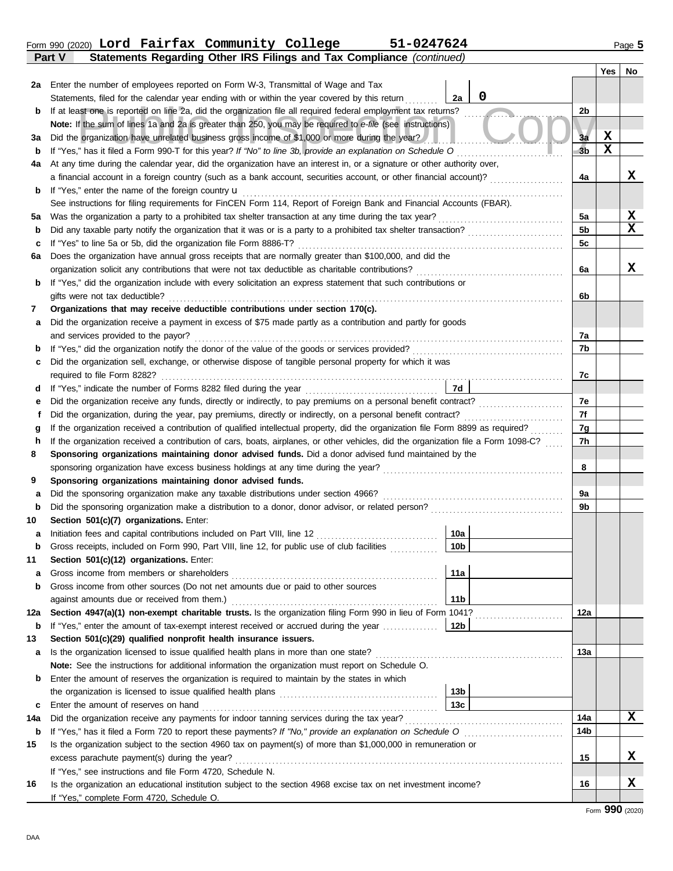|               |  | Form 990 (2020) Lord Fairfax Community College | 51-0247624                                                            | Page 5 |
|---------------|--|------------------------------------------------|-----------------------------------------------------------------------|--------|
| <b>Part V</b> |  |                                                | Statements Regarding Other IRS Filings and Tax Compliance (continued) |        |

|          |                                                                                                                                                                                                                                               |                 |   |                      | Yes    | No. |
|----------|-----------------------------------------------------------------------------------------------------------------------------------------------------------------------------------------------------------------------------------------------|-----------------|---|----------------------|--------|-----|
| 2a       | Enter the number of employees reported on Form W-3, Transmittal of Wage and Tax                                                                                                                                                               |                 |   |                      |        |     |
|          | Statements, filed for the calendar year ending with or within the year covered by this return                                                                                                                                                 | 2a              | 0 |                      |        |     |
| b        | If at least one is reported on line 2a, did the organization file all required federal employment tax returns?                                                                                                                                |                 |   | 2b                   |        |     |
|          | Note: If the sum of lines 1a and 2a is greater than 250, you may be required to e-file (see instructions)                                                                                                                                     |                 |   |                      |        |     |
| за       | Did the organization have unrelated business gross income of \$1,000 or more during the year?                                                                                                                                                 |                 |   | 3a<br>3 <sub>b</sub> | х<br>X |     |
| b        | If "Yes," has it filed a Form 990-T for this year? If "No" to line 3b, provide an explanation on Schedule O                                                                                                                                   |                 |   |                      |        |     |
| 4a       | At any time during the calendar year, did the organization have an interest in, or a signature or other authority over,<br>a financial account in a foreign country (such as a bank account, securities account, or other financial account)? |                 |   | 4a                   |        | x   |
| b        | If "Yes," enter the name of the foreign country $\mathbf u$                                                                                                                                                                                   |                 |   |                      |        |     |
|          | See instructions for filing requirements for FinCEN Form 114, Report of Foreign Bank and Financial Accounts (FBAR).                                                                                                                           |                 |   |                      |        |     |
| 5a       | Was the organization a party to a prohibited tax shelter transaction at any time during the tax year?                                                                                                                                         |                 |   | 5a                   |        | х   |
| b        |                                                                                                                                                                                                                                               |                 |   | 5b                   |        | X   |
| c        | If "Yes" to line 5a or 5b, did the organization file Form 8886-T?                                                                                                                                                                             |                 |   | 5c                   |        |     |
| 6а       | Does the organization have annual gross receipts that are normally greater than \$100,000, and did the                                                                                                                                        |                 |   |                      |        |     |
|          | organization solicit any contributions that were not tax deductible as charitable contributions?                                                                                                                                              |                 |   | 6a                   |        | x   |
| b        | If "Yes," did the organization include with every solicitation an express statement that such contributions or                                                                                                                                |                 |   |                      |        |     |
|          | gifts were not tax deductible?                                                                                                                                                                                                                |                 |   | 6b                   |        |     |
| 7        | Organizations that may receive deductible contributions under section 170(c).                                                                                                                                                                 |                 |   |                      |        |     |
| а        | Did the organization receive a payment in excess of \$75 made partly as a contribution and partly for goods                                                                                                                                   |                 |   |                      |        |     |
|          | and services provided to the payor?                                                                                                                                                                                                           |                 |   | 7a                   |        |     |
| b        |                                                                                                                                                                                                                                               |                 |   | 7b                   |        |     |
| с        | Did the organization sell, exchange, or otherwise dispose of tangible personal property for which it was                                                                                                                                      |                 |   |                      |        |     |
|          |                                                                                                                                                                                                                                               |                 |   | 7c                   |        |     |
| d        |                                                                                                                                                                                                                                               | 7d              |   |                      |        |     |
| е        |                                                                                                                                                                                                                                               |                 |   | 7e                   |        |     |
| f        | Did the organization, during the year, pay premiums, directly or indirectly, on a personal benefit contract?                                                                                                                                  |                 |   | 7f                   |        |     |
| g        |                                                                                                                                                                                                                                               |                 |   | 7g                   |        |     |
| h        | If the organization received a contribution of cars, boats, airplanes, or other vehicles, did the organization file a Form 1098-C?                                                                                                            |                 |   | 7h                   |        |     |
| 8        | Sponsoring organizations maintaining donor advised funds. Did a donor advised fund maintained by the<br>sponsoring organization have excess business holdings at any time during the year?                                                    |                 |   | 8                    |        |     |
| 9        | Sponsoring organizations maintaining donor advised funds.                                                                                                                                                                                     |                 |   |                      |        |     |
| а        | Did the sponsoring organization make any taxable distributions under section 4966?                                                                                                                                                            |                 |   | 9a                   |        |     |
| b        |                                                                                                                                                                                                                                               |                 |   | 9b                   |        |     |
| 10       | Section 501(c)(7) organizations. Enter:                                                                                                                                                                                                       |                 |   |                      |        |     |
| а        | Initiation fees and capital contributions included on Part VIII, line 12                                                                                                                                                                      | 10a             |   |                      |        |     |
| b        | Gross receipts, included on Form 990, Part VIII, line 12, for public use of club facilities                                                                                                                                                   | 10 <sub>b</sub> |   |                      |        |     |
| 11       | Section 501(c)(12) organizations. Enter:                                                                                                                                                                                                      |                 |   |                      |        |     |
| a        |                                                                                                                                                                                                                                               | 11a             |   |                      |        |     |
| b        | Gross income from other sources (Do not net amounts due or paid to other sources                                                                                                                                                              |                 |   |                      |        |     |
|          |                                                                                                                                                                                                                                               | 11 <sub>b</sub> |   |                      |        |     |
| 12a      | Section 4947(a)(1) non-exempt charitable trusts. Is the organization filing Form 990 in lieu of Form 1041?                                                                                                                                    |                 |   | 12a                  |        |     |
| b        | If "Yes," enter the amount of tax-exempt interest received or accrued during the year                                                                                                                                                         | 12b             |   |                      |        |     |
| 13       | Section 501(c)(29) qualified nonprofit health insurance issuers.                                                                                                                                                                              |                 |   |                      |        |     |
| а        | Is the organization licensed to issue qualified health plans in more than one state?                                                                                                                                                          |                 |   | 13а                  |        |     |
|          | Note: See the instructions for additional information the organization must report on Schedule O.                                                                                                                                             |                 |   |                      |        |     |
| b        | Enter the amount of reserves the organization is required to maintain by the states in which                                                                                                                                                  |                 |   |                      |        |     |
|          |                                                                                                                                                                                                                                               | 13b<br>13с      |   |                      |        |     |
| c        | Enter the amount of reserves on hand                                                                                                                                                                                                          |                 |   | 14a                  |        | x   |
| 14a<br>b |                                                                                                                                                                                                                                               |                 |   | 14b                  |        |     |
| 15       | Is the organization subject to the section 4960 tax on payment(s) of more than \$1,000,000 in remuneration or                                                                                                                                 |                 |   |                      |        |     |
|          | excess parachute payment(s) during the year?                                                                                                                                                                                                  |                 |   | 15                   |        | X.  |
|          | If "Yes," see instructions and file Form 4720, Schedule N.                                                                                                                                                                                    |                 |   |                      |        |     |
| 16       | Is the organization an educational institution subject to the section 4968 excise tax on net investment income?                                                                                                                               |                 |   | 16                   |        | X   |
|          | If "Yes," complete Form 4720, Schedule O.                                                                                                                                                                                                     |                 |   |                      |        |     |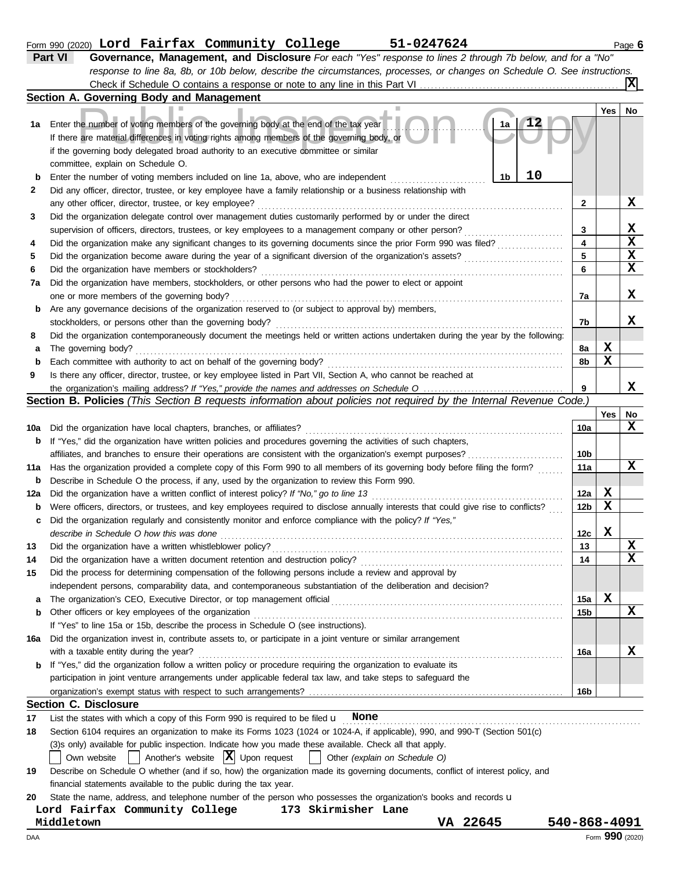| 51-0247624<br>Form 990 (2020) Lord Fairfax Community College | Page b |  |  |
|--------------------------------------------------------------|--------|--|--|
|--------------------------------------------------------------|--------|--|--|

|             | Part VI<br>Governance, Management, and Disclosure For each "Yes" response to lines 2 through 7b below, and for a "No"                                                                                                                                                                                                      |                 |     |                         |
|-------------|----------------------------------------------------------------------------------------------------------------------------------------------------------------------------------------------------------------------------------------------------------------------------------------------------------------------------|-----------------|-----|-------------------------|
|             | response to line 8a, 8b, or 10b below, describe the circumstances, processes, or changes on Schedule O. See instructions.                                                                                                                                                                                                  |                 |     |                         |
|             | Section A. Governing Body and Management                                                                                                                                                                                                                                                                                   |                 |     |                         |
|             |                                                                                                                                                                                                                                                                                                                            |                 | Yes | No                      |
| 1а          | 12<br>Enter the number of voting members of the governing body at the end of the tax year<br>1a<br>If there are material differences in voting rights among members of the governing body, or<br>if the governing body delegated broad authority to an executive committee or similar<br>committee, explain on Schedule O. |                 |     |                         |
| $\mathbf b$ | 10<br>1b<br>Enter the number of voting members included on line 1a, above, who are independent                                                                                                                                                                                                                             |                 |     |                         |
| 2           | Did any officer, director, trustee, or key employee have a family relationship or a business relationship with                                                                                                                                                                                                             |                 |     |                         |
|             | any other officer, director, trustee, or key employee?                                                                                                                                                                                                                                                                     | 2               |     | X                       |
| 3           | Did the organization delegate control over management duties customarily performed by or under the direct                                                                                                                                                                                                                  |                 |     |                         |
|             | supervision of officers, directors, trustees, or key employees to a management company or other person?                                                                                                                                                                                                                    | 3               |     | X                       |
| 4           | Did the organization make any significant changes to its governing documents since the prior Form 990 was filed?                                                                                                                                                                                                           | 4               |     | $\overline{\mathbf{x}}$ |
| 5           | Did the organization become aware during the year of a significant diversion of the organization's assets?                                                                                                                                                                                                                 | 5               |     | $\overline{\mathbf{x}}$ |
| 6           | Did the organization have members or stockholders?                                                                                                                                                                                                                                                                         | 6               |     | $\overline{\mathbf{x}}$ |
| 7a          | Did the organization have members, stockholders, or other persons who had the power to elect or appoint                                                                                                                                                                                                                    |                 |     |                         |
|             | one or more members of the governing body?                                                                                                                                                                                                                                                                                 | 7a              |     | X                       |
| b           | Are any governance decisions of the organization reserved to (or subject to approval by) members,                                                                                                                                                                                                                          |                 |     |                         |
|             | stockholders, or persons other than the governing body?                                                                                                                                                                                                                                                                    | 7b              |     | x                       |
| 8           | Did the organization contemporaneously document the meetings held or written actions undertaken during the year by the following:<br>The governing body?                                                                                                                                                                   | 8а              | X   |                         |
| а<br>b      | Each committee with authority to act on behalf of the governing body?                                                                                                                                                                                                                                                      | 8b              | X   |                         |
| 9           | Is there any officer, director, trustee, or key employee listed in Part VII, Section A, who cannot be reached at                                                                                                                                                                                                           |                 |     |                         |
|             |                                                                                                                                                                                                                                                                                                                            | 9               |     | x                       |
|             | Section B. Policies (This Section B requests information about policies not required by the Internal Revenue Code.)                                                                                                                                                                                                        |                 |     |                         |
|             |                                                                                                                                                                                                                                                                                                                            |                 | Yes | No                      |
| 10a         | Did the organization have local chapters, branches, or affiliates?                                                                                                                                                                                                                                                         | 10a             |     | X                       |
| b           | If "Yes," did the organization have written policies and procedures governing the activities of such chapters,                                                                                                                                                                                                             |                 |     |                         |
|             | affiliates, and branches to ensure their operations are consistent with the organization's exempt purposes?                                                                                                                                                                                                                | 10 <sub>b</sub> |     |                         |
| 11a         | Has the organization provided a complete copy of this Form 990 to all members of its governing body before filing the form?                                                                                                                                                                                                | 11a             |     | x                       |
| b           | Describe in Schedule O the process, if any, used by the organization to review this Form 990.                                                                                                                                                                                                                              |                 |     |                         |
| 12a         | Did the organization have a written conflict of interest policy? If "No," go to line 13                                                                                                                                                                                                                                    | 12a             | X   |                         |
| b           | Were officers, directors, or trustees, and key employees required to disclose annually interests that could give rise to conflicts?                                                                                                                                                                                        | 12b             | X   |                         |
| c           | Did the organization regularly and consistently monitor and enforce compliance with the policy? If "Yes,"                                                                                                                                                                                                                  |                 |     |                         |
|             | describe in Schedule O how this was done                                                                                                                                                                                                                                                                                   | 12c             | X   |                         |
| 13          | Did the organization have a written whistleblower policy?                                                                                                                                                                                                                                                                  | 13              |     | X<br>X                  |
| 14          | Did the organization have a written document retention and destruction policy?                                                                                                                                                                                                                                             | 14              |     |                         |
| 15          | Did the process for determining compensation of the following persons include a review and approval by                                                                                                                                                                                                                     |                 |     |                         |
|             | independent persons, comparability data, and contemporaneous substantiation of the deliberation and decision?                                                                                                                                                                                                              | 15a             | X   |                         |
| а<br>b      | Other officers or key employees of the organization                                                                                                                                                                                                                                                                        | 15b             |     | X                       |
|             | If "Yes" to line 15a or 15b, describe the process in Schedule O (see instructions).                                                                                                                                                                                                                                        |                 |     |                         |
| 16a         | Did the organization invest in, contribute assets to, or participate in a joint venture or similar arrangement                                                                                                                                                                                                             |                 |     |                         |
|             | with a taxable entity during the year?                                                                                                                                                                                                                                                                                     | 16a             |     | x                       |
| b           | If "Yes," did the organization follow a written policy or procedure requiring the organization to evaluate its                                                                                                                                                                                                             |                 |     |                         |
|             | participation in joint venture arrangements under applicable federal tax law, and take steps to safeguard the                                                                                                                                                                                                              |                 |     |                         |
|             |                                                                                                                                                                                                                                                                                                                            | 16b             |     |                         |
|             | <b>Section C. Disclosure</b>                                                                                                                                                                                                                                                                                               |                 |     |                         |
| 17          | List the states with which a copy of this Form 990 is required to be filed $\mathbf u$ None                                                                                                                                                                                                                                |                 |     |                         |
| 18          | Section 6104 requires an organization to make its Forms 1023 (1024 or 1024-A, if applicable), 990, and 990-T (Section 501(c)                                                                                                                                                                                               |                 |     |                         |
|             | (3)s only) available for public inspection. Indicate how you made these available. Check all that apply.                                                                                                                                                                                                                   |                 |     |                         |
|             | Another's website $ \mathbf{X} $ Upon request<br>Other (explain on Schedule O)<br>Own website                                                                                                                                                                                                                              |                 |     |                         |
| 19          | Describe on Schedule O whether (and if so, how) the organization made its governing documents, conflict of interest policy, and                                                                                                                                                                                            |                 |     |                         |
|             | financial statements available to the public during the tax year.                                                                                                                                                                                                                                                          |                 |     |                         |
| 20          | State the name, address, and telephone number of the person who possesses the organization's books and records u<br>173 Skirmisher Lane                                                                                                                                                                                    |                 |     |                         |
|             | Lord Fairfax Community College<br>VA 22645<br>Middletown                                                                                                                                                                                                                                                                   | 540-868-4091    |     |                         |
|             |                                                                                                                                                                                                                                                                                                                            |                 |     |                         |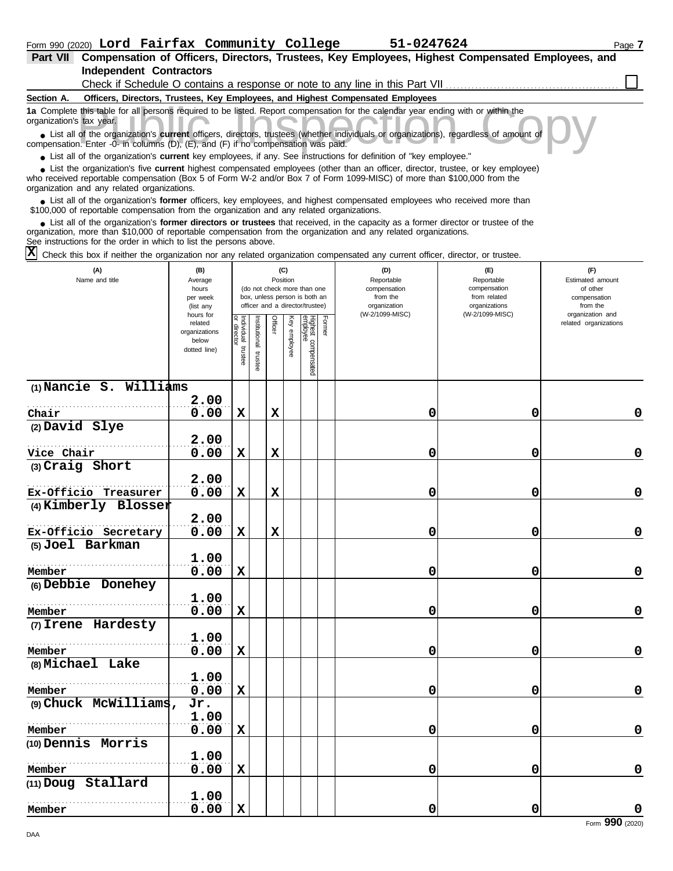| Part VII Compensation of Officers, Directors, Trustees, Key Employees, Highest Compensated Employees, and                                                                                                                                                                                                                   |                                                               |                                  |                         |             |                 |                                                                                                 |        |                                                                                  |                                                                                       |                                                                                     |
|-----------------------------------------------------------------------------------------------------------------------------------------------------------------------------------------------------------------------------------------------------------------------------------------------------------------------------|---------------------------------------------------------------|----------------------------------|-------------------------|-------------|-----------------|-------------------------------------------------------------------------------------------------|--------|----------------------------------------------------------------------------------|---------------------------------------------------------------------------------------|-------------------------------------------------------------------------------------|
| <b>Independent Contractors</b>                                                                                                                                                                                                                                                                                              |                                                               |                                  |                         |             |                 |                                                                                                 |        |                                                                                  |                                                                                       |                                                                                     |
|                                                                                                                                                                                                                                                                                                                             |                                                               |                                  |                         |             |                 |                                                                                                 |        | Check if Schedule O contains a response or note to any line in this Part VII     |                                                                                       |                                                                                     |
| Section A.                                                                                                                                                                                                                                                                                                                  |                                                               |                                  |                         |             |                 |                                                                                                 |        | Officers, Directors, Trustees, Key Employees, and Highest Compensated Employees  |                                                                                       |                                                                                     |
| 1a Complete this table for all persons required to be listed. Report compensation for the calendar year ending with or within the<br>organization's tax year.<br>• List all of the organization's current officers, directors, trustees (whether individuals or organizations), regardless of amount of                     |                                                               |                                  |                         |             |                 |                                                                                                 |        |                                                                                  |                                                                                       |                                                                                     |
| compensation. Enter -0- in columns (D), (E), and (F) if no compensation was paid.                                                                                                                                                                                                                                           |                                                               |                                  |                         |             |                 |                                                                                                 |        |                                                                                  |                                                                                       |                                                                                     |
| • List all of the organization's current key employees, if any. See instructions for definition of "key employee."                                                                                                                                                                                                          |                                                               |                                  |                         |             |                 |                                                                                                 |        |                                                                                  |                                                                                       |                                                                                     |
| List the organization's five current highest compensated employees (other than an officer, director, trustee, or key employee)<br>who received reportable compensation (Box 5 of Form W-2 and/or Box 7 of Form 1099-MISC) of more than \$100,000 from the<br>organization and any related organizations.                    |                                                               |                                  |                         |             |                 |                                                                                                 |        |                                                                                  |                                                                                       |                                                                                     |
| List all of the organization's former officers, key employees, and highest compensated employees who received more than<br>\$100,000 of reportable compensation from the organization and any related organizations.                                                                                                        |                                                               |                                  |                         |             |                 |                                                                                                 |        |                                                                                  |                                                                                       |                                                                                     |
| List all of the organization's former directors or trustees that received, in the capacity as a former director or trustee of the<br>organization, more than \$10,000 of reportable compensation from the organization and any related organizations.<br>See instructions for the order in which to list the persons above. |                                                               |                                  |                         |             |                 |                                                                                                 |        |                                                                                  |                                                                                       |                                                                                     |
| X<br>Check this box if neither the organization nor any related organization compensated any current officer, director, or trustee.                                                                                                                                                                                         |                                                               |                                  |                         |             |                 |                                                                                                 |        |                                                                                  |                                                                                       |                                                                                     |
| (A)<br>Name and title                                                                                                                                                                                                                                                                                                       | (B)<br>Average<br>hours<br>per week<br>(list any<br>hours for |                                  |                         |             | (C)<br>Position | (do not check more than one<br>box, unless person is both an<br>officer and a director/trustee) |        | (D)<br>Reportable<br>compensation<br>from the<br>organization<br>(W-2/1099-MISC) | (E)<br>Reportable<br>compensation<br>from related<br>organizations<br>(W-2/1099-MISC) | (F)<br>Estimated amount<br>of other<br>compensation<br>from the<br>organization and |
|                                                                                                                                                                                                                                                                                                                             | related<br>organizations<br>below<br>dotted line)             | Individual<br>directo<br>trustee | nstitutional<br>trustee | Officer     | Ķey<br>employee | Highest compensated<br>employee                                                                 | Former |                                                                                  |                                                                                       | related organizations                                                               |
| (1) Nancie S. Williams                                                                                                                                                                                                                                                                                                      |                                                               |                                  |                         |             |                 |                                                                                                 |        |                                                                                  |                                                                                       |                                                                                     |
|                                                                                                                                                                                                                                                                                                                             | 2.00                                                          |                                  |                         |             |                 |                                                                                                 |        |                                                                                  |                                                                                       |                                                                                     |
| Chair                                                                                                                                                                                                                                                                                                                       | 0.00                                                          | $\mathbf x$                      |                         | X           |                 |                                                                                                 |        | 0                                                                                | 0                                                                                     | 0                                                                                   |
| (2) David Slye                                                                                                                                                                                                                                                                                                              |                                                               |                                  |                         |             |                 |                                                                                                 |        |                                                                                  |                                                                                       |                                                                                     |
| Vice Chair                                                                                                                                                                                                                                                                                                                  | 2.00<br>0.00                                                  | $\mathbf x$                      |                         | $\mathbf x$ |                 |                                                                                                 |        | 0                                                                                | 0                                                                                     | 0                                                                                   |
| (3) Craig Short                                                                                                                                                                                                                                                                                                             |                                                               |                                  |                         |             |                 |                                                                                                 |        |                                                                                  |                                                                                       |                                                                                     |
|                                                                                                                                                                                                                                                                                                                             | 2.00                                                          |                                  |                         |             |                 |                                                                                                 |        |                                                                                  |                                                                                       |                                                                                     |
| Ex-Officio Treasurer                                                                                                                                                                                                                                                                                                        | 0.00                                                          | $\mathbf x$                      |                         | $\mathbf x$ |                 |                                                                                                 |        | 0                                                                                | 0                                                                                     | 0                                                                                   |
| (4) Kimberly Blosser                                                                                                                                                                                                                                                                                                        |                                                               |                                  |                         |             |                 |                                                                                                 |        |                                                                                  |                                                                                       |                                                                                     |
|                                                                                                                                                                                                                                                                                                                             | 2.00                                                          |                                  |                         |             |                 |                                                                                                 |        |                                                                                  |                                                                                       |                                                                                     |
| Ex-Officio Secretary                                                                                                                                                                                                                                                                                                        | 0.00                                                          | $\mathbf x$                      |                         | $\mathbf x$ |                 |                                                                                                 |        | 0                                                                                | 0                                                                                     | $\mathbf 0$                                                                         |
| (5) Joel Barkman                                                                                                                                                                                                                                                                                                            |                                                               |                                  |                         |             |                 |                                                                                                 |        |                                                                                  |                                                                                       |                                                                                     |
|                                                                                                                                                                                                                                                                                                                             | 1.00                                                          |                                  |                         |             |                 |                                                                                                 |        |                                                                                  |                                                                                       |                                                                                     |
| Member                                                                                                                                                                                                                                                                                                                      | 0.00                                                          | $\mathbf x$                      |                         |             |                 |                                                                                                 |        | 0                                                                                | 0                                                                                     | 0                                                                                   |
| (6) Debbie Donehey                                                                                                                                                                                                                                                                                                          |                                                               |                                  |                         |             |                 |                                                                                                 |        |                                                                                  |                                                                                       |                                                                                     |
|                                                                                                                                                                                                                                                                                                                             | nn<br>າ                                                       |                                  |                         |             |                 |                                                                                                 |        |                                                                                  |                                                                                       |                                                                                     |

|                       | <b>T.OO</b> |   |   |   |                |
|-----------------------|-------------|---|---|---|----------------|
| Member                | 0.00        | X | 0 | 0 | 0              |
| (7) Irene Hardesty    |             |   |   |   |                |
|                       | 1.00        |   |   |   |                |
| Member                | 0.00        | x | 0 | 0 | 0              |
| (8) Michael Lake      |             |   |   |   |                |
|                       | 1.00        |   |   |   |                |
| Member                | 0.00        | X | 0 | 0 | 0              |
| (9) Chuck McWilliams, | Jr.         |   |   |   |                |
|                       | 1.00        |   |   |   |                |
| Member                | 0.00        | X | 0 | 0 | $\Omega$       |
| (10) Dennis Morris    |             |   |   |   |                |
|                       | 1.00        |   |   |   |                |
| Member                | 0.00        | X | 0 | 0 | 0              |
| (11) Doug Stallard    |             |   |   |   |                |
|                       | 1.00        |   |   |   |                |
| Member                | 0.00        | X | 0 | 0 | 0              |
|                       |             |   |   |   | 0 <sup>0</sup> |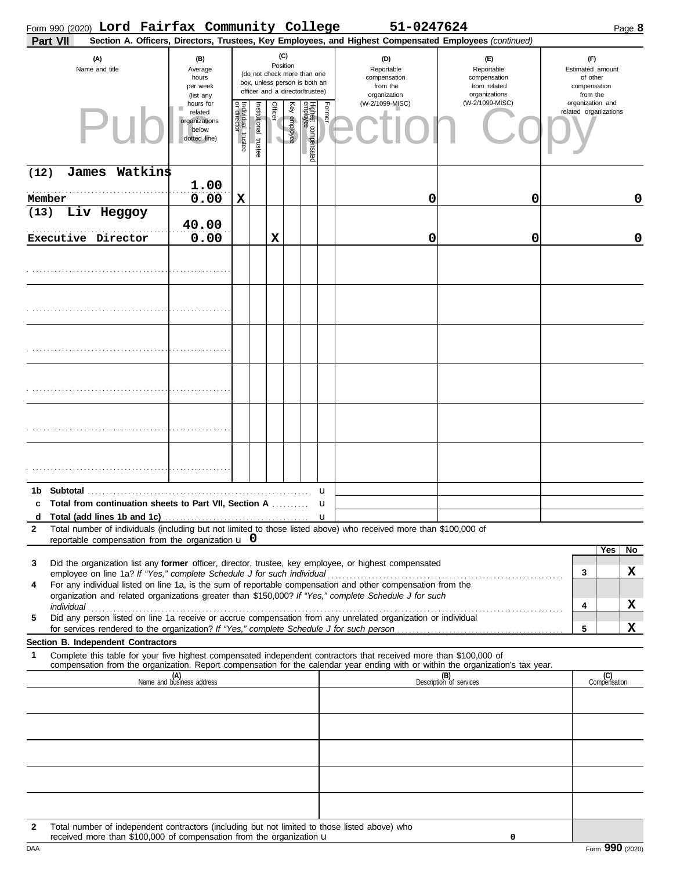|                   |            |                                    |         | Form 990 (2020) Lord Fairfax Community College                                 |                                      |                      |          |              |                                                                                                 |        | 51-0247624                                                                                                                                                                                                                                             |                                                                    |                                                                 |                     | Page 8 |
|-------------------|------------|------------------------------------|---------|--------------------------------------------------------------------------------|--------------------------------------|----------------------|----------|--------------|-------------------------------------------------------------------------------------------------|--------|--------------------------------------------------------------------------------------------------------------------------------------------------------------------------------------------------------------------------------------------------------|--------------------------------------------------------------------|-----------------------------------------------------------------|---------------------|--------|
|                   | Part VII   |                                    |         |                                                                                |                                      |                      |          |              |                                                                                                 |        | Section A. Officers, Directors, Trustees, Key Employees, and Highest Compensated Employees (continued)                                                                                                                                                 |                                                                    |                                                                 |                     |        |
|                   |            | (A)<br>Name and title              |         | (B)<br>Average<br>hours<br>per week<br>(list any                               |                                      |                      | Position | (C)          | (do not check more than one<br>box, unless person is both an<br>officer and a director/trustee) |        | (D)<br>Reportable<br>compensation<br>from the<br>organization                                                                                                                                                                                          | (E)<br>Reportable<br>compensation<br>from related<br>organizations | (F)<br>Estimated amount<br>of other<br>compensation<br>from the |                     |        |
|                   |            |                                    |         | hours for<br>related<br>organizations<br>below<br>dotted line)                 | Individual<br>or director<br>trustee | nstitutional trustee | Officer  | Key employee | Highest compensated<br>employee                                                                 | Former | (W-2/1099-MISC)                                                                                                                                                                                                                                        | (W-2/1099-MISC)                                                    | organization and<br>related organizations                       |                     |        |
| (12)              |            | James                              | Watkins | 1.00                                                                           |                                      |                      |          |              |                                                                                                 |        |                                                                                                                                                                                                                                                        |                                                                    |                                                                 |                     |        |
|                   | Member     |                                    |         | 0.00                                                                           | X                                    |                      |          |              |                                                                                                 |        | 0                                                                                                                                                                                                                                                      | 0                                                                  |                                                                 |                     | 0      |
| (13)              |            | Liv Heggoy                         |         | 40.00                                                                          |                                      |                      |          |              |                                                                                                 |        |                                                                                                                                                                                                                                                        |                                                                    |                                                                 |                     |        |
|                   |            | Executive Director                 |         | 0.00                                                                           |                                      |                      | X        |              |                                                                                                 |        | 0                                                                                                                                                                                                                                                      | 0                                                                  |                                                                 |                     | 0      |
|                   |            |                                    |         |                                                                                |                                      |                      |          |              |                                                                                                 |        |                                                                                                                                                                                                                                                        |                                                                    |                                                                 |                     |        |
|                   |            |                                    |         |                                                                                |                                      |                      |          |              |                                                                                                 |        |                                                                                                                                                                                                                                                        |                                                                    |                                                                 |                     |        |
|                   |            |                                    |         |                                                                                |                                      |                      |          |              |                                                                                                 |        |                                                                                                                                                                                                                                                        |                                                                    |                                                                 |                     |        |
|                   |            |                                    |         |                                                                                |                                      |                      |          |              |                                                                                                 |        |                                                                                                                                                                                                                                                        |                                                                    |                                                                 |                     |        |
|                   |            |                                    |         |                                                                                |                                      |                      |          |              |                                                                                                 |        |                                                                                                                                                                                                                                                        |                                                                    |                                                                 |                     |        |
|                   |            |                                    |         |                                                                                |                                      |                      |          |              |                                                                                                 |        |                                                                                                                                                                                                                                                        |                                                                    |                                                                 |                     |        |
|                   |            |                                    |         |                                                                                |                                      |                      |          |              |                                                                                                 |        |                                                                                                                                                                                                                                                        |                                                                    |                                                                 |                     |        |
| 1b<br>c           | Subtotal   |                                    |         | Total from continuation sheets to Part VII, Section A                          |                                      |                      |          |              |                                                                                                 | u<br>u |                                                                                                                                                                                                                                                        |                                                                    |                                                                 |                     |        |
| d<br>$\mathbf{2}$ |            |                                    |         |                                                                                |                                      |                      |          |              |                                                                                                 |        | Total number of individuals (including but not limited to those listed above) who received more than \$100,000 of                                                                                                                                      |                                                                    |                                                                 |                     |        |
|                   |            |                                    |         | reportable compensation from the organization $\bf{u}$ 0                       |                                      |                      |          |              |                                                                                                 |        |                                                                                                                                                                                                                                                        |                                                                    |                                                                 | Yes                 | No     |
| 3                 |            |                                    |         | employee on line 1a? If "Yes," complete Schedule J for such individual         |                                      |                      |          |              |                                                                                                 |        | Did the organization list any former officer, director, trustee, key employee, or highest compensated                                                                                                                                                  |                                                                    | 3                                                               |                     | X      |
| 4                 |            |                                    |         |                                                                                |                                      |                      |          |              |                                                                                                 |        | For any individual listed on line 1a, is the sum of reportable compensation and other compensation from the<br>organization and related organizations greater than \$150,000? If "Yes," complete Schedule J for such                                   |                                                                    |                                                                 |                     |        |
|                   | individual |                                    |         |                                                                                |                                      |                      |          |              |                                                                                                 |        |                                                                                                                                                                                                                                                        |                                                                    | 4                                                               |                     | X      |
| 5                 |            |                                    |         |                                                                                |                                      |                      |          |              |                                                                                                 |        | Did any person listed on line 1a receive or accrue compensation from any unrelated organization or individual                                                                                                                                          |                                                                    | 5                                                               |                     | X      |
|                   |            | Section B. Independent Contractors |         |                                                                                |                                      |                      |          |              |                                                                                                 |        |                                                                                                                                                                                                                                                        |                                                                    |                                                                 |                     |        |
| 1                 |            |                                    |         |                                                                                |                                      |                      |          |              |                                                                                                 |        | Complete this table for your five highest compensated independent contractors that received more than \$100,000 of<br>compensation from the organization. Report compensation for the calendar year ending with or within the organization's tax year. |                                                                    |                                                                 |                     |        |
|                   |            |                                    |         | (A)<br>Name and business address                                               |                                      |                      |          |              |                                                                                                 |        |                                                                                                                                                                                                                                                        | (B)<br>Description of services                                     |                                                                 | (C)<br>Compensation |        |
|                   |            |                                    |         |                                                                                |                                      |                      |          |              |                                                                                                 |        |                                                                                                                                                                                                                                                        |                                                                    |                                                                 |                     |        |
|                   |            |                                    |         |                                                                                |                                      |                      |          |              |                                                                                                 |        |                                                                                                                                                                                                                                                        |                                                                    |                                                                 |                     |        |
|                   |            |                                    |         |                                                                                |                                      |                      |          |              |                                                                                                 |        |                                                                                                                                                                                                                                                        |                                                                    |                                                                 |                     |        |
|                   |            |                                    |         |                                                                                |                                      |                      |          |              |                                                                                                 |        |                                                                                                                                                                                                                                                        |                                                                    |                                                                 |                     |        |
|                   |            |                                    |         |                                                                                |                                      |                      |          |              |                                                                                                 |        |                                                                                                                                                                                                                                                        |                                                                    |                                                                 |                     |        |
| $\mathbf{2}$      |            |                                    |         | received more than \$100,000 of compensation from the organization $\mathbf u$ |                                      |                      |          |              |                                                                                                 |        | Total number of independent contractors (including but not limited to those listed above) who                                                                                                                                                          | 0                                                                  |                                                                 |                     |        |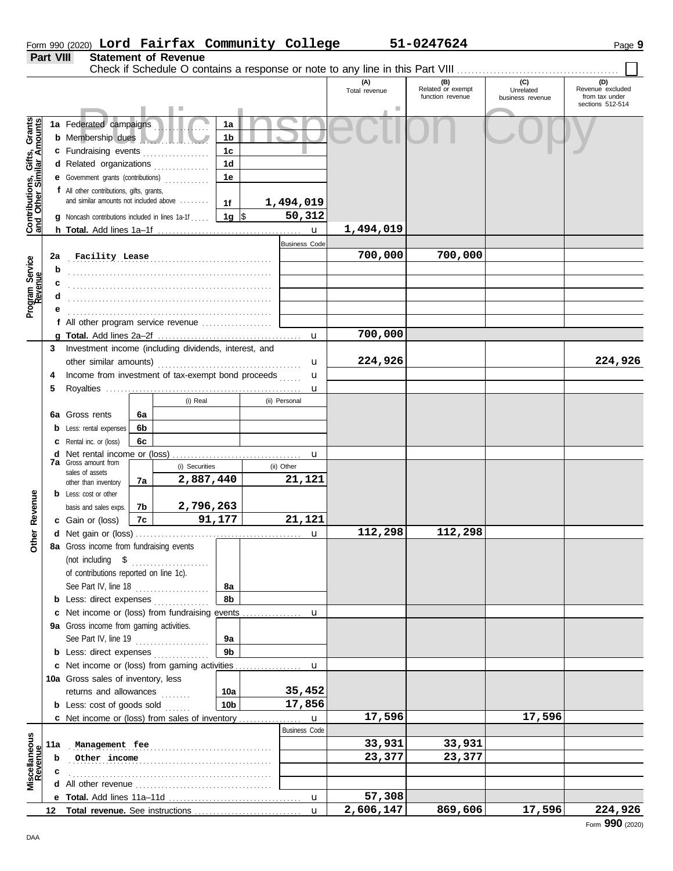|                                                           |           | Form 990 (2020) Lord Fairfax Community College                                                |    |                                      |                 |                      |              |                      | 51-0247624                                   |                               | Page 9                                                 |
|-----------------------------------------------------------|-----------|-----------------------------------------------------------------------------------------------|----|--------------------------------------|-----------------|----------------------|--------------|----------------------|----------------------------------------------|-------------------------------|--------------------------------------------------------|
|                                                           | Part VIII |                                                                                               |    | <b>Statement of Revenue</b>          |                 |                      |              |                      |                                              |                               |                                                        |
|                                                           |           |                                                                                               |    |                                      |                 |                      |              |                      |                                              | (C)                           | (D)                                                    |
|                                                           |           |                                                                                               |    |                                      |                 |                      |              | (A)<br>Total revenue | (B)<br>Related or exempt<br>function revenue | Unrelated<br>business revenue | Revenue excluded<br>from tax under<br>sections 512-514 |
|                                                           |           | 1a Federated campaigns                                                                        |    |                                      | 1a              |                      |              |                      |                                              |                               |                                                        |
| Contributions, Gifts, Grants<br>and Other Similar Amounts |           | <b>b</b> Membership dues                                                                      |    |                                      | 1 <sub>b</sub>  |                      |              |                      |                                              |                               |                                                        |
|                                                           |           | c Fundraising events                                                                          |    |                                      | 1 <sub>c</sub>  |                      |              |                      |                                              |                               |                                                        |
|                                                           |           | d Related organizations                                                                       |    |                                      | 1 <sub>d</sub>  |                      |              |                      |                                              |                               |                                                        |
|                                                           |           | <b>e</b> Government grants (contributions)                                                    |    |                                      | 1e              |                      |              |                      |                                              |                               |                                                        |
|                                                           |           | f All other contributions, gifts, grants,                                                     |    |                                      |                 |                      |              |                      |                                              |                               |                                                        |
|                                                           |           | and similar amounts not included above                                                        |    |                                      | 1f              | 1,494,019            |              |                      |                                              |                               |                                                        |
|                                                           |           | <b>g</b> Noncash contributions included in lines 1a-1f                                        |    |                                      | 1g $\vert$ \$   |                      | 50,312       |                      |                                              |                               |                                                        |
|                                                           |           |                                                                                               |    |                                      |                 |                      | $\mathbf{u}$ | 1,494,019            |                                              |                               |                                                        |
|                                                           |           |                                                                                               |    |                                      |                 | <b>Business Code</b> |              |                      |                                              |                               |                                                        |
|                                                           | 2a        |                                                                                               |    | Facility Lease Manual Communications |                 |                      |              | 700,000              | 700,000                                      |                               |                                                        |
| Program Service<br>Revenue                                | b         |                                                                                               |    |                                      |                 |                      |              |                      |                                              |                               |                                                        |
|                                                           | c         |                                                                                               |    |                                      |                 |                      |              |                      |                                              |                               |                                                        |
|                                                           |           |                                                                                               |    |                                      |                 |                      |              |                      |                                              |                               |                                                        |
|                                                           |           |                                                                                               |    |                                      |                 |                      |              |                      |                                              |                               |                                                        |
|                                                           |           | f All other program service revenue                                                           |    |                                      |                 |                      |              |                      |                                              |                               |                                                        |
|                                                           |           |                                                                                               |    |                                      |                 |                      |              | 700,000              |                                              |                               |                                                        |
|                                                           | 3         | Investment income (including dividends, interest, and                                         |    |                                      |                 |                      |              |                      |                                              |                               |                                                        |
|                                                           |           |                                                                                               |    |                                      |                 |                      | u            | 224,926              |                                              |                               | 224,926                                                |
|                                                           | 4         | Income from investment of tax-exempt bond proceeds<br>(i) Real<br><b>6a</b> Gross rents<br>6a |    |                                      |                 | u                    |              |                      |                                              |                               |                                                        |
|                                                           | 5         |                                                                                               |    |                                      |                 |                      | u            |                      |                                              |                               |                                                        |
|                                                           |           |                                                                                               |    |                                      |                 | (ii) Personal        |              |                      |                                              |                               |                                                        |
|                                                           |           |                                                                                               |    |                                      |                 |                      |              |                      |                                              |                               |                                                        |
|                                                           |           | <b>b</b> Less: rental expenses                                                                | 6b |                                      |                 |                      |              |                      |                                              |                               |                                                        |
|                                                           |           | Rental inc. or (loss)                                                                         | 6с |                                      |                 |                      |              |                      |                                              |                               |                                                        |
|                                                           | d         | <b>7a</b> Gross amount from                                                                   |    | (i) Securities                       |                 | (ii) Other           | u            |                      |                                              |                               |                                                        |
|                                                           |           | sales of assets                                                                               |    | 2,887,440                            |                 | 21,121               |              |                      |                                              |                               |                                                        |
|                                                           |           | other than inventory                                                                          | 7a |                                      |                 |                      |              |                      |                                              |                               |                                                        |
|                                                           |           | <b>b</b> Less: cost or other                                                                  | 7b | 2,796,263                            |                 |                      |              |                      |                                              |                               |                                                        |
| Revenue                                                   |           | basis and sales exps.<br><b>c</b> Gain or (loss)                                              | 7c |                                      | 91,177          |                      | 21,121       |                      |                                              |                               |                                                        |
|                                                           |           | d Net gain or (loss)                                                                          |    |                                      |                 |                      |              | 112,298              | 112,298                                      |                               |                                                        |
| Other                                                     |           | 8a Gross income from fundraising events                                                       |    |                                      |                 |                      |              |                      |                                              |                               |                                                        |
|                                                           |           | (not including \$                                                                             |    |                                      |                 |                      |              |                      |                                              |                               |                                                        |
|                                                           |           | of contributions reported on line 1c).                                                        |    | .                                    |                 |                      |              |                      |                                              |                               |                                                        |
|                                                           |           | See Part IV, line 18 $\ldots$                                                                 |    |                                      | 8а              |                      |              |                      |                                              |                               |                                                        |
|                                                           |           | <b>b</b> Less: direct expenses                                                                |    |                                      | 8b              |                      |              |                      |                                              |                               |                                                        |
|                                                           |           |                                                                                               |    |                                      |                 |                      |              |                      |                                              |                               |                                                        |
|                                                           |           | 9a Gross income from gaming activities.                                                       |    |                                      |                 |                      |              |                      |                                              |                               |                                                        |
|                                                           |           | See Part IV, line 19                                                                          |    | .                                    | 9а              |                      |              |                      |                                              |                               |                                                        |
|                                                           |           | <b>b</b> Less: direct expenses                                                                |    |                                      | 9 <sub>b</sub>  |                      |              |                      |                                              |                               |                                                        |
|                                                           |           |                                                                                               |    |                                      |                 |                      |              |                      |                                              |                               |                                                        |
|                                                           |           | 10a Gross sales of inventory, less                                                            |    |                                      |                 |                      |              |                      |                                              |                               |                                                        |
|                                                           |           | returns and allowances                                                                        |    |                                      | 10a             |                      | 35,452       |                      |                                              |                               |                                                        |
|                                                           |           | <b>b</b> Less: cost of goods sold                                                             |    |                                      | 10 <sub>b</sub> |                      | 17,856       |                      |                                              |                               |                                                        |
|                                                           |           |                                                                                               |    |                                      |                 |                      | $\mathbf{u}$ | 17,596               |                                              | 17,596                        |                                                        |
|                                                           |           |                                                                                               |    |                                      |                 | <b>Business Code</b> |              |                      |                                              |                               |                                                        |
|                                                           | 11a       | Management fee                                                                                |    |                                      |                 |                      |              | 33,931               | 33,931                                       |                               |                                                        |
| Miscellaneous<br>Revenue                                  | b         | Other income                                                                                  |    |                                      |                 |                      |              | 23,377               | 23,377                                       |                               |                                                        |
|                                                           |           |                                                                                               |    |                                      |                 |                      |              |                      |                                              |                               |                                                        |
|                                                           |           |                                                                                               |    |                                      |                 |                      |              |                      |                                              |                               |                                                        |
|                                                           |           |                                                                                               |    |                                      |                 |                      |              | 57,308               |                                              |                               |                                                        |
|                                                           |           |                                                                                               |    |                                      |                 |                      |              | 2,606,147            | 869,606                                      | 17,596                        | 224,926                                                |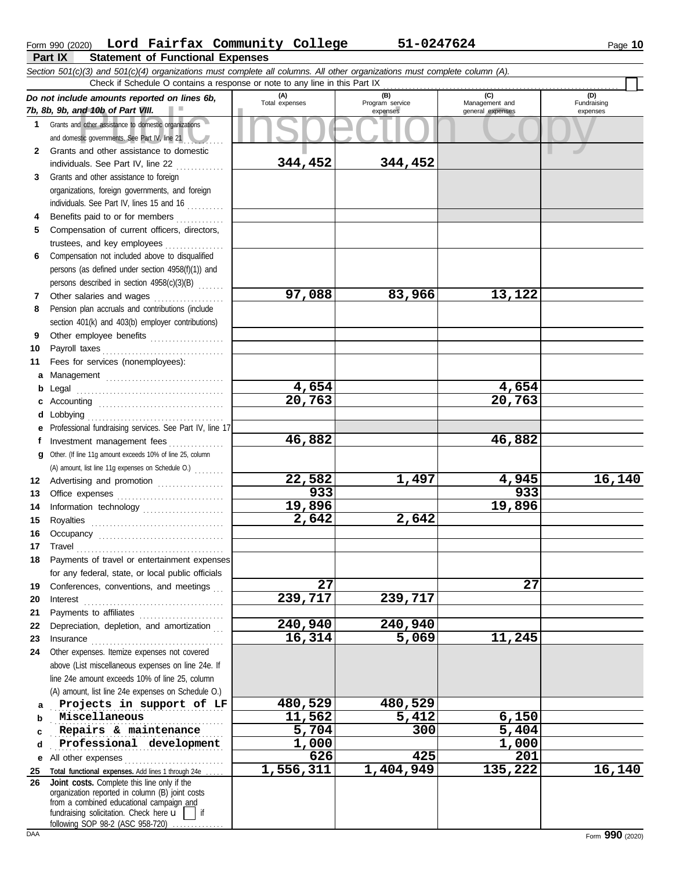| Form 990 (2020) |                                  | Lord Fairfax Community College | 51-0247624 | 10<br>Page |
|-----------------|----------------------------------|--------------------------------|------------|------------|
| Part IY         | Statement of Functional Expenses |                                |            |            |

| Part IX<br>Statement of Functional Expenses                                                                                |                |                                    |                                           |                                |  |  |  |  |  |  |  |
|----------------------------------------------------------------------------------------------------------------------------|----------------|------------------------------------|-------------------------------------------|--------------------------------|--|--|--|--|--|--|--|
| Section 501(c)(3) and 501(c)(4) organizations must complete all columns. All other organizations must complete column (A). |                |                                    |                                           |                                |  |  |  |  |  |  |  |
| Check if Schedule O contains a response or note to any line in this Part IX                                                |                |                                    |                                           |                                |  |  |  |  |  |  |  |
| Do not include amounts reported on lines 6b,<br>7b, 8b, 9b, and 10b of Part VIII.                                          | Total expenses | (B)<br>Program service<br>expenses | (C)<br>Management and<br>general expenses | (D)<br>Fundraising<br>expenses |  |  |  |  |  |  |  |
| Grants and other assistance to domestic organizations<br>and domestic governments. See Part IV, line 21                    |                |                                    |                                           |                                |  |  |  |  |  |  |  |
| Grants and other assistance to domestic                                                                                    |                |                                    |                                           |                                |  |  |  |  |  |  |  |

|              | and domestic governments. See Part IV, line $21$                                   |           |        |           |         |     |         |
|--------------|------------------------------------------------------------------------------------|-----------|--------|-----------|---------|-----|---------|
| $\mathbf{2}$ | Grants and other assistance to domestic                                            |           |        |           |         |     |         |
|              | individuals. See Part IV, line 22                                                  | 344,452   |        | 344,452   |         |     |         |
| 3            | Grants and other assistance to foreign                                             |           |        |           |         |     |         |
|              | organizations, foreign governments, and foreign                                    |           |        |           |         |     |         |
|              | individuals. See Part IV, lines 15 and 16                                          |           |        |           |         |     |         |
| 4            | Benefits paid to or for members                                                    |           |        |           |         |     |         |
| 5            | Compensation of current officers, directors,                                       |           |        |           |         |     |         |
|              | trustees, and key employees                                                        |           |        |           |         |     |         |
| 6            | Compensation not included above to disqualified                                    |           |        |           |         |     |         |
|              | persons (as defined under section 4958(f)(1)) and                                  |           |        |           |         |     |         |
|              | persons described in section 4958(c)(3)(B)                                         |           |        |           |         |     |         |
| 7            | Other salaries and wages                                                           |           | 97,088 | 83,966    | 13,122  |     |         |
| 8            | Pension plan accruals and contributions (include                                   |           |        |           |         |     |         |
|              | section 401(k) and 403(b) employer contributions)                                  |           |        |           |         |     |         |
| 9            | Other employee benefits                                                            |           |        |           |         |     |         |
| 10           | Payroll taxes                                                                      |           |        |           |         |     |         |
| 11           | Fees for services (nonemployees):                                                  |           |        |           |         |     |         |
| а            |                                                                                    |           |        |           |         |     |         |
| b            |                                                                                    |           | 4,654  |           | 4,654   |     |         |
| c            |                                                                                    |           | 20,763 |           | 20,763  |     |         |
| d            | Lobbying                                                                           |           |        |           |         |     |         |
|              | Professional fundraising services. See Part IV, line 17                            |           |        |           |         |     |         |
| f            | Investment management fees                                                         |           | 46,882 |           | 46,882  |     |         |
| q            | Other. (If line 11g amount exceeds 10% of line 25, column                          |           |        |           |         |     |         |
|              | (A) amount, list line 11g expenses on Schedule O.)                                 |           | 22,582 | 1,497     | 4,945   |     | 16,140  |
| 12           | Advertising and promotion                                                          |           | 933    |           |         | 933 |         |
| 13           | Office expenses                                                                    |           | 19,896 |           | 19,896  |     |         |
| 14           | Information technology                                                             |           |        | 2,642     |         |     |         |
| 15           | Royalties                                                                          |           | 2,642  |           |         |     |         |
| 16           |                                                                                    |           |        |           |         |     |         |
| 17           | Travel                                                                             |           |        |           |         |     |         |
| 18           | Payments of travel or entertainment expenses                                       |           |        |           |         |     |         |
|              | for any federal, state, or local public officials                                  |           | 27     |           |         | 27  |         |
| 19           | Conferences, conventions, and meetings                                             | 239,717   |        | 239,717   |         |     |         |
| 20           | Interest                                                                           |           |        |           |         |     |         |
| 21           | Payments to affiliates<br>Depreciation, depletion, and amortization                | 240,940   |        | 240,940   |         |     |         |
| 22           |                                                                                    |           | 16,314 | 5,069     | 11,245  |     |         |
| 23<br>24     | Insurance<br>Other expenses. Itemize expenses not covered                          |           |        |           |         |     |         |
|              | above (List miscellaneous expenses on line 24e. If                                 |           |        |           |         |     |         |
|              | line 24e amount exceeds 10% of line 25, column                                     |           |        |           |         |     |         |
|              | (A) amount, list line 24e expenses on Schedule O.)                                 |           |        |           |         |     |         |
| a            | Projects in support of LF                                                          | 480,529   |        | 480,529   |         |     |         |
| b            | Miscellaneous                                                                      |           | 11,562 | 5,412     | 6,150   |     |         |
| c            | Repairs & maintenance                                                              |           | 5,704  | 300       | 5,404   |     |         |
| d            | Professional development                                                           |           | 1,000  |           | 1,000   |     |         |
| е            | All other expenses                                                                 |           | 626    | 425       |         | 201 |         |
| 25           | Total functional expenses. Add lines 1 through 24e                                 | 1,556,311 |        | 1,404,949 | 135,222 |     | 16, 140 |
| 26           | Joint costs. Complete this line only if the                                        |           |        |           |         |     |         |
|              | organization reported in column (B) joint costs                                    |           |        |           |         |     |         |
|              | from a combined educational campaign and<br>fundraising solicitation. Check here u |           |        |           |         |     |         |
|              | following SOP 98-2 (ASC 958-720)                                                   |           |        |           |         |     |         |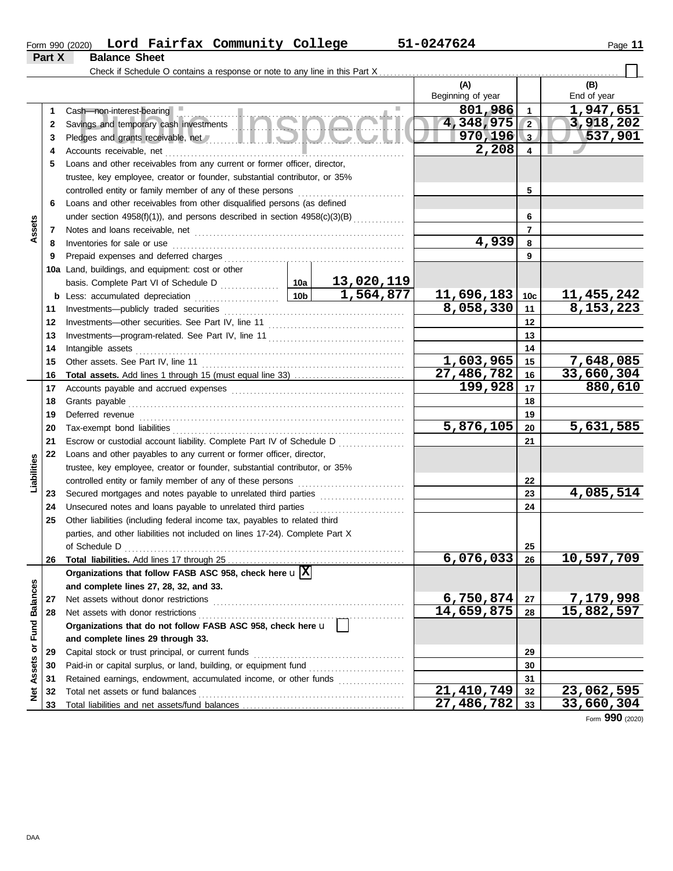| Lord Fairfax Community College<br>Form 990 (2020) | 1-0247624د<br>Page |  |
|---------------------------------------------------|--------------------|--|
|---------------------------------------------------|--------------------|--|

 $\Box$ 

**Part X Balance Sheet**

Check if Schedule O contains a response or note to any line in this Part X . . . . . . . . . . . . . . . . . . . . . . . . . . . . . . . . . . . . . . . . . . . . . . . . . . . . . . . . . . . . . . . . .

|                      |    |                                                                              |                 |                        | (A)               |                 | (B)          |
|----------------------|----|------------------------------------------------------------------------------|-----------------|------------------------|-------------------|-----------------|--------------|
|                      |    |                                                                              |                 |                        | Beginning of year |                 | End of year  |
|                      | 1  | Cash-non-interest-bearing                                                    |                 |                        | 801,986           | $\blacksquare$  | 1,947,651    |
|                      | 2  |                                                                              |                 |                        | 4,348,975         | $\sqrt{2}$      | 3,918,202    |
|                      | 3  |                                                                              |                 |                        | $970, 196$ 3      |                 | 537,901      |
|                      | 4  | Accounts receivable, net                                                     |                 |                        | 2,208             | $\overline{4}$  |              |
|                      | 5  | Loans and other receivables from any current or former officer, director,    |                 |                        |                   |                 |              |
|                      |    | trustee, key employee, creator or founder, substantial contributor, or 35%   |                 |                        |                   |                 |              |
|                      |    | controlled entity or family member of any of these persons                   |                 |                        |                   | 5               |              |
|                      | 6  | Loans and other receivables from other disqualified persons (as defined      |                 |                        |                   |                 |              |
|                      |    | under section 4958(f)(1)), and persons described in section 4958(c)(3)(B)    |                 |                        |                   | 6               |              |
| Assets               | 7  |                                                                              |                 |                        |                   | $\overline{7}$  |              |
|                      | 8  | Inventories for sale or use                                                  |                 |                        | 4,939             | 8               |              |
|                      | 9  | Prepaid expenses and deferred charges                                        |                 |                        |                   | 9               |              |
|                      |    | 10a Land, buildings, and equipment: cost or other                            |                 |                        |                   |                 |              |
|                      |    |                                                                              |                 | 13,020,119             |                   |                 |              |
|                      |    | <b>b</b> Less: accumulated depreciation                                      | 10 <sub>b</sub> | $\overline{1,564,877}$ | 11,696,183        | 10 <sub>c</sub> | 11, 455, 242 |
|                      | 11 |                                                                              |                 |                        | 8,058,330         | 11              | 8,153,223    |
|                      | 12 |                                                                              |                 |                        |                   | 12              |              |
|                      | 13 |                                                                              |                 |                        |                   | 13              |              |
|                      | 14 | Intangible assets                                                            |                 |                        |                   | 14              |              |
|                      | 15 | Other assets. See Part IV, line 11                                           |                 |                        | 1,603,965         | 15              | 7,648,085    |
|                      | 16 |                                                                              |                 |                        | 27,486,782        | 16              | 33,660,304   |
|                      | 17 |                                                                              |                 |                        | 199,928           | 17              | 880,610      |
|                      | 18 | Grants payable                                                               |                 |                        |                   | 18              |              |
|                      | 19 | Deferred revenue                                                             |                 |                        |                   | 19              |              |
|                      | 20 | Tax-exempt bond liabilities                                                  | 5,876,105       | 20                     | 5,631,585         |                 |              |
|                      | 21 | Escrow or custodial account liability. Complete Part IV of Schedule D        |                 |                        |                   | 21              |              |
|                      | 22 | Loans and other payables to any current or former officer, director,         |                 |                        |                   |                 |              |
| Liabilities          |    | trustee, key employee, creator or founder, substantial contributor, or 35%   |                 |                        |                   |                 |              |
|                      |    | controlled entity or family member of any of these persons                   |                 |                        |                   | 22              |              |
|                      | 23 | Secured mortgages and notes payable to unrelated third parties               |                 |                        |                   | 23              | 4,085,514    |
|                      | 24 | Unsecured notes and loans payable to unrelated third parties                 |                 |                        |                   | 24              |              |
|                      | 25 | Other liabilities (including federal income tax, payables to related third   |                 |                        |                   |                 |              |
|                      |    | parties, and other liabilities not included on lines 17-24). Complete Part X |                 |                        |                   |                 |              |
|                      |    | of Schedule D                                                                |                 |                        |                   | 25              |              |
|                      | 26 |                                                                              |                 |                        | 6,076,033         | 26              | 10,597,709   |
|                      |    | Organizations that follow FASB ASC 958, check here $\mathbf{u} \mathbf{X}$   |                 |                        |                   |                 |              |
|                      |    | and complete lines 27, 28, 32, and 33.                                       |                 |                        |                   |                 |              |
|                      | 27 | Net assets without donor restrictions                                        |                 |                        | 6,750,874         | 27              | 7,179,998    |
|                      | 28 | Net assets with donor restrictions                                           |                 |                        | 14,659,875        | 28              | 15,882,597   |
|                      |    | Organizations that do not follow FASB ASC 958, check here u                  |                 |                        |                   |                 |              |
| <b>Fund Balances</b> |    | and complete lines 29 through 33.                                            |                 |                        |                   |                 |              |
|                      | 29 | Capital stock or trust principal, or current funds                           |                 |                        |                   | 29              |              |
|                      | 30 | Paid-in or capital surplus, or land, building, or equipment fund             |                 |                        |                   | 30              |              |
|                      | 31 | Retained earnings, endowment, accumulated income, or other funds             |                 |                        |                   | 31              |              |
| Net Assets or        | 32 | Total net assets or fund balances                                            |                 |                        | 21,410,749        | 32              | 23,062,595   |
|                      | 33 |                                                                              |                 |                        | 27,486,782        | 33              | 33,660,304   |
|                      |    |                                                                              |                 |                        |                   |                 |              |

Form **990** (2020)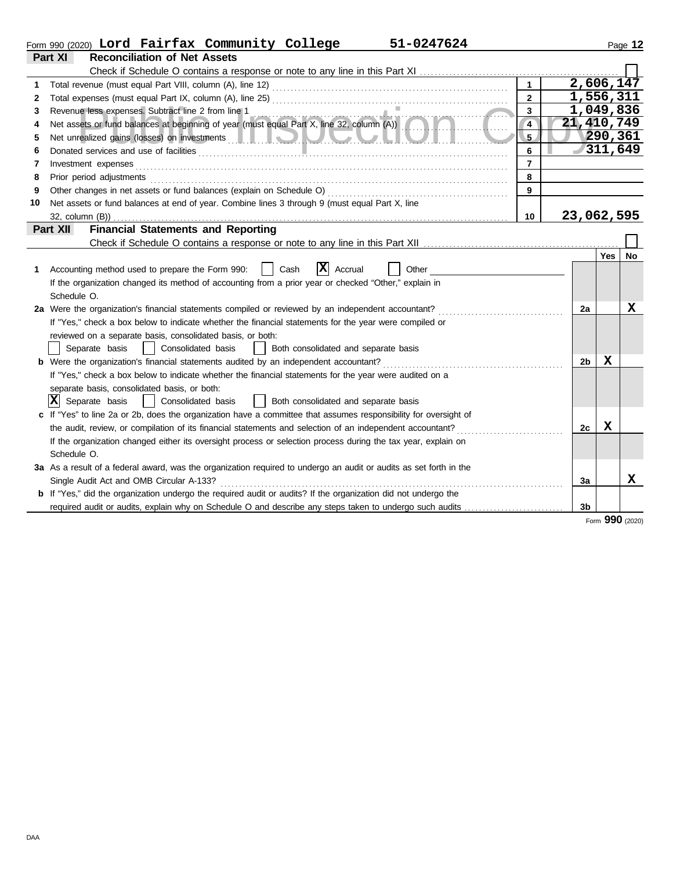|    | 51-0247624<br>Form 990 (2020) Lord Fairfax Community College                                                                                                                                                 |                 |                |             | Page 12 |
|----|--------------------------------------------------------------------------------------------------------------------------------------------------------------------------------------------------------------|-----------------|----------------|-------------|---------|
|    | Part XI<br><b>Reconciliation of Net Assets</b>                                                                                                                                                               |                 |                |             |         |
|    |                                                                                                                                                                                                              |                 |                |             |         |
| 1  |                                                                                                                                                                                                              | $\mathbf{1}$    | 2,606,147      |             |         |
| 2  |                                                                                                                                                                                                              | $\overline{2}$  | 1,556,311      |             |         |
| 3  | Revenue less expenses. Subtract line 2 from line 1<br>Net assets or fund balances at beginning of year (must equal Part X, line 32, column (A))                                                              | $\overline{3}$  | 1,049,836      |             |         |
| 4  |                                                                                                                                                                                                              | $\overline{4}$  | 21,410,749     |             |         |
| 5  |                                                                                                                                                                                                              | 5 <sub>2</sub>  |                | 290,361     |         |
| 6  |                                                                                                                                                                                                              | 6               |                |             | 311,649 |
| 7  | Investment expenses                                                                                                                                                                                          | $\overline{7}$  |                |             |         |
| 8  | Prior period adjustments                                                                                                                                                                                     | 8               |                |             |         |
| 9  | Other changes in net assets or fund balances (explain on Schedule O)                                                                                                                                         | 9               |                |             |         |
| 10 | Net assets or fund balances at end of year. Combine lines 3 through 9 (must equal Part X, line                                                                                                               |                 |                |             |         |
|    | 32, column (B))                                                                                                                                                                                              | 10 <sup>1</sup> | 23,062,595     |             |         |
|    | <b>Financial Statements and Reporting</b><br><b>Part XII</b>                                                                                                                                                 |                 |                |             |         |
|    |                                                                                                                                                                                                              |                 |                |             |         |
|    |                                                                                                                                                                                                              |                 |                | Yes         | No      |
| 1. | $ \mathbf{X} $ Accrual<br>Accounting method used to prepare the Form 990:<br>Cash<br>Other                                                                                                                   |                 |                |             |         |
|    | If the organization changed its method of accounting from a prior year or checked "Other," explain in                                                                                                        |                 |                |             |         |
|    | Schedule O.                                                                                                                                                                                                  |                 |                |             | X       |
|    | 2a Were the organization's financial statements compiled or reviewed by an independent accountant?<br>If "Yes," check a box below to indicate whether the financial statements for the year were compiled or |                 | 2a             |             |         |
|    | reviewed on a separate basis, consolidated basis, or both:                                                                                                                                                   |                 |                |             |         |
|    | Consolidated basis<br>Separate basis<br>Both consolidated and separate basis<br>$\Box$                                                                                                                       |                 |                |             |         |
|    | <b>b</b> Were the organization's financial statements audited by an independent accountant?                                                                                                                  |                 | 2 <sub>b</sub> | x           |         |
|    | If "Yes," check a box below to indicate whether the financial statements for the year were audited on a                                                                                                      |                 |                |             |         |
|    | separate basis, consolidated basis, or both:                                                                                                                                                                 |                 |                |             |         |
|    | $ \mathbf{X} $ Separate basis<br>Consolidated basis<br>  Both consolidated and separate basis                                                                                                                |                 |                |             |         |
|    | c If "Yes" to line 2a or 2b, does the organization have a committee that assumes responsibility for oversight of                                                                                             |                 |                |             |         |
|    | the audit, review, or compilation of its financial statements and selection of an independent accountant?                                                                                                    |                 | 2c             | $\mathbf x$ |         |
|    | If the organization changed either its oversight process or selection process during the tax year, explain on                                                                                                |                 |                |             |         |
|    | Schedule O.                                                                                                                                                                                                  |                 |                |             |         |
|    | 3a As a result of a federal award, was the organization required to undergo an audit or audits as set forth in the                                                                                           |                 |                |             |         |
|    | Single Audit Act and OMB Circular A-133?                                                                                                                                                                     |                 | 3a             |             | X       |
|    | <b>b</b> If "Yes," did the organization undergo the required audit or audits? If the organization did not undergo the                                                                                        |                 |                |             |         |
|    | required audit or audits, explain why on Schedule O and describe any steps taken to undergo such audits                                                                                                      |                 | 3 <sub>b</sub> |             |         |
|    |                                                                                                                                                                                                              |                 |                |             |         |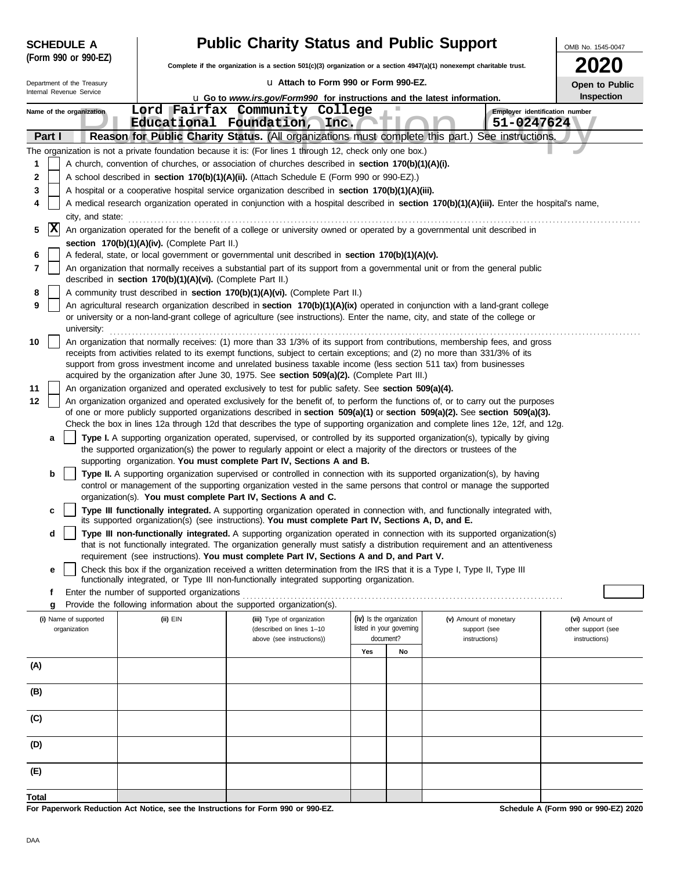|       | <b>SCHEDULE A</b>                                                                                                                                                                             |                                                            | <b>Public Charity Status and Public Support</b>                                                                                                                                                                                                                 |                                              |                          |                               | OMB No. 1545-0047  |  |  |  |  |  |
|-------|-----------------------------------------------------------------------------------------------------------------------------------------------------------------------------------------------|------------------------------------------------------------|-----------------------------------------------------------------------------------------------------------------------------------------------------------------------------------------------------------------------------------------------------------------|----------------------------------------------|--------------------------|-------------------------------|--------------------|--|--|--|--|--|
|       | (Form 990 or 990-EZ)                                                                                                                                                                          |                                                            | Complete if the organization is a section 501(c)(3) organization or a section 4947(a)(1) nonexempt charitable trust.                                                                                                                                            |                                              |                          |                               |                    |  |  |  |  |  |
|       | La Attach to Form 990 or Form 990-EZ.<br>Department of the Treasury<br>Open to Public<br>Internal Revenue Service<br>u Go to www.irs.gov/Form990 for instructions and the latest information. |                                                            |                                                                                                                                                                                                                                                                 |                                              |                          |                               |                    |  |  |  |  |  |
|       |                                                                                                                                                                                               |                                                            |                                                                                                                                                                                                                                                                 |                                              |                          |                               | Inspection         |  |  |  |  |  |
|       | Name of the organization                                                                                                                                                                      |                                                            | Lord Fairfax Community College                                                                                                                                                                                                                                  | Employer identification number<br>51-0247624 |                          |                               |                    |  |  |  |  |  |
|       | Part I                                                                                                                                                                                        |                                                            | Educational Foundation, Inc.<br>Reason for Public Charity Status. (All organizations must complete this part.) See instructions.                                                                                                                                |                                              |                          |                               |                    |  |  |  |  |  |
|       |                                                                                                                                                                                               |                                                            | The organization is not a private foundation because it is: (For lines 1 through 12, check only one box.)                                                                                                                                                       |                                              |                          |                               |                    |  |  |  |  |  |
| 1     |                                                                                                                                                                                               |                                                            | A church, convention of churches, or association of churches described in section 170(b)(1)(A)(i).                                                                                                                                                              |                                              |                          |                               |                    |  |  |  |  |  |
| 2     |                                                                                                                                                                                               |                                                            | A school described in section 170(b)(1)(A)(ii). (Attach Schedule E (Form 990 or 990-EZ).)                                                                                                                                                                       |                                              |                          |                               |                    |  |  |  |  |  |
| 3     |                                                                                                                                                                                               |                                                            | A hospital or a cooperative hospital service organization described in section 170(b)(1)(A)(iii).                                                                                                                                                               |                                              |                          |                               |                    |  |  |  |  |  |
| 4     |                                                                                                                                                                                               |                                                            | A medical research organization operated in conjunction with a hospital described in section 170(b)(1)(A)(iii). Enter the hospital's name,                                                                                                                      |                                              |                          |                               |                    |  |  |  |  |  |
|       | city, and state:                                                                                                                                                                              |                                                            |                                                                                                                                                                                                                                                                 |                                              |                          |                               |                    |  |  |  |  |  |
| 5     | X                                                                                                                                                                                             |                                                            | An organization operated for the benefit of a college or university owned or operated by a governmental unit described in                                                                                                                                       |                                              |                          |                               |                    |  |  |  |  |  |
| 6     |                                                                                                                                                                                               | section 170(b)(1)(A)(iv). (Complete Part II.)              | A federal, state, or local government or governmental unit described in section 170(b)(1)(A)(v).                                                                                                                                                                |                                              |                          |                               |                    |  |  |  |  |  |
| 7     |                                                                                                                                                                                               |                                                            | An organization that normally receives a substantial part of its support from a governmental unit or from the general public                                                                                                                                    |                                              |                          |                               |                    |  |  |  |  |  |
|       |                                                                                                                                                                                               | described in section 170(b)(1)(A)(vi). (Complete Part II.) |                                                                                                                                                                                                                                                                 |                                              |                          |                               |                    |  |  |  |  |  |
| 8     |                                                                                                                                                                                               |                                                            | A community trust described in section 170(b)(1)(A)(vi). (Complete Part II.)                                                                                                                                                                                    |                                              |                          |                               |                    |  |  |  |  |  |
| 9     | university:                                                                                                                                                                                   |                                                            | An agricultural research organization described in section 170(b)(1)(A)(ix) operated in conjunction with a land-grant college<br>or university or a non-land-grant college of agriculture (see instructions). Enter the name, city, and state of the college or |                                              |                          |                               |                    |  |  |  |  |  |
| 10    |                                                                                                                                                                                               |                                                            | An organization that normally receives: (1) more than 33 1/3% of its support from contributions, membership fees, and gross                                                                                                                                     |                                              |                          |                               |                    |  |  |  |  |  |
|       |                                                                                                                                                                                               |                                                            | receipts from activities related to its exempt functions, subject to certain exceptions; and (2) no more than 331/3% of its                                                                                                                                     |                                              |                          |                               |                    |  |  |  |  |  |
|       |                                                                                                                                                                                               |                                                            | support from gross investment income and unrelated business taxable income (less section 511 tax) from businesses<br>acquired by the organization after June 30, 1975. See section 509(a)(2). (Complete Part III.)                                              |                                              |                          |                               |                    |  |  |  |  |  |
| 11    |                                                                                                                                                                                               |                                                            | An organization organized and operated exclusively to test for public safety. See section 509(a)(4).                                                                                                                                                            |                                              |                          |                               |                    |  |  |  |  |  |
| 12    |                                                                                                                                                                                               |                                                            | An organization organized and operated exclusively for the benefit of, to perform the functions of, or to carry out the purposes                                                                                                                                |                                              |                          |                               |                    |  |  |  |  |  |
|       |                                                                                                                                                                                               |                                                            | of one or more publicly supported organizations described in section 509(a)(1) or section 509(a)(2). See section 509(a)(3).<br>Check the box in lines 12a through 12d that describes the type of supporting organization and complete lines 12e, 12f, and 12g.  |                                              |                          |                               |                    |  |  |  |  |  |
|       | a                                                                                                                                                                                             |                                                            | Type I. A supporting organization operated, supervised, or controlled by its supported organization(s), typically by giving                                                                                                                                     |                                              |                          |                               |                    |  |  |  |  |  |
|       |                                                                                                                                                                                               |                                                            | the supported organization(s) the power to regularly appoint or elect a majority of the directors or trustees of the<br>supporting organization. You must complete Part IV, Sections A and B.                                                                   |                                              |                          |                               |                    |  |  |  |  |  |
|       | b                                                                                                                                                                                             |                                                            | Type II. A supporting organization supervised or controlled in connection with its supported organization(s), by having                                                                                                                                         |                                              |                          |                               |                    |  |  |  |  |  |
|       |                                                                                                                                                                                               |                                                            | control or management of the supporting organization vested in the same persons that control or manage the supported<br>organization(s). You must complete Part IV, Sections A and C.                                                                           |                                              |                          |                               |                    |  |  |  |  |  |
|       | c                                                                                                                                                                                             |                                                            | Type III functionally integrated. A supporting organization operated in connection with, and functionally integrated with,                                                                                                                                      |                                              |                          |                               |                    |  |  |  |  |  |
|       |                                                                                                                                                                                               |                                                            | its supported organization(s) (see instructions). You must complete Part IV, Sections A, D, and E.                                                                                                                                                              |                                              |                          |                               |                    |  |  |  |  |  |
|       | d                                                                                                                                                                                             |                                                            | Type III non-functionally integrated. A supporting organization operated in connection with its supported organization(s)<br>that is not functionally integrated. The organization generally must satisfy a distribution requirement and an attentiveness       |                                              |                          |                               |                    |  |  |  |  |  |
|       |                                                                                                                                                                                               |                                                            | requirement (see instructions). You must complete Part IV, Sections A and D, and Part V.                                                                                                                                                                        |                                              |                          |                               |                    |  |  |  |  |  |
|       | е                                                                                                                                                                                             |                                                            | Check this box if the organization received a written determination from the IRS that it is a Type I, Type II, Type III                                                                                                                                         |                                              |                          |                               |                    |  |  |  |  |  |
|       |                                                                                                                                                                                               |                                                            | functionally integrated, or Type III non-functionally integrated supporting organization.                                                                                                                                                                       |                                              |                          |                               |                    |  |  |  |  |  |
|       | f<br>g                                                                                                                                                                                        | Enter the number of supported organizations                | Provide the following information about the supported organization(s).                                                                                                                                                                                          |                                              |                          |                               |                    |  |  |  |  |  |
|       | (i) Name of supported                                                                                                                                                                         | $(ii)$ EIN                                                 | (iii) Type of organization                                                                                                                                                                                                                                      | (iv) Is the organization                     |                          | (v) Amount of monetary        | (vi) Amount of     |  |  |  |  |  |
|       | organization                                                                                                                                                                                  |                                                            | (described on lines 1-10                                                                                                                                                                                                                                        | document?                                    | listed in your governing | support (see<br>instructions) | other support (see |  |  |  |  |  |
|       |                                                                                                                                                                                               |                                                            | above (see instructions))                                                                                                                                                                                                                                       | Yes                                          | No                       |                               | instructions)      |  |  |  |  |  |
| (A)   |                                                                                                                                                                                               |                                                            |                                                                                                                                                                                                                                                                 |                                              |                          |                               |                    |  |  |  |  |  |
|       |                                                                                                                                                                                               |                                                            |                                                                                                                                                                                                                                                                 |                                              |                          |                               |                    |  |  |  |  |  |
| (B)   |                                                                                                                                                                                               |                                                            |                                                                                                                                                                                                                                                                 |                                              |                          |                               |                    |  |  |  |  |  |
| (C)   |                                                                                                                                                                                               |                                                            |                                                                                                                                                                                                                                                                 |                                              |                          |                               |                    |  |  |  |  |  |
| (D)   |                                                                                                                                                                                               |                                                            |                                                                                                                                                                                                                                                                 |                                              |                          |                               |                    |  |  |  |  |  |
| (E)   |                                                                                                                                                                                               |                                                            |                                                                                                                                                                                                                                                                 |                                              |                          |                               |                    |  |  |  |  |  |
| Total |                                                                                                                                                                                               |                                                            |                                                                                                                                                                                                                                                                 |                                              |                          |                               |                    |  |  |  |  |  |

**For Paperwork Reduction Act Notice, see the Instructions for Form 990 or 990-EZ.**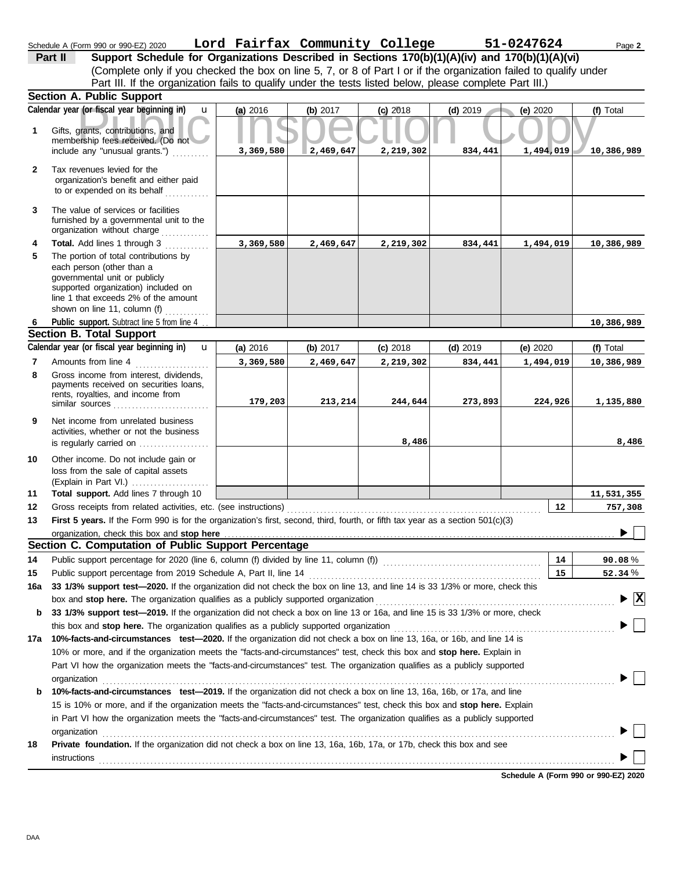r (or fiscal year beginning in) **u** (a) 2016 (b) 2017 (c) 2018 (d) 2019 (e) 2020 (t)<br>grants, contributions, and<br>ership fees received. (Do not 3, 369, 580 2, 469, 647 2, 219, 302 834, 441 1, 494, 019 10 governmental unit or publicly **Section A. Public Support** Net income from unrelated business rents, royalties, and income from payments received on securities loans, Gross income from interest, dividends, line 1 that exceeds 2% of the amount supported organization) included on each person (other than a The portion of total contributions by **Total.** Add lines 1 through 3 ............ The value of services or facilities to or expended on its behalf ............ organization's benefit and either paid Tax revenues levied for the Amounts from line 4 . . . . . . . . . . . . . . . Public support. Subtract line 5 from line 4 ... include any "unusual grants.") . . . . . . . . . . membership fees received. (Do not Gifts, grants, contributions, and Schedule A (Form 990 or 990-EZ) 2020 Page **2 Lord Fairfax Community College 51-0247624 (a)** 2016 **(b)** 2017 **(c)** 2018 **(d)** 2019 **(e)** 2020 (Complete only if you checked the box on line 5, 7, or 8 of Part I or if the organization failed to qualify under **Part II Support Schedule for Organizations Described in Sections 170(b)(1)(A)(iv) and 170(b)(1)(A)(vi) Calendar year (or fiscal year beginning in) (f)** Total furnished by a governmental unit to the organization without charge .............. **Section B. Total Support** similar sources . . . . . . . . . . . . . . . . . . . . . . . . . . Calendar year (or fiscal year beginning in)  $\bf{u}$  (a) 2016 (b) 2017 (c) 2018 (d) 2019 (e) 2020 (f) Total Part III. If the organization fails to qualify under the tests listed below, please complete Part III.) **(a)** 2016 shown on line 11, column (f)  $\ldots$ u **(b)** 2017 **(c)** 2018 **(d)** 2019 **(e)** 2020 u **3,369,580 2,469,647 2,219,302 834,441 1,494,019 10,386,989 3,369,580 2,469,647 2,219,302 834,441 1,494,019 10,386,989 10,386,989 3,369,580 2,469,647 2,219,302 834,441 1,494,019 10,386,989 179,203 213,214 244,644 273,893 224,926 1,135,880**

is regularly carried on . . . . . . . . . . . . . . . . . . . activities, whether or not the business **9**

**8**

**7**

**6**

**4**

**5**

**3**

**2**

**1**

(Explain in Part VI.) . . . . . . . . . . . . . . . . . . . . . loss from the sale of capital assets Other income. Do not include gain or **10**

**Total support.** Add lines 7 through 10 **11**

| 12 Gross receipts from related activities, etc. (see instructions)                                                                 | 12 | -75 |
|------------------------------------------------------------------------------------------------------------------------------------|----|-----|
| 13 First 5 years. If the Form 990 is for the organization's first, second, third, fourth, or fifth tax year as a section 501(c)(3) |    |     |
| organization, check this box and stop here <i>manual contract contract contract contract contract contract contract</i>            |    |     |
| Section C. Computation of Public Support Percentage                                                                                |    |     |

| 14  | Public support percentage for 2020 (line 6, column (f) divided by line 11, column (f) contains the subsequent of the support percentage for 2020 (line 6, column (f) divided by line 11, column (f) contains the support of th | 14 | $90.08\,\%$                        |
|-----|--------------------------------------------------------------------------------------------------------------------------------------------------------------------------------------------------------------------------------|----|------------------------------------|
| 15  | Public support percentage from 2019 Schedule A, Part II, line 14                                                                                                                                                               | 15 | 52.34%                             |
| 16a | 33 1/3% support test—2020. If the organization did not check the box on line 13, and line 14 is 33 1/3% or more, check this                                                                                                    |    |                                    |
|     | box and stop here. The organization qualifies as a publicly supported organization                                                                                                                                             |    | $\blacktriangleright \overline{X}$ |
|     | <b>b</b> 33 1/3% support test-2019. If the organization did not check a box on line 13 or 16a, and line 15 is 33 1/3% or more, check                                                                                           |    |                                    |
|     | this box and <b>stop here.</b> The organization qualifies as a publicly supported organization                                                                                                                                 |    |                                    |
| 17a | 10%-facts-and-circumstances test-2020. If the organization did not check a box on line 13, 16a, or 16b, and line 14 is                                                                                                         |    |                                    |
|     | 10% or more, and if the organization meets the "facts-and-circumstances" test, check this box and <b>stop here.</b> Explain in                                                                                                 |    |                                    |
|     | Part VI how the organization meets the "facts-and-circumstances" test. The organization qualifies as a publicly supported<br>organization                                                                                      |    |                                    |
| b   | 10%-facts-and-circumstances test-2019. If the organization did not check a box on line 13, 16a, 16b, or 17a, and line                                                                                                          |    |                                    |
|     | 15 is 10% or more, and if the organization meets the "facts-and-circumstances" test, check this box and stop here. Explain                                                                                                     |    |                                    |
|     | in Part VI how the organization meets the "facts-and-circumstances" test. The organization qualifies as a publicly supported                                                                                                   |    |                                    |
|     | organization                                                                                                                                                                                                                   |    |                                    |
| 18  | <b>Private foundation.</b> If the organization did not check a box on line 13, 16a, 16b, 17a, or 17b, check this box and see                                                                                                   |    |                                    |
|     | instructions                                                                                                                                                                                                                   |    |                                    |

**Schedule A (Form 990 or 990-EZ) 2020**

**12**

**11,531,355 757,308**

ь

**8,486 8,486**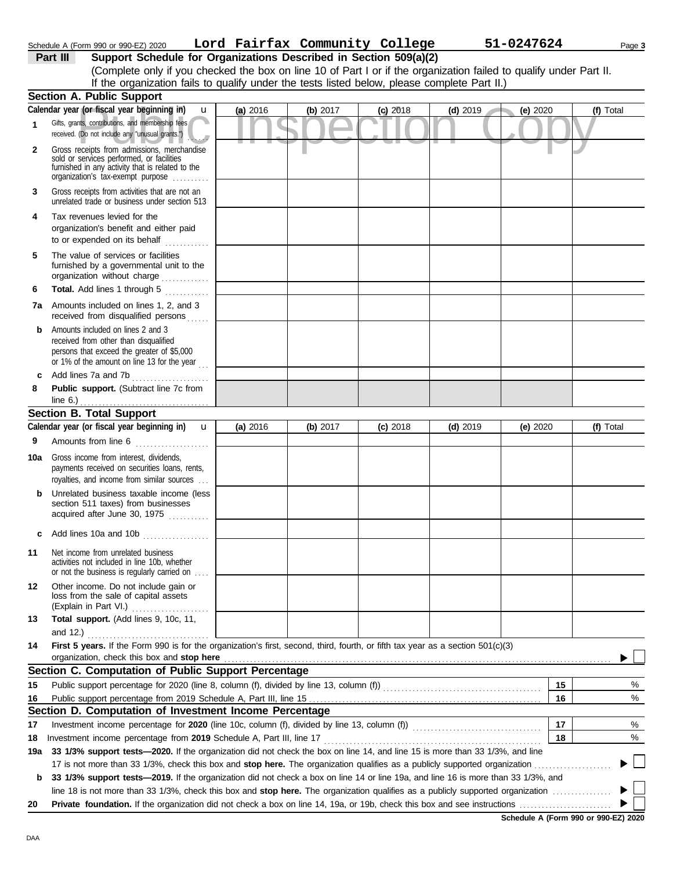|              | If the organization fails to qualify under the tests listed below, please complete Part II.)                                                                                      |          |            |            |            |          |           |
|--------------|-----------------------------------------------------------------------------------------------------------------------------------------------------------------------------------|----------|------------|------------|------------|----------|-----------|
|              | <b>Section A. Public Support</b>                                                                                                                                                  |          |            |            |            |          |           |
|              | Calendar year (or fiscal year beginning in)<br><b>u</b>                                                                                                                           | (a) 2016 | (b) $2017$ | $(c)$ 2018 | $(d)$ 2019 | (e) 2020 | (f) Total |
|              | Gifts, grants, contributions, and membership fees<br>received. (Do not include any "unusual grants.")                                                                             |          |            |            |            |          |           |
| $\mathbf{2}$ | Gross receipts from admissions, merchandise<br>sold or services performed, or facilities<br>furnished in any activity that is related to the<br>organization's tax-exempt purpose |          |            |            |            |          |           |
| 3            | Gross receipts from activities that are not an<br>unrelated trade or business under section 513                                                                                   |          |            |            |            |          |           |
| 4            | Tax revenues levied for the<br>organization's benefit and either paid<br>to or expended on its behalf                                                                             |          |            |            |            |          |           |
| 5            | The value of services or facilities<br>furnished by a governmental unit to the<br>organization without charge<br>in a chuid anns an                                               |          |            |            |            |          |           |
| 6            | Total. Add lines 1 through 5                                                                                                                                                      |          |            |            |            |          |           |
| 7a           | Amounts included on lines 1, 2, and 3<br>received from disqualified persons                                                                                                       |          |            |            |            |          |           |
| b            | Amounts included on lines 2 and 3<br>received from other than disqualified<br>persons that exceed the greater of \$5,000                                                          |          |            |            |            |          |           |

**8 Public support.** (Subtract line 7c from **c** Add lines 7a and 7b . . . . . . . . . . . . . . . . . . . . . line 6.) . . . . . . . . . . . . . . . . . . . . . . . . . . . . . . . . . . .

or 1% of the amount on line 13 for the year  $\ldots$ 

## **Section B. Total Support**

|                 | Calendar year (or fiscal year beginning in)<br>$\mathbf{u}$                                                                                                                   | (a) 2016 | (b) 2017 | $(c)$ 2018 | $(d)$ 2019 | (e) 2020 | (f) Total                  |
|-----------------|-------------------------------------------------------------------------------------------------------------------------------------------------------------------------------|----------|----------|------------|------------|----------|----------------------------|
| 9               | Amounts from line 6<br>. <b>.</b>                                                                                                                                             |          |          |            |            |          |                            |
| 10a             | Gross income from interest, dividends,<br>payments received on securities loans, rents,<br>royalties, and income from similar sources                                         |          |          |            |            |          |                            |
| b               | Unrelated business taxable income (less<br>section 511 taxes) from businesses<br>acquired after June 30, 1975                                                                 |          |          |            |            |          |                            |
| c               | Add lines 10a and 10b                                                                                                                                                         |          |          |            |            |          |                            |
| 11              | Net income from unrelated business<br>activities not included in line 10b, whether<br>or not the business is regularly carried on                                             |          |          |            |            |          |                            |
| 12 <sup>°</sup> | Other income. Do not include gain or<br>loss from the sale of capital assets                                                                                                  |          |          |            |            |          |                            |
| 13              | Total support. (Add lines 9, 10c, 11,                                                                                                                                         |          |          |            |            |          |                            |
|                 | and 12.) $\ldots$ . $\ldots$ . $\ldots$ . $\ldots$ . $\ldots$ . $\ldots$                                                                                                      |          |          |            |            |          |                            |
| 14              | First 5 years. If the Form 990 is for the organization's first, second, third, fourth, or fifth tax year as a section 501(c)(3)<br>organization, check this box and stop here |          |          |            |            |          |                            |
|                 | Section C. Computation of Public Support Percentage                                                                                                                           |          |          |            |            |          |                            |
| 15              |                                                                                                                                                                               |          |          |            |            | 15       | %                          |
| 16              |                                                                                                                                                                               |          |          |            |            | 16       | %                          |
|                 | Section D. Computation of Investment Income Percentage                                                                                                                        |          |          |            |            |          |                            |
| 17              |                                                                                                                                                                               |          |          |            |            | 17       | %                          |
| 18              | Investment income percentage from 2019 Schedule A, Part III, line 17                                                                                                          |          |          |            |            | 18       | %                          |
| 19a             | 33 1/3% support tests-2020. If the organization did not check the box on line 14, and line 15 is more than 33 1/3%, and line                                                  |          |          |            |            |          |                            |
|                 |                                                                                                                                                                               |          |          |            |            |          | ▶└                         |
| b               | 33 1/3% support tests-2019. If the organization did not check a box on line 14 or line 19a, and line 16 is more than 33 1/3%, and                                             |          |          |            |            |          |                            |
|                 |                                                                                                                                                                               |          |          |            |            |          | $\blacktriangleright \bot$ |
| 20              |                                                                                                                                                                               |          |          |            |            |          |                            |
|                 |                                                                                                                                                                               |          |          |            |            |          |                            |

**Schedule A (Form 990 or 990-EZ) 2020**

DAA

(Complete only if you checked the box on line 10 of Part I or if the organization failed to qualify under Part II.

**Part III Support Schedule for Organizations Described in Section 509(a)(2)**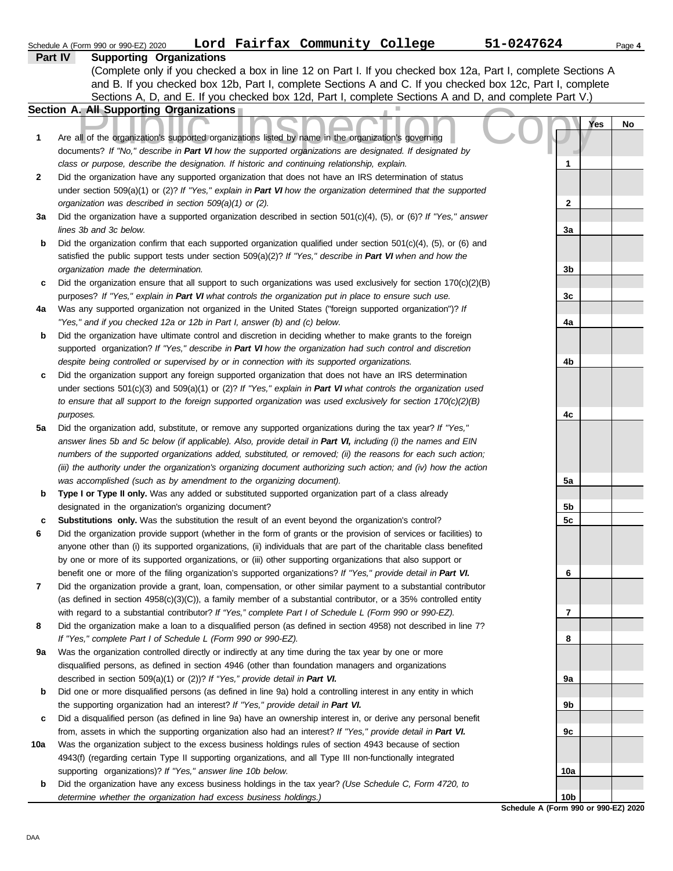|     | Lord Fairfax Community College<br>Schedule A (Form 990 or 990-EZ) 2020                                                                                                                                             | 51-0247624      | Page 4 |
|-----|--------------------------------------------------------------------------------------------------------------------------------------------------------------------------------------------------------------------|-----------------|--------|
|     | Part IV<br><b>Supporting Organizations</b>                                                                                                                                                                         |                 |        |
|     | (Complete only if you checked a box in line 12 on Part I. If you checked box 12a, Part I, complete Sections A                                                                                                      |                 |        |
|     | and B. If you checked box 12b, Part I, complete Sections A and C. If you checked box 12c, Part I, complete                                                                                                         |                 |        |
|     | Sections A, D, and E. If you checked box 12d, Part I, complete Sections A and D, and complete Part V.)                                                                                                             |                 |        |
|     | <b>Section A. All Supporting Organizations</b>                                                                                                                                                                     |                 |        |
|     |                                                                                                                                                                                                                    | Yes             | No     |
| 1   | Are all of the organization's supported organizations listed by name in the organization's governing                                                                                                               |                 |        |
|     | documents? If "No," describe in Part VI how the supported organizations are designated. If designated by                                                                                                           |                 |        |
|     | class or purpose, describe the designation. If historic and continuing relationship, explain.                                                                                                                      | 1               |        |
| 2   | Did the organization have any supported organization that does not have an IRS determination of status                                                                                                             |                 |        |
|     | under section 509(a)(1) or (2)? If "Yes," explain in Part VI how the organization determined that the supported                                                                                                    |                 |        |
|     | organization was described in section 509(a)(1) or (2).                                                                                                                                                            | $\mathbf{2}$    |        |
| За  | Did the organization have a supported organization described in section $501(c)(4)$ , (5), or (6)? If "Yes," answer                                                                                                |                 |        |
|     | lines 3b and 3c below.                                                                                                                                                                                             | 3a              |        |
| b   | Did the organization confirm that each supported organization qualified under section $501(c)(4)$ , $(5)$ , or $(6)$ and                                                                                           |                 |        |
|     | satisfied the public support tests under section 509(a)(2)? If "Yes," describe in Part VI when and how the                                                                                                         |                 |        |
|     | organization made the determination.                                                                                                                                                                               | 3 <sub>b</sub>  |        |
| c   | Did the organization ensure that all support to such organizations was used exclusively for section $170(c)(2)(B)$                                                                                                 | 3c              |        |
|     | purposes? If "Yes," explain in Part VI what controls the organization put in place to ensure such use.<br>Was any supported organization not organized in the United States ("foreign supported organization")? If |                 |        |
| 4a  | "Yes," and if you checked 12a or 12b in Part I, answer (b) and (c) below.                                                                                                                                          | 4a              |        |
| b   | Did the organization have ultimate control and discretion in deciding whether to make grants to the foreign                                                                                                        |                 |        |
|     | supported organization? If "Yes," describe in Part VI how the organization had such control and discretion                                                                                                         |                 |        |
|     | despite being controlled or supervised by or in connection with its supported organizations.                                                                                                                       | 4b              |        |
| c   | Did the organization support any foreign supported organization that does not have an IRS determination                                                                                                            |                 |        |
|     | under sections $501(c)(3)$ and $509(a)(1)$ or (2)? If "Yes," explain in Part VI what controls the organization used                                                                                                |                 |        |
|     | to ensure that all support to the foreign supported organization was used exclusively for section $170(c)(2)(B)$                                                                                                   |                 |        |
|     | purposes.                                                                                                                                                                                                          | 4c              |        |
| 5а  | Did the organization add, substitute, or remove any supported organizations during the tax year? If "Yes,"                                                                                                         |                 |        |
|     | answer lines 5b and 5c below (if applicable). Also, provide detail in Part VI, including (i) the names and EIN                                                                                                     |                 |        |
|     | numbers of the supported organizations added, substituted, or removed; (ii) the reasons for each such action;                                                                                                      |                 |        |
|     | (iii) the authority under the organization's organizing document authorizing such action; and (iv) how the action                                                                                                  |                 |        |
|     | was accomplished (such as by amendment to the organizing document).                                                                                                                                                | 5a              |        |
| b   | Type I or Type II only. Was any added or substituted supported organization part of a class already                                                                                                                |                 |        |
|     | designated in the organization's organizing document?                                                                                                                                                              | 5b              |        |
| c   | Substitutions only. Was the substitution the result of an event beyond the organization's control?                                                                                                                 | 5 <sub>c</sub>  |        |
|     | Did the organization provide support (whether in the form of grants or the provision of services or facilities) to                                                                                                 |                 |        |
|     | anyone other than (i) its supported organizations, (ii) individuals that are part of the charitable class benefited                                                                                                |                 |        |
|     | by one or more of its supported organizations, or (iii) other supporting organizations that also support or                                                                                                        |                 |        |
|     | benefit one or more of the filing organization's supported organizations? If "Yes," provide detail in Part VI.                                                                                                     | 6               |        |
| 7   | Did the organization provide a grant, loan, compensation, or other similar payment to a substantial contributor                                                                                                    |                 |        |
|     | (as defined in section $4958(c)(3)(C)$ ), a family member of a substantial contributor, or a 35% controlled entity                                                                                                 |                 |        |
|     | with regard to a substantial contributor? If "Yes," complete Part I of Schedule L (Form 990 or 990-EZ).                                                                                                            | 7               |        |
| 8   | Did the organization make a loan to a disqualified person (as defined in section 4958) not described in line 7?                                                                                                    |                 |        |
|     | If "Yes," complete Part I of Schedule L (Form 990 or 990-EZ).                                                                                                                                                      | 8               |        |
| 9а  | Was the organization controlled directly or indirectly at any time during the tax year by one or more                                                                                                              |                 |        |
|     | disqualified persons, as defined in section 4946 (other than foundation managers and organizations                                                                                                                 |                 |        |
|     | described in section 509(a)(1) or (2))? If "Yes," provide detail in Part VI.                                                                                                                                       | 9а              |        |
| b   | Did one or more disqualified persons (as defined in line 9a) hold a controlling interest in any entity in which                                                                                                    |                 |        |
|     | the supporting organization had an interest? If "Yes," provide detail in Part VI.                                                                                                                                  | 9b              |        |
| c   | Did a disqualified person (as defined in line 9a) have an ownership interest in, or derive any personal benefit                                                                                                    |                 |        |
|     | from, assets in which the supporting organization also had an interest? If "Yes," provide detail in Part VI.                                                                                                       | 9c              |        |
| 10a | Was the organization subject to the excess business holdings rules of section 4943 because of section                                                                                                              |                 |        |
|     | 4943(f) (regarding certain Type II supporting organizations, and all Type III non-functionally integrated                                                                                                          |                 |        |
|     | supporting organizations)? If "Yes," answer line 10b below.                                                                                                                                                        | 10a             |        |
| b   | Did the organization have any excess business holdings in the tax year? (Use Schedule C, Form 4720, to<br>determine whether the organization had excess business holdings.)                                        | 10 <sub>b</sub> |        |
|     |                                                                                                                                                                                                                    |                 |        |

**Schedule A (Form 990 or 990-EZ) 2020**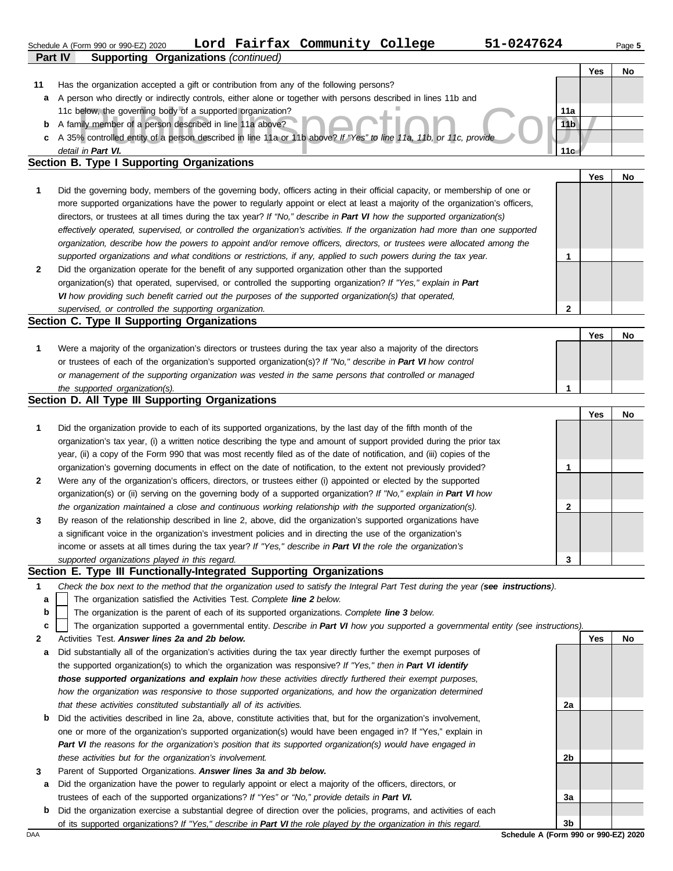|              | 51-0247624<br>Lord Fairfax Community College<br>Schedule A (Form 990 or 990-EZ) 2020                                           |                 |            | Page 5    |
|--------------|--------------------------------------------------------------------------------------------------------------------------------|-----------------|------------|-----------|
|              | Part IV<br><b>Supporting Organizations (continued)</b>                                                                         |                 |            |           |
|              |                                                                                                                                |                 | <b>Yes</b> | <b>No</b> |
| 11           | Has the organization accepted a gift or contribution from any of the following persons?                                        |                 |            |           |
| a            | A person who directly or indirectly controls, either alone or together with persons described in lines 11b and                 |                 |            |           |
|              | 11c below, the governing body of a supported organization?                                                                     | 11a             |            |           |
| b            | A family member of a person described in line 11a above?                                                                       | 11 <sub>b</sub> |            |           |
| C            | A 35% controlled entity of a person described in line 11a or 11b above? If "Yes" to line 11a, 11b, or 11c, provide             |                 |            |           |
|              | detail in Part VI.                                                                                                             | 11c             |            |           |
|              | Section B. Type I Supporting Organizations                                                                                     |                 |            |           |
|              |                                                                                                                                |                 | <b>Yes</b> | No.       |
| 1            | Did the governing body, members of the governing body, officers acting in their official capacity, or membership of one or     |                 |            |           |
|              | more supported organizations have the power to regularly appoint or elect at least a majority of the organization's officers,  |                 |            |           |
|              | directors, or trustees at all times during the tax year? If "No," describe in Part VI how the supported organization(s)        |                 |            |           |
|              | effectively operated, supervised, or controlled the organization's activities. If the organization had more than one supported |                 |            |           |
|              | organization, describe how the powers to appoint and/or remove officers, directors, or trustees were allocated among the       |                 |            |           |
|              | supported organizations and what conditions or restrictions, if any, applied to such powers during the tax year.               |                 |            |           |
| $\mathbf{2}$ | Did the organization operate for the benefit of any supported organization other than the supported                            |                 |            |           |
|              | organization(s) that operated, supervised, or controlled the supporting organization? If "Yes," explain in Part                |                 |            |           |
|              | VI how providing such benefit carried out the purposes of the supported organization(s) that operated,                         |                 |            |           |
|              | supervised, or controlled the supporting organization.                                                                         | 2               |            |           |
|              | Section C. Type II Supporting Organizations                                                                                    |                 |            |           |

|                                                                                                                  | Yes | No |
|------------------------------------------------------------------------------------------------------------------|-----|----|
| Were a majority of the organization's directors or trustees during the tax year also a majority of the directors |     |    |
| or trustees of each of the organization's supported organization(s)? If "No," describe in Part VI how control    |     |    |
| or management of the supporting organization was vested in the same persons that controlled or managed           |     |    |
| the supported organization(s).                                                                                   |     |    |

| Section D. All Type III Supporting Organizations |  |  |  |
|--------------------------------------------------|--|--|--|
|--------------------------------------------------|--|--|--|

|                |                                                                                                                        |   | Yes | No |
|----------------|------------------------------------------------------------------------------------------------------------------------|---|-----|----|
| $\mathbf 1$    | Did the organization provide to each of its supported organizations, by the last day of the fifth month of the         |   |     |    |
|                | organization's tax year, (i) a written notice describing the type and amount of support provided during the prior tax  |   |     |    |
|                | year, (ii) a copy of the Form 990 that was most recently filed as of the date of notification, and (iii) copies of the |   |     |    |
|                | organization's governing documents in effect on the date of notification, to the extent not previously provided?       |   |     |    |
| $\overline{2}$ | Were any of the organization's officers, directors, or trustees either (i) appointed or elected by the supported       |   |     |    |
|                | organization(s) or (ii) serving on the governing body of a supported organization? If "No," explain in Part VI how     |   |     |    |
|                | the organization maintained a close and continuous working relationship with the supported organization(s).            | 2 |     |    |
| $\mathbf{3}$   | By reason of the relationship described in line 2, above, did the organization's supported organizations have          |   |     |    |
|                | a significant voice in the organization's investment policies and in directing the use of the organization's           |   |     |    |
|                | income or assets at all times during the tax year? If "Yes," describe in Part VI the role the organization's           |   |     |    |
|                | supported organizations played in this regard.                                                                         | 3 |     |    |

## **Section E. Type III Functionally-Integrated Supporting Organizations**

- **1** *Check the box next to the method that the organization used to satisfy the Integral Part Test during the year (see instructions).*
	- The organization satisfied the Activities Test. *Complete line 2 below.* **a**
	- The organization is the parent of each of its supported organizations. *Complete line 3 below.* **b**
	- The organization supported a governmental entity. *Describe in Part VI how you supported a governmental entity (see instructions).* **c**
- **2** Activities Test. *Answer lines 2a and 2b below.*
- **a** Did substantially all of the organization's activities during the tax year directly further the exempt purposes of the supported organization(s) to which the organization was responsive? *If "Yes," then in Part VI identify those supported organizations and explain how these activities directly furthered their exempt purposes,*  how the organization was responsive to those supported organizations, and how the organization determined *that these activities constituted substantially all of its activities.*
- **b** Did the activities described in line 2a, above, constitute activities that, but for the organization's involvement, one or more of the organization's supported organization(s) would have been engaged in? If "Yes," explain in *Part VI the reasons for the organization's position that its supported organization(s) would have engaged in these activities but for the organization's involvement.*
- **3** Parent of Supported Organizations. *Answer lines 3a and 3b below.*
- **a** Did the organization have the power to regularly appoint or elect a majority of the officers, directors, or trustees of each of the supported organizations? *If "Yes" or "No," provide details in Part VI.*
- DAA **Schedule A (Form 990 or 990-EZ) 2020 b** Did the organization exercise a substantial degree of direction over the policies, programs, and activities of each of its supported organizations? *If "Yes," describe in Part VI the role played by the organization in this regard.*

**3b**

**2a**

**2b**

**3a**

**Yes No**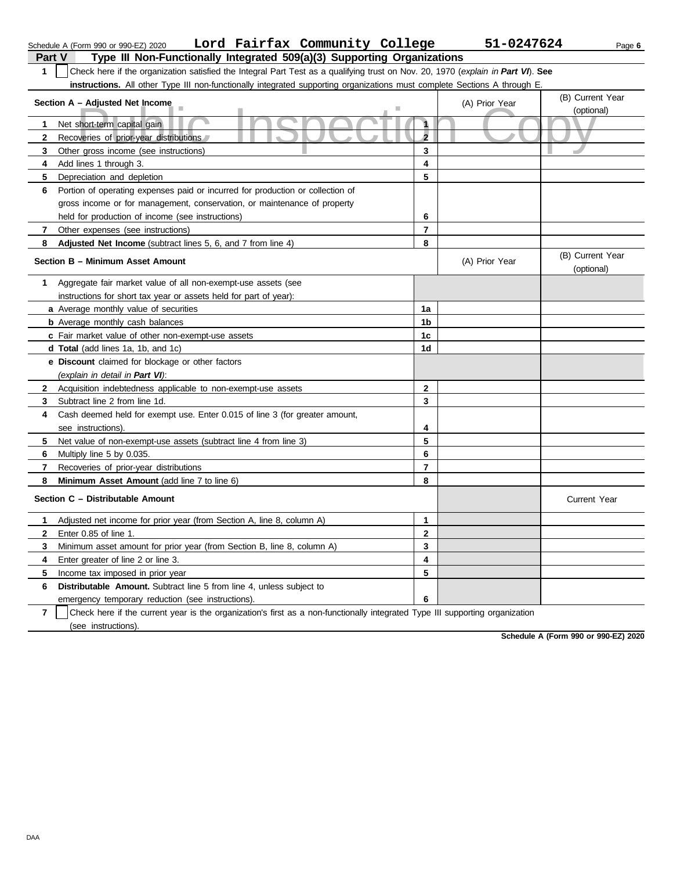|                | Lord Fairfax Community College<br>Schedule A (Form 990 or 990-EZ) 2020                                                           |                         | 51-0247624     |                                | Page 6 |  |  |  |
|----------------|----------------------------------------------------------------------------------------------------------------------------------|-------------------------|----------------|--------------------------------|--------|--|--|--|
| <b>Part V</b>  | Type III Non-Functionally Integrated 509(a)(3) Supporting Organizations                                                          |                         |                |                                |        |  |  |  |
| 1              | Check here if the organization satisfied the Integral Part Test as a qualifying trust on Nov. 20, 1970 (explain in Part VI). See |                         |                |                                |        |  |  |  |
|                | instructions. All other Type III non-functionally integrated supporting organizations must complete Sections A through E.        |                         |                |                                |        |  |  |  |
|                | Section A - Adjusted Net Income                                                                                                  |                         | (A) Prior Year | (B) Current Year               |        |  |  |  |
|                |                                                                                                                                  |                         |                | (optional)                     |        |  |  |  |
| 1              | Net short-term capital gain                                                                                                      | 1                       |                |                                |        |  |  |  |
| 2              | Recoveries of prior-year distributions                                                                                           | $\overline{\mathbf{c}}$ |                |                                |        |  |  |  |
| 3              | Other gross income (see instructions)                                                                                            | 3                       |                |                                |        |  |  |  |
| 4              | Add lines 1 through 3.                                                                                                           | 4                       |                |                                |        |  |  |  |
| 5              | Depreciation and depletion                                                                                                       | 5                       |                |                                |        |  |  |  |
| 6              | Portion of operating expenses paid or incurred for production or collection of                                                   |                         |                |                                |        |  |  |  |
|                | gross income or for management, conservation, or maintenance of property                                                         |                         |                |                                |        |  |  |  |
|                | held for production of income (see instructions)                                                                                 | 6                       |                |                                |        |  |  |  |
| 7              | Other expenses (see instructions)                                                                                                | $\overline{7}$          |                |                                |        |  |  |  |
| 8              | Adjusted Net Income (subtract lines 5, 6, and 7 from line 4)                                                                     | 8                       |                |                                |        |  |  |  |
|                | Section B - Minimum Asset Amount                                                                                                 |                         | (A) Prior Year | (B) Current Year<br>(optional) |        |  |  |  |
| 1              | Aggregate fair market value of all non-exempt-use assets (see                                                                    |                         |                |                                |        |  |  |  |
|                | instructions for short tax year or assets held for part of year):                                                                |                         |                |                                |        |  |  |  |
|                | a Average monthly value of securities                                                                                            | 1a                      |                |                                |        |  |  |  |
|                | <b>b</b> Average monthly cash balances                                                                                           | 1 <sub>b</sub>          |                |                                |        |  |  |  |
|                | c Fair market value of other non-exempt-use assets                                                                               | 1c                      |                |                                |        |  |  |  |
|                | d Total (add lines 1a, 1b, and 1c)                                                                                               | 1d                      |                |                                |        |  |  |  |
|                | e Discount claimed for blockage or other factors                                                                                 |                         |                |                                |        |  |  |  |
|                | (explain in detail in Part VI):                                                                                                  |                         |                |                                |        |  |  |  |
| $\mathbf{2}$   | Acquisition indebtedness applicable to non-exempt-use assets                                                                     | $\mathbf{2}$            |                |                                |        |  |  |  |
| 3              | Subtract line 2 from line 1d.                                                                                                    | 3                       |                |                                |        |  |  |  |
| 4              | Cash deemed held for exempt use. Enter 0.015 of line 3 (for greater amount,                                                      |                         |                |                                |        |  |  |  |
|                | see instructions).                                                                                                               | 4                       |                |                                |        |  |  |  |
| 5              | Net value of non-exempt-use assets (subtract line 4 from line 3)                                                                 | 5                       |                |                                |        |  |  |  |
| 6              | Multiply line 5 by 0.035.                                                                                                        | 6                       |                |                                |        |  |  |  |
| 7              | Recoveries of prior-year distributions                                                                                           | 7                       |                |                                |        |  |  |  |
| 8              | Minimum Asset Amount (add line 7 to line 6)                                                                                      | 8                       |                |                                |        |  |  |  |
|                | Section C - Distributable Amount                                                                                                 |                         |                | <b>Current Year</b>            |        |  |  |  |
|                | Adjusted net income for prior year (from Section A, line 8, column A)                                                            | 1                       |                |                                |        |  |  |  |
| 2              | Enter 0.85 of line 1.                                                                                                            | $\mathbf 2$             |                |                                |        |  |  |  |
| 3              | Minimum asset amount for prior year (from Section B, line 8, column A)                                                           | 3                       |                |                                |        |  |  |  |
| 4              | Enter greater of line 2 or line 3.                                                                                               | 4                       |                |                                |        |  |  |  |
| 5              | Income tax imposed in prior year                                                                                                 | 5                       |                |                                |        |  |  |  |
| 6              | Distributable Amount. Subtract line 5 from line 4, unless subject to                                                             |                         |                |                                |        |  |  |  |
|                | emergency temporary reduction (see instructions).                                                                                | 6                       |                |                                |        |  |  |  |
| $\overline{7}$ | Check here if the current year is the organization's first as a non-functionally integrated Type III supporting organization     |                         |                |                                |        |  |  |  |

(see instructions).

**Schedule A (Form 990 or 990-EZ) 2020**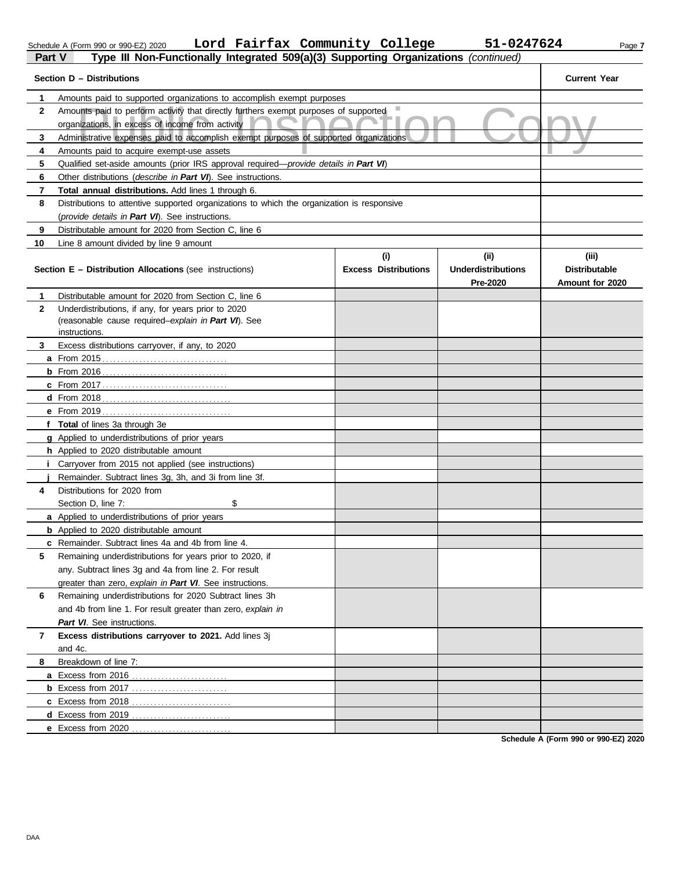| Schedule A (Form 990 or 990-EZ) 20 |  |  |  |
|------------------------------------|--|--|--|
|                                    |  |  |  |

Schedule A (Form 990 or 990-EZ) 2020 Page **7 Lord Fairfax Community College 51-0247624**

| Part V       | Type III Non-Functionally Integrated 509(a)(3) Supporting Organizations (continued)           |                                    |                                   |                               |
|--------------|-----------------------------------------------------------------------------------------------|------------------------------------|-----------------------------------|-------------------------------|
|              | Section D - Distributions                                                                     |                                    |                                   | <b>Current Year</b>           |
| 1            | Amounts paid to supported organizations to accomplish exempt purposes                         |                                    |                                   |                               |
| $\mathbf{2}$ | Amounts paid to perform activity that directly furthers exempt purposes of supported          |                                    |                                   |                               |
|              | organizations, in excess of income from activity                                              |                                    |                                   |                               |
| 3            | Administrative expenses paid to accomplish exempt purposes of supported organizations         |                                    |                                   |                               |
| 4            | Amounts paid to acquire exempt-use assets                                                     |                                    |                                   |                               |
| 5            | Qualified set-aside amounts (prior IRS approval required— <i>provide details in Part VI</i> ) |                                    |                                   |                               |
| 6            | Other distributions (describe in Part VI). See instructions.                                  |                                    |                                   |                               |
| 7            | Total annual distributions. Add lines 1 through 6.                                            |                                    |                                   |                               |
| 8            | Distributions to attentive supported organizations to which the organization is responsive    |                                    |                                   |                               |
|              | (provide details in Part VI). See instructions.                                               |                                    |                                   |                               |
| 9            | Distributable amount for 2020 from Section C, line 6                                          |                                    |                                   |                               |
| 10           | Line 8 amount divided by line 9 amount                                                        |                                    |                                   |                               |
|              | <b>Section E - Distribution Allocations (see instructions)</b>                                | (i)<br><b>Excess Distributions</b> | (ii)<br><b>Underdistributions</b> | (iii)<br><b>Distributable</b> |
|              |                                                                                               |                                    | <b>Pre-2020</b>                   | Amount for 2020               |
| 1            | Distributable amount for 2020 from Section C, line 6                                          |                                    |                                   |                               |
| 2            | Underdistributions, if any, for years prior to 2020                                           |                                    |                                   |                               |
|              | (reasonable cause required-explain in Part VI). See                                           |                                    |                                   |                               |
|              | instructions.                                                                                 |                                    |                                   |                               |
| 3            | Excess distributions carryover, if any, to 2020                                               |                                    |                                   |                               |
|              |                                                                                               |                                    |                                   |                               |
|              |                                                                                               |                                    |                                   |                               |
|              |                                                                                               |                                    |                                   |                               |
|              |                                                                                               |                                    |                                   |                               |
|              |                                                                                               |                                    |                                   |                               |
|              | f Total of lines 3a through 3e                                                                |                                    |                                   |                               |
|              | <b>g</b> Applied to underdistributions of prior years                                         |                                    |                                   |                               |
|              | <b>h</b> Applied to 2020 distributable amount                                                 |                                    |                                   |                               |
|              | <b>i</b> Carryover from 2015 not applied (see instructions)                                   |                                    |                                   |                               |
| 4            | Remainder. Subtract lines 3g, 3h, and 3i from line 3f.<br>Distributions for 2020 from         |                                    |                                   |                               |
|              | \$<br>Section D, line 7:                                                                      |                                    |                                   |                               |
|              | a Applied to underdistributions of prior years                                                |                                    |                                   |                               |
|              | <b>b</b> Applied to 2020 distributable amount                                                 |                                    |                                   |                               |
|              | c Remainder. Subtract lines 4a and 4b from line 4.                                            |                                    |                                   |                               |
| 5            | Remaining underdistributions for years prior to 2020, if                                      |                                    |                                   |                               |
|              | any. Subtract lines 3q and 4a from line 2. For result                                         |                                    |                                   |                               |
|              | greater than zero, explain in Part VI. See instructions.                                      |                                    |                                   |                               |
| 6            | Remaining underdistributions for 2020 Subtract lines 3h                                       |                                    |                                   |                               |
|              | and 4b from line 1. For result greater than zero, explain in                                  |                                    |                                   |                               |
|              | Part VI. See instructions.                                                                    |                                    |                                   |                               |
| 7            | Excess distributions carryover to 2021. Add lines 3j                                          |                                    |                                   |                               |
|              | and 4c.                                                                                       |                                    |                                   |                               |
| 8            | Breakdown of line 7:                                                                          |                                    |                                   |                               |
|              |                                                                                               |                                    |                                   |                               |
|              |                                                                                               |                                    |                                   |                               |
|              |                                                                                               |                                    |                                   |                               |
|              |                                                                                               |                                    |                                   |                               |
|              |                                                                                               |                                    |                                   |                               |

**Schedule A (Form 990 or 990-EZ) 2020**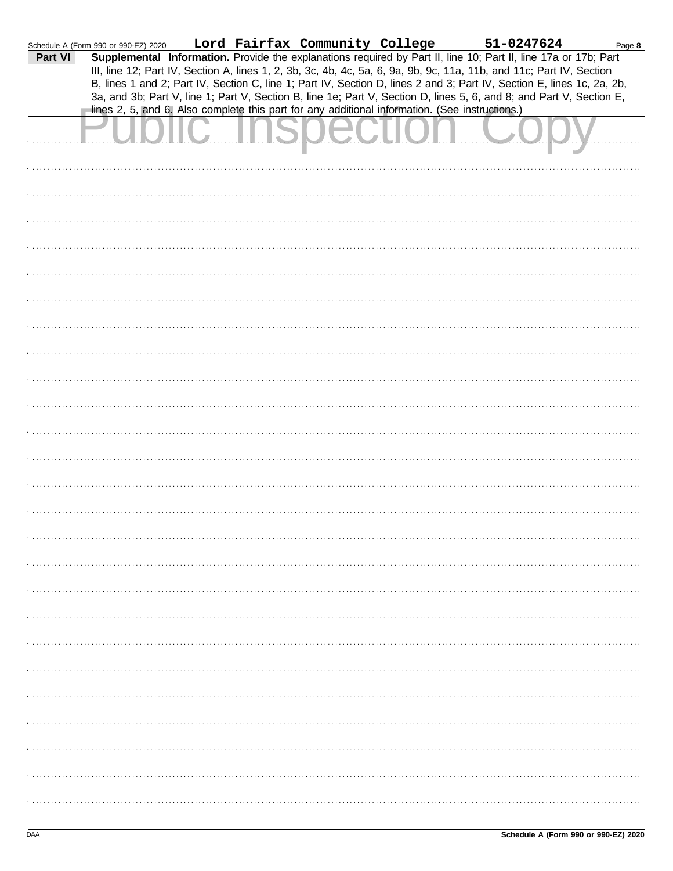|         | Schedule A (Form 990 or 990-EZ) 2020                                                           |  |  | Lord Fairfax Community College 51-0247624 |                                                                                                                                                                                                                                                                                                                                                                                                                                                                                           | Page 8 |
|---------|------------------------------------------------------------------------------------------------|--|--|-------------------------------------------|-------------------------------------------------------------------------------------------------------------------------------------------------------------------------------------------------------------------------------------------------------------------------------------------------------------------------------------------------------------------------------------------------------------------------------------------------------------------------------------------|--------|
| Part VI | lines 2, 5, and 6. Also complete this part for any additional information. (See instructions.) |  |  |                                           | Supplemental Information. Provide the explanations required by Part II, line 10; Part II, line 17a or 17b; Part<br>III, line 12; Part IV, Section A, lines 1, 2, 3b, 3c, 4b, 4c, 5a, 6, 9a, 9b, 9c, 11a, 11b, and 11c; Part IV, Section<br>B, lines 1 and 2; Part IV, Section C, line 1; Part IV, Section D, lines 2 and 3; Part IV, Section E, lines 1c, 2a, 2b,<br>3a, and 3b; Part V, line 1; Part V, Section B, line 1e; Part V, Section D, lines 5, 6, and 8; and Part V, Section E, |        |
|         |                                                                                                |  |  |                                           |                                                                                                                                                                                                                                                                                                                                                                                                                                                                                           |        |
|         |                                                                                                |  |  |                                           |                                                                                                                                                                                                                                                                                                                                                                                                                                                                                           |        |
|         |                                                                                                |  |  |                                           |                                                                                                                                                                                                                                                                                                                                                                                                                                                                                           |        |
|         |                                                                                                |  |  |                                           |                                                                                                                                                                                                                                                                                                                                                                                                                                                                                           |        |
|         |                                                                                                |  |  |                                           |                                                                                                                                                                                                                                                                                                                                                                                                                                                                                           |        |
|         |                                                                                                |  |  |                                           |                                                                                                                                                                                                                                                                                                                                                                                                                                                                                           |        |
|         |                                                                                                |  |  |                                           |                                                                                                                                                                                                                                                                                                                                                                                                                                                                                           |        |
|         |                                                                                                |  |  |                                           |                                                                                                                                                                                                                                                                                                                                                                                                                                                                                           |        |
|         |                                                                                                |  |  |                                           |                                                                                                                                                                                                                                                                                                                                                                                                                                                                                           |        |
|         |                                                                                                |  |  |                                           |                                                                                                                                                                                                                                                                                                                                                                                                                                                                                           |        |
|         |                                                                                                |  |  |                                           |                                                                                                                                                                                                                                                                                                                                                                                                                                                                                           |        |
|         |                                                                                                |  |  |                                           |                                                                                                                                                                                                                                                                                                                                                                                                                                                                                           |        |
|         |                                                                                                |  |  |                                           |                                                                                                                                                                                                                                                                                                                                                                                                                                                                                           |        |
|         |                                                                                                |  |  |                                           |                                                                                                                                                                                                                                                                                                                                                                                                                                                                                           |        |
|         |                                                                                                |  |  |                                           |                                                                                                                                                                                                                                                                                                                                                                                                                                                                                           |        |
|         |                                                                                                |  |  |                                           |                                                                                                                                                                                                                                                                                                                                                                                                                                                                                           |        |
|         |                                                                                                |  |  |                                           |                                                                                                                                                                                                                                                                                                                                                                                                                                                                                           |        |
|         |                                                                                                |  |  |                                           |                                                                                                                                                                                                                                                                                                                                                                                                                                                                                           |        |
|         |                                                                                                |  |  |                                           |                                                                                                                                                                                                                                                                                                                                                                                                                                                                                           |        |
|         |                                                                                                |  |  |                                           |                                                                                                                                                                                                                                                                                                                                                                                                                                                                                           |        |
|         |                                                                                                |  |  |                                           |                                                                                                                                                                                                                                                                                                                                                                                                                                                                                           |        |
|         |                                                                                                |  |  |                                           |                                                                                                                                                                                                                                                                                                                                                                                                                                                                                           |        |
|         |                                                                                                |  |  |                                           |                                                                                                                                                                                                                                                                                                                                                                                                                                                                                           |        |
|         |                                                                                                |  |  |                                           |                                                                                                                                                                                                                                                                                                                                                                                                                                                                                           |        |
|         |                                                                                                |  |  |                                           |                                                                                                                                                                                                                                                                                                                                                                                                                                                                                           |        |
|         |                                                                                                |  |  |                                           |                                                                                                                                                                                                                                                                                                                                                                                                                                                                                           |        |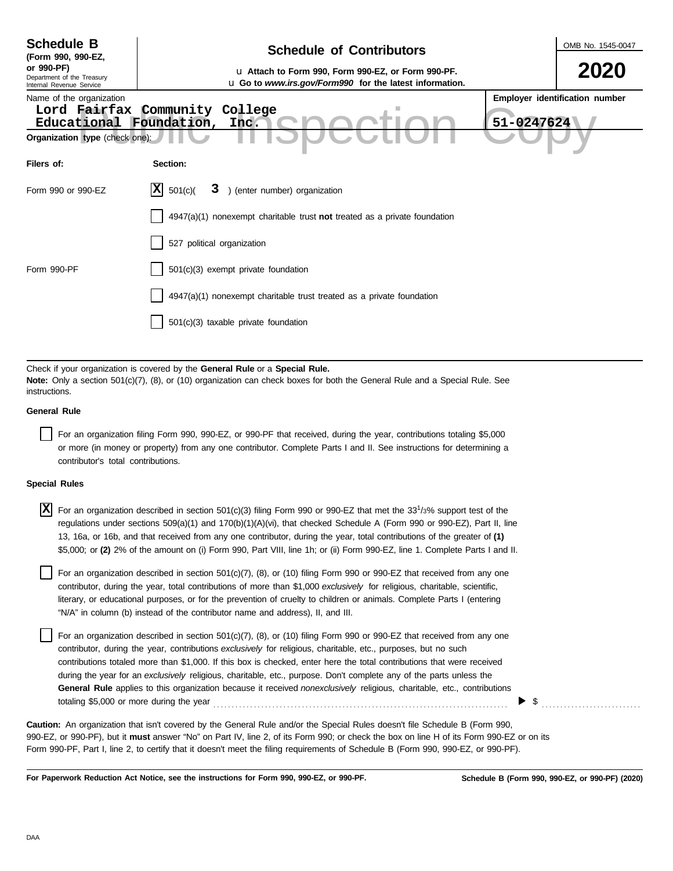| <b>Schedule B</b><br>(Form 990, 990-EZ,<br>or 990-PF)<br>Department of the Treasury<br>Internal Revenue Service<br>Name of the organization<br>Educational<br>Organization type (check one): | <b>Schedule of Contributors</b><br>u Attach to Form 990, Form 990-EZ, or Form 990-PF.<br><b>u</b> Go to www.irs.gov/Form990 for the latest information.<br>Lord Fairfax Community College<br>Foundation,<br>Inc.                                                  | OMB No. 1545-0047<br>2020<br>Employer identification number<br>51-0247624 |
|----------------------------------------------------------------------------------------------------------------------------------------------------------------------------------------------|-------------------------------------------------------------------------------------------------------------------------------------------------------------------------------------------------------------------------------------------------------------------|---------------------------------------------------------------------------|
| Filers of:                                                                                                                                                                                   | Section:                                                                                                                                                                                                                                                          |                                                                           |
| Form 990 or 990-EZ                                                                                                                                                                           | X <br>) (enter number) organization<br>501(c)<br>3                                                                                                                                                                                                                |                                                                           |
| Form 990-PF                                                                                                                                                                                  | $4947(a)(1)$ nonexempt charitable trust not treated as a private foundation<br>527 political organization<br>501(c)(3) exempt private foundation<br>4947(a)(1) nonexempt charitable trust treated as a private foundation<br>501(c)(3) taxable private foundation |                                                                           |
|                                                                                                                                                                                              | Check if your organization is covered by the General Rule or a Special Rule.                                                                                                                                                                                      |                                                                           |

**Note:** Only a section 501(c)(7), (8), or (10) organization can check boxes for both the General Rule and a Special Rule. See instructions.

## **General Rule**

For an organization filing Form 990, 990-EZ, or 990-PF that received, during the year, contributions totaling \$5,000 or more (in money or property) from any one contributor. Complete Parts I and II. See instructions for determining a contributor's total contributions.

## **Special Rules**

 $\overline{X}$  For an organization described in section 501(c)(3) filing Form 990 or 990-EZ that met the 33<sup>1</sup>/3% support test of the regulations under sections 509(a)(1) and 170(b)(1)(A)(vi), that checked Schedule A (Form 990 or 990-EZ), Part II, line 13, 16a, or 16b, and that received from any one contributor, during the year, total contributions of the greater of **(1)** \$5,000; or **(2)** 2% of the amount on (i) Form 990, Part VIII, line 1h; or (ii) Form 990-EZ, line 1. Complete Parts I and II.

literary, or educational purposes, or for the prevention of cruelty to children or animals. Complete Parts I (entering For an organization described in section 501(c)(7), (8), or (10) filing Form 990 or 990-EZ that received from any one contributor, during the year, total contributions of more than \$1,000 *exclusively* for religious, charitable, scientific, "N/A" in column (b) instead of the contributor name and address), II, and III.

For an organization described in section 501(c)(7), (8), or (10) filing Form 990 or 990-EZ that received from any one contributor, during the year, contributions *exclusively* for religious, charitable, etc., purposes, but no such contributions totaled more than \$1,000. If this box is checked, enter here the total contributions that were received during the year for an *exclusively* religious, charitable, etc., purpose. Don't complete any of the parts unless the **General Rule** applies to this organization because it received *nonexclusively* religious, charitable, etc., contributions totaling \$5,000 or more during the year . . . . . . . . . . . . . . . . . . . . . . . . . . . . . . . . . . . . . . . . . . . . . . . . . . . . . . . . . . . . . . . . . . . . . . . . . . . . . . . .

990-EZ, or 990-PF), but it **must** answer "No" on Part IV, line 2, of its Form 990; or check the box on line H of its Form 990-EZ or on its Form 990-PF, Part I, line 2, to certify that it doesn't meet the filing requirements of Schedule B (Form 990, 990-EZ, or 990-PF). **Caution:** An organization that isn't covered by the General Rule and/or the Special Rules doesn't file Schedule B (Form 990,

**For Paperwork Reduction Act Notice, see the instructions for Form 990, 990-EZ, or 990-PF.**

\$ . . . . . . . . . . . . . . . . . . . . . . . . . . .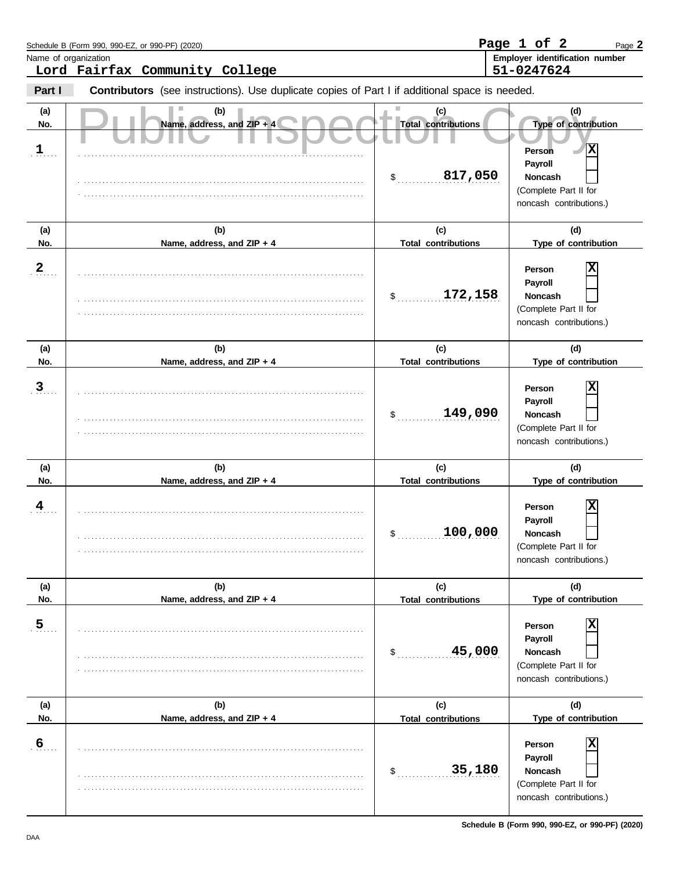|                      | Schedule B (Form 990, 990-EZ, or 990-PF) (2020)                                                |                                                    | Page 1 of 2<br>Page 2                                                                                                                  |
|----------------------|------------------------------------------------------------------------------------------------|----------------------------------------------------|----------------------------------------------------------------------------------------------------------------------------------------|
| Name of organization | Lord Fairfax Community College                                                                 |                                                    | Employer identification number<br>51-0247624                                                                                           |
| Part I               | Contributors (see instructions). Use duplicate copies of Part I if additional space is needed. |                                                    |                                                                                                                                        |
| (a)<br>No.<br>1      | (b)<br>Name, address, and ZIP + 4                                                              | (c)<br><b>Total contributions</b><br>817,050<br>\$ | (d)<br>Type of contribution<br>$\mathbf{x}$<br>Person<br>Payroll<br><b>Noncash</b><br>(Complete Part II for<br>noncash contributions.) |
| (a)<br>No.           | (b)<br>Name, address, and ZIP + 4                                                              | (c)<br><b>Total contributions</b>                  | (d)<br>Type of contribution                                                                                                            |
| $\mathbf{2}$         |                                                                                                | 172,158<br>\$                                      | X<br>Person<br>Payroll<br><b>Noncash</b><br>(Complete Part II for<br>noncash contributions.)                                           |
| (a)<br>No.           | (b)<br>Name, address, and ZIP + 4                                                              | (c)<br><b>Total contributions</b>                  | (d)<br>Type of contribution                                                                                                            |
| 3                    |                                                                                                | 149,090<br>\$                                      | х<br>Person<br>Payroll<br><b>Noncash</b><br>(Complete Part II for<br>noncash contributions.)                                           |
| (a)<br>No.           | (b)<br>Name, address, and ZIP + 4                                                              | (c)<br><b>Total contributions</b>                  | (d)<br>Type of contribution                                                                                                            |
| 4                    |                                                                                                | 100,000<br>\$                                      | X<br>Person<br><b>Payroll</b><br>Noncash<br>(Complete Part II for<br>noncash contributions.)                                           |
| (a)<br>No.           | (b)<br>Name, address, and ZIP + 4                                                              | (c)<br><b>Total contributions</b>                  | (d)<br>Type of contribution                                                                                                            |
| $\overline{5}$       |                                                                                                | 45,000<br>\$                                       | х<br>Person<br>Payroll<br>Noncash<br>(Complete Part II for<br>noncash contributions.)                                                  |
| (a)<br>No.           | (b)<br>Name, address, and ZIP + 4                                                              | (c)<br><b>Total contributions</b>                  | (d)<br>Type of contribution                                                                                                            |
| $6 \overline{6}$     |                                                                                                | 35,180<br>\$                                       | X<br>Person<br>Payroll<br>Noncash<br>(Complete Part II for<br>noncash contributions.)                                                  |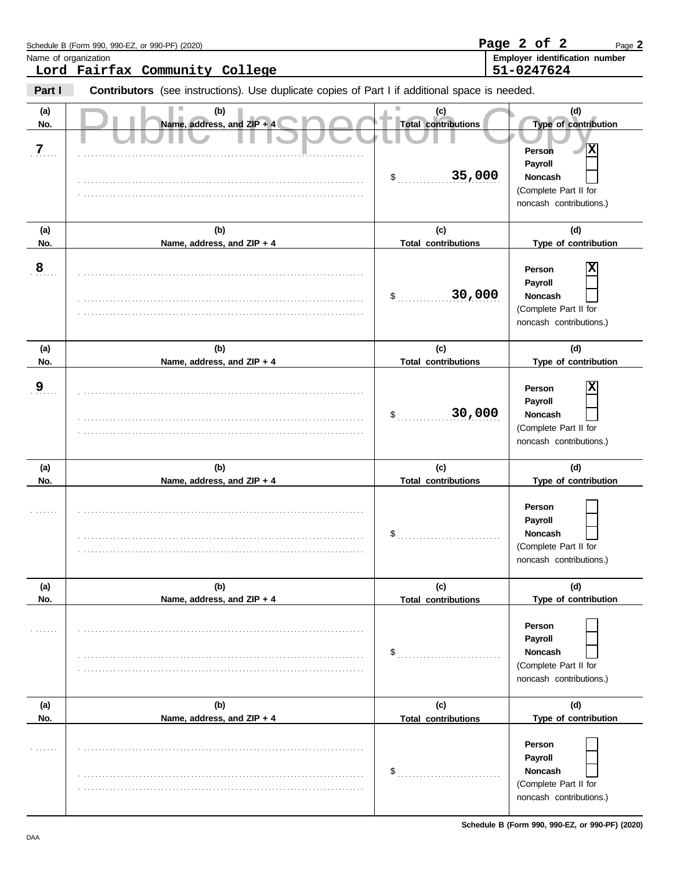|                      | Schedule B (Form 990, 990-EZ, or 990-PF) (2020)                                                |                                                       | Page 2 of 2<br>Page 2                                                                                                           |
|----------------------|------------------------------------------------------------------------------------------------|-------------------------------------------------------|---------------------------------------------------------------------------------------------------------------------------------|
| Name of organization | Lord Fairfax Community College                                                                 |                                                       | Employer identification number<br>51-0247624                                                                                    |
| Part I               | Contributors (see instructions). Use duplicate copies of Part I if additional space is needed. |                                                       |                                                                                                                                 |
| (a)<br>No.<br>7      | (b)<br>Name, address, and ZIP + 4                                                              | (c)<br><b>Total contributions</b><br>35,000<br>$\sim$ | (d)<br>Type of contribution<br>$\mathbf{x}$<br>Person<br>Payroll<br>Noncash<br>(Complete Part II for<br>noncash contributions.) |
| (a)<br>No.           | (b)<br>Name, address, and ZIP + 4                                                              | (c)<br><b>Total contributions</b>                     | (d)<br>Type of contribution                                                                                                     |
| 8                    |                                                                                                | 30,000<br>\$                                          | Person<br>х<br>Payroll<br><b>Noncash</b><br>(Complete Part II for<br>noncash contributions.)                                    |
| (a)<br>No.           | (b)<br>Name, address, and ZIP + 4                                                              | (c)<br><b>Total contributions</b>                     | (d)<br>Type of contribution                                                                                                     |
| 9                    |                                                                                                | 30,000<br>\$                                          | х<br>Person<br>Payroll<br>Noncash<br>(Complete Part II for<br>noncash contributions.)                                           |
| (a)<br>No.           | (b)<br>Name, address, and ZIP + 4                                                              | (c)<br><b>Total contributions</b>                     | (d)<br>Type of contribution                                                                                                     |
|                      |                                                                                                | \$                                                    | Person<br>Payroll<br>Noncash<br>(Complete Part II for<br>noncash contributions.)                                                |
| (a)<br>No.           | (b)<br>Name, address, and ZIP + 4                                                              | (c)<br><b>Total contributions</b>                     | (d)<br>Type of contribution                                                                                                     |
| .                    |                                                                                                | \$                                                    | Person<br>Payroll<br><b>Noncash</b><br>(Complete Part II for<br>noncash contributions.)                                         |
| (a)<br>No.           | (b)<br>Name, address, and ZIP + 4                                                              | (c)<br><b>Total contributions</b>                     | (d)<br>Type of contribution                                                                                                     |
| 1.1.1.1.1            |                                                                                                | \$                                                    | Person<br>Payroll<br>Noncash<br>(Complete Part II for<br>noncash contributions.)                                                |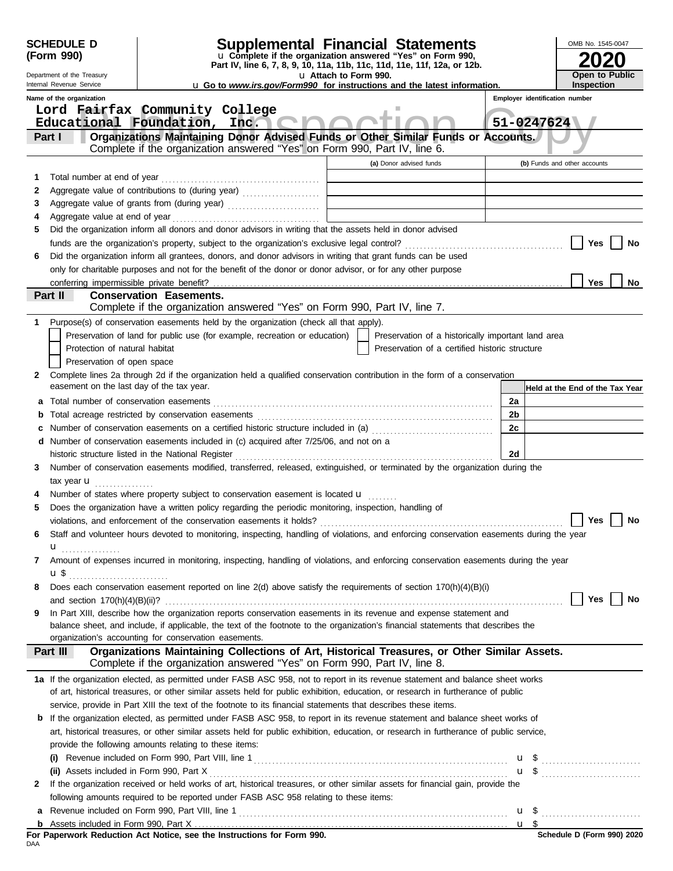| Part IV, line 6, 7, 8, 9, 10, 11a, 11b, 11c, 11d, 11e, 11f, 12a, or 12b.<br>Open to Public<br>u Attach to Form 990.<br>Department of the Treasury<br>Inspection<br>Internal Revenue Service<br><b>u</b> Go to www.irs.gov/Form990 for instructions and the latest information.<br>Name of the organization<br>Employer identification number<br>Lord Fairfax Community College<br>51-0247624<br>Educational Foundation, Inc.<br>Organizations Maintaining Donor Advised Funds or Other Similar Funds or Accounts.<br>Part I<br>Complete if the organization answered "Yes" on Form 990, Part IV, line 6.<br>(a) Donor advised funds<br>(b) Funds and other accounts<br>1<br>Aggregate value of contributions to (during year) [11] Aggregate value of contributions to (during year)<br>2<br><u> 1989 - Johann Stoff, Amerikaansk politiker (</u><br>3<br>4<br>Did the organization inform all donors and donor advisors in writing that the assets held in donor advised<br>5<br>Yes<br>No<br>Did the organization inform all grantees, donors, and donor advisors in writing that grant funds can be used<br>6<br>only for charitable purposes and not for the benefit of the donor or donor advisor, or for any other purpose<br><b>Yes</b><br>No<br>Part II<br><b>Conservation Easements.</b><br>Complete if the organization answered "Yes" on Form 990, Part IV, line 7.<br>Purpose(s) of conservation easements held by the organization (check all that apply).<br>1<br>Preservation of land for public use (for example, recreation or education)<br>Preservation of a historically important land area<br>Protection of natural habitat<br>Preservation of a certified historic structure<br>Preservation of open space<br>Complete lines 2a through 2d if the organization held a qualified conservation contribution in the form of a conservation<br>2<br>easement on the last day of the tax year.<br>Held at the End of the Tax Year<br>2a<br>а<br>2b<br>b<br>Number of conservation easements on a certified historic structure included in (a) [[[[[[[[[[[[[[[[[[[[[[[[[]]]]]]]<br>2c<br>c<br>d Number of conservation easements included in (c) acquired after 7/25/06, and not on a<br>2d<br>historic structure listed in the National Register<br>Number of conservation easements modified, transferred, released, extinguished, or terminated by the organization during the<br>3<br>tax year $\mathbf{u}$<br>Number of states where property subject to conservation easement is located <b>u</b><br>Does the organization have a written policy regarding the periodic monitoring, inspection, handling of<br>5<br>violations, and enforcement of the conservation easements it holds?<br>Yes<br>No<br>Staff and volunteer hours devoted to monitoring, inspecting, handling of violations, and enforcing conservation easements during the year<br>6<br>u<br>Amount of expenses incurred in monitoring, inspecting, handling of violations, and enforcing conservation easements during the year<br>7<br>Does each conservation easement reported on line 2(d) above satisfy the requirements of section 170(h)(4)(B)(i)<br>8<br>Yes<br>No<br>In Part XIII, describe how the organization reports conservation easements in its revenue and expense statement and<br>9<br>balance sheet, and include, if applicable, the text of the footnote to the organization's financial statements that describes the<br>organization's accounting for conservation easements.<br>Organizations Maintaining Collections of Art, Historical Treasures, or Other Similar Assets.<br>Part III<br>Complete if the organization answered "Yes" on Form 990, Part IV, line 8.<br>1a If the organization elected, as permitted under FASB ASC 958, not to report in its revenue statement and balance sheet works<br>of art, historical treasures, or other similar assets held for public exhibition, education, or research in furtherance of public<br>service, provide in Part XIII the text of the footnote to its financial statements that describes these items.<br>If the organization elected, as permitted under FASB ASC 958, to report in its revenue statement and balance sheet works of<br>b<br>art, historical treasures, or other similar assets held for public exhibition, education, or research in furtherance of public service,<br>provide the following amounts relating to these items:<br>(ii) Assets included in Form 990, Part X<br>If the organization received or held works of art, historical treasures, or other similar assets for financial gain, provide the<br>2<br>following amounts required to be reported under FASB ASC 958 relating to these items:<br>a<br>Schedule D (Form 990) 2020<br>For Paperwork Reduction Act Notice, see the Instructions for Form 990.<br>DAA | <b>SCHEDULE D</b><br>(Form 990) | <b>Supplemental Financial Statements</b><br>u Complete if the organization answered "Yes" on Form 990, |  |  | OMB No. 1545-0047 |
|-----------------------------------------------------------------------------------------------------------------------------------------------------------------------------------------------------------------------------------------------------------------------------------------------------------------------------------------------------------------------------------------------------------------------------------------------------------------------------------------------------------------------------------------------------------------------------------------------------------------------------------------------------------------------------------------------------------------------------------------------------------------------------------------------------------------------------------------------------------------------------------------------------------------------------------------------------------------------------------------------------------------------------------------------------------------------------------------------------------------------------------------------------------------------------------------------------------------------------------------------------------------------------------------------------------------------------------------------------------------------------------------------------------------------------------------------------------------------------------------------------------------------------------------------------------------------------------------------------------------------------------------------------------------------------------------------------------------------------------------------------------------------------------------------------------------------------------------------------------------------------------------------------------------------------------------------------------------------------------------------------------------------------------------------------------------------------------------------------------------------------------------------------------------------------------------------------------------------------------------------------------------------------------------------------------------------------------------------------------------------------------------------------------------------------------------------------------------------------------------------------------------------------------------------------------------------------------------------------------------------------------------------------------------------------------------------------------------------------------------------------------------------------------------------------------------------------------------------------------------------------------------------------------------------------------------------------------------------------------------------------------------------------------------------------------------------------------------------------------------------------------------------------------------------------------------------------------------------------------------------------------------------------------------------------------------------------------------------------------------------------------------------------------------------------------------------------------------------------------------------------------------------------------------------------------------------------------------------------------------------------------------------------------------------------------------------------------------------------------------------------------------------------------------------------------------------------------------------------------------------------------------------------------------------------------------------------------------------------------------------------------------------------------------------------------------------------------------------------------------------------------------------------------------------------------------------------------------------------------------------------------------------------------------------------------------------------------------------------------------------------------------------------------------------------------------------------------------------------------------------------------------------------------------------------------------------------------------------------------------------------------------------------------------------------------------------------------------------------------------------------------------------------------------------------------------------------|---------------------------------|--------------------------------------------------------------------------------------------------------|--|--|-------------------|
|                                                                                                                                                                                                                                                                                                                                                                                                                                                                                                                                                                                                                                                                                                                                                                                                                                                                                                                                                                                                                                                                                                                                                                                                                                                                                                                                                                                                                                                                                                                                                                                                                                                                                                                                                                                                                                                                                                                                                                                                                                                                                                                                                                                                                                                                                                                                                                                                                                                                                                                                                                                                                                                                                                                                                                                                                                                                                                                                                                                                                                                                                                                                                                                                                                                                                                                                                                                                                                                                                                                                                                                                                                                                                                                                                                                                                                                                                                                                                                                                                                                                                                                                                                                                                                                                                                                                                                                                                                                                                                                                                                                                                                                                                                                                                                                                                             |                                 |                                                                                                        |  |  |                   |
|                                                                                                                                                                                                                                                                                                                                                                                                                                                                                                                                                                                                                                                                                                                                                                                                                                                                                                                                                                                                                                                                                                                                                                                                                                                                                                                                                                                                                                                                                                                                                                                                                                                                                                                                                                                                                                                                                                                                                                                                                                                                                                                                                                                                                                                                                                                                                                                                                                                                                                                                                                                                                                                                                                                                                                                                                                                                                                                                                                                                                                                                                                                                                                                                                                                                                                                                                                                                                                                                                                                                                                                                                                                                                                                                                                                                                                                                                                                                                                                                                                                                                                                                                                                                                                                                                                                                                                                                                                                                                                                                                                                                                                                                                                                                                                                                                             |                                 |                                                                                                        |  |  |                   |
|                                                                                                                                                                                                                                                                                                                                                                                                                                                                                                                                                                                                                                                                                                                                                                                                                                                                                                                                                                                                                                                                                                                                                                                                                                                                                                                                                                                                                                                                                                                                                                                                                                                                                                                                                                                                                                                                                                                                                                                                                                                                                                                                                                                                                                                                                                                                                                                                                                                                                                                                                                                                                                                                                                                                                                                                                                                                                                                                                                                                                                                                                                                                                                                                                                                                                                                                                                                                                                                                                                                                                                                                                                                                                                                                                                                                                                                                                                                                                                                                                                                                                                                                                                                                                                                                                                                                                                                                                                                                                                                                                                                                                                                                                                                                                                                                                             |                                 |                                                                                                        |  |  |                   |
|                                                                                                                                                                                                                                                                                                                                                                                                                                                                                                                                                                                                                                                                                                                                                                                                                                                                                                                                                                                                                                                                                                                                                                                                                                                                                                                                                                                                                                                                                                                                                                                                                                                                                                                                                                                                                                                                                                                                                                                                                                                                                                                                                                                                                                                                                                                                                                                                                                                                                                                                                                                                                                                                                                                                                                                                                                                                                                                                                                                                                                                                                                                                                                                                                                                                                                                                                                                                                                                                                                                                                                                                                                                                                                                                                                                                                                                                                                                                                                                                                                                                                                                                                                                                                                                                                                                                                                                                                                                                                                                                                                                                                                                                                                                                                                                                                             |                                 |                                                                                                        |  |  |                   |
|                                                                                                                                                                                                                                                                                                                                                                                                                                                                                                                                                                                                                                                                                                                                                                                                                                                                                                                                                                                                                                                                                                                                                                                                                                                                                                                                                                                                                                                                                                                                                                                                                                                                                                                                                                                                                                                                                                                                                                                                                                                                                                                                                                                                                                                                                                                                                                                                                                                                                                                                                                                                                                                                                                                                                                                                                                                                                                                                                                                                                                                                                                                                                                                                                                                                                                                                                                                                                                                                                                                                                                                                                                                                                                                                                                                                                                                                                                                                                                                                                                                                                                                                                                                                                                                                                                                                                                                                                                                                                                                                                                                                                                                                                                                                                                                                                             |                                 |                                                                                                        |  |  |                   |
|                                                                                                                                                                                                                                                                                                                                                                                                                                                                                                                                                                                                                                                                                                                                                                                                                                                                                                                                                                                                                                                                                                                                                                                                                                                                                                                                                                                                                                                                                                                                                                                                                                                                                                                                                                                                                                                                                                                                                                                                                                                                                                                                                                                                                                                                                                                                                                                                                                                                                                                                                                                                                                                                                                                                                                                                                                                                                                                                                                                                                                                                                                                                                                                                                                                                                                                                                                                                                                                                                                                                                                                                                                                                                                                                                                                                                                                                                                                                                                                                                                                                                                                                                                                                                                                                                                                                                                                                                                                                                                                                                                                                                                                                                                                                                                                                                             |                                 |                                                                                                        |  |  |                   |
|                                                                                                                                                                                                                                                                                                                                                                                                                                                                                                                                                                                                                                                                                                                                                                                                                                                                                                                                                                                                                                                                                                                                                                                                                                                                                                                                                                                                                                                                                                                                                                                                                                                                                                                                                                                                                                                                                                                                                                                                                                                                                                                                                                                                                                                                                                                                                                                                                                                                                                                                                                                                                                                                                                                                                                                                                                                                                                                                                                                                                                                                                                                                                                                                                                                                                                                                                                                                                                                                                                                                                                                                                                                                                                                                                                                                                                                                                                                                                                                                                                                                                                                                                                                                                                                                                                                                                                                                                                                                                                                                                                                                                                                                                                                                                                                                                             |                                 |                                                                                                        |  |  |                   |
|                                                                                                                                                                                                                                                                                                                                                                                                                                                                                                                                                                                                                                                                                                                                                                                                                                                                                                                                                                                                                                                                                                                                                                                                                                                                                                                                                                                                                                                                                                                                                                                                                                                                                                                                                                                                                                                                                                                                                                                                                                                                                                                                                                                                                                                                                                                                                                                                                                                                                                                                                                                                                                                                                                                                                                                                                                                                                                                                                                                                                                                                                                                                                                                                                                                                                                                                                                                                                                                                                                                                                                                                                                                                                                                                                                                                                                                                                                                                                                                                                                                                                                                                                                                                                                                                                                                                                                                                                                                                                                                                                                                                                                                                                                                                                                                                                             |                                 |                                                                                                        |  |  |                   |
|                                                                                                                                                                                                                                                                                                                                                                                                                                                                                                                                                                                                                                                                                                                                                                                                                                                                                                                                                                                                                                                                                                                                                                                                                                                                                                                                                                                                                                                                                                                                                                                                                                                                                                                                                                                                                                                                                                                                                                                                                                                                                                                                                                                                                                                                                                                                                                                                                                                                                                                                                                                                                                                                                                                                                                                                                                                                                                                                                                                                                                                                                                                                                                                                                                                                                                                                                                                                                                                                                                                                                                                                                                                                                                                                                                                                                                                                                                                                                                                                                                                                                                                                                                                                                                                                                                                                                                                                                                                                                                                                                                                                                                                                                                                                                                                                                             |                                 |                                                                                                        |  |  |                   |
|                                                                                                                                                                                                                                                                                                                                                                                                                                                                                                                                                                                                                                                                                                                                                                                                                                                                                                                                                                                                                                                                                                                                                                                                                                                                                                                                                                                                                                                                                                                                                                                                                                                                                                                                                                                                                                                                                                                                                                                                                                                                                                                                                                                                                                                                                                                                                                                                                                                                                                                                                                                                                                                                                                                                                                                                                                                                                                                                                                                                                                                                                                                                                                                                                                                                                                                                                                                                                                                                                                                                                                                                                                                                                                                                                                                                                                                                                                                                                                                                                                                                                                                                                                                                                                                                                                                                                                                                                                                                                                                                                                                                                                                                                                                                                                                                                             |                                 |                                                                                                        |  |  |                   |
|                                                                                                                                                                                                                                                                                                                                                                                                                                                                                                                                                                                                                                                                                                                                                                                                                                                                                                                                                                                                                                                                                                                                                                                                                                                                                                                                                                                                                                                                                                                                                                                                                                                                                                                                                                                                                                                                                                                                                                                                                                                                                                                                                                                                                                                                                                                                                                                                                                                                                                                                                                                                                                                                                                                                                                                                                                                                                                                                                                                                                                                                                                                                                                                                                                                                                                                                                                                                                                                                                                                                                                                                                                                                                                                                                                                                                                                                                                                                                                                                                                                                                                                                                                                                                                                                                                                                                                                                                                                                                                                                                                                                                                                                                                                                                                                                                             |                                 |                                                                                                        |  |  |                   |
|                                                                                                                                                                                                                                                                                                                                                                                                                                                                                                                                                                                                                                                                                                                                                                                                                                                                                                                                                                                                                                                                                                                                                                                                                                                                                                                                                                                                                                                                                                                                                                                                                                                                                                                                                                                                                                                                                                                                                                                                                                                                                                                                                                                                                                                                                                                                                                                                                                                                                                                                                                                                                                                                                                                                                                                                                                                                                                                                                                                                                                                                                                                                                                                                                                                                                                                                                                                                                                                                                                                                                                                                                                                                                                                                                                                                                                                                                                                                                                                                                                                                                                                                                                                                                                                                                                                                                                                                                                                                                                                                                                                                                                                                                                                                                                                                                             |                                 |                                                                                                        |  |  |                   |
|                                                                                                                                                                                                                                                                                                                                                                                                                                                                                                                                                                                                                                                                                                                                                                                                                                                                                                                                                                                                                                                                                                                                                                                                                                                                                                                                                                                                                                                                                                                                                                                                                                                                                                                                                                                                                                                                                                                                                                                                                                                                                                                                                                                                                                                                                                                                                                                                                                                                                                                                                                                                                                                                                                                                                                                                                                                                                                                                                                                                                                                                                                                                                                                                                                                                                                                                                                                                                                                                                                                                                                                                                                                                                                                                                                                                                                                                                                                                                                                                                                                                                                                                                                                                                                                                                                                                                                                                                                                                                                                                                                                                                                                                                                                                                                                                                             |                                 |                                                                                                        |  |  |                   |
|                                                                                                                                                                                                                                                                                                                                                                                                                                                                                                                                                                                                                                                                                                                                                                                                                                                                                                                                                                                                                                                                                                                                                                                                                                                                                                                                                                                                                                                                                                                                                                                                                                                                                                                                                                                                                                                                                                                                                                                                                                                                                                                                                                                                                                                                                                                                                                                                                                                                                                                                                                                                                                                                                                                                                                                                                                                                                                                                                                                                                                                                                                                                                                                                                                                                                                                                                                                                                                                                                                                                                                                                                                                                                                                                                                                                                                                                                                                                                                                                                                                                                                                                                                                                                                                                                                                                                                                                                                                                                                                                                                                                                                                                                                                                                                                                                             |                                 |                                                                                                        |  |  |                   |
|                                                                                                                                                                                                                                                                                                                                                                                                                                                                                                                                                                                                                                                                                                                                                                                                                                                                                                                                                                                                                                                                                                                                                                                                                                                                                                                                                                                                                                                                                                                                                                                                                                                                                                                                                                                                                                                                                                                                                                                                                                                                                                                                                                                                                                                                                                                                                                                                                                                                                                                                                                                                                                                                                                                                                                                                                                                                                                                                                                                                                                                                                                                                                                                                                                                                                                                                                                                                                                                                                                                                                                                                                                                                                                                                                                                                                                                                                                                                                                                                                                                                                                                                                                                                                                                                                                                                                                                                                                                                                                                                                                                                                                                                                                                                                                                                                             |                                 |                                                                                                        |  |  |                   |
|                                                                                                                                                                                                                                                                                                                                                                                                                                                                                                                                                                                                                                                                                                                                                                                                                                                                                                                                                                                                                                                                                                                                                                                                                                                                                                                                                                                                                                                                                                                                                                                                                                                                                                                                                                                                                                                                                                                                                                                                                                                                                                                                                                                                                                                                                                                                                                                                                                                                                                                                                                                                                                                                                                                                                                                                                                                                                                                                                                                                                                                                                                                                                                                                                                                                                                                                                                                                                                                                                                                                                                                                                                                                                                                                                                                                                                                                                                                                                                                                                                                                                                                                                                                                                                                                                                                                                                                                                                                                                                                                                                                                                                                                                                                                                                                                                             |                                 |                                                                                                        |  |  |                   |
|                                                                                                                                                                                                                                                                                                                                                                                                                                                                                                                                                                                                                                                                                                                                                                                                                                                                                                                                                                                                                                                                                                                                                                                                                                                                                                                                                                                                                                                                                                                                                                                                                                                                                                                                                                                                                                                                                                                                                                                                                                                                                                                                                                                                                                                                                                                                                                                                                                                                                                                                                                                                                                                                                                                                                                                                                                                                                                                                                                                                                                                                                                                                                                                                                                                                                                                                                                                                                                                                                                                                                                                                                                                                                                                                                                                                                                                                                                                                                                                                                                                                                                                                                                                                                                                                                                                                                                                                                                                                                                                                                                                                                                                                                                                                                                                                                             |                                 |                                                                                                        |  |  |                   |
|                                                                                                                                                                                                                                                                                                                                                                                                                                                                                                                                                                                                                                                                                                                                                                                                                                                                                                                                                                                                                                                                                                                                                                                                                                                                                                                                                                                                                                                                                                                                                                                                                                                                                                                                                                                                                                                                                                                                                                                                                                                                                                                                                                                                                                                                                                                                                                                                                                                                                                                                                                                                                                                                                                                                                                                                                                                                                                                                                                                                                                                                                                                                                                                                                                                                                                                                                                                                                                                                                                                                                                                                                                                                                                                                                                                                                                                                                                                                                                                                                                                                                                                                                                                                                                                                                                                                                                                                                                                                                                                                                                                                                                                                                                                                                                                                                             |                                 |                                                                                                        |  |  |                   |
|                                                                                                                                                                                                                                                                                                                                                                                                                                                                                                                                                                                                                                                                                                                                                                                                                                                                                                                                                                                                                                                                                                                                                                                                                                                                                                                                                                                                                                                                                                                                                                                                                                                                                                                                                                                                                                                                                                                                                                                                                                                                                                                                                                                                                                                                                                                                                                                                                                                                                                                                                                                                                                                                                                                                                                                                                                                                                                                                                                                                                                                                                                                                                                                                                                                                                                                                                                                                                                                                                                                                                                                                                                                                                                                                                                                                                                                                                                                                                                                                                                                                                                                                                                                                                                                                                                                                                                                                                                                                                                                                                                                                                                                                                                                                                                                                                             |                                 |                                                                                                        |  |  |                   |
|                                                                                                                                                                                                                                                                                                                                                                                                                                                                                                                                                                                                                                                                                                                                                                                                                                                                                                                                                                                                                                                                                                                                                                                                                                                                                                                                                                                                                                                                                                                                                                                                                                                                                                                                                                                                                                                                                                                                                                                                                                                                                                                                                                                                                                                                                                                                                                                                                                                                                                                                                                                                                                                                                                                                                                                                                                                                                                                                                                                                                                                                                                                                                                                                                                                                                                                                                                                                                                                                                                                                                                                                                                                                                                                                                                                                                                                                                                                                                                                                                                                                                                                                                                                                                                                                                                                                                                                                                                                                                                                                                                                                                                                                                                                                                                                                                             |                                 |                                                                                                        |  |  |                   |
|                                                                                                                                                                                                                                                                                                                                                                                                                                                                                                                                                                                                                                                                                                                                                                                                                                                                                                                                                                                                                                                                                                                                                                                                                                                                                                                                                                                                                                                                                                                                                                                                                                                                                                                                                                                                                                                                                                                                                                                                                                                                                                                                                                                                                                                                                                                                                                                                                                                                                                                                                                                                                                                                                                                                                                                                                                                                                                                                                                                                                                                                                                                                                                                                                                                                                                                                                                                                                                                                                                                                                                                                                                                                                                                                                                                                                                                                                                                                                                                                                                                                                                                                                                                                                                                                                                                                                                                                                                                                                                                                                                                                                                                                                                                                                                                                                             |                                 |                                                                                                        |  |  |                   |
|                                                                                                                                                                                                                                                                                                                                                                                                                                                                                                                                                                                                                                                                                                                                                                                                                                                                                                                                                                                                                                                                                                                                                                                                                                                                                                                                                                                                                                                                                                                                                                                                                                                                                                                                                                                                                                                                                                                                                                                                                                                                                                                                                                                                                                                                                                                                                                                                                                                                                                                                                                                                                                                                                                                                                                                                                                                                                                                                                                                                                                                                                                                                                                                                                                                                                                                                                                                                                                                                                                                                                                                                                                                                                                                                                                                                                                                                                                                                                                                                                                                                                                                                                                                                                                                                                                                                                                                                                                                                                                                                                                                                                                                                                                                                                                                                                             |                                 |                                                                                                        |  |  |                   |
|                                                                                                                                                                                                                                                                                                                                                                                                                                                                                                                                                                                                                                                                                                                                                                                                                                                                                                                                                                                                                                                                                                                                                                                                                                                                                                                                                                                                                                                                                                                                                                                                                                                                                                                                                                                                                                                                                                                                                                                                                                                                                                                                                                                                                                                                                                                                                                                                                                                                                                                                                                                                                                                                                                                                                                                                                                                                                                                                                                                                                                                                                                                                                                                                                                                                                                                                                                                                                                                                                                                                                                                                                                                                                                                                                                                                                                                                                                                                                                                                                                                                                                                                                                                                                                                                                                                                                                                                                                                                                                                                                                                                                                                                                                                                                                                                                             |                                 |                                                                                                        |  |  |                   |
|                                                                                                                                                                                                                                                                                                                                                                                                                                                                                                                                                                                                                                                                                                                                                                                                                                                                                                                                                                                                                                                                                                                                                                                                                                                                                                                                                                                                                                                                                                                                                                                                                                                                                                                                                                                                                                                                                                                                                                                                                                                                                                                                                                                                                                                                                                                                                                                                                                                                                                                                                                                                                                                                                                                                                                                                                                                                                                                                                                                                                                                                                                                                                                                                                                                                                                                                                                                                                                                                                                                                                                                                                                                                                                                                                                                                                                                                                                                                                                                                                                                                                                                                                                                                                                                                                                                                                                                                                                                                                                                                                                                                                                                                                                                                                                                                                             |                                 |                                                                                                        |  |  |                   |
|                                                                                                                                                                                                                                                                                                                                                                                                                                                                                                                                                                                                                                                                                                                                                                                                                                                                                                                                                                                                                                                                                                                                                                                                                                                                                                                                                                                                                                                                                                                                                                                                                                                                                                                                                                                                                                                                                                                                                                                                                                                                                                                                                                                                                                                                                                                                                                                                                                                                                                                                                                                                                                                                                                                                                                                                                                                                                                                                                                                                                                                                                                                                                                                                                                                                                                                                                                                                                                                                                                                                                                                                                                                                                                                                                                                                                                                                                                                                                                                                                                                                                                                                                                                                                                                                                                                                                                                                                                                                                                                                                                                                                                                                                                                                                                                                                             |                                 |                                                                                                        |  |  |                   |
|                                                                                                                                                                                                                                                                                                                                                                                                                                                                                                                                                                                                                                                                                                                                                                                                                                                                                                                                                                                                                                                                                                                                                                                                                                                                                                                                                                                                                                                                                                                                                                                                                                                                                                                                                                                                                                                                                                                                                                                                                                                                                                                                                                                                                                                                                                                                                                                                                                                                                                                                                                                                                                                                                                                                                                                                                                                                                                                                                                                                                                                                                                                                                                                                                                                                                                                                                                                                                                                                                                                                                                                                                                                                                                                                                                                                                                                                                                                                                                                                                                                                                                                                                                                                                                                                                                                                                                                                                                                                                                                                                                                                                                                                                                                                                                                                                             |                                 |                                                                                                        |  |  |                   |
|                                                                                                                                                                                                                                                                                                                                                                                                                                                                                                                                                                                                                                                                                                                                                                                                                                                                                                                                                                                                                                                                                                                                                                                                                                                                                                                                                                                                                                                                                                                                                                                                                                                                                                                                                                                                                                                                                                                                                                                                                                                                                                                                                                                                                                                                                                                                                                                                                                                                                                                                                                                                                                                                                                                                                                                                                                                                                                                                                                                                                                                                                                                                                                                                                                                                                                                                                                                                                                                                                                                                                                                                                                                                                                                                                                                                                                                                                                                                                                                                                                                                                                                                                                                                                                                                                                                                                                                                                                                                                                                                                                                                                                                                                                                                                                                                                             |                                 |                                                                                                        |  |  |                   |
|                                                                                                                                                                                                                                                                                                                                                                                                                                                                                                                                                                                                                                                                                                                                                                                                                                                                                                                                                                                                                                                                                                                                                                                                                                                                                                                                                                                                                                                                                                                                                                                                                                                                                                                                                                                                                                                                                                                                                                                                                                                                                                                                                                                                                                                                                                                                                                                                                                                                                                                                                                                                                                                                                                                                                                                                                                                                                                                                                                                                                                                                                                                                                                                                                                                                                                                                                                                                                                                                                                                                                                                                                                                                                                                                                                                                                                                                                                                                                                                                                                                                                                                                                                                                                                                                                                                                                                                                                                                                                                                                                                                                                                                                                                                                                                                                                             |                                 |                                                                                                        |  |  |                   |
|                                                                                                                                                                                                                                                                                                                                                                                                                                                                                                                                                                                                                                                                                                                                                                                                                                                                                                                                                                                                                                                                                                                                                                                                                                                                                                                                                                                                                                                                                                                                                                                                                                                                                                                                                                                                                                                                                                                                                                                                                                                                                                                                                                                                                                                                                                                                                                                                                                                                                                                                                                                                                                                                                                                                                                                                                                                                                                                                                                                                                                                                                                                                                                                                                                                                                                                                                                                                                                                                                                                                                                                                                                                                                                                                                                                                                                                                                                                                                                                                                                                                                                                                                                                                                                                                                                                                                                                                                                                                                                                                                                                                                                                                                                                                                                                                                             |                                 |                                                                                                        |  |  |                   |
|                                                                                                                                                                                                                                                                                                                                                                                                                                                                                                                                                                                                                                                                                                                                                                                                                                                                                                                                                                                                                                                                                                                                                                                                                                                                                                                                                                                                                                                                                                                                                                                                                                                                                                                                                                                                                                                                                                                                                                                                                                                                                                                                                                                                                                                                                                                                                                                                                                                                                                                                                                                                                                                                                                                                                                                                                                                                                                                                                                                                                                                                                                                                                                                                                                                                                                                                                                                                                                                                                                                                                                                                                                                                                                                                                                                                                                                                                                                                                                                                                                                                                                                                                                                                                                                                                                                                                                                                                                                                                                                                                                                                                                                                                                                                                                                                                             |                                 |                                                                                                        |  |  |                   |
|                                                                                                                                                                                                                                                                                                                                                                                                                                                                                                                                                                                                                                                                                                                                                                                                                                                                                                                                                                                                                                                                                                                                                                                                                                                                                                                                                                                                                                                                                                                                                                                                                                                                                                                                                                                                                                                                                                                                                                                                                                                                                                                                                                                                                                                                                                                                                                                                                                                                                                                                                                                                                                                                                                                                                                                                                                                                                                                                                                                                                                                                                                                                                                                                                                                                                                                                                                                                                                                                                                                                                                                                                                                                                                                                                                                                                                                                                                                                                                                                                                                                                                                                                                                                                                                                                                                                                                                                                                                                                                                                                                                                                                                                                                                                                                                                                             |                                 |                                                                                                        |  |  |                   |
|                                                                                                                                                                                                                                                                                                                                                                                                                                                                                                                                                                                                                                                                                                                                                                                                                                                                                                                                                                                                                                                                                                                                                                                                                                                                                                                                                                                                                                                                                                                                                                                                                                                                                                                                                                                                                                                                                                                                                                                                                                                                                                                                                                                                                                                                                                                                                                                                                                                                                                                                                                                                                                                                                                                                                                                                                                                                                                                                                                                                                                                                                                                                                                                                                                                                                                                                                                                                                                                                                                                                                                                                                                                                                                                                                                                                                                                                                                                                                                                                                                                                                                                                                                                                                                                                                                                                                                                                                                                                                                                                                                                                                                                                                                                                                                                                                             |                                 |                                                                                                        |  |  |                   |
|                                                                                                                                                                                                                                                                                                                                                                                                                                                                                                                                                                                                                                                                                                                                                                                                                                                                                                                                                                                                                                                                                                                                                                                                                                                                                                                                                                                                                                                                                                                                                                                                                                                                                                                                                                                                                                                                                                                                                                                                                                                                                                                                                                                                                                                                                                                                                                                                                                                                                                                                                                                                                                                                                                                                                                                                                                                                                                                                                                                                                                                                                                                                                                                                                                                                                                                                                                                                                                                                                                                                                                                                                                                                                                                                                                                                                                                                                                                                                                                                                                                                                                                                                                                                                                                                                                                                                                                                                                                                                                                                                                                                                                                                                                                                                                                                                             |                                 |                                                                                                        |  |  |                   |
|                                                                                                                                                                                                                                                                                                                                                                                                                                                                                                                                                                                                                                                                                                                                                                                                                                                                                                                                                                                                                                                                                                                                                                                                                                                                                                                                                                                                                                                                                                                                                                                                                                                                                                                                                                                                                                                                                                                                                                                                                                                                                                                                                                                                                                                                                                                                                                                                                                                                                                                                                                                                                                                                                                                                                                                                                                                                                                                                                                                                                                                                                                                                                                                                                                                                                                                                                                                                                                                                                                                                                                                                                                                                                                                                                                                                                                                                                                                                                                                                                                                                                                                                                                                                                                                                                                                                                                                                                                                                                                                                                                                                                                                                                                                                                                                                                             |                                 |                                                                                                        |  |  |                   |
|                                                                                                                                                                                                                                                                                                                                                                                                                                                                                                                                                                                                                                                                                                                                                                                                                                                                                                                                                                                                                                                                                                                                                                                                                                                                                                                                                                                                                                                                                                                                                                                                                                                                                                                                                                                                                                                                                                                                                                                                                                                                                                                                                                                                                                                                                                                                                                                                                                                                                                                                                                                                                                                                                                                                                                                                                                                                                                                                                                                                                                                                                                                                                                                                                                                                                                                                                                                                                                                                                                                                                                                                                                                                                                                                                                                                                                                                                                                                                                                                                                                                                                                                                                                                                                                                                                                                                                                                                                                                                                                                                                                                                                                                                                                                                                                                                             |                                 |                                                                                                        |  |  |                   |
|                                                                                                                                                                                                                                                                                                                                                                                                                                                                                                                                                                                                                                                                                                                                                                                                                                                                                                                                                                                                                                                                                                                                                                                                                                                                                                                                                                                                                                                                                                                                                                                                                                                                                                                                                                                                                                                                                                                                                                                                                                                                                                                                                                                                                                                                                                                                                                                                                                                                                                                                                                                                                                                                                                                                                                                                                                                                                                                                                                                                                                                                                                                                                                                                                                                                                                                                                                                                                                                                                                                                                                                                                                                                                                                                                                                                                                                                                                                                                                                                                                                                                                                                                                                                                                                                                                                                                                                                                                                                                                                                                                                                                                                                                                                                                                                                                             |                                 |                                                                                                        |  |  |                   |
|                                                                                                                                                                                                                                                                                                                                                                                                                                                                                                                                                                                                                                                                                                                                                                                                                                                                                                                                                                                                                                                                                                                                                                                                                                                                                                                                                                                                                                                                                                                                                                                                                                                                                                                                                                                                                                                                                                                                                                                                                                                                                                                                                                                                                                                                                                                                                                                                                                                                                                                                                                                                                                                                                                                                                                                                                                                                                                                                                                                                                                                                                                                                                                                                                                                                                                                                                                                                                                                                                                                                                                                                                                                                                                                                                                                                                                                                                                                                                                                                                                                                                                                                                                                                                                                                                                                                                                                                                                                                                                                                                                                                                                                                                                                                                                                                                             |                                 |                                                                                                        |  |  |                   |
|                                                                                                                                                                                                                                                                                                                                                                                                                                                                                                                                                                                                                                                                                                                                                                                                                                                                                                                                                                                                                                                                                                                                                                                                                                                                                                                                                                                                                                                                                                                                                                                                                                                                                                                                                                                                                                                                                                                                                                                                                                                                                                                                                                                                                                                                                                                                                                                                                                                                                                                                                                                                                                                                                                                                                                                                                                                                                                                                                                                                                                                                                                                                                                                                                                                                                                                                                                                                                                                                                                                                                                                                                                                                                                                                                                                                                                                                                                                                                                                                                                                                                                                                                                                                                                                                                                                                                                                                                                                                                                                                                                                                                                                                                                                                                                                                                             |                                 |                                                                                                        |  |  |                   |
|                                                                                                                                                                                                                                                                                                                                                                                                                                                                                                                                                                                                                                                                                                                                                                                                                                                                                                                                                                                                                                                                                                                                                                                                                                                                                                                                                                                                                                                                                                                                                                                                                                                                                                                                                                                                                                                                                                                                                                                                                                                                                                                                                                                                                                                                                                                                                                                                                                                                                                                                                                                                                                                                                                                                                                                                                                                                                                                                                                                                                                                                                                                                                                                                                                                                                                                                                                                                                                                                                                                                                                                                                                                                                                                                                                                                                                                                                                                                                                                                                                                                                                                                                                                                                                                                                                                                                                                                                                                                                                                                                                                                                                                                                                                                                                                                                             |                                 |                                                                                                        |  |  |                   |
|                                                                                                                                                                                                                                                                                                                                                                                                                                                                                                                                                                                                                                                                                                                                                                                                                                                                                                                                                                                                                                                                                                                                                                                                                                                                                                                                                                                                                                                                                                                                                                                                                                                                                                                                                                                                                                                                                                                                                                                                                                                                                                                                                                                                                                                                                                                                                                                                                                                                                                                                                                                                                                                                                                                                                                                                                                                                                                                                                                                                                                                                                                                                                                                                                                                                                                                                                                                                                                                                                                                                                                                                                                                                                                                                                                                                                                                                                                                                                                                                                                                                                                                                                                                                                                                                                                                                                                                                                                                                                                                                                                                                                                                                                                                                                                                                                             |                                 |                                                                                                        |  |  |                   |
|                                                                                                                                                                                                                                                                                                                                                                                                                                                                                                                                                                                                                                                                                                                                                                                                                                                                                                                                                                                                                                                                                                                                                                                                                                                                                                                                                                                                                                                                                                                                                                                                                                                                                                                                                                                                                                                                                                                                                                                                                                                                                                                                                                                                                                                                                                                                                                                                                                                                                                                                                                                                                                                                                                                                                                                                                                                                                                                                                                                                                                                                                                                                                                                                                                                                                                                                                                                                                                                                                                                                                                                                                                                                                                                                                                                                                                                                                                                                                                                                                                                                                                                                                                                                                                                                                                                                                                                                                                                                                                                                                                                                                                                                                                                                                                                                                             |                                 |                                                                                                        |  |  |                   |
|                                                                                                                                                                                                                                                                                                                                                                                                                                                                                                                                                                                                                                                                                                                                                                                                                                                                                                                                                                                                                                                                                                                                                                                                                                                                                                                                                                                                                                                                                                                                                                                                                                                                                                                                                                                                                                                                                                                                                                                                                                                                                                                                                                                                                                                                                                                                                                                                                                                                                                                                                                                                                                                                                                                                                                                                                                                                                                                                                                                                                                                                                                                                                                                                                                                                                                                                                                                                                                                                                                                                                                                                                                                                                                                                                                                                                                                                                                                                                                                                                                                                                                                                                                                                                                                                                                                                                                                                                                                                                                                                                                                                                                                                                                                                                                                                                             |                                 |                                                                                                        |  |  |                   |
|                                                                                                                                                                                                                                                                                                                                                                                                                                                                                                                                                                                                                                                                                                                                                                                                                                                                                                                                                                                                                                                                                                                                                                                                                                                                                                                                                                                                                                                                                                                                                                                                                                                                                                                                                                                                                                                                                                                                                                                                                                                                                                                                                                                                                                                                                                                                                                                                                                                                                                                                                                                                                                                                                                                                                                                                                                                                                                                                                                                                                                                                                                                                                                                                                                                                                                                                                                                                                                                                                                                                                                                                                                                                                                                                                                                                                                                                                                                                                                                                                                                                                                                                                                                                                                                                                                                                                                                                                                                                                                                                                                                                                                                                                                                                                                                                                             |                                 |                                                                                                        |  |  |                   |
|                                                                                                                                                                                                                                                                                                                                                                                                                                                                                                                                                                                                                                                                                                                                                                                                                                                                                                                                                                                                                                                                                                                                                                                                                                                                                                                                                                                                                                                                                                                                                                                                                                                                                                                                                                                                                                                                                                                                                                                                                                                                                                                                                                                                                                                                                                                                                                                                                                                                                                                                                                                                                                                                                                                                                                                                                                                                                                                                                                                                                                                                                                                                                                                                                                                                                                                                                                                                                                                                                                                                                                                                                                                                                                                                                                                                                                                                                                                                                                                                                                                                                                                                                                                                                                                                                                                                                                                                                                                                                                                                                                                                                                                                                                                                                                                                                             |                                 |                                                                                                        |  |  |                   |
|                                                                                                                                                                                                                                                                                                                                                                                                                                                                                                                                                                                                                                                                                                                                                                                                                                                                                                                                                                                                                                                                                                                                                                                                                                                                                                                                                                                                                                                                                                                                                                                                                                                                                                                                                                                                                                                                                                                                                                                                                                                                                                                                                                                                                                                                                                                                                                                                                                                                                                                                                                                                                                                                                                                                                                                                                                                                                                                                                                                                                                                                                                                                                                                                                                                                                                                                                                                                                                                                                                                                                                                                                                                                                                                                                                                                                                                                                                                                                                                                                                                                                                                                                                                                                                                                                                                                                                                                                                                                                                                                                                                                                                                                                                                                                                                                                             |                                 |                                                                                                        |  |  |                   |
|                                                                                                                                                                                                                                                                                                                                                                                                                                                                                                                                                                                                                                                                                                                                                                                                                                                                                                                                                                                                                                                                                                                                                                                                                                                                                                                                                                                                                                                                                                                                                                                                                                                                                                                                                                                                                                                                                                                                                                                                                                                                                                                                                                                                                                                                                                                                                                                                                                                                                                                                                                                                                                                                                                                                                                                                                                                                                                                                                                                                                                                                                                                                                                                                                                                                                                                                                                                                                                                                                                                                                                                                                                                                                                                                                                                                                                                                                                                                                                                                                                                                                                                                                                                                                                                                                                                                                                                                                                                                                                                                                                                                                                                                                                                                                                                                                             |                                 |                                                                                                        |  |  |                   |
|                                                                                                                                                                                                                                                                                                                                                                                                                                                                                                                                                                                                                                                                                                                                                                                                                                                                                                                                                                                                                                                                                                                                                                                                                                                                                                                                                                                                                                                                                                                                                                                                                                                                                                                                                                                                                                                                                                                                                                                                                                                                                                                                                                                                                                                                                                                                                                                                                                                                                                                                                                                                                                                                                                                                                                                                                                                                                                                                                                                                                                                                                                                                                                                                                                                                                                                                                                                                                                                                                                                                                                                                                                                                                                                                                                                                                                                                                                                                                                                                                                                                                                                                                                                                                                                                                                                                                                                                                                                                                                                                                                                                                                                                                                                                                                                                                             |                                 |                                                                                                        |  |  |                   |
|                                                                                                                                                                                                                                                                                                                                                                                                                                                                                                                                                                                                                                                                                                                                                                                                                                                                                                                                                                                                                                                                                                                                                                                                                                                                                                                                                                                                                                                                                                                                                                                                                                                                                                                                                                                                                                                                                                                                                                                                                                                                                                                                                                                                                                                                                                                                                                                                                                                                                                                                                                                                                                                                                                                                                                                                                                                                                                                                                                                                                                                                                                                                                                                                                                                                                                                                                                                                                                                                                                                                                                                                                                                                                                                                                                                                                                                                                                                                                                                                                                                                                                                                                                                                                                                                                                                                                                                                                                                                                                                                                                                                                                                                                                                                                                                                                             |                                 |                                                                                                        |  |  |                   |
|                                                                                                                                                                                                                                                                                                                                                                                                                                                                                                                                                                                                                                                                                                                                                                                                                                                                                                                                                                                                                                                                                                                                                                                                                                                                                                                                                                                                                                                                                                                                                                                                                                                                                                                                                                                                                                                                                                                                                                                                                                                                                                                                                                                                                                                                                                                                                                                                                                                                                                                                                                                                                                                                                                                                                                                                                                                                                                                                                                                                                                                                                                                                                                                                                                                                                                                                                                                                                                                                                                                                                                                                                                                                                                                                                                                                                                                                                                                                                                                                                                                                                                                                                                                                                                                                                                                                                                                                                                                                                                                                                                                                                                                                                                                                                                                                                             |                                 |                                                                                                        |  |  |                   |
|                                                                                                                                                                                                                                                                                                                                                                                                                                                                                                                                                                                                                                                                                                                                                                                                                                                                                                                                                                                                                                                                                                                                                                                                                                                                                                                                                                                                                                                                                                                                                                                                                                                                                                                                                                                                                                                                                                                                                                                                                                                                                                                                                                                                                                                                                                                                                                                                                                                                                                                                                                                                                                                                                                                                                                                                                                                                                                                                                                                                                                                                                                                                                                                                                                                                                                                                                                                                                                                                                                                                                                                                                                                                                                                                                                                                                                                                                                                                                                                                                                                                                                                                                                                                                                                                                                                                                                                                                                                                                                                                                                                                                                                                                                                                                                                                                             |                                 |                                                                                                        |  |  |                   |

|     |  |  |  | For Paperwork Reduction Act Notice, see the Instructions for Form 990. |  |  |
|-----|--|--|--|------------------------------------------------------------------------|--|--|
| DAA |  |  |  |                                                                        |  |  |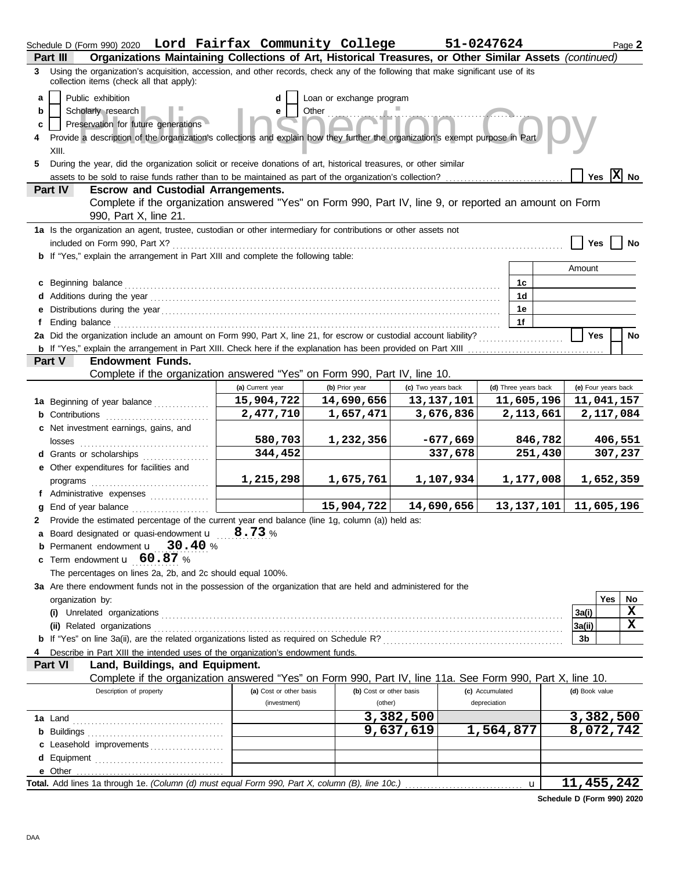| Part III      | Schedule D (Form 990) 2020 Lord Fairfax Community College<br>Organizations Maintaining Collections of Art, Historical Treasures, or Other Similar Assets (continued) |                         |                                   |                    | 51-0247624      |                      |              |                     |     | Page 2                       |
|---------------|----------------------------------------------------------------------------------------------------------------------------------------------------------------------|-------------------------|-----------------------------------|--------------------|-----------------|----------------------|--------------|---------------------|-----|------------------------------|
| 3             | Using the organization's acquisition, accession, and other records, check any of the following that make significant use of its                                      |                         |                                   |                    |                 |                      |              |                     |     |                              |
|               | collection items (check all that apply):                                                                                                                             |                         |                                   |                    |                 |                      |              |                     |     |                              |
| a<br>b        | Public exhibition<br>Scholarly research                                                                                                                              | d<br>е                  | Loan or exchange program<br>Other |                    |                 |                      |              |                     |     |                              |
| c             | Preservation for future generations                                                                                                                                  |                         |                                   |                    |                 |                      |              |                     |     |                              |
| 4             | Provide a description of the organization's collections and explain how they further the organization's exempt purpose in Part                                       |                         |                                   |                    |                 |                      |              |                     |     |                              |
| XIII.         |                                                                                                                                                                      |                         |                                   |                    |                 |                      |              |                     |     |                              |
| 5.            | During the year, did the organization solicit or receive donations of art, historical treasures, or other similar                                                    |                         |                                   |                    |                 |                      |              |                     |     |                              |
|               | assets to be sold to raise funds rather than to be maintained as part of the organization's collection?                                                              |                         |                                   |                    |                 |                      |              | Yes                 |     | $ \mathbf{\overline{X}} $ No |
| Part IV       | <b>Escrow and Custodial Arrangements.</b>                                                                                                                            |                         |                                   |                    |                 |                      |              |                     |     |                              |
|               | Complete if the organization answered "Yes" on Form 990, Part IV, line 9, or reported an amount on Form<br>990, Part X, line 21.                                     |                         |                                   |                    |                 |                      |              |                     |     |                              |
|               | 1a Is the organization an agent, trustee, custodian or other intermediary for contributions or other assets not                                                      |                         |                                   |                    |                 |                      |              |                     |     |                              |
|               | included on Form 990, Part X?                                                                                                                                        |                         |                                   |                    |                 |                      |              | <b>Yes</b>          |     | No                           |
|               | <b>b</b> If "Yes," explain the arrangement in Part XIII and complete the following table:                                                                            |                         |                                   |                    |                 |                      |              | Amount              |     |                              |
|               | Beginning balance                                                                                                                                                    |                         |                                   |                    |                 | 1c                   |              |                     |     |                              |
|               |                                                                                                                                                                      |                         |                                   |                    |                 | 1d                   |              |                     |     |                              |
|               |                                                                                                                                                                      |                         |                                   |                    |                 | 1е                   |              |                     |     |                              |
|               | Ending balance                                                                                                                                                       |                         |                                   |                    |                 | 1f                   |              |                     |     |                              |
|               | 2a Did the organization include an amount on Form 990, Part X, line 21, for escrow or custodial account liability?                                                   |                         |                                   |                    |                 |                      |              | <b>Yes</b>          |     | No                           |
|               | <b>b</b> If "Yes," explain the arrangement in Part XIII. Check here if the explanation has been provided on Part XIII                                                |                         |                                   |                    |                 |                      |              |                     |     |                              |
| <b>Part V</b> | <b>Endowment Funds.</b>                                                                                                                                              |                         |                                   |                    |                 |                      |              |                     |     |                              |
|               | Complete if the organization answered "Yes" on Form 990, Part IV, line 10.                                                                                           | (a) Current year        | (b) Prior year                    | (c) Two years back |                 | (d) Three years back |              | (e) Four years back |     |                              |
|               | 1a Beginning of year balance                                                                                                                                         | 15,904,722              | 14,690,656                        | 13, 137, 101       |                 |                      | 11,605,196   | 11,041,157          |     |                              |
|               | <b>b</b> Contributions <b>contributions</b>                                                                                                                          | 2,477,710               | 1,657,471                         | 3,676,836          |                 |                      | 2,113,661    |                     |     | 2,117,084                    |
|               | c Net investment earnings, gains, and                                                                                                                                |                         |                                   |                    |                 |                      |              |                     |     |                              |
|               | losses                                                                                                                                                               | 580,703                 | 1,232,356                         | $-677,669$         |                 |                      | 846,782      |                     |     | 406,551                      |
|               | d Grants or scholarships                                                                                                                                             | 344,452                 |                                   | 337,678            |                 |                      | 251,430      |                     |     | 307,237                      |
|               | e Other expenditures for facilities and                                                                                                                              |                         |                                   |                    |                 |                      |              |                     |     |                              |
|               | programs                                                                                                                                                             | 1,215,298               | 1,675,761                         | 1,107,934          |                 |                      | 1,177,008    |                     |     | 1,652,359                    |
|               | f Administrative expenses                                                                                                                                            |                         | 15,904,722                        | 14,690,656         |                 |                      | 13, 137, 101 | 11,605,196          |     |                              |
| a<br>2        | End of year balance<br>Provide the estimated percentage of the current year end balance (line 1g, column (a)) held as:                                               |                         |                                   |                    |                 |                      |              |                     |     |                              |
|               | <b>a</b> Board designated or quasi-endowment $\mathbf{u} = \mathbf{8.73}$ %                                                                                          |                         |                                   |                    |                 |                      |              |                     |     |                              |
|               | Permanent endowment <b>u</b> 30.40 %                                                                                                                                 |                         |                                   |                    |                 |                      |              |                     |     |                              |
| C.            | Term endowment <b>u</b> 60.87 %                                                                                                                                      |                         |                                   |                    |                 |                      |              |                     |     |                              |
|               | The percentages on lines 2a, 2b, and 2c should equal 100%.                                                                                                           |                         |                                   |                    |                 |                      |              |                     |     |                              |
|               | 3a Are there endowment funds not in the possession of the organization that are held and administered for the                                                        |                         |                                   |                    |                 |                      |              |                     |     |                              |
|               | organization by:                                                                                                                                                     |                         |                                   |                    |                 |                      |              |                     | Yes | No                           |
|               |                                                                                                                                                                      |                         |                                   |                    |                 |                      |              | 3a(i)               |     | X                            |
|               | (ii) Related organizations                                                                                                                                           |                         |                                   |                    |                 |                      |              | 3a(ii)<br>3b        |     | X                            |
|               | Describe in Part XIII the intended uses of the organization's endowment funds.                                                                                       |                         |                                   |                    |                 |                      |              |                     |     |                              |
| Part VI       | Land, Buildings, and Equipment.                                                                                                                                      |                         |                                   |                    |                 |                      |              |                     |     |                              |
|               | Complete if the organization answered "Yes" on Form 990, Part IV, line 11a. See Form 990, Part X, line 10.                                                           |                         |                                   |                    |                 |                      |              |                     |     |                              |
|               | Description of property                                                                                                                                              | (a) Cost or other basis | (b) Cost or other basis           |                    | (c) Accumulated |                      |              | (d) Book value      |     |                              |
|               |                                                                                                                                                                      | (investment)            | (other)                           |                    | depreciation    |                      |              |                     |     |                              |
|               |                                                                                                                                                                      |                         |                                   | 3,382,500          |                 |                      |              | 3,382,500           |     |                              |
|               |                                                                                                                                                                      |                         |                                   | 9,637,619          | 1,564,877       |                      |              | 8,072,742           |     |                              |
| d             | c Leasehold improvements                                                                                                                                             |                         |                                   |                    |                 |                      |              |                     |     |                              |
| e Other       |                                                                                                                                                                      |                         |                                   |                    |                 |                      |              |                     |     |                              |
|               |                                                                                                                                                                      |                         |                                   |                    |                 |                      | $\mathbf{u}$ | 11,455,242          |     |                              |

**Schedule D (Form 990) 2020**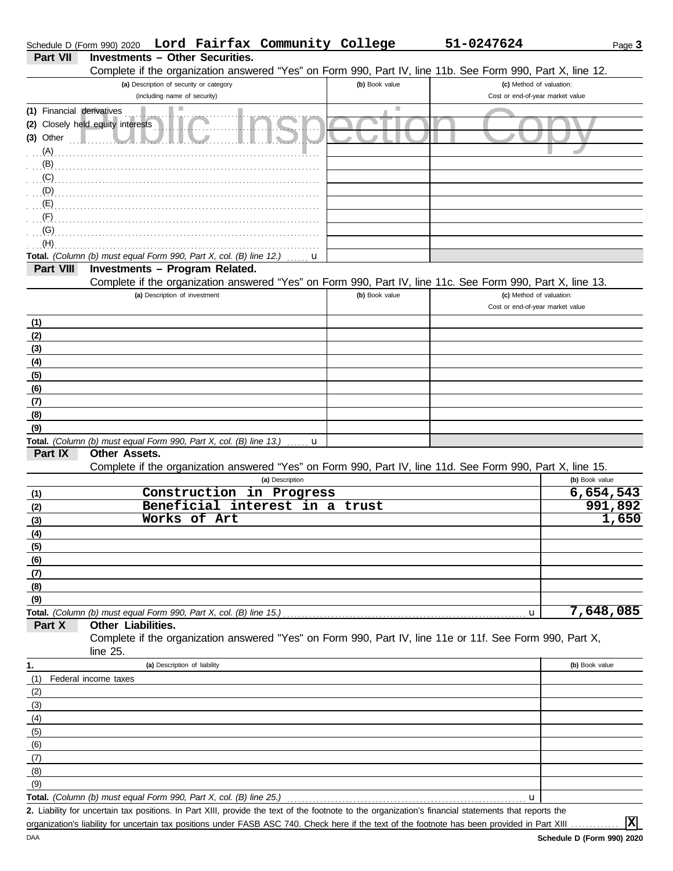|                           | Schedule D (Form 990) 2020                                                          |                               |                                         | Lord Fairfax Community College |                | 51-0247624                                                                                                                                          | Page 3         |
|---------------------------|-------------------------------------------------------------------------------------|-------------------------------|-----------------------------------------|--------------------------------|----------------|-----------------------------------------------------------------------------------------------------------------------------------------------------|----------------|
| Part VII                  |                                                                                     |                               | <b>Investments - Other Securities.</b>  |                                |                |                                                                                                                                                     |                |
|                           |                                                                                     |                               |                                         |                                |                | Complete if the organization answered "Yes" on Form 990, Part IV, line 11b. See Form 990, Part X, line 12.                                          |                |
|                           |                                                                                     |                               | (a) Description of security or category |                                | (b) Book value | (c) Method of valuation:                                                                                                                            |                |
|                           |                                                                                     | (including name of security)  |                                         |                                |                | Cost or end-of-year market value                                                                                                                    |                |
| (1) Financial derivatives |                                                                                     |                               |                                         |                                | ш              |                                                                                                                                                     |                |
|                           | (2) Closely held equity interests                                                   |                               |                                         |                                |                |                                                                                                                                                     |                |
| $(3)$ Other               |                                                                                     |                               |                                         |                                |                |                                                                                                                                                     |                |
| $(A)$ .                   |                                                                                     |                               |                                         |                                |                |                                                                                                                                                     |                |
| (B)                       |                                                                                     |                               |                                         |                                |                |                                                                                                                                                     |                |
|                           | (C)                                                                                 |                               |                                         |                                |                |                                                                                                                                                     |                |
|                           | (D)                                                                                 |                               |                                         |                                |                |                                                                                                                                                     |                |
| (F)                       |                                                                                     |                               |                                         |                                |                |                                                                                                                                                     |                |
| (G)                       |                                                                                     |                               |                                         |                                |                |                                                                                                                                                     |                |
| (H)                       |                                                                                     |                               |                                         |                                |                |                                                                                                                                                     |                |
|                           | Total. (Column (b) must equal Form 990, Part X, col. (B) line 12.)                  |                               |                                         | u                              |                |                                                                                                                                                     |                |
| Part VIII                 |                                                                                     |                               | Investments - Program Related.          |                                |                |                                                                                                                                                     |                |
|                           |                                                                                     |                               |                                         |                                |                | Complete if the organization answered "Yes" on Form 990, Part IV, line 11c. See Form 990, Part X, line 13.                                          |                |
|                           |                                                                                     | (a) Description of investment |                                         |                                | (b) Book value | (c) Method of valuation:                                                                                                                            |                |
|                           |                                                                                     |                               |                                         |                                |                | Cost or end-of-year market value                                                                                                                    |                |
| (1)                       |                                                                                     |                               |                                         |                                |                |                                                                                                                                                     |                |
| (2)                       |                                                                                     |                               |                                         |                                |                |                                                                                                                                                     |                |
| (3)                       |                                                                                     |                               |                                         |                                |                |                                                                                                                                                     |                |
| (4)                       |                                                                                     |                               |                                         |                                |                |                                                                                                                                                     |                |
| (5)                       |                                                                                     |                               |                                         |                                |                |                                                                                                                                                     |                |
| (6)                       |                                                                                     |                               |                                         |                                |                |                                                                                                                                                     |                |
| (7)                       |                                                                                     |                               |                                         |                                |                |                                                                                                                                                     |                |
| (8)                       |                                                                                     |                               |                                         |                                |                |                                                                                                                                                     |                |
| (9)                       |                                                                                     |                               |                                         |                                |                |                                                                                                                                                     |                |
| Part IX                   | Total. (Column (b) must equal Form 990, Part X, col. (B) line 13.)<br>Other Assets. |                               |                                         | u                              |                |                                                                                                                                                     |                |
|                           |                                                                                     |                               |                                         |                                |                | Complete if the organization answered "Yes" on Form 990, Part IV, line 11d. See Form 990, Part X, line 15.                                          |                |
|                           |                                                                                     |                               |                                         | (a) Description                |                |                                                                                                                                                     | (b) Book value |
| (1)                       |                                                                                     |                               |                                         | Construction in Progress       |                |                                                                                                                                                     | 6,654,543      |
| (2)                       |                                                                                     |                               |                                         | Beneficial interest in a trust |                |                                                                                                                                                     | 991,892        |
| (3)                       |                                                                                     |                               | Works of Art                            |                                |                |                                                                                                                                                     | 1,650          |
| (4)                       |                                                                                     |                               |                                         |                                |                |                                                                                                                                                     |                |
| (5)                       |                                                                                     |                               |                                         |                                |                |                                                                                                                                                     |                |
| (6)                       |                                                                                     |                               |                                         |                                |                |                                                                                                                                                     |                |
| (7)                       |                                                                                     |                               |                                         |                                |                |                                                                                                                                                     |                |
| (8)                       |                                                                                     |                               |                                         |                                |                |                                                                                                                                                     |                |
| (9)                       |                                                                                     |                               |                                         |                                |                |                                                                                                                                                     |                |
|                           | Total. (Column (b) must equal Form 990, Part X, col. (B) line 15.)                  |                               |                                         |                                |                | u                                                                                                                                                   | 7,648,085      |
| Part X                    | Other Liabilities.                                                                  |                               |                                         |                                |                |                                                                                                                                                     |                |
|                           |                                                                                     |                               |                                         |                                |                | Complete if the organization answered "Yes" on Form 990, Part IV, line 11e or 11f. See Form 990, Part X,                                            |                |
|                           | line $25$ .                                                                         |                               |                                         |                                |                |                                                                                                                                                     |                |
| 1.                        |                                                                                     | (a) Description of liability  |                                         |                                |                |                                                                                                                                                     | (b) Book value |
| (1)                       | Federal income taxes                                                                |                               |                                         |                                |                |                                                                                                                                                     |                |
| (2)                       |                                                                                     |                               |                                         |                                |                |                                                                                                                                                     |                |
| (3)<br>(4)                |                                                                                     |                               |                                         |                                |                |                                                                                                                                                     |                |
| (5)                       |                                                                                     |                               |                                         |                                |                |                                                                                                                                                     |                |
| (6)                       |                                                                                     |                               |                                         |                                |                |                                                                                                                                                     |                |
| (7)                       |                                                                                     |                               |                                         |                                |                |                                                                                                                                                     |                |
| (8)                       |                                                                                     |                               |                                         |                                |                |                                                                                                                                                     |                |
| (9)                       |                                                                                     |                               |                                         |                                |                |                                                                                                                                                     |                |
|                           | Total. (Column (b) must equal Form 990, Part X, col. (B) line 25.)                  |                               |                                         |                                |                | u                                                                                                                                                   |                |
|                           |                                                                                     |                               |                                         |                                |                | 2 Liphility for uncertain tax positions, In Part YIII, provide the text of the footpote to the organization's financial statements that reports the |                |

Liability for uncertain tax positions. In Part XIII, provide the text of the footnote to the organization's financial statements that reports the **2.** organization's liability for uncertain tax positions under FASB ASC 740. Check here if the text of the footnote has been provided in Part XIII ..

**X**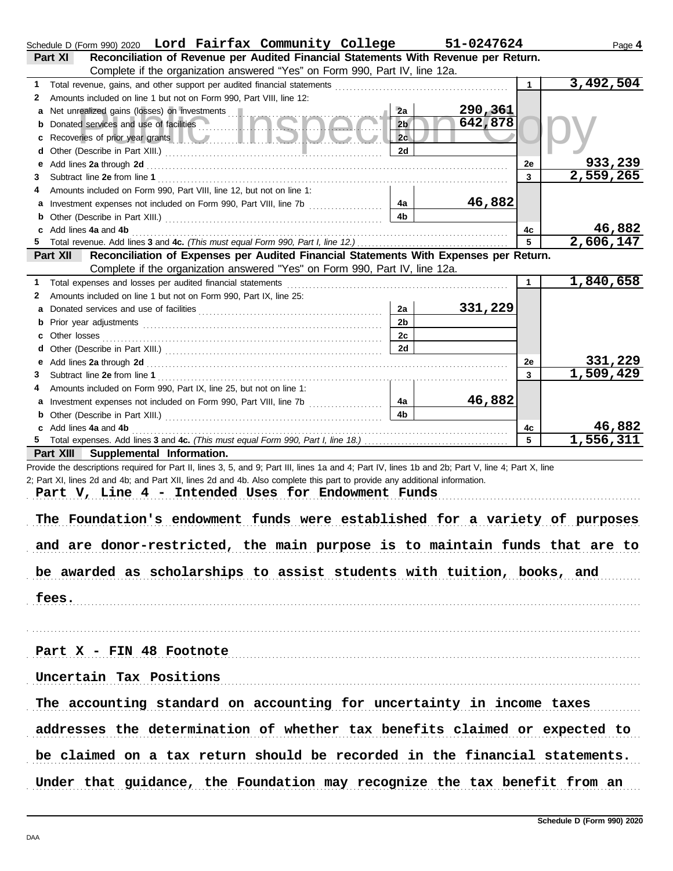| Schedule D (Form 990) 2020 Lord Fairfax Community College                                                                                                                                                                           |                      | 51-0247624 |              | Page 4    |
|-------------------------------------------------------------------------------------------------------------------------------------------------------------------------------------------------------------------------------------|----------------------|------------|--------------|-----------|
| Reconciliation of Revenue per Audited Financial Statements With Revenue per Return.<br>Part XI                                                                                                                                      |                      |            |              |           |
| Complete if the organization answered "Yes" on Form 990, Part IV, line 12a.                                                                                                                                                         |                      |            |              |           |
| 1.                                                                                                                                                                                                                                  |                      |            | $\mathbf{1}$ | 3,492,504 |
| Amounts included on line 1 but not on Form 990, Part VIII, line 12:<br>2                                                                                                                                                            |                      |            |              |           |
| Net unrealized gains (losses) on investments<br>a                                                                                                                                                                                   | 2a                   | 290,361    |              |           |
| Donated services and use of facilities<br>b                                                                                                                                                                                         | 2 <sub>b</sub>       | 642,878    |              |           |
| Recoveries of prior year grants <b>All Constitution Recoveries of prior year grants</b><br>c                                                                                                                                        | 2c                   |            |              |           |
| d                                                                                                                                                                                                                                   | <b>2d</b>            |            |              |           |
| Add lines 2a through 2d [11] Add [12] Add [12] Add lines 2a through 2d [12] Add lines 2a through 2d [12] Add [12] Add [12] Add [12] Add [12] Add [12] Add [12] Add [12] Add [12] Add [12] Add [12] Add [12] Add [12] Add [12]<br>е  |                      |            | 2e           | 933,239   |
| 3                                                                                                                                                                                                                                   |                      |            | 3            | 2,559,265 |
| Amounts included on Form 990, Part VIII, line 12, but not on line 1:<br>4                                                                                                                                                           |                      |            |              |           |
|                                                                                                                                                                                                                                     | 4a<br>4 <sub>b</sub> | 46,882     |              |           |
| b                                                                                                                                                                                                                                   |                      |            |              | 46,882    |
| Add lines 4a and 4b<br>c                                                                                                                                                                                                            |                      |            | 4c<br>5      | 2,606,147 |
| Reconciliation of Expenses per Audited Financial Statements With Expenses per Return.<br>Part XII                                                                                                                                   |                      |            |              |           |
| Complete if the organization answered "Yes" on Form 990, Part IV, line 12a.                                                                                                                                                         |                      |            |              |           |
| Total expenses and losses per audited financial statements<br>1.                                                                                                                                                                    |                      |            | $\mathbf{1}$ | 1,840,658 |
| Amounts included on line 1 but not on Form 990, Part IX, line 25:<br>2                                                                                                                                                              |                      |            |              |           |
| а                                                                                                                                                                                                                                   | 2a                   | 331,229    |              |           |
| Prior year adjustments [11, 12] and the contract of the contract of the contract of the contract of the contract of the contract of the contract of the contract of the contract of the contract of the contract of the contra<br>b | 2 <sub>b</sub>       |            |              |           |
| с                                                                                                                                                                                                                                   | 2c                   |            |              |           |
| d                                                                                                                                                                                                                                   | <b>2d</b>            |            |              |           |
| Add lines 2a through 2d [11] All and the contract of the contract of the contract of the contract of the contract of the contract of the contract of the contract of the contract of the contract of the contract of the contr<br>е |                      |            | 2e           | 331,229   |
| 3                                                                                                                                                                                                                                   |                      |            | 3            | 1,509,429 |
| Amounts included on Form 990, Part IX, line 25, but not on line 1:<br>4                                                                                                                                                             |                      |            |              |           |
| a Investment expenses not included on Form 990, Part VIII, line 7b                                                                                                                                                                  | 4a                   | 46,882     |              |           |
| b                                                                                                                                                                                                                                   | 4 <sub>b</sub>       |            |              |           |
| Add lines 4a and 4b<br>c                                                                                                                                                                                                            |                      |            | 4с           | 46,882    |
|                                                                                                                                                                                                                                     |                      |            | 5            | 1,556,311 |
| Part XIII Supplemental Information.                                                                                                                                                                                                 |                      |            |              |           |
| Provide the descriptions required for Part II, lines 3, 5, and 9; Part III, lines 1a and 4; Part IV, lines 1b and 2b; Part V, line 4; Part X, line                                                                                  |                      |            |              |           |
| 2; Part XI, lines 2d and 4b; and Part XII, lines 2d and 4b. Also complete this part to provide any additional information.                                                                                                          |                      |            |              |           |
| Part V, Line 4 - Intended Uses for Endowment Funds                                                                                                                                                                                  |                      |            |              |           |
|                                                                                                                                                                                                                                     |                      |            |              |           |
| The Foundation's endowment funds were established for a variety of purposes                                                                                                                                                         |                      |            |              |           |
|                                                                                                                                                                                                                                     |                      |            |              |           |
| and are donor-restricted, the main purpose is to maintain funds that are to                                                                                                                                                         |                      |            |              |           |
|                                                                                                                                                                                                                                     |                      |            |              |           |
| be awarded as scholarships to assist students with tuition, books, and                                                                                                                                                              |                      |            |              |           |
|                                                                                                                                                                                                                                     |                      |            |              |           |
| fees.                                                                                                                                                                                                                               |                      |            |              |           |
|                                                                                                                                                                                                                                     |                      |            |              |           |
|                                                                                                                                                                                                                                     |                      |            |              |           |
| Part X - FIN 48 Footnote                                                                                                                                                                                                            |                      |            |              |           |
|                                                                                                                                                                                                                                     |                      |            |              |           |
| Uncertain Tax Positions                                                                                                                                                                                                             |                      |            |              |           |
|                                                                                                                                                                                                                                     |                      |            |              |           |
| The accounting standard on accounting for uncertainty in income taxes                                                                                                                                                               |                      |            |              |           |
|                                                                                                                                                                                                                                     |                      |            |              |           |
| addresses the determination of whether tax benefits claimed or expected to                                                                                                                                                          |                      |            |              |           |
|                                                                                                                                                                                                                                     |                      |            |              |           |
| be claimed on a tax return should be recorded in the financial statements.                                                                                                                                                          |                      |            |              |           |
|                                                                                                                                                                                                                                     |                      |            |              |           |
| Under that guidance, the Foundation may recognize the tax benefit from an                                                                                                                                                           |                      |            |              |           |
|                                                                                                                                                                                                                                     |                      |            |              |           |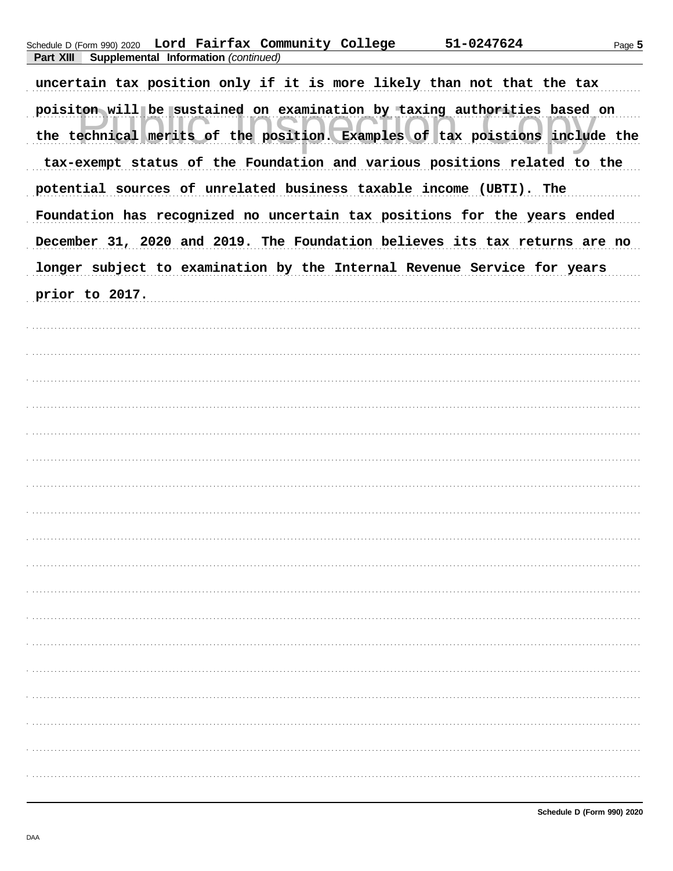|  |                                                       | Schedule D (Form 990) 2020 Lord Fairfax Community College | 51-0247624 |
|--|-------------------------------------------------------|-----------------------------------------------------------|------------|
|  | <b>Part XIII Supplemental Information (continued)</b> |                                                           |            |

uncertain tax position only if it is more likely than not that the tax poisiton will be sustained on examination by taxing authorities based on the technical merits of the position. Examples of tax poistions include the tax-exempt status of the Foundation and various positions related to the potential sources of unrelated business taxable income (UBTI). The Foundation has recognized no uncertain tax positions for the years ended December 31, 2020 and 2019. The Foundation believes its tax returns are no longer subject to examination by the Internal Revenue Service for years prior to 2017.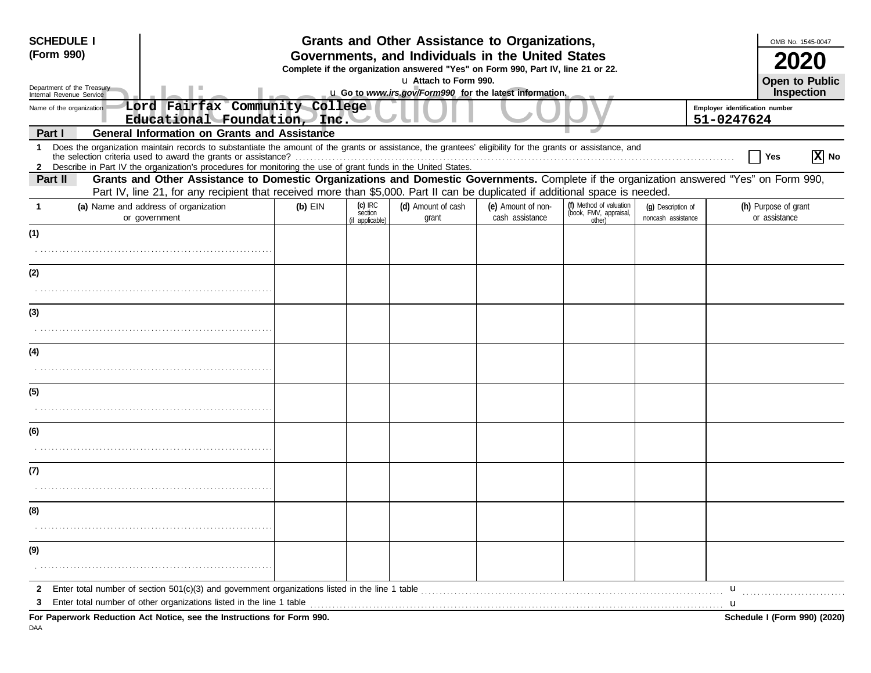| <b>SCHEDULE I</b>                                      |                                                                                                                                                                                                                                                                               |           |                                         | Grants and Other Assistance to Organizations,                                                                                         |                                       |                                                             |                                          | OMB No. 1545-0047                            |
|--------------------------------------------------------|-------------------------------------------------------------------------------------------------------------------------------------------------------------------------------------------------------------------------------------------------------------------------------|-----------|-----------------------------------------|---------------------------------------------------------------------------------------------------------------------------------------|---------------------------------------|-------------------------------------------------------------|------------------------------------------|----------------------------------------------|
| (Form 990)                                             |                                                                                                                                                                                                                                                                               |           |                                         | Governments, and Individuals in the United States<br>Complete if the organization answered "Yes" on Form 990, Part IV, line 21 or 22. |                                       |                                                             |                                          |                                              |
| Department of the Treasury<br>Internal Revenue Service |                                                                                                                                                                                                                                                                               |           |                                         | u Attach to Form 990.<br>u Go to www.irs.gov/Form990 for the latest information.                                                      |                                       |                                                             |                                          | <b>Open to Public</b><br>Inspection          |
| Name of the organization                               | Lord Fairfax Community College<br>Educational Foundation, Inc.                                                                                                                                                                                                                |           |                                         |                                                                                                                                       |                                       |                                                             |                                          | Employer identification number<br>51-0247624 |
| Part I                                                 | <b>General Information on Grants and Assistance</b>                                                                                                                                                                                                                           |           |                                         |                                                                                                                                       |                                       |                                                             |                                          |                                              |
| -1                                                     | Does the organization maintain records to substantiate the amount of the grants or assistance, the grantees' eligibility for the grants or assistance, and<br>2 Describe in Part IV the organization's procedures for monitoring the use of grant funds in the United States. |           |                                         |                                                                                                                                       |                                       |                                                             |                                          | $ X $ No<br>Yes                              |
| Part II                                                | Grants and Other Assistance to Domestic Organizations and Domestic Governments. Complete if the organization answered "Yes" on Form 990,<br>Part IV, line 21, for any recipient that received more than \$5,000. Part II can be duplicated if additional space is needed.     |           |                                         |                                                                                                                                       |                                       |                                                             |                                          |                                              |
|                                                        | (a) Name and address of organization<br>or government                                                                                                                                                                                                                         | $(b)$ EIN | $(c)$ IRC<br>section<br>(if applicable) | (d) Amount of cash<br>grant                                                                                                           | (e) Amount of non-<br>cash assistance | (f) Method of valuation<br>(book, FMV, appraisal,<br>other) | (g) Description of<br>noncash assistance | (h) Purpose of grant<br>or assistance        |
| (1)                                                    |                                                                                                                                                                                                                                                                               |           |                                         |                                                                                                                                       |                                       |                                                             |                                          |                                              |
|                                                        |                                                                                                                                                                                                                                                                               |           |                                         |                                                                                                                                       |                                       |                                                             |                                          |                                              |
| (2)                                                    |                                                                                                                                                                                                                                                                               |           |                                         |                                                                                                                                       |                                       |                                                             |                                          |                                              |
|                                                        |                                                                                                                                                                                                                                                                               |           |                                         |                                                                                                                                       |                                       |                                                             |                                          |                                              |
| (3)                                                    |                                                                                                                                                                                                                                                                               |           |                                         |                                                                                                                                       |                                       |                                                             |                                          |                                              |
|                                                        |                                                                                                                                                                                                                                                                               |           |                                         |                                                                                                                                       |                                       |                                                             |                                          |                                              |
| (4)                                                    |                                                                                                                                                                                                                                                                               |           |                                         |                                                                                                                                       |                                       |                                                             |                                          |                                              |
|                                                        |                                                                                                                                                                                                                                                                               |           |                                         |                                                                                                                                       |                                       |                                                             |                                          |                                              |
| (5)                                                    |                                                                                                                                                                                                                                                                               |           |                                         |                                                                                                                                       |                                       |                                                             |                                          |                                              |
|                                                        |                                                                                                                                                                                                                                                                               |           |                                         |                                                                                                                                       |                                       |                                                             |                                          |                                              |
| (6)                                                    |                                                                                                                                                                                                                                                                               |           |                                         |                                                                                                                                       |                                       |                                                             |                                          |                                              |
|                                                        |                                                                                                                                                                                                                                                                               |           |                                         |                                                                                                                                       |                                       |                                                             |                                          |                                              |
| (7)                                                    |                                                                                                                                                                                                                                                                               |           |                                         |                                                                                                                                       |                                       |                                                             |                                          |                                              |
|                                                        |                                                                                                                                                                                                                                                                               |           |                                         |                                                                                                                                       |                                       |                                                             |                                          |                                              |
| (8)                                                    |                                                                                                                                                                                                                                                                               |           |                                         |                                                                                                                                       |                                       |                                                             |                                          |                                              |
|                                                        |                                                                                                                                                                                                                                                                               |           |                                         |                                                                                                                                       |                                       |                                                             |                                          |                                              |
| (9)                                                    |                                                                                                                                                                                                                                                                               |           |                                         |                                                                                                                                       |                                       |                                                             |                                          |                                              |
|                                                        |                                                                                                                                                                                                                                                                               |           |                                         |                                                                                                                                       |                                       |                                                             |                                          |                                              |
| 2                                                      | Enter total number of section $501(c)(3)$ and government organizations listed in the line 1 table                                                                                                                                                                             |           |                                         |                                                                                                                                       |                                       |                                                             |                                          | u                                            |
| З                                                      | Enter total number of other organizations listed in the line 1 table                                                                                                                                                                                                          |           |                                         |                                                                                                                                       |                                       |                                                             |                                          | u                                            |
|                                                        | For Paperwork Reduction Act Notice, see the Instructions for Form 990.                                                                                                                                                                                                        |           |                                         |                                                                                                                                       |                                       |                                                             |                                          | Schedule I (Form 990) (2020)                 |

DAA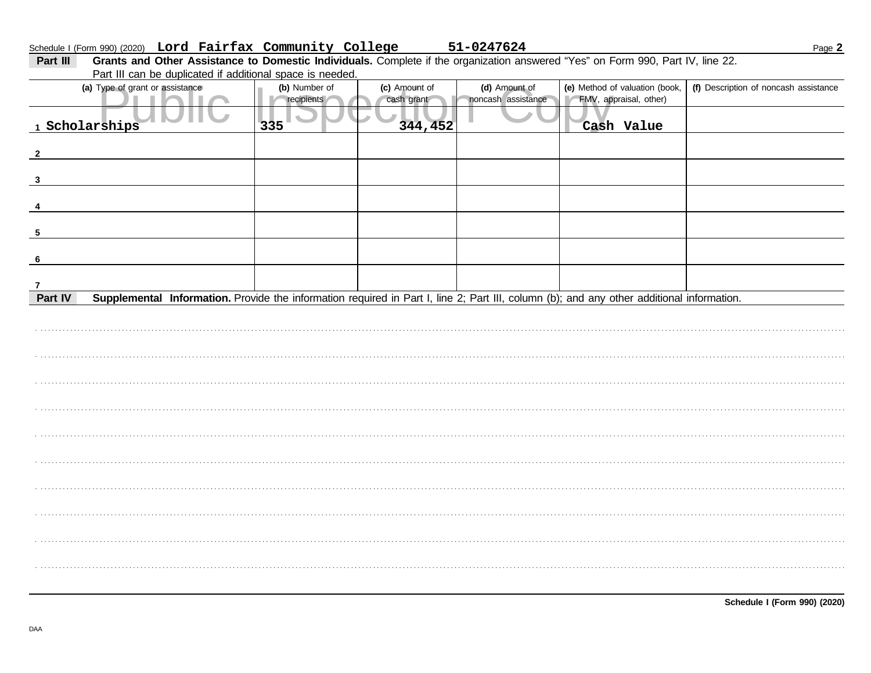## Schedule I (Form 990) (2020) Lord Fairfax Community College

Part III Grants and Other Assistance to Domestic Individuals. Complete if the organization answered "Yes" on Form 990, Part IV, line 22. Part III can be duplicated if additional space is needed.

| (a) Type of grant or assistance                                                                                                                      | (b) Number of<br>recipients | (c) Amount of<br>cash grant | (d) Amount of<br>noncash assistance | (e) Method of valuation (book,<br>FMV, appraisal, other) | (f) Description of noncash assistance |
|------------------------------------------------------------------------------------------------------------------------------------------------------|-----------------------------|-----------------------------|-------------------------------------|----------------------------------------------------------|---------------------------------------|
| 1 Scholarships                                                                                                                                       | 335                         | 344,452                     |                                     | Cash Value                                               |                                       |
| $\overline{2}$                                                                                                                                       |                             |                             |                                     |                                                          |                                       |
| $\mathbf{3}$                                                                                                                                         |                             |                             |                                     |                                                          |                                       |
|                                                                                                                                                      |                             |                             |                                     |                                                          |                                       |
| -5                                                                                                                                                   |                             |                             |                                     |                                                          |                                       |
| 6                                                                                                                                                    |                             |                             |                                     |                                                          |                                       |
| $\overline{7}$                                                                                                                                       |                             |                             |                                     |                                                          |                                       |
| Part IV<br>Supplemental Information. Provide the information required in Part I, line 2; Part III, column (b); and any other additional information. |                             |                             |                                     |                                                          |                                       |
|                                                                                                                                                      |                             |                             |                                     |                                                          |                                       |
|                                                                                                                                                      |                             |                             |                                     |                                                          |                                       |
|                                                                                                                                                      |                             |                             |                                     |                                                          |                                       |
|                                                                                                                                                      |                             |                             |                                     |                                                          |                                       |
|                                                                                                                                                      |                             |                             |                                     |                                                          |                                       |
|                                                                                                                                                      |                             |                             |                                     |                                                          |                                       |
|                                                                                                                                                      |                             |                             |                                     |                                                          |                                       |
|                                                                                                                                                      |                             |                             |                                     |                                                          |                                       |
|                                                                                                                                                      |                             |                             |                                     |                                                          |                                       |
|                                                                                                                                                      |                             |                             |                                     |                                                          |                                       |
|                                                                                                                                                      |                             |                             |                                     |                                                          |                                       |
|                                                                                                                                                      |                             |                             |                                     |                                                          |                                       |
|                                                                                                                                                      |                             |                             |                                     |                                                          |                                       |

51-0247624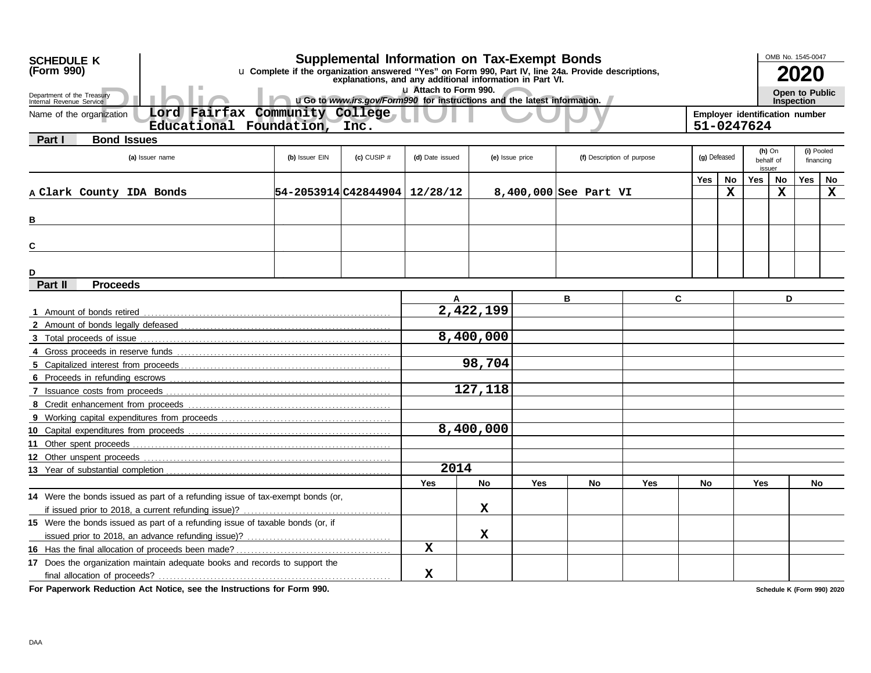| <b>Supplemental Information on Tax-Exempt Bonds</b><br>(Form 990)<br>u Complete if the organization answered "Yes" on Form 990, Part IV, line 24a. Provide descriptions,<br>2020<br>explanations, and any additional information in Part VI.<br>u Attach to Form 990.<br><b>Open to Public</b><br>Department of the Treasury<br>uGo to www.irs.gov/Form990 for instructions and the latest information.<br><b>Inspection</b><br>Internal Revenue Service<br>Lord Fairfax<br>Community College<br>Employer identification number<br>Name of the organization<br>Educational Foundation, Inc.<br>51-0247624<br><b>Bond Issues</b><br><b>Part I</b><br>(i) Pooled<br>$(h)$ On<br>$(c)$ CUSIP $#$<br>(g) Defeased<br>(a) Issuer name<br>(b) Issuer EIN<br>(d) Date issued<br>(f) Description of purpose<br>(e) Issue price<br>behalf of<br>financing<br>issuer<br><b>No</b><br><b>Yes</b><br><b>No</b><br>Yes<br>No<br>Yes<br>X<br>$\mathbf x$<br>$\mathbf x$<br>54-2053914 C42844904   12/28/12<br>A Clark County IDA Bonds<br>8,400,000 See Part VI<br>в<br>С<br>D<br>Part II<br><b>Proceeds</b><br>C<br>D<br>в<br>A<br>2,422,199<br>8,400,000<br>98,704<br>127,118<br>8,400,000<br>2014<br>Yes<br><b>No</b><br><b>Yes</b><br><b>No</b><br>Yes<br>No<br><b>Yes</b><br>No<br>14 Were the bonds issued as part of a refunding issue of tax-exempt bonds (or,<br>x<br>15 Were the bonds issued as part of a refunding issue of taxable bonds (or, if<br>$\mathbf X$<br>x<br>17 Does the organization maintain adequate books and records to support the | <b>SCHEDULE K</b> |  |  |             |  |  |  |  |  |  |  | OMB No. 1545-0047 |  |  |
|----------------------------------------------------------------------------------------------------------------------------------------------------------------------------------------------------------------------------------------------------------------------------------------------------------------------------------------------------------------------------------------------------------------------------------------------------------------------------------------------------------------------------------------------------------------------------------------------------------------------------------------------------------------------------------------------------------------------------------------------------------------------------------------------------------------------------------------------------------------------------------------------------------------------------------------------------------------------------------------------------------------------------------------------------------------------------------------------------------------------------------------------------------------------------------------------------------------------------------------------------------------------------------------------------------------------------------------------------------------------------------------------------------------------------------------------------------------------------------------------------------------------------------------------------|-------------------|--|--|-------------|--|--|--|--|--|--|--|-------------------|--|--|
|                                                                                                                                                                                                                                                                                                                                                                                                                                                                                                                                                                                                                                                                                                                                                                                                                                                                                                                                                                                                                                                                                                                                                                                                                                                                                                                                                                                                                                                                                                                                                    |                   |  |  |             |  |  |  |  |  |  |  |                   |  |  |
|                                                                                                                                                                                                                                                                                                                                                                                                                                                                                                                                                                                                                                                                                                                                                                                                                                                                                                                                                                                                                                                                                                                                                                                                                                                                                                                                                                                                                                                                                                                                                    |                   |  |  |             |  |  |  |  |  |  |  |                   |  |  |
|                                                                                                                                                                                                                                                                                                                                                                                                                                                                                                                                                                                                                                                                                                                                                                                                                                                                                                                                                                                                                                                                                                                                                                                                                                                                                                                                                                                                                                                                                                                                                    |                   |  |  |             |  |  |  |  |  |  |  |                   |  |  |
|                                                                                                                                                                                                                                                                                                                                                                                                                                                                                                                                                                                                                                                                                                                                                                                                                                                                                                                                                                                                                                                                                                                                                                                                                                                                                                                                                                                                                                                                                                                                                    |                   |  |  |             |  |  |  |  |  |  |  |                   |  |  |
|                                                                                                                                                                                                                                                                                                                                                                                                                                                                                                                                                                                                                                                                                                                                                                                                                                                                                                                                                                                                                                                                                                                                                                                                                                                                                                                                                                                                                                                                                                                                                    |                   |  |  |             |  |  |  |  |  |  |  |                   |  |  |
|                                                                                                                                                                                                                                                                                                                                                                                                                                                                                                                                                                                                                                                                                                                                                                                                                                                                                                                                                                                                                                                                                                                                                                                                                                                                                                                                                                                                                                                                                                                                                    |                   |  |  |             |  |  |  |  |  |  |  |                   |  |  |
|                                                                                                                                                                                                                                                                                                                                                                                                                                                                                                                                                                                                                                                                                                                                                                                                                                                                                                                                                                                                                                                                                                                                                                                                                                                                                                                                                                                                                                                                                                                                                    |                   |  |  |             |  |  |  |  |  |  |  |                   |  |  |
|                                                                                                                                                                                                                                                                                                                                                                                                                                                                                                                                                                                                                                                                                                                                                                                                                                                                                                                                                                                                                                                                                                                                                                                                                                                                                                                                                                                                                                                                                                                                                    |                   |  |  |             |  |  |  |  |  |  |  |                   |  |  |
|                                                                                                                                                                                                                                                                                                                                                                                                                                                                                                                                                                                                                                                                                                                                                                                                                                                                                                                                                                                                                                                                                                                                                                                                                                                                                                                                                                                                                                                                                                                                                    |                   |  |  |             |  |  |  |  |  |  |  |                   |  |  |
|                                                                                                                                                                                                                                                                                                                                                                                                                                                                                                                                                                                                                                                                                                                                                                                                                                                                                                                                                                                                                                                                                                                                                                                                                                                                                                                                                                                                                                                                                                                                                    |                   |  |  |             |  |  |  |  |  |  |  |                   |  |  |
|                                                                                                                                                                                                                                                                                                                                                                                                                                                                                                                                                                                                                                                                                                                                                                                                                                                                                                                                                                                                                                                                                                                                                                                                                                                                                                                                                                                                                                                                                                                                                    |                   |  |  |             |  |  |  |  |  |  |  |                   |  |  |
|                                                                                                                                                                                                                                                                                                                                                                                                                                                                                                                                                                                                                                                                                                                                                                                                                                                                                                                                                                                                                                                                                                                                                                                                                                                                                                                                                                                                                                                                                                                                                    |                   |  |  |             |  |  |  |  |  |  |  |                   |  |  |
|                                                                                                                                                                                                                                                                                                                                                                                                                                                                                                                                                                                                                                                                                                                                                                                                                                                                                                                                                                                                                                                                                                                                                                                                                                                                                                                                                                                                                                                                                                                                                    |                   |  |  |             |  |  |  |  |  |  |  |                   |  |  |
|                                                                                                                                                                                                                                                                                                                                                                                                                                                                                                                                                                                                                                                                                                                                                                                                                                                                                                                                                                                                                                                                                                                                                                                                                                                                                                                                                                                                                                                                                                                                                    |                   |  |  |             |  |  |  |  |  |  |  |                   |  |  |
|                                                                                                                                                                                                                                                                                                                                                                                                                                                                                                                                                                                                                                                                                                                                                                                                                                                                                                                                                                                                                                                                                                                                                                                                                                                                                                                                                                                                                                                                                                                                                    |                   |  |  |             |  |  |  |  |  |  |  |                   |  |  |
|                                                                                                                                                                                                                                                                                                                                                                                                                                                                                                                                                                                                                                                                                                                                                                                                                                                                                                                                                                                                                                                                                                                                                                                                                                                                                                                                                                                                                                                                                                                                                    |                   |  |  |             |  |  |  |  |  |  |  |                   |  |  |
|                                                                                                                                                                                                                                                                                                                                                                                                                                                                                                                                                                                                                                                                                                                                                                                                                                                                                                                                                                                                                                                                                                                                                                                                                                                                                                                                                                                                                                                                                                                                                    |                   |  |  |             |  |  |  |  |  |  |  |                   |  |  |
|                                                                                                                                                                                                                                                                                                                                                                                                                                                                                                                                                                                                                                                                                                                                                                                                                                                                                                                                                                                                                                                                                                                                                                                                                                                                                                                                                                                                                                                                                                                                                    |                   |  |  |             |  |  |  |  |  |  |  |                   |  |  |
|                                                                                                                                                                                                                                                                                                                                                                                                                                                                                                                                                                                                                                                                                                                                                                                                                                                                                                                                                                                                                                                                                                                                                                                                                                                                                                                                                                                                                                                                                                                                                    |                   |  |  |             |  |  |  |  |  |  |  |                   |  |  |
|                                                                                                                                                                                                                                                                                                                                                                                                                                                                                                                                                                                                                                                                                                                                                                                                                                                                                                                                                                                                                                                                                                                                                                                                                                                                                                                                                                                                                                                                                                                                                    |                   |  |  |             |  |  |  |  |  |  |  |                   |  |  |
|                                                                                                                                                                                                                                                                                                                                                                                                                                                                                                                                                                                                                                                                                                                                                                                                                                                                                                                                                                                                                                                                                                                                                                                                                                                                                                                                                                                                                                                                                                                                                    |                   |  |  |             |  |  |  |  |  |  |  |                   |  |  |
|                                                                                                                                                                                                                                                                                                                                                                                                                                                                                                                                                                                                                                                                                                                                                                                                                                                                                                                                                                                                                                                                                                                                                                                                                                                                                                                                                                                                                                                                                                                                                    |                   |  |  |             |  |  |  |  |  |  |  |                   |  |  |
|                                                                                                                                                                                                                                                                                                                                                                                                                                                                                                                                                                                                                                                                                                                                                                                                                                                                                                                                                                                                                                                                                                                                                                                                                                                                                                                                                                                                                                                                                                                                                    |                   |  |  |             |  |  |  |  |  |  |  |                   |  |  |
|                                                                                                                                                                                                                                                                                                                                                                                                                                                                                                                                                                                                                                                                                                                                                                                                                                                                                                                                                                                                                                                                                                                                                                                                                                                                                                                                                                                                                                                                                                                                                    |                   |  |  |             |  |  |  |  |  |  |  |                   |  |  |
|                                                                                                                                                                                                                                                                                                                                                                                                                                                                                                                                                                                                                                                                                                                                                                                                                                                                                                                                                                                                                                                                                                                                                                                                                                                                                                                                                                                                                                                                                                                                                    |                   |  |  |             |  |  |  |  |  |  |  |                   |  |  |
|                                                                                                                                                                                                                                                                                                                                                                                                                                                                                                                                                                                                                                                                                                                                                                                                                                                                                                                                                                                                                                                                                                                                                                                                                                                                                                                                                                                                                                                                                                                                                    |                   |  |  |             |  |  |  |  |  |  |  |                   |  |  |
|                                                                                                                                                                                                                                                                                                                                                                                                                                                                                                                                                                                                                                                                                                                                                                                                                                                                                                                                                                                                                                                                                                                                                                                                                                                                                                                                                                                                                                                                                                                                                    |                   |  |  |             |  |  |  |  |  |  |  |                   |  |  |
|                                                                                                                                                                                                                                                                                                                                                                                                                                                                                                                                                                                                                                                                                                                                                                                                                                                                                                                                                                                                                                                                                                                                                                                                                                                                                                                                                                                                                                                                                                                                                    |                   |  |  |             |  |  |  |  |  |  |  |                   |  |  |
|                                                                                                                                                                                                                                                                                                                                                                                                                                                                                                                                                                                                                                                                                                                                                                                                                                                                                                                                                                                                                                                                                                                                                                                                                                                                                                                                                                                                                                                                                                                                                    |                   |  |  |             |  |  |  |  |  |  |  |                   |  |  |
|                                                                                                                                                                                                                                                                                                                                                                                                                                                                                                                                                                                                                                                                                                                                                                                                                                                                                                                                                                                                                                                                                                                                                                                                                                                                                                                                                                                                                                                                                                                                                    |                   |  |  |             |  |  |  |  |  |  |  |                   |  |  |
|                                                                                                                                                                                                                                                                                                                                                                                                                                                                                                                                                                                                                                                                                                                                                                                                                                                                                                                                                                                                                                                                                                                                                                                                                                                                                                                                                                                                                                                                                                                                                    |                   |  |  |             |  |  |  |  |  |  |  |                   |  |  |
|                                                                                                                                                                                                                                                                                                                                                                                                                                                                                                                                                                                                                                                                                                                                                                                                                                                                                                                                                                                                                                                                                                                                                                                                                                                                                                                                                                                                                                                                                                                                                    |                   |  |  |             |  |  |  |  |  |  |  |                   |  |  |
|                                                                                                                                                                                                                                                                                                                                                                                                                                                                                                                                                                                                                                                                                                                                                                                                                                                                                                                                                                                                                                                                                                                                                                                                                                                                                                                                                                                                                                                                                                                                                    |                   |  |  |             |  |  |  |  |  |  |  |                   |  |  |
|                                                                                                                                                                                                                                                                                                                                                                                                                                                                                                                                                                                                                                                                                                                                                                                                                                                                                                                                                                                                                                                                                                                                                                                                                                                                                                                                                                                                                                                                                                                                                    |                   |  |  | $\mathbf x$ |  |  |  |  |  |  |  |                   |  |  |

**For Paperwork Reduction Act Notice, see the Instructions for Form 990.**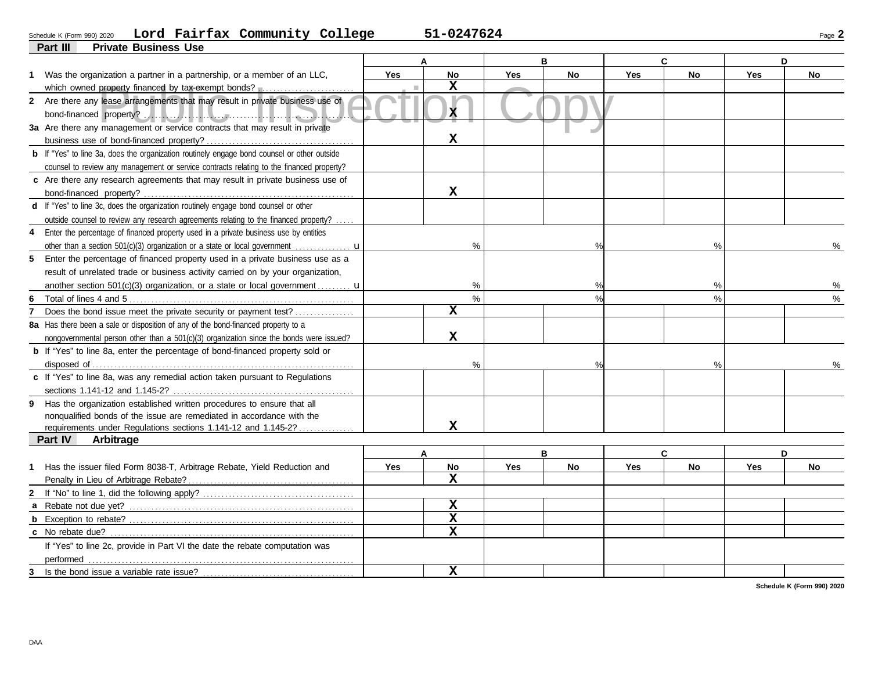#### Schedule K (Form 990) 2020 **LOrd Fairfax Community College 51-0247624** Page **2 Lord Fairfax Community College 51-0247624**

| 51-0247624 |  |
|------------|--|
|------------|--|

|             | Part III<br><b>Private Business Use</b>                                                            |            |                         |            |           |            |               |            |           |
|-------------|----------------------------------------------------------------------------------------------------|------------|-------------------------|------------|-----------|------------|---------------|------------|-----------|
|             |                                                                                                    |            | A                       |            | B         |            | C             |            | D         |
|             | 1 Was the organization a partner in a partnership, or a member of an LLC,                          | Yes        | <b>No</b>               | <b>Yes</b> | <b>No</b> | <b>Yes</b> | <b>No</b>     | <b>Yes</b> | <b>No</b> |
|             | which owned property financed by tax-exempt bonds?                                                 |            | $\mathbf x$             |            |           |            |               |            |           |
|             | 2 Are there any lease arrangements that may result in private business use of                      |            |                         |            |           |            |               |            |           |
|             |                                                                                                    |            | X.                      |            |           |            |               |            |           |
|             | 3a Are there any management or service contracts that may result in private                        |            |                         |            |           |            |               |            |           |
|             |                                                                                                    |            | $\mathbf x$             |            |           |            |               |            |           |
|             | <b>b</b> If "Yes" to line 3a, does the organization routinely engage bond counsel or other outside |            |                         |            |           |            |               |            |           |
|             | counsel to review any management or service contracts relating to the financed property?           |            |                         |            |           |            |               |            |           |
|             | c Are there any research agreements that may result in private business use of                     |            |                         |            |           |            |               |            |           |
|             |                                                                                                    |            | $\mathbf x$             |            |           |            |               |            |           |
|             | d If "Yes" to line 3c, does the organization routinely engage bond counsel or other                |            |                         |            |           |            |               |            |           |
|             | outside counsel to review any research agreements relating to the financed property?               |            |                         |            |           |            |               |            |           |
| 4           | Enter the percentage of financed property used in a private business use by entities               |            |                         |            |           |            |               |            |           |
|             | other than a section 501(c)(3) organization or a state or local government                         |            | $\frac{0}{0}$           |            | $\%$      |            | $\frac{0}{0}$ |            | %         |
| 5           | Enter the percentage of financed property used in a private business use as a                      |            |                         |            |           |            |               |            |           |
|             | result of unrelated trade or business activity carried on by your organization,                    |            |                         |            |           |            |               |            |           |
|             | another section 501(c)(3) organization, or a state or local government $\mathbf{u}$                |            | $\%$                    |            | %         |            | %             |            | %         |
| 6           |                                                                                                    |            | $\%$                    |            | $\%$      |            | $\frac{0}{0}$ |            | %         |
|             | Does the bond issue meet the private security or payment test?                                     |            | $\overline{\mathbf{x}}$ |            |           |            |               |            |           |
|             | 8a Has there been a sale or disposition of any of the bond-financed property to a                  |            |                         |            |           |            |               |            |           |
|             | nongovernmental person other than a 501(c)(3) organization since the bonds were issued?            |            | $\mathbf{x}$            |            |           |            |               |            |           |
|             | <b>b</b> If "Yes" to line 8a, enter the percentage of bond-financed property sold or               |            |                         |            |           |            |               |            |           |
|             |                                                                                                    |            | $\frac{0}{0}$           |            | $\%$      |            | $\frac{0}{0}$ |            |           |
|             | c If "Yes" to line 8a, was any remedial action taken pursuant to Regulations                       |            |                         |            |           |            |               |            |           |
|             |                                                                                                    |            |                         |            |           |            |               |            |           |
|             | 9 Has the organization established written procedures to ensure that all                           |            |                         |            |           |            |               |            |           |
|             | nonqualified bonds of the issue are remediated in accordance with the                              |            |                         |            |           |            |               |            |           |
|             | requirements under Regulations sections 1.141-12 and 1.145-2?                                      |            | $\mathbf x$             |            |           |            |               |            |           |
|             | <b>Part IV</b><br>Arbitrage                                                                        |            |                         |            |           |            |               |            |           |
|             |                                                                                                    |            |                         |            | B         |            | C             |            | D         |
| $\mathbf 1$ | Has the issuer filed Form 8038-T, Arbitrage Rebate, Yield Reduction and                            | <b>Yes</b> | <b>No</b>               | <b>Yes</b> | <b>No</b> | Yes        | <b>No</b>     | <b>Yes</b> | <b>No</b> |
|             |                                                                                                    |            | $\mathbf x$             |            |           |            |               |            |           |
|             |                                                                                                    |            |                         |            |           |            |               |            |           |
|             |                                                                                                    |            | $\mathbf x$             |            |           |            |               |            |           |
|             |                                                                                                    |            | $\mathbf x$             |            |           |            |               |            |           |
|             | <b>c</b> No rebate due?                                                                            |            | $\mathbf x$             |            |           |            |               |            |           |
|             | If "Yes" to line 2c, provide in Part VI the date the rebate computation was                        |            |                         |            |           |            |               |            |           |
|             | performed                                                                                          |            |                         |            |           |            |               |            |           |
| 3           | Is the bond issue a variable rate issue?                                                           |            | X                       |            |           |            |               |            |           |

**Schedule K (Form 990) 2020**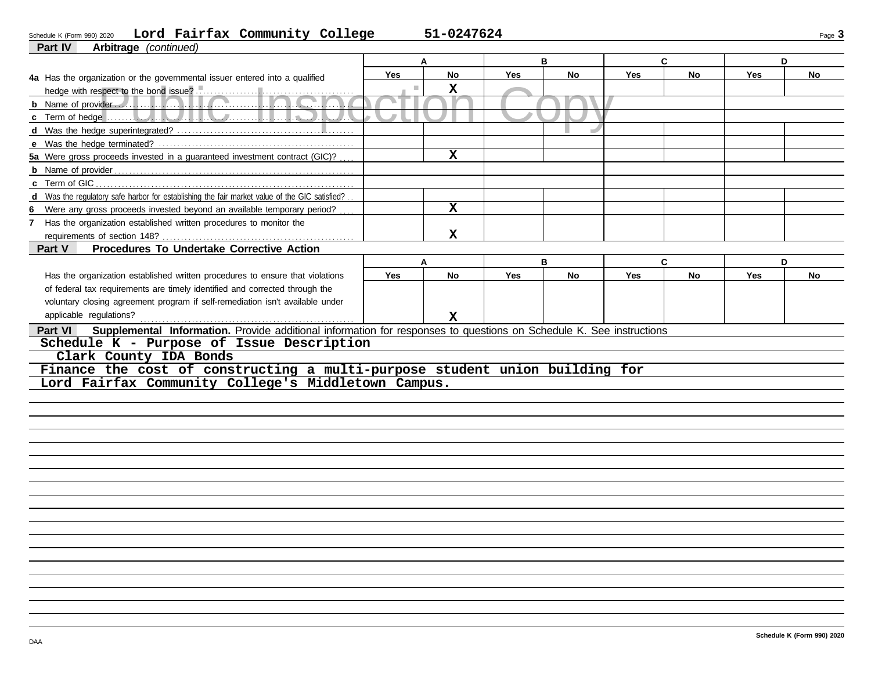### **Part IV Arbitra** Schedule K (Form 990) 2020 Page **3 Lord Fairfax Community College 51-0247624**

|  | 51-0247624 |  |
|--|------------|--|
|--|------------|--|

| <b>Part IV</b><br><b>Arbitrage</b> ( <i>continued</i> )                                                                               |            |             |            |           |            |              |            |    |
|---------------------------------------------------------------------------------------------------------------------------------------|------------|-------------|------------|-----------|------------|--------------|------------|----|
|                                                                                                                                       |            | A           | B          |           |            | $\mathbf{C}$ | D          |    |
| 4a Has the organization or the governmental issuer entered into a qualified                                                           | <b>Yes</b> | No          | <b>Yes</b> | No        | <b>Yes</b> | No           | <b>Yes</b> | No |
|                                                                                                                                       | п          | $\mathbf x$ |            |           |            |              |            |    |
|                                                                                                                                       |            |             |            |           |            |              |            |    |
| $\mathcal{L}$                                                                                                                         |            |             |            |           |            |              |            |    |
|                                                                                                                                       |            |             |            |           |            |              |            |    |
|                                                                                                                                       |            |             |            |           |            |              |            |    |
| 5a Were gross proceeds invested in a guaranteed investment contract (GIC)?                                                            |            | $\mathbf x$ |            |           |            |              |            |    |
|                                                                                                                                       |            |             |            |           |            |              |            |    |
| c Term of GIC                                                                                                                         |            |             |            |           |            |              |            |    |
| d Was the regulatory safe harbor for establishing the fair market value of the GIC satisfied?                                         |            |             |            |           |            |              |            |    |
| 6<br>Were any gross proceeds invested beyond an available temporary period?                                                           |            | $\mathbf x$ |            |           |            |              |            |    |
| 7 Has the organization established written procedures to monitor the                                                                  |            |             |            |           |            |              |            |    |
| requirements of section 148?                                                                                                          |            | x           |            |           |            |              |            |    |
| Procedures To Undertake Corrective Action<br>Part V                                                                                   |            |             |            |           |            |              |            |    |
|                                                                                                                                       |            | A           |            | B.        |            | $\mathbf{C}$ | D.         |    |
| Has the organization established written procedures to ensure that violations                                                         | <b>Yes</b> | No          | Yes        | <b>No</b> | Yes        | No           | Yes        | No |
| of federal tax requirements are timely identified and corrected through the                                                           |            |             |            |           |            |              |            |    |
| voluntary closing agreement program if self-remediation isn't available under                                                         |            |             |            |           |            |              |            |    |
| applicable regulations?                                                                                                               |            | x           |            |           |            |              |            |    |
| Supplemental Information. Provide additional information for responses to questions on Schedule K. See instructions<br><b>Part VI</b> |            |             |            |           |            |              |            |    |
| Schedule K - Purpose of Issue Description                                                                                             |            |             |            |           |            |              |            |    |
| Clark County IDA Bonds                                                                                                                |            |             |            |           |            |              |            |    |
| Finance the cost of constructing a multi-purpose student union building for                                                           |            |             |            |           |            |              |            |    |
| Lord Fairfax Community College's Middletown Campus.                                                                                   |            |             |            |           |            |              |            |    |
|                                                                                                                                       |            |             |            |           |            |              |            |    |
|                                                                                                                                       |            |             |            |           |            |              |            |    |
|                                                                                                                                       |            |             |            |           |            |              |            |    |
|                                                                                                                                       |            |             |            |           |            |              |            |    |
|                                                                                                                                       |            |             |            |           |            |              |            |    |
|                                                                                                                                       |            |             |            |           |            |              |            |    |
|                                                                                                                                       |            |             |            |           |            |              |            |    |
|                                                                                                                                       |            |             |            |           |            |              |            |    |
|                                                                                                                                       |            |             |            |           |            |              |            |    |
|                                                                                                                                       |            |             |            |           |            |              |            |    |
|                                                                                                                                       |            |             |            |           |            |              |            |    |
|                                                                                                                                       |            |             |            |           |            |              |            |    |
|                                                                                                                                       |            |             |            |           |            |              |            |    |
|                                                                                                                                       |            |             |            |           |            |              |            |    |
|                                                                                                                                       |            |             |            |           |            |              |            |    |
|                                                                                                                                       |            |             |            |           |            |              |            |    |
|                                                                                                                                       |            |             |            |           |            |              |            |    |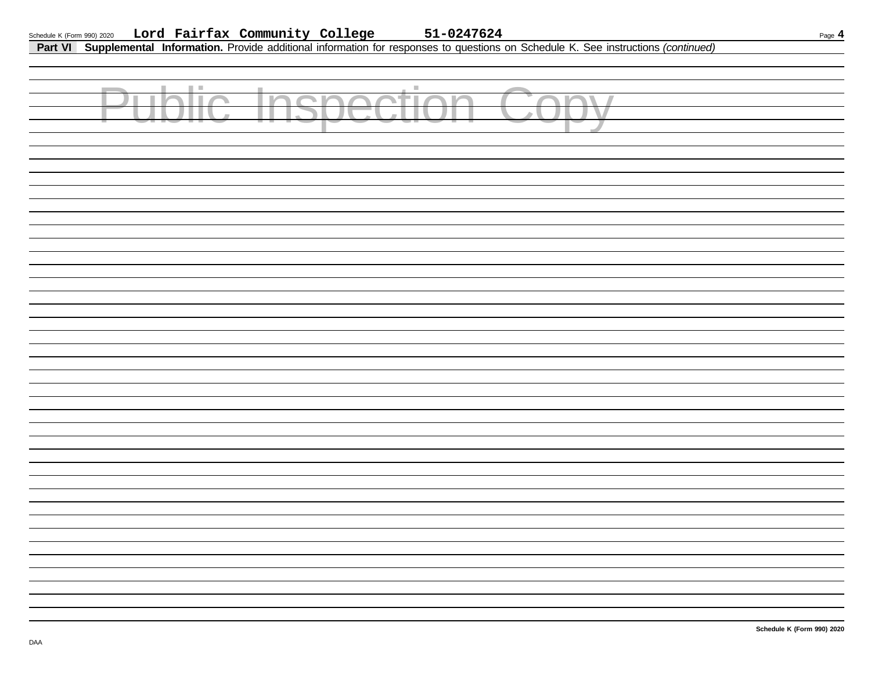## Schedule K (Form 990) 2020 Page **4 Lord Fairfax Community College 51-0247624**

**Part VI Supplemental Information.** Provide additional information for responses to questions on Schedule K. See instructions *(continued)*

| Public Inspection Copy |  |
|------------------------|--|
|                        |  |
|                        |  |
|                        |  |
|                        |  |
|                        |  |
|                        |  |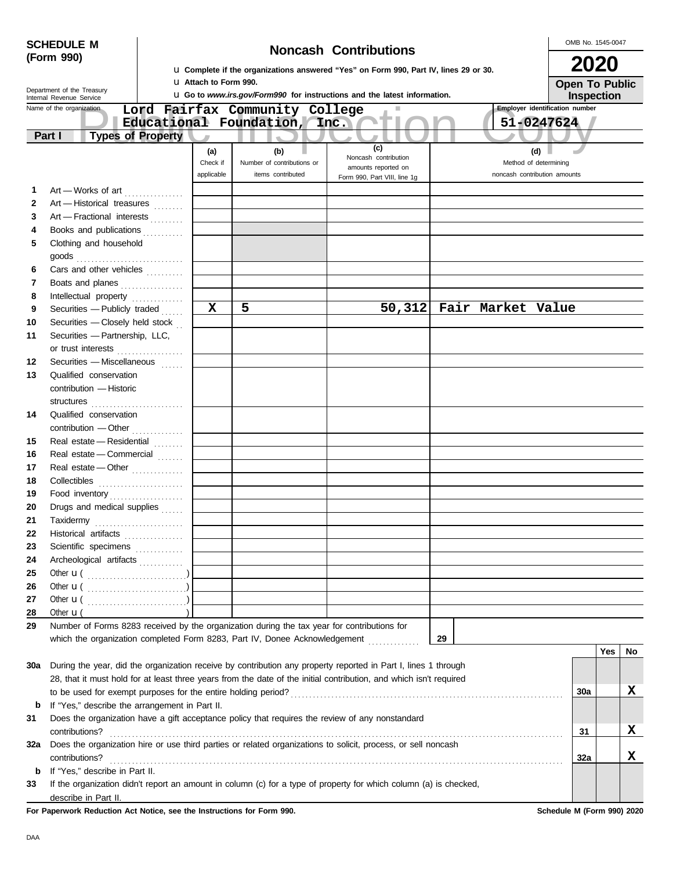|              | <b>SCHEDULE M</b>                                                                     |                                                                                                                                                                          |            |                                                                                             | <b>Noncash Contributions</b>                                                                                       |    |                   | OMB No. 1545-0047            |     |                       |  |
|--------------|---------------------------------------------------------------------------------------|--------------------------------------------------------------------------------------------------------------------------------------------------------------------------|------------|---------------------------------------------------------------------------------------------|--------------------------------------------------------------------------------------------------------------------|----|-------------------|------------------------------|-----|-----------------------|--|
|              | (Form 990)                                                                            |                                                                                                                                                                          |            |                                                                                             |                                                                                                                    |    |                   | 2020                         |     |                       |  |
|              | La Complete if the organizations answered "Yes" on Form 990, Part IV, lines 29 or 30. |                                                                                                                                                                          |            |                                                                                             |                                                                                                                    |    |                   |                              |     |                       |  |
|              | LI Attach to Form 990.<br>Department of the Treasury                                  |                                                                                                                                                                          |            |                                                                                             |                                                                                                                    |    |                   |                              |     | <b>Open To Public</b> |  |
|              | Internal Revenue Service<br>Name of the organization                                  | <b>u</b> Go to www.irs.gov/Form990 for instructions and the latest information.<br>Inspection<br><b>Employer identification number</b><br>Lord Fairfax Community College |            |                                                                                             |                                                                                                                    |    |                   |                              |     |                       |  |
|              |                                                                                       |                                                                                                                                                                          |            | Educational Foundation, Inc.                                                                |                                                                                                                    |    |                   | 51-0247624                   |     |                       |  |
|              | <b>Types of Property</b><br>Part I                                                    |                                                                                                                                                                          |            |                                                                                             |                                                                                                                    |    |                   |                              |     |                       |  |
|              |                                                                                       |                                                                                                                                                                          | (a)        | (b)                                                                                         | (c)                                                                                                                |    |                   | (d)                          |     |                       |  |
|              |                                                                                       |                                                                                                                                                                          | Check if   | Number of contributions or                                                                  | Noncash contribution<br>amounts reported on                                                                        |    |                   | Method of determining        |     |                       |  |
|              |                                                                                       |                                                                                                                                                                          | applicable | items contributed                                                                           | Form 990, Part VIII, line 1q                                                                                       |    |                   | noncash contribution amounts |     |                       |  |
| 1            | Art - Works of art                                                                    |                                                                                                                                                                          |            |                                                                                             |                                                                                                                    |    |                   |                              |     |                       |  |
| $\mathbf{2}$ | Art - Historical treasures                                                            |                                                                                                                                                                          |            |                                                                                             |                                                                                                                    |    |                   |                              |     |                       |  |
| 3            | Art - Fractional interests                                                            |                                                                                                                                                                          |            |                                                                                             |                                                                                                                    |    |                   |                              |     |                       |  |
| 4            | Books and publications                                                                |                                                                                                                                                                          |            |                                                                                             |                                                                                                                    |    |                   |                              |     |                       |  |
| 5            | Clothing and household                                                                |                                                                                                                                                                          |            |                                                                                             |                                                                                                                    |    |                   |                              |     |                       |  |
|              | $\mathsf{goods}\xrightarrow{\hspace{0.5cm}}$                                          |                                                                                                                                                                          |            |                                                                                             |                                                                                                                    |    |                   |                              |     |                       |  |
| 6            | Cars and other vehicles                                                               |                                                                                                                                                                          |            |                                                                                             |                                                                                                                    |    |                   |                              |     |                       |  |
| 7            | Boats and planes                                                                      |                                                                                                                                                                          |            |                                                                                             |                                                                                                                    |    |                   |                              |     |                       |  |
| 8            | Intellectual property                                                                 |                                                                                                                                                                          |            |                                                                                             |                                                                                                                    |    |                   |                              |     |                       |  |
| 9            | Securities - Publicly traded                                                          |                                                                                                                                                                          | X          | 5                                                                                           | 50,312                                                                                                             |    | Fair Market Value |                              |     |                       |  |
| 10           | Securities - Closely held stock                                                       |                                                                                                                                                                          |            |                                                                                             |                                                                                                                    |    |                   |                              |     |                       |  |
| 11           | Securities - Partnership, LLC,                                                        |                                                                                                                                                                          |            |                                                                                             |                                                                                                                    |    |                   |                              |     |                       |  |
| 12           | or trust interests<br>Securities - Miscellaneous                                      |                                                                                                                                                                          |            |                                                                                             |                                                                                                                    |    |                   |                              |     |                       |  |
| 13           | Qualified conservation                                                                |                                                                                                                                                                          |            |                                                                                             |                                                                                                                    |    |                   |                              |     |                       |  |
|              | contribution - Historic                                                               |                                                                                                                                                                          |            |                                                                                             |                                                                                                                    |    |                   |                              |     |                       |  |
|              |                                                                                       |                                                                                                                                                                          |            |                                                                                             |                                                                                                                    |    |                   |                              |     |                       |  |
| 14           | Qualified conservation                                                                |                                                                                                                                                                          |            |                                                                                             |                                                                                                                    |    |                   |                              |     |                       |  |
|              | contribution - Other [11] [11] [11] contribution - Other                              |                                                                                                                                                                          |            |                                                                                             |                                                                                                                    |    |                   |                              |     |                       |  |
| 15           | Real estate - Residential                                                             |                                                                                                                                                                          |            |                                                                                             |                                                                                                                    |    |                   |                              |     |                       |  |
| 16           | Real estate - Commercial                                                              |                                                                                                                                                                          |            |                                                                                             |                                                                                                                    |    |                   |                              |     |                       |  |
| 17           | Real estate - Other                                                                   |                                                                                                                                                                          |            |                                                                                             |                                                                                                                    |    |                   |                              |     |                       |  |
| 18           |                                                                                       |                                                                                                                                                                          |            |                                                                                             |                                                                                                                    |    |                   |                              |     |                       |  |
| 19           | Food inventory                                                                        |                                                                                                                                                                          |            |                                                                                             |                                                                                                                    |    |                   |                              |     |                       |  |
| 20           | Drugs and medical supplies                                                            |                                                                                                                                                                          |            |                                                                                             |                                                                                                                    |    |                   |                              |     |                       |  |
| 21           | Taxidermy                                                                             |                                                                                                                                                                          |            |                                                                                             |                                                                                                                    |    |                   |                              |     |                       |  |
| 22           | Historical artifacts                                                                  |                                                                                                                                                                          |            |                                                                                             |                                                                                                                    |    |                   |                              |     |                       |  |
| 23           | Scientific specimens                                                                  |                                                                                                                                                                          |            |                                                                                             |                                                                                                                    |    |                   |                              |     |                       |  |
| 24           | Archeological artifacts                                                               |                                                                                                                                                                          |            |                                                                                             |                                                                                                                    |    |                   |                              |     |                       |  |
| 25           |                                                                                       |                                                                                                                                                                          |            |                                                                                             |                                                                                                                    |    |                   |                              |     |                       |  |
| 26           |                                                                                       |                                                                                                                                                                          |            |                                                                                             |                                                                                                                    |    |                   |                              |     |                       |  |
| 27           |                                                                                       |                                                                                                                                                                          |            |                                                                                             |                                                                                                                    |    |                   |                              |     |                       |  |
| 28           | Other $\mathbf{u}$ (                                                                  |                                                                                                                                                                          |            |                                                                                             |                                                                                                                    |    |                   |                              |     |                       |  |
| 29           |                                                                                       |                                                                                                                                                                          |            | Number of Forms 8283 received by the organization during the tax year for contributions for |                                                                                                                    |    |                   |                              |     |                       |  |
|              |                                                                                       |                                                                                                                                                                          |            | which the organization completed Form 8283, Part IV, Donee Acknowledgement [                |                                                                                                                    | 29 |                   |                              |     |                       |  |
|              |                                                                                       |                                                                                                                                                                          |            |                                                                                             |                                                                                                                    |    |                   |                              | Yes | No                    |  |
| 30a          |                                                                                       |                                                                                                                                                                          |            |                                                                                             | During the year, did the organization receive by contribution any property reported in Part I, lines 1 through     |    |                   |                              |     |                       |  |
|              |                                                                                       |                                                                                                                                                                          |            |                                                                                             | 28, that it must hold for at least three years from the date of the initial contribution, and which isn't required |    |                   |                              |     |                       |  |
|              |                                                                                       |                                                                                                                                                                          |            |                                                                                             |                                                                                                                    |    |                   | 30a                          |     | x                     |  |
| b            | If "Yes," describe the arrangement in Part II.                                        |                                                                                                                                                                          |            |                                                                                             |                                                                                                                    |    |                   |                              |     |                       |  |
| 31           |                                                                                       |                                                                                                                                                                          |            |                                                                                             | Does the organization have a gift acceptance policy that requires the review of any nonstandard                    |    |                   |                              |     | x                     |  |
|              | contributions?                                                                        |                                                                                                                                                                          |            |                                                                                             | Does the organization hire or use third parties or related organizations to solicit, process, or sell noncash      |    |                   | 31                           |     |                       |  |
| 32a          |                                                                                       |                                                                                                                                                                          |            |                                                                                             |                                                                                                                    |    |                   |                              |     | x                     |  |
| b            | contributions?<br>If "Yes," describe in Part II.                                      |                                                                                                                                                                          |            |                                                                                             |                                                                                                                    |    |                   | 32a                          |     |                       |  |
| 33           |                                                                                       |                                                                                                                                                                          |            |                                                                                             | If the organization didn't report an amount in column (c) for a type of property for which column (a) is checked,  |    |                   |                              |     |                       |  |
|              | describe in Part II.                                                                  |                                                                                                                                                                          |            |                                                                                             |                                                                                                                    |    |                   |                              |     |                       |  |

**For Paperwork Reduction Act Notice, see the Instructions for Form 990. Schedule M (Form 990) 2020**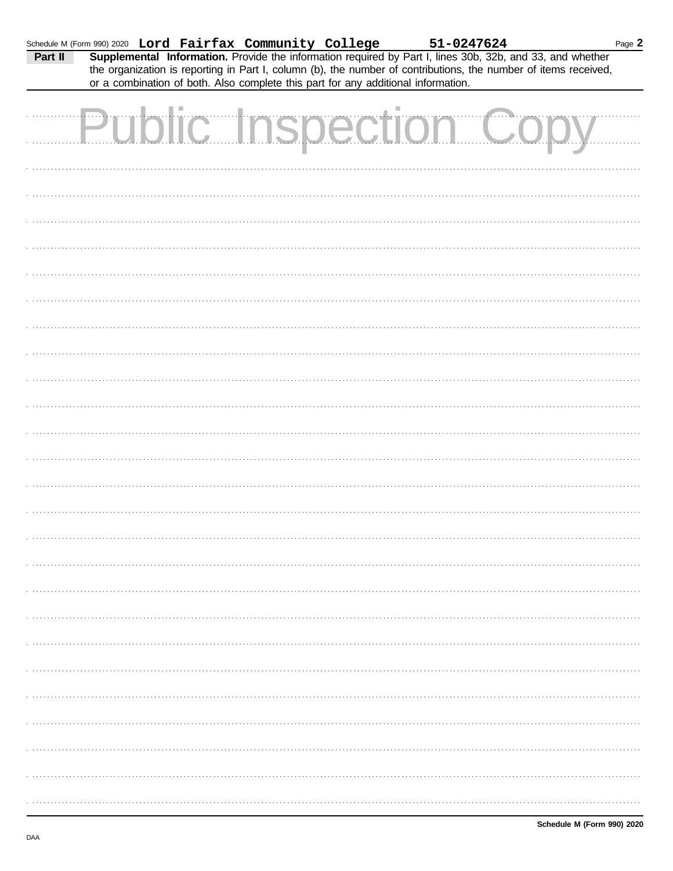| Schedule M (Form 990) 2020 Lord Fairfax Community College 51-0247624<br>Part II Supplemental Information. Provide the information required by Part I, lines 30b, 32b, and 33, and whether |                              | or a combination of both. Also complete this part for any additional information. |  |  |  |  | the organization is reporting in Part I, column (b), the number of contributions, the number of items received, | Page 2 |
|-------------------------------------------------------------------------------------------------------------------------------------------------------------------------------------------|------------------------------|-----------------------------------------------------------------------------------|--|--|--|--|-----------------------------------------------------------------------------------------------------------------|--------|
|                                                                                                                                                                                           | <b>Public Inspection Cop</b> |                                                                                   |  |  |  |  |                                                                                                                 |        |
|                                                                                                                                                                                           |                              |                                                                                   |  |  |  |  |                                                                                                                 |        |
|                                                                                                                                                                                           |                              |                                                                                   |  |  |  |  |                                                                                                                 |        |
|                                                                                                                                                                                           |                              |                                                                                   |  |  |  |  |                                                                                                                 |        |
|                                                                                                                                                                                           |                              |                                                                                   |  |  |  |  |                                                                                                                 |        |
|                                                                                                                                                                                           |                              |                                                                                   |  |  |  |  |                                                                                                                 |        |
|                                                                                                                                                                                           |                              |                                                                                   |  |  |  |  |                                                                                                                 |        |
|                                                                                                                                                                                           |                              |                                                                                   |  |  |  |  |                                                                                                                 |        |
|                                                                                                                                                                                           |                              |                                                                                   |  |  |  |  |                                                                                                                 |        |
|                                                                                                                                                                                           |                              |                                                                                   |  |  |  |  |                                                                                                                 |        |
|                                                                                                                                                                                           |                              |                                                                                   |  |  |  |  |                                                                                                                 |        |
|                                                                                                                                                                                           |                              |                                                                                   |  |  |  |  |                                                                                                                 |        |
|                                                                                                                                                                                           |                              |                                                                                   |  |  |  |  |                                                                                                                 |        |
|                                                                                                                                                                                           |                              |                                                                                   |  |  |  |  |                                                                                                                 |        |
|                                                                                                                                                                                           |                              |                                                                                   |  |  |  |  |                                                                                                                 |        |
|                                                                                                                                                                                           |                              |                                                                                   |  |  |  |  |                                                                                                                 |        |
|                                                                                                                                                                                           |                              |                                                                                   |  |  |  |  |                                                                                                                 |        |
|                                                                                                                                                                                           |                              |                                                                                   |  |  |  |  |                                                                                                                 |        |
|                                                                                                                                                                                           |                              |                                                                                   |  |  |  |  |                                                                                                                 |        |
|                                                                                                                                                                                           |                              |                                                                                   |  |  |  |  |                                                                                                                 |        |
|                                                                                                                                                                                           |                              |                                                                                   |  |  |  |  |                                                                                                                 |        |
|                                                                                                                                                                                           |                              |                                                                                   |  |  |  |  |                                                                                                                 |        |
|                                                                                                                                                                                           |                              |                                                                                   |  |  |  |  |                                                                                                                 |        |
|                                                                                                                                                                                           |                              |                                                                                   |  |  |  |  |                                                                                                                 |        |
|                                                                                                                                                                                           |                              |                                                                                   |  |  |  |  |                                                                                                                 |        |
|                                                                                                                                                                                           |                              |                                                                                   |  |  |  |  |                                                                                                                 |        |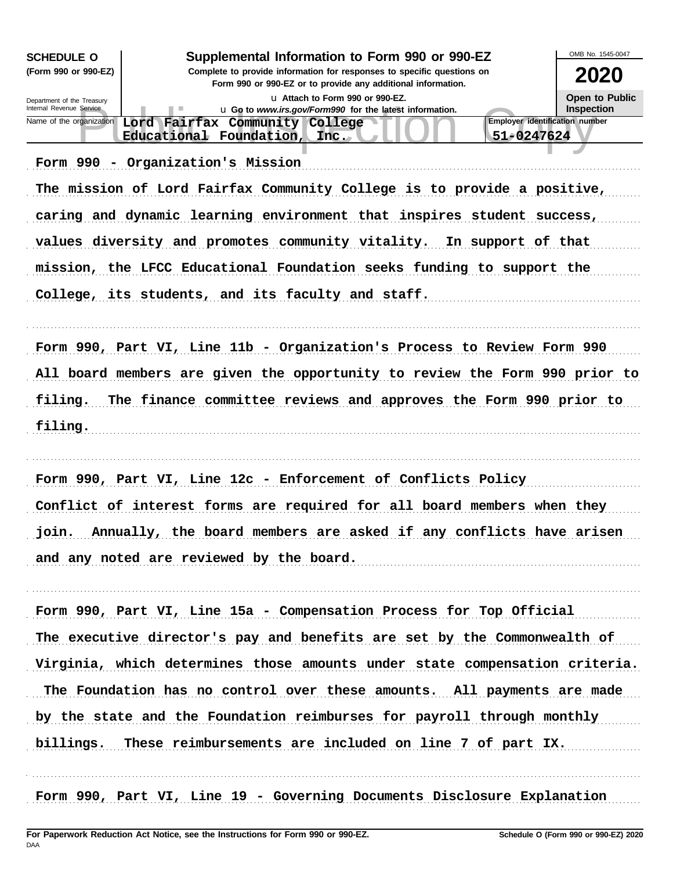| <b>SCHEDULE O</b>          |                                                                                                                          | OMB No. 1545-0047 |
|----------------------------|--------------------------------------------------------------------------------------------------------------------------|-------------------|
| (Form 990 or 990-EZ)       | Supplemental Information to Form 990 or 990-EZ<br>Complete to provide information for responses to specific questions on | 2020              |
| Department of the Treasury | Form 990 or 990-EZ or to provide any additional information.<br>La Attach to Form 990 or 990-EZ.                         | Open to Public    |
| Internal Revenue Service   | u Go to www.irs.gov/Form990 for the latest information.<br><b>Employer identification number</b>                         | <b>Inspection</b> |
| Name of the organization   | Lord Fairfax Community College<br>Educational Foundation, Inc.<br>51-0247624                                             |                   |
|                            |                                                                                                                          |                   |
|                            | Form 990 - Organization's Mission                                                                                        |                   |
|                            | The mission of Lord Fairfax Community College is to provide a positive,                                                  |                   |
|                            | caring and dynamic learning environment that inspires student success,                                                   |                   |
|                            | values diversity and promotes community vitality.<br>In support of that                                                  |                   |
|                            | mission, the LFCC Educational Foundation seeks funding to support the                                                    |                   |
|                            | College, its students, and its faculty and staff.                                                                        |                   |
|                            |                                                                                                                          |                   |
|                            |                                                                                                                          |                   |
|                            | Form 990, Part VI, Line 11b - Organization's Process to Review Form 990                                                  |                   |
|                            | All board members are given the opportunity to review the Form 990 prior to                                              |                   |
| filing.                    | The finance committee reviews and approves the Form 990 prior to                                                         |                   |
| filing.                    |                                                                                                                          |                   |
|                            |                                                                                                                          |                   |
|                            |                                                                                                                          |                   |
|                            | Form 990, Part VI, Line 12c - Enforcement of Conflicts Policy                                                            |                   |
|                            | Conflict of interest forms are required for all board members when they                                                  |                   |
|                            | join. Annually, the board members are asked if any conflicts have arisen                                                 |                   |
|                            | and any noted are reviewed by the board.                                                                                 |                   |
|                            |                                                                                                                          |                   |
|                            |                                                                                                                          |                   |
|                            | Form 990, Part VI, Line 15a - Compensation Process for Top Official                                                      |                   |
|                            | The executive director's pay and benefits are set by the Commonwealth of                                                 |                   |
|                            | Virginia, which determines those amounts under state compensation criteria.                                              |                   |
|                            | The Foundation has no control over these amounts. All payments are made                                                  |                   |
|                            | by the state and the Foundation reimburses for payroll through monthly                                                   |                   |
| billings.                  | These reimbursements are included on line 7 of part IX.                                                                  |                   |
|                            |                                                                                                                          |                   |
|                            |                                                                                                                          |                   |
|                            | Form 990, Part VI, Line 19 - Governing Documents Disclosure Explanation                                                  |                   |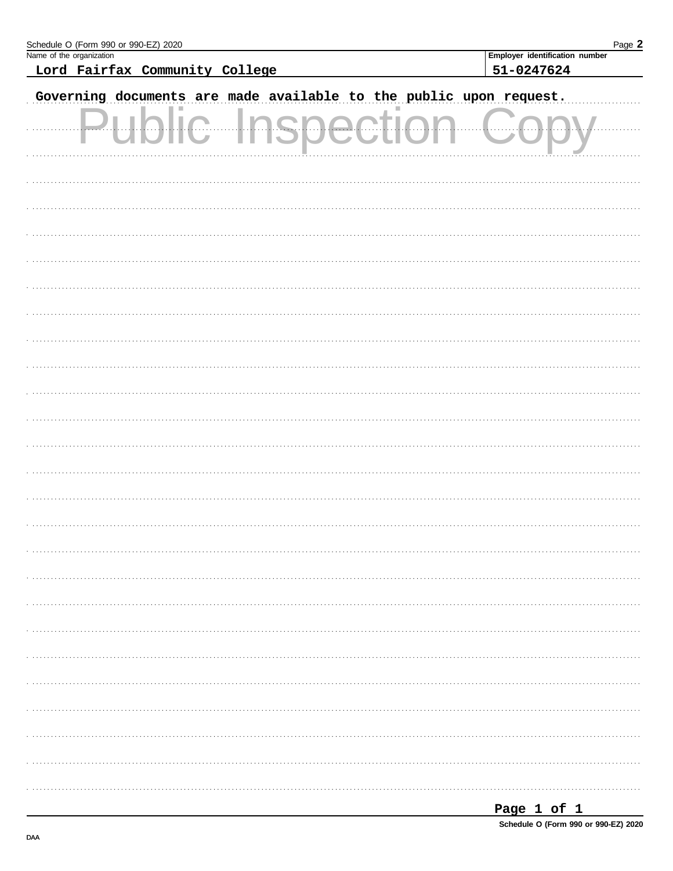| Schedule O (Form 990 or 990-EZ) 2020                               | Page 2                                       |
|--------------------------------------------------------------------|----------------------------------------------|
| Name of the organization<br>Lord Fairfax Community College         | Employer identification number<br>51-0247624 |
|                                                                    |                                              |
| Governing documents are made available to the public upon request. |                                              |
| .                                                                  |                                              |
|                                                                    |                                              |
|                                                                    |                                              |
|                                                                    |                                              |
|                                                                    |                                              |
|                                                                    |                                              |
|                                                                    |                                              |
|                                                                    |                                              |
|                                                                    |                                              |
|                                                                    |                                              |
|                                                                    |                                              |
|                                                                    |                                              |
|                                                                    |                                              |
|                                                                    |                                              |
|                                                                    |                                              |
|                                                                    |                                              |
|                                                                    |                                              |
|                                                                    |                                              |
|                                                                    |                                              |
|                                                                    |                                              |
|                                                                    |                                              |
|                                                                    |                                              |
|                                                                    |                                              |
|                                                                    |                                              |
|                                                                    |                                              |
|                                                                    |                                              |
|                                                                    |                                              |

| Page 1 of 1 |  |                                      |
|-------------|--|--------------------------------------|
|             |  | Schedule O (Form 990 or 990-EZ) 2020 |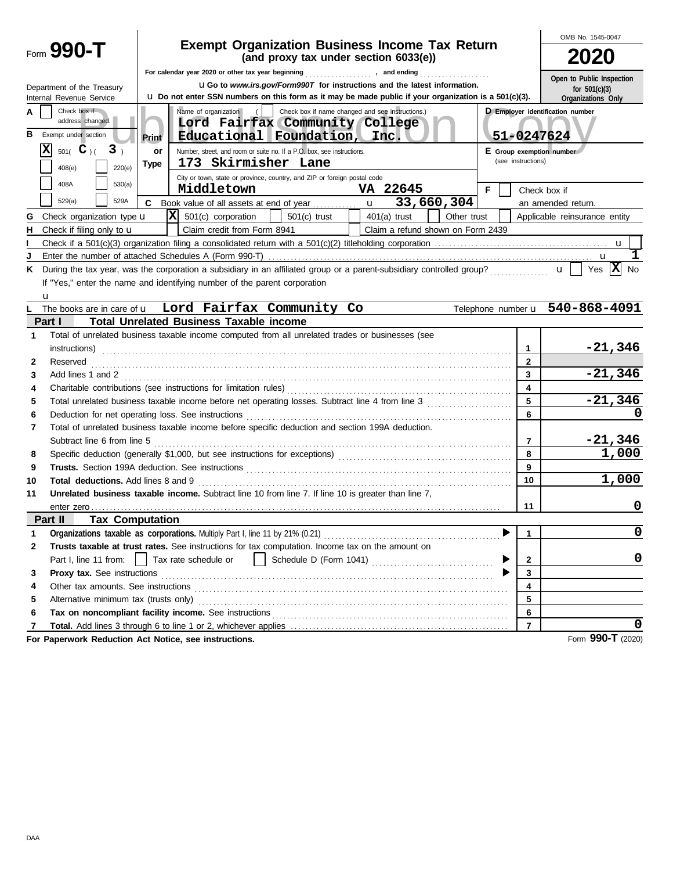|        |                                                          | <b>Exempt Organization Business Income Tax Return</b>                                                                                                                                                                          |                    | OMB No. 1545-0047                |
|--------|----------------------------------------------------------|--------------------------------------------------------------------------------------------------------------------------------------------------------------------------------------------------------------------------------|--------------------|----------------------------------|
|        | Form $990 - T$                                           |                                                                                                                                                                                                                                |                    |                                  |
|        |                                                          |                                                                                                                                                                                                                                |                    | Open to Public Inspection        |
|        | Department of the Treasury                               | <b>UGo to www.irs.gov/Form990T for instructions and the latest information.</b>                                                                                                                                                |                    | for $501(c)(3)$                  |
|        | Internal Revenue Service                                 | <b>u</b> Do not enter SSN numbers on this form as it may be made public if your organization is a 501(c)(3).                                                                                                                   |                    | Organizations Only               |
| А<br>в | Check box if<br>address changed.<br>Exempt under section | Name of organization<br>Check box if name changed and see instructions.)<br>$\left  \right $<br>Lord Fairfax Community College<br>Educational Foundation, Inc.<br>Print                                                        | 51-0247624         | D Employer identification number |
|        | ΙXΙ<br>3 <sub>1</sub><br>$501($ <b>C</b> $)($            | Number, street, and room or suite no. If a P.O. box, see instructions.<br>or                                                                                                                                                   |                    | E Group exemption number         |
|        | 220(e)<br>408(e)                                         | 173 Skirmisher Lane<br>Type                                                                                                                                                                                                    | (see instructions) |                                  |
|        |                                                          | City or town, state or province, country, and ZIP or foreign postal code                                                                                                                                                       |                    |                                  |
|        | 408A<br>530(a)                                           | Middletown<br>VA 22645<br>F.                                                                                                                                                                                                   |                    | Check box if                     |
|        | 529(a)<br>529A                                           | 33,660,304<br>C<br>Book value of all assets at end of year<br>$\mathbf{u}$                                                                                                                                                     |                    | an amended return.               |
| G      | Check organization type <b>u</b>                         | $ \mathbf{X} $ 501(c) corporation<br>$501(c)$ trust<br>Other trust<br>$401(a)$ trust                                                                                                                                           |                    | Applicable reinsurance entity    |
| н      | Check if filing only to <b>u</b>                         | Claim credit from Form 8941<br>Claim a refund shown on Form 2439                                                                                                                                                               |                    |                                  |
|        |                                                          |                                                                                                                                                                                                                                |                    |                                  |
|        |                                                          |                                                                                                                                                                                                                                |                    |                                  |
| ĸ      |                                                          | During the tax year, was the corporation a subsidiary in an affiliated group or a parent-subsidiary controlled group?<br>$\ u\ $                                                                                               |                    | Yes $ \mathbf{X} $<br>No         |
|        |                                                          | If "Yes," enter the name and identifying number of the parent corporation                                                                                                                                                      |                    |                                  |
|        | u                                                        |                                                                                                                                                                                                                                |                    |                                  |
|        |                                                          | The books are in care of <b>u</b> Lord Fairfax Community Co                                                                                                                                                                    |                    | Telephone number u 540-868-4091  |
|        | Part I                                                   | <b>Total Unrelated Business Taxable income</b>                                                                                                                                                                                 |                    |                                  |
| 1      |                                                          | Total of unrelated business taxable income computed from all unrelated trades or businesses (see                                                                                                                               | $\mathbf{1}$       | $-21,346$                        |
| 2      | Reserved                                                 | instructions)                                                                                                                                                                                                                  | $\mathbf{2}$       |                                  |
| 3      |                                                          |                                                                                                                                                                                                                                | 3                  | $-21,346$                        |
| 4      |                                                          | Add lines 1 and 2                                                                                                                                                                                                              | 4                  |                                  |
| 5      |                                                          |                                                                                                                                                                                                                                | 5                  | $-21,346$                        |
| 6      |                                                          | Deduction for net operating loss. See instructions [11] contained and all resonance of the set of the set of the set of the set of the set of the set of the set of the set of the set of the set of the set of the set of the | 6                  |                                  |
| 7      |                                                          | Total of unrelated business taxable income before specific deduction and section 199A deduction.                                                                                                                               |                    |                                  |
|        | Subtract line 6 from line 5                              |                                                                                                                                                                                                                                | 7                  | $-21,346$                        |
| 8      |                                                          |                                                                                                                                                                                                                                | 8                  | 1,000                            |
| 9      |                                                          |                                                                                                                                                                                                                                | 9                  |                                  |
| 10     | Total deductions. Add lines 8 and 9                      |                                                                                                                                                                                                                                | 10                 | 1,000                            |
| 11     |                                                          | Unrelated business taxable income. Subtract line 10 from line 7. If line 10 is greater than line 7.                                                                                                                            |                    |                                  |
|        |                                                          |                                                                                                                                                                                                                                | 11                 | 0                                |
|        | Part II<br><b>Tax Computation</b>                        |                                                                                                                                                                                                                                |                    |                                  |
| 1      |                                                          |                                                                                                                                                                                                                                |                    | 0                                |
| 2      |                                                          | Trusts taxable at trust rates. See instructions for tax computation. Income tax on the amount on                                                                                                                               |                    |                                  |
|        | Part I, line 11 from:                                    | Tax rate schedule or                                                                                                                                                                                                           | 2                  | 0                                |
| 3      | Proxy tax. See instructions                              |                                                                                                                                                                                                                                | 3                  |                                  |
| 4      |                                                          |                                                                                                                                                                                                                                | 4                  |                                  |
| 5      | Alternative minimum tax (trusts only)                    |                                                                                                                                                                                                                                | 5                  |                                  |
| 6      |                                                          |                                                                                                                                                                                                                                | 6                  |                                  |
| 7      |                                                          |                                                                                                                                                                                                                                | $\overline{7}$     |                                  |
|        |                                                          | For Paperwork Reduction Act Notice, see instructions.                                                                                                                                                                          |                    | Form 990-T (2020)                |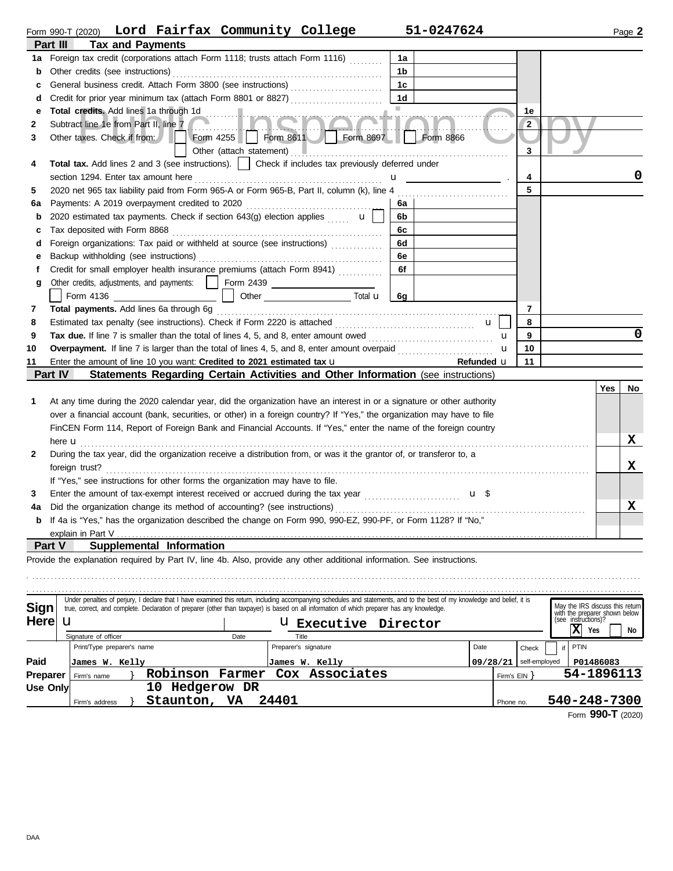|                 |                                       |                            |                                                                                                                                                                                                                               |                          | Form 990-T (2020) Lord Fairfax Community College                                                                                                                           |                | 51-0247624 |                |                                                                                         | Page 2     |
|-----------------|---------------------------------------|----------------------------|-------------------------------------------------------------------------------------------------------------------------------------------------------------------------------------------------------------------------------|--------------------------|----------------------------------------------------------------------------------------------------------------------------------------------------------------------------|----------------|------------|----------------|-----------------------------------------------------------------------------------------|------------|
|                 | Part III                              | <b>Tax and Payments</b>    |                                                                                                                                                                                                                               |                          |                                                                                                                                                                            |                |            |                |                                                                                         |            |
| 1a              |                                       |                            |                                                                                                                                                                                                                               |                          | Foreign tax credit (corporations attach Form 1118; trusts attach Form 1116)                                                                                                | 1a             |            |                |                                                                                         |            |
| b               | Other credits (see instructions)      |                            |                                                                                                                                                                                                                               |                          |                                                                                                                                                                            | 1b             |            |                |                                                                                         |            |
| c               |                                       |                            |                                                                                                                                                                                                                               |                          | General business credit. Attach Form 3800 (see instructions)                                                                                                               | 1c             |            |                |                                                                                         |            |
| d               |                                       |                            |                                                                                                                                                                                                                               |                          |                                                                                                                                                                            | 1 <sub>d</sub> |            |                |                                                                                         |            |
| е               |                                       |                            | Total credits. Add lines 1a through 1d                                                                                                                                                                                        |                          |                                                                                                                                                                            |                |            | 1e             |                                                                                         |            |
| 2               | Subtract line 1e from Part II, line 7 |                            |                                                                                                                                                                                                                               |                          |                                                                                                                                                                            |                |            | $\overline{2}$ |                                                                                         |            |
| 3               | Other taxes. Check if from:           |                            |                                                                                                                                                                                                                               |                          | Form 4255   Form 8611   Form 8697   Form 8866                                                                                                                              |                |            |                |                                                                                         |            |
|                 |                                       |                            |                                                                                                                                                                                                                               | Other (attach statement) |                                                                                                                                                                            |                |            | 3              |                                                                                         |            |
| 4               |                                       |                            |                                                                                                                                                                                                                               |                          | Total tax. Add lines 2 and 3 (see instructions).     Check if includes tax previously deferred under                                                                       |                |            |                |                                                                                         |            |
|                 | section 1294. Enter tax amount here   |                            |                                                                                                                                                                                                                               |                          |                                                                                                                                                                            |                |            | 4              |                                                                                         | 0          |
| 5               |                                       |                            |                                                                                                                                                                                                                               |                          | 2020 net 965 tax liability paid from Form 965-A or Form 965-B, Part II, column (k), line 4                                                                                 |                |            | 5              |                                                                                         |            |
| 6а              |                                       |                            | Payments: A 2019 overpayment credited to 2020                                                                                                                                                                                 |                          |                                                                                                                                                                            | 6а             |            |                |                                                                                         |            |
| b               |                                       |                            |                                                                                                                                                                                                                               |                          | 2020 estimated tax payments. Check if section 643(g) election applies $\mathbf{u}$                                                                                         | 6b             |            |                |                                                                                         |            |
| с               | Tax deposited with Form 8868          |                            |                                                                                                                                                                                                                               |                          |                                                                                                                                                                            | 6с             |            |                |                                                                                         |            |
| d               |                                       |                            |                                                                                                                                                                                                                               |                          | Foreign organizations: Tax paid or withheld at source (see instructions)                                                                                                   | 6d             |            |                |                                                                                         |            |
| е               |                                       |                            | Backup withholding (see instructions)                                                                                                                                                                                         |                          |                                                                                                                                                                            | 6e             |            |                |                                                                                         |            |
| f               |                                       |                            |                                                                                                                                                                                                                               |                          | Credit for small employer health insurance premiums (attach Form 8941)                                                                                                     | 6f             |            |                |                                                                                         |            |
| g               |                                       |                            |                                                                                                                                                                                                                               |                          | Other credits, adjustments, and payments:   Form 2439 [CODEC 2439]                                                                                                         |                |            |                |                                                                                         |            |
|                 |                                       |                            | Form 4136 and the state of the state of the state of the state of the state of the state of the state of the state of the state of the state of the state of the state of the state of the state of the state of the state of |                          |                                                                                                                                                                            | 6q             |            |                |                                                                                         |            |
| 7               |                                       |                            | Total payments. Add lines 6a through 6g                                                                                                                                                                                       |                          |                                                                                                                                                                            |                |            | 7              |                                                                                         |            |
| 8               |                                       |                            |                                                                                                                                                                                                                               |                          |                                                                                                                                                                            |                | u          | 8              |                                                                                         |            |
| 9               |                                       |                            |                                                                                                                                                                                                                               |                          | Tax due. If line 7 is smaller than the total of lines 4, 5, and 8, enter amount owed                                                                                       |                |            | 9<br>u         |                                                                                         | 0          |
| 10              |                                       |                            |                                                                                                                                                                                                                               |                          | Overpayment. If line 7 is larger than the total of lines 4, 5, and 8, enter amount overpaid                                                                                |                |            | 10<br>u        |                                                                                         |            |
| 11              |                                       |                            | Enter the amount of line 10 you want: Credited to 2021 estimated tax u                                                                                                                                                        |                          |                                                                                                                                                                            |                | Refunded u | 11             |                                                                                         |            |
|                 | <b>Part IV</b>                        |                            |                                                                                                                                                                                                                               |                          | Statements Regarding Certain Activities and Other Information (see instructions)                                                                                           |                |            |                |                                                                                         |            |
|                 |                                       |                            |                                                                                                                                                                                                                               |                          |                                                                                                                                                                            |                |            |                |                                                                                         | Yes<br>No  |
| 1               |                                       |                            |                                                                                                                                                                                                                               |                          | At any time during the 2020 calendar year, did the organization have an interest in or a signature or other authority                                                      |                |            |                |                                                                                         |            |
|                 |                                       |                            |                                                                                                                                                                                                                               |                          | over a financial account (bank, securities, or other) in a foreign country? If "Yes," the organization may have to file                                                    |                |            |                |                                                                                         |            |
|                 |                                       |                            |                                                                                                                                                                                                                               |                          | FinCEN Form 114, Report of Foreign Bank and Financial Accounts. If "Yes," enter the name of the foreign country                                                            |                |            |                |                                                                                         |            |
|                 | here <b>u</b>                         |                            |                                                                                                                                                                                                                               |                          |                                                                                                                                                                            |                |            |                |                                                                                         | x          |
| 2               |                                       |                            |                                                                                                                                                                                                                               |                          | During the tax year, did the organization receive a distribution from, or was it the grantor of, or transferor to, a                                                       |                |            |                |                                                                                         | x          |
|                 | foreign trust?                        |                            |                                                                                                                                                                                                                               |                          |                                                                                                                                                                            |                |            |                |                                                                                         |            |
|                 |                                       |                            | If "Yes," see instructions for other forms the organization may have to file.                                                                                                                                                 |                          |                                                                                                                                                                            |                |            |                |                                                                                         |            |
| 3               |                                       |                            |                                                                                                                                                                                                                               |                          |                                                                                                                                                                            |                | u \$       |                |                                                                                         | X          |
| 4a              |                                       |                            |                                                                                                                                                                                                                               |                          | If 4a is "Yes," has the organization described the change on Form 990, 990-EZ, 990-PF, or Form 1128? If "No,"                                                              |                |            |                |                                                                                         |            |
|                 | explain in Part V                     |                            |                                                                                                                                                                                                                               |                          |                                                                                                                                                                            |                |            |                |                                                                                         |            |
|                 | Part V                                |                            | Supplemental Information                                                                                                                                                                                                      |                          |                                                                                                                                                                            |                |            |                |                                                                                         |            |
|                 |                                       |                            |                                                                                                                                                                                                                               |                          | Provide the explanation required by Part IV, line 4b. Also, provide any other additional information. See instructions.                                                    |                |            |                |                                                                                         |            |
|                 |                                       |                            |                                                                                                                                                                                                                               |                          |                                                                                                                                                                            |                |            |                |                                                                                         |            |
|                 |                                       |                            |                                                                                                                                                                                                                               |                          |                                                                                                                                                                            |                |            |                |                                                                                         |            |
|                 |                                       |                            |                                                                                                                                                                                                                               |                          | Under penalties of perjury, I declare that I have examined this return, including accompanying schedules and statements, and to the best of my knowledge and belief, it is |                |            |                |                                                                                         |            |
| Sign            |                                       |                            |                                                                                                                                                                                                                               |                          | true, correct, and complete. Declaration of preparer (other than taxpayer) is based on all information of which preparer has any knowledge.                                |                |            |                | May the IRS discuss this return<br>with the preparer shown below<br>(see instructions)? |            |
| <b>Here</b>     | u                                     |                            |                                                                                                                                                                                                                               |                          | U Executive Director                                                                                                                                                       |                |            |                |                                                                                         |            |
|                 | Signature of officer                  |                            |                                                                                                                                                                                                                               | Date                     | Title                                                                                                                                                                      |                |            |                | X)<br>Yes                                                                               | No         |
|                 |                                       | Print/Type preparer's name |                                                                                                                                                                                                                               |                          | Preparer's signature                                                                                                                                                       |                | Date       | Check          | PTIN<br>if                                                                              |            |
| Paid            |                                       | James W. Kelly             |                                                                                                                                                                                                                               |                          | James W. Kelly                                                                                                                                                             |                | 09/28/21   | self-employed  | P01486083                                                                               |            |
| <b>Preparer</b> | Firm's name                           |                            | Robinson Farmer                                                                                                                                                                                                               |                          | Cox Associates                                                                                                                                                             |                |            | $Firm's EIN$ } |                                                                                         | 54-1896113 |
| Use Only        |                                       |                            | 10 Hedgerow DR                                                                                                                                                                                                                |                          |                                                                                                                                                                            |                |            |                |                                                                                         |            |

Firm's address  $\}$  Staunton, VA 24401

Form **990-T** (2020) **Staunton, VA 24401 540-248-7300**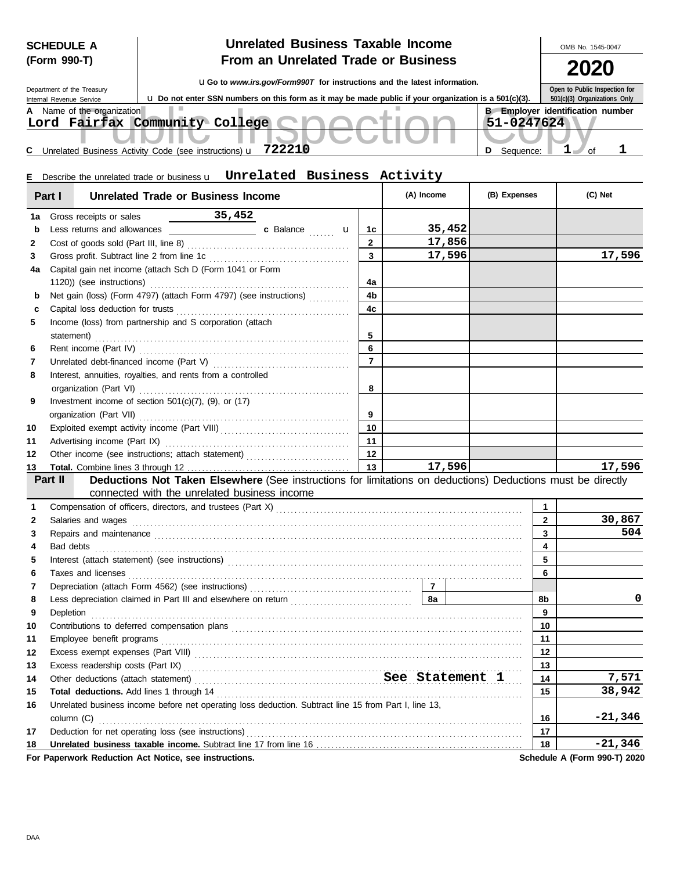| <b>SCHEDULE A</b> |  |
|-------------------|--|
| (Form 990-T)      |  |

## **SCHEDULE A**  $\begin{array}{|c|c|c|c|c|c|}\hline \textbf{1} & \textbf{2} & \textbf{2} & \textbf{3} & \textbf{4} & \textbf{5} & \textbf{5} & \textbf{6} & \textbf{6} & \textbf{6} & \textbf{7} & \textbf{7} & \textbf{8} & \textbf{8} & \textbf{8} & \textbf{9} & \textbf{10} & \textbf{10} & \textbf{10} & \textbf{10} & \textbf{10} & \textbf{10} & \textbf{10} & \textbf{10} & \textbf{10} & \textbf$ **From an Unrelated Trade or Business**

**2020**

|                                                                                                                                                                                                                                      |                |            |                                         |              | ZUZU                          |           |
|--------------------------------------------------------------------------------------------------------------------------------------------------------------------------------------------------------------------------------------|----------------|------------|-----------------------------------------|--------------|-------------------------------|-----------|
| <b>uGo</b> to www.irs.gov/Form990T for instructions and the latest information.<br>Department of the Treasury                                                                                                                        |                |            |                                         |              | Open to Public Inspection for |           |
| u Do not enter SSN numbers on this form as it may be made public if your organization is a 501(c)(3).<br>Internal Revenue Service                                                                                                    |                |            |                                         |              | 501(c)(3) Organizations Only  |           |
| A Name of the organization                                                                                                                                                                                                           |                |            | <b>B</b> Employer identification number |              |                               |           |
| Lord Fairfax Community College                                                                                                                                                                                                       |                |            | $51 - 0247624$                          |              |                               |           |
|                                                                                                                                                                                                                                      |                |            |                                         |              | $1$ of                        | ı         |
| C Unrelated Business Activity Code (see instructions) <b>u</b> 722210                                                                                                                                                                |                |            | D Sequence:                             |              |                               |           |
| Describe the unrelated trade or business u Unrelated Business Activity<br>Е.                                                                                                                                                         |                |            |                                         |              |                               |           |
|                                                                                                                                                                                                                                      |                |            |                                         |              |                               |           |
| <b>Unrelated Trade or Business Income</b><br>Part I                                                                                                                                                                                  |                | (A) Income | (B) Expenses                            |              | (C) Net                       |           |
| 35,452<br>Gross receipts or sales<br>1a                                                                                                                                                                                              |                |            |                                         |              |                               |           |
| b<br>$\mathbf u$                                                                                                                                                                                                                     | 1c             | 35,452     |                                         |              |                               |           |
| 2                                                                                                                                                                                                                                    | $\mathbf{2}$   | 17,856     |                                         |              |                               |           |
| 3                                                                                                                                                                                                                                    | $\mathbf{3}$   | 17,596     |                                         |              |                               | 17,596    |
| Capital gain net income (attach Sch D (Form 1041 or Form<br>4a                                                                                                                                                                       |                |            |                                         |              |                               |           |
|                                                                                                                                                                                                                                      | 4a             |            |                                         |              |                               |           |
| Net gain (loss) (Form 4797) (attach Form 4797) (see instructions)<br>b                                                                                                                                                               | 4b             |            |                                         |              |                               |           |
| c                                                                                                                                                                                                                                    | 4c             |            |                                         |              |                               |           |
| Income (loss) from partnership and S corporation (attach<br>5                                                                                                                                                                        |                |            |                                         |              |                               |           |
|                                                                                                                                                                                                                                      | 5              |            |                                         |              |                               |           |
| 6                                                                                                                                                                                                                                    | 6              |            |                                         |              |                               |           |
| 7                                                                                                                                                                                                                                    | $\overline{7}$ |            |                                         |              |                               |           |
| Interest, annuities, royalties, and rents from a controlled<br>8                                                                                                                                                                     |                |            |                                         |              |                               |           |
|                                                                                                                                                                                                                                      | 8              |            |                                         |              |                               |           |
| Investment income of section 501(c)(7), (9), or (17)<br>9                                                                                                                                                                            |                |            |                                         |              |                               |           |
| organization (Part VII)                                                                                                                                                                                                              | 9              |            |                                         |              |                               |           |
| 10                                                                                                                                                                                                                                   | 10             |            |                                         |              |                               |           |
| 11                                                                                                                                                                                                                                   | 11             |            |                                         |              |                               |           |
| Other income (see instructions; attach statement)<br>12                                                                                                                                                                              | 12             |            |                                         |              |                               |           |
| 13                                                                                                                                                                                                                                   | 13             | 17,596     |                                         |              |                               | 17,596    |
| Deductions Not Taken Elsewhere (See instructions for limitations on deductions) Deductions must be directly<br>Part II                                                                                                               |                |            |                                         |              |                               |           |
| connected with the unrelated business income                                                                                                                                                                                         |                |            |                                         |              |                               |           |
| 1                                                                                                                                                                                                                                    |                |            |                                         | $\mathbf{1}$ |                               |           |
| Salaries and wages <b>construction and construction of the salaries</b> and wages <b>construction</b><br>2                                                                                                                           |                |            |                                         | $\mathbf{2}$ |                               | 30,867    |
| Repairs and maintenance contained and contained and maintenance contained and maintenance contained and maintenance<br>3                                                                                                             |                |            |                                         | 3            |                               | 504       |
| Bad debts                                                                                                                                                                                                                            |                |            |                                         | 4<br>5       |                               |           |
|                                                                                                                                                                                                                                      |                |            |                                         |              |                               |           |
| Taxes and licenses<br>6<br>7                                                                                                                                                                                                         |                | 7          |                                         | 6            |                               |           |
| 8                                                                                                                                                                                                                                    |                |            |                                         | 8b           |                               | 0         |
| 9                                                                                                                                                                                                                                    |                |            |                                         | 9            |                               |           |
| 10                                                                                                                                                                                                                                   |                |            |                                         | 10           |                               |           |
| 11                                                                                                                                                                                                                                   |                |            |                                         | 11           |                               |           |
| 12                                                                                                                                                                                                                                   |                |            |                                         | 12           |                               |           |
| Excess readership costs (Part IX) Mathematical Contract Contract Contract Contract Contract Contract Contract Contract Contract Contract Contract Contract Contract Contract Contract Contract Contract Contract Contract Cont<br>13 |                |            |                                         | 13           |                               |           |
| 14                                                                                                                                                                                                                                   |                |            |                                         | 14           |                               | 7,571     |
| 15                                                                                                                                                                                                                                   |                |            |                                         | 15           |                               | 38,942    |
| Unrelated business income before net operating loss deduction. Subtract line 15 from Part I, line 13,<br>16                                                                                                                          |                |            |                                         |              |                               |           |
|                                                                                                                                                                                                                                      |                |            |                                         | 16           |                               | $-21,346$ |
| 17                                                                                                                                                                                                                                   |                |            |                                         | 17           |                               |           |
| 18                                                                                                                                                                                                                                   |                |            |                                         | 18           |                               | $-21,346$ |
| For Paperwork Reduction Act Notice, see instructions.                                                                                                                                                                                |                |            |                                         |              | Schedule A (Form 990-T) 2020  |           |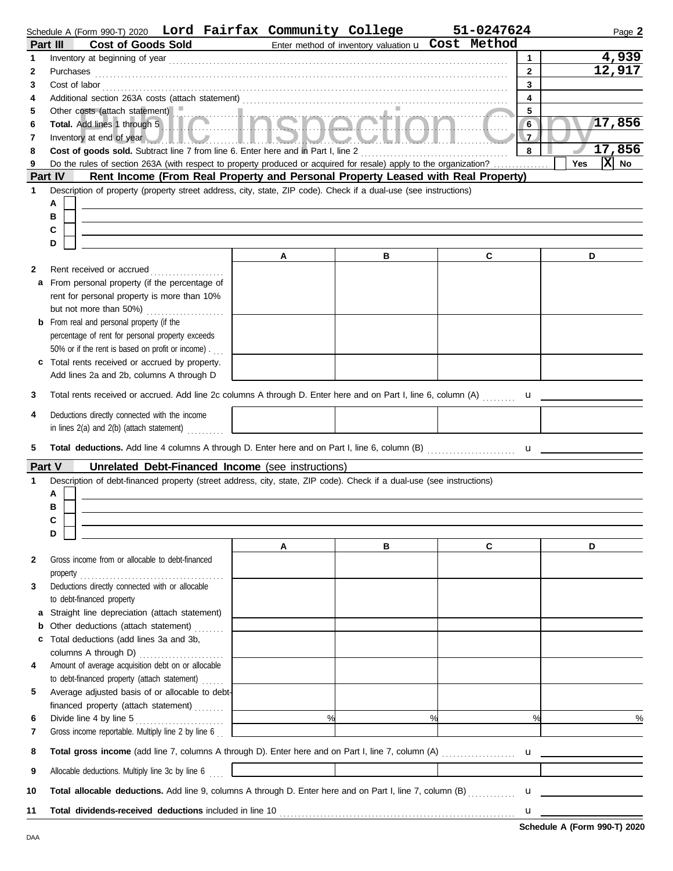|              |           | Schedule A (Form 990-T) 2020 Lord Fairfax Community College                       |   |                                                             |                                                                                                                       | 51-0247624                                                                                                                                                                                                                            | Page 2                   |
|--------------|-----------|-----------------------------------------------------------------------------------|---|-------------------------------------------------------------|-----------------------------------------------------------------------------------------------------------------------|---------------------------------------------------------------------------------------------------------------------------------------------------------------------------------------------------------------------------------------|--------------------------|
| Part III     |           | <b>Cost of Goods Sold</b>                                                         |   |                                                             |                                                                                                                       | Enter method of inventory valuation u Cost Method                                                                                                                                                                                     |                          |
| $\mathbf{1}$ |           |                                                                                   |   |                                                             |                                                                                                                       |                                                                                                                                                                                                                                       | 4,939<br>$\mathbf{1}$    |
| $\mathbf{2}$ | Purchases |                                                                                   |   |                                                             |                                                                                                                       |                                                                                                                                                                                                                                       | 12,917<br>$\overline{2}$ |
| 3            |           |                                                                                   |   |                                                             |                                                                                                                       | Cost of labor<br><u>Example 20</u> and 20 and 20 and 20 and 20 and 20 and 20 and 20 and 20 and 20 and 20 and 20 and 20 and 20 and 20 and 20 and 20 and 20 and 20 and 20 and 20 and 20 and 20 and 20 and 20 and 20 and 20 and 20 and 2 | $\mathbf{3}$             |
| 4            |           |                                                                                   |   |                                                             |                                                                                                                       |                                                                                                                                                                                                                                       | 4                        |
| 5            |           | Other costs (attach statement)                                                    |   |                                                             |                                                                                                                       |                                                                                                                                                                                                                                       | 5                        |
| 6            |           |                                                                                   |   |                                                             | Urier costs (attach statement)<br>Total. Add lines 1 through 5                                                        |                                                                                                                                                                                                                                       | 17,856<br>6 <sup>2</sup> |
| 7            |           |                                                                                   |   |                                                             |                                                                                                                       | Inventory at end of year <b>And In Line and Account of the Account of the Account of the Account of the Account of the Account of the Account of the Account of the Account of the Account of the Account of the Account of the </b>  | $\overline{7}$           |
| 8            |           | Cost of goods sold. Subtract line 7 from line 6. Enter here and in Part I, line 2 |   |                                                             |                                                                                                                       |                                                                                                                                                                                                                                       | 17,856<br>8              |
| 9            |           |                                                                                   |   |                                                             |                                                                                                                       | Do the rules of section 263A (with respect to property produced or acquired for resale) apply to the organization?                                                                                                                    | $ \mathbf{X} $ No<br>Yes |
| Part IV      |           |                                                                                   |   |                                                             |                                                                                                                       | Rent Income (From Real Property and Personal Property Leased with Real Property)                                                                                                                                                      |                          |
| 1            |           |                                                                                   |   |                                                             | Description of property (property street address, city, state, ZIP code). Check if a dual-use (see instructions)      |                                                                                                                                                                                                                                       |                          |
|              | A         |                                                                                   |   |                                                             |                                                                                                                       |                                                                                                                                                                                                                                       |                          |
|              | в         |                                                                                   |   |                                                             |                                                                                                                       |                                                                                                                                                                                                                                       |                          |
|              | C         |                                                                                   |   |                                                             |                                                                                                                       |                                                                                                                                                                                                                                       |                          |
|              | D         |                                                                                   |   |                                                             |                                                                                                                       |                                                                                                                                                                                                                                       |                          |
|              |           |                                                                                   |   | A                                                           | в                                                                                                                     | C                                                                                                                                                                                                                                     | D                        |
| 2            |           | Rent received or accrued                                                          | . |                                                             |                                                                                                                       |                                                                                                                                                                                                                                       |                          |
|              |           | a From personal property (if the percentage of                                    |   |                                                             |                                                                                                                       |                                                                                                                                                                                                                                       |                          |
|              |           | rent for personal property is more than 10%                                       |   |                                                             |                                                                                                                       |                                                                                                                                                                                                                                       |                          |
|              |           | but not more than 50%)                                                            | . |                                                             |                                                                                                                       |                                                                                                                                                                                                                                       |                          |
| b            |           | From real and personal property (if the                                           |   |                                                             |                                                                                                                       |                                                                                                                                                                                                                                       |                          |
|              |           | percentage of rent for personal property exceeds                                  |   |                                                             |                                                                                                                       |                                                                                                                                                                                                                                       |                          |
|              |           | 50% or if the rent is based on profit or income).                                 |   |                                                             |                                                                                                                       |                                                                                                                                                                                                                                       |                          |
| c            |           | Total rents received or accrued by property.                                      |   |                                                             |                                                                                                                       |                                                                                                                                                                                                                                       |                          |
|              |           | Add lines 2a and 2b, columns A through D                                          |   |                                                             |                                                                                                                       |                                                                                                                                                                                                                                       |                          |
| 3            |           |                                                                                   |   |                                                             |                                                                                                                       | Total rents received or accrued. Add line 2c columns A through D. Enter here and on Part I, line 6, column (A) <b>u</b>                                                                                                               |                          |
| 4            |           | Deductions directly connected with the income                                     |   |                                                             |                                                                                                                       |                                                                                                                                                                                                                                       |                          |
|              |           | in lines 2(a) and 2(b) (attach statement)                                         |   |                                                             |                                                                                                                       |                                                                                                                                                                                                                                       |                          |
|              |           |                                                                                   |   |                                                             |                                                                                                                       |                                                                                                                                                                                                                                       |                          |
| 5            |           |                                                                                   |   |                                                             |                                                                                                                       |                                                                                                                                                                                                                                       |                          |
| Part V       |           |                                                                                   |   | Unrelated Debt-Financed Income (see instructions)           |                                                                                                                       |                                                                                                                                                                                                                                       |                          |
| 1            |           |                                                                                   |   |                                                             | Description of debt-financed property (street address, city, state, ZIP code). Check if a dual-use (see instructions) |                                                                                                                                                                                                                                       |                          |
|              | А         |                                                                                   |   |                                                             |                                                                                                                       |                                                                                                                                                                                                                                       |                          |
|              | в         |                                                                                   |   |                                                             |                                                                                                                       |                                                                                                                                                                                                                                       |                          |
|              | C         |                                                                                   |   |                                                             |                                                                                                                       |                                                                                                                                                                                                                                       |                          |
|              | D         |                                                                                   |   |                                                             |                                                                                                                       |                                                                                                                                                                                                                                       |                          |
|              |           |                                                                                   |   | A                                                           | в                                                                                                                     | C                                                                                                                                                                                                                                     | D                        |
| 2            |           | Gross income from or allocable to debt-financed                                   |   |                                                             |                                                                                                                       |                                                                                                                                                                                                                                       |                          |
|              |           | $property \dots 1$                                                                |   |                                                             |                                                                                                                       |                                                                                                                                                                                                                                       |                          |
| 3            |           | Deductions directly connected with or allocable                                   |   |                                                             |                                                                                                                       |                                                                                                                                                                                                                                       |                          |
|              |           | to debt-financed property                                                         |   |                                                             |                                                                                                                       |                                                                                                                                                                                                                                       |                          |
| a            |           | Straight line depreciation (attach statement)                                     |   |                                                             |                                                                                                                       |                                                                                                                                                                                                                                       |                          |
| b            |           | Other deductions (attach statement)                                               |   |                                                             |                                                                                                                       |                                                                                                                                                                                                                                       |                          |
|              |           | c Total deductions (add lines 3a and 3b,                                          |   |                                                             |                                                                                                                       |                                                                                                                                                                                                                                       |                          |
| 4            |           | Amount of average acquisition debt on or allocable                                |   |                                                             |                                                                                                                       |                                                                                                                                                                                                                                       |                          |
|              |           | to debt-financed property (attach statement)                                      |   |                                                             |                                                                                                                       |                                                                                                                                                                                                                                       |                          |
| 5            |           | Average adjusted basis of or allocable to debt-                                   |   | the control of the control of the control of the control of |                                                                                                                       |                                                                                                                                                                                                                                       |                          |
|              |           |                                                                                   |   |                                                             |                                                                                                                       |                                                                                                                                                                                                                                       |                          |
| 6            |           |                                                                                   |   |                                                             | $\frac{9}{6}$                                                                                                         | %                                                                                                                                                                                                                                     | %<br>$\frac{0}{0}$       |
| 7            |           | Gross income reportable. Multiply line 2 by line 6                                |   |                                                             |                                                                                                                       |                                                                                                                                                                                                                                       |                          |
|              |           |                                                                                   |   |                                                             |                                                                                                                       |                                                                                                                                                                                                                                       |                          |
| 8            |           |                                                                                   |   |                                                             |                                                                                                                       |                                                                                                                                                                                                                                       |                          |
| 9            |           |                                                                                   |   |                                                             |                                                                                                                       |                                                                                                                                                                                                                                       |                          |
|              |           |                                                                                   |   |                                                             |                                                                                                                       |                                                                                                                                                                                                                                       |                          |
| 10           |           |                                                                                   |   |                                                             |                                                                                                                       | Total allocable deductions. Add line 9, columns A through D. Enter here and on Part I, line 7, column (B)                                                                                                                             |                          |
| 11           |           |                                                                                   |   |                                                             |                                                                                                                       |                                                                                                                                                                                                                                       |                          |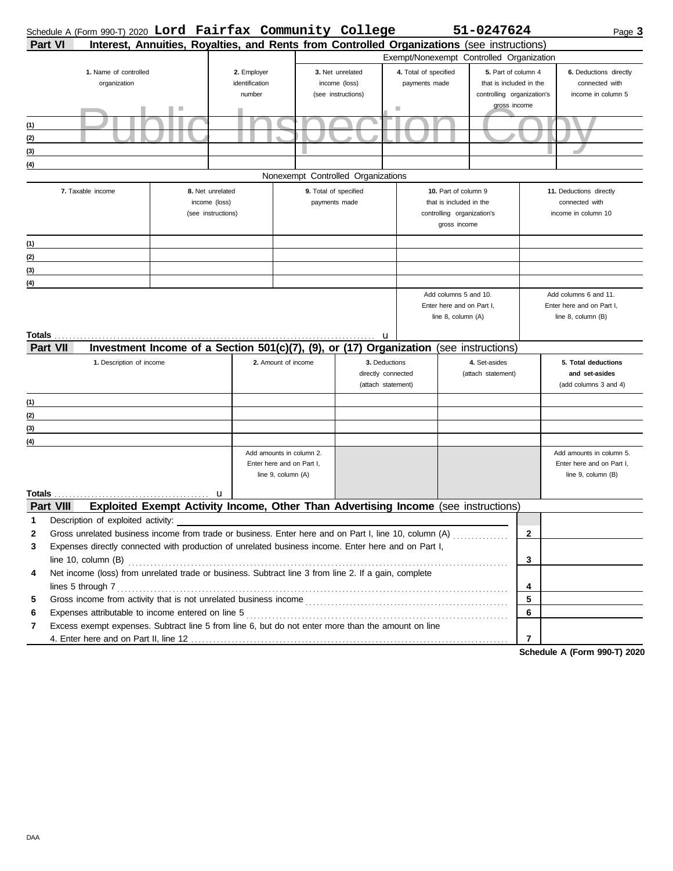| Interest, Annuities, Royalties, and Rents from Controlled Organizations (see instructions)<br><b>Part VI</b><br>Exempt/Nonexempt Controlled Organization<br>1. Name of controlled<br>4. Total of specified<br>5. Part of column 4<br>2. Employer<br>3. Net unrelated<br>6. Deductions directly<br>organization<br>identification<br>income (loss)<br>payments made<br>that is included in the<br>connected with<br>number<br>(see instructions)<br>controlling organization's<br>income in column 5<br>gross income<br>ш<br>(1)<br>(2)<br>(3)<br>(4)<br>Nonexempt Controlled Organizations<br>9. Total of specified<br>7. Taxable income<br>8. Net unrelated<br>10. Part of column 9<br>11. Deductions directly<br>income (loss)<br>payments made<br>that is included in the<br>connected with<br>(see instructions)<br>controlling organization's<br>income in column 10<br>gross income<br>(1)<br>(2)<br>(3)<br>(4)<br>Add columns 5 and 10.<br>Add columns 6 and 11.<br>Enter here and on Part I,<br>Enter here and on Part I,<br>line 8, column (A)<br>line 8, column (B)<br>u<br>Investment Income of a Section 501(c)(7), (9), or (17) Organization (see instructions)<br><b>Part VII</b><br>1. Description of income<br>2. Amount of income<br>4. Set-asides<br>3. Deductions<br>5. Total deductions<br>directly connected<br>(attach statement)<br>and set-asides<br>(attach statement)<br>(add columns 3 and 4)<br>(1)<br>(2)<br>(3)<br>(4)<br>Add amounts in column 2.<br>Add amounts in column 5.<br>Enter here and on Part I,<br>Enter here and on Part I,<br>line 9, column (A)<br>line 9, column (B)<br>Totals<br>u<br>Exploited Exempt Activity Income, Other Than Advertising Income (see instructions)<br><b>Part VIII</b><br>1<br>Description of exploited activity:<br>$\overline{2}$<br>2<br>Expenses directly connected with production of unrelated business income. Enter here and on Part I,<br>3<br>3<br>Net income (loss) from unrelated trade or business. Subtract line 3 from line 2. If a gain, complete<br>4<br>lines 5 through 7<br>4<br>5<br>5<br>6<br>Expenses attributable to income entered on line 5 [11] content in the content of the state of the state of the state of the state of the state of the state of the state of the state of the state of the state of the state o<br>6<br>Excess exempt expenses. Subtract line 5 from line 6, but do not enter more than the amount on line<br>7<br>$\overline{7}$ | Schedule A (Form 990-T) 2020 Lord Fairfax Community College |  |  |  | 51-0247624 | Page 3 |
|----------------------------------------------------------------------------------------------------------------------------------------------------------------------------------------------------------------------------------------------------------------------------------------------------------------------------------------------------------------------------------------------------------------------------------------------------------------------------------------------------------------------------------------------------------------------------------------------------------------------------------------------------------------------------------------------------------------------------------------------------------------------------------------------------------------------------------------------------------------------------------------------------------------------------------------------------------------------------------------------------------------------------------------------------------------------------------------------------------------------------------------------------------------------------------------------------------------------------------------------------------------------------------------------------------------------------------------------------------------------------------------------------------------------------------------------------------------------------------------------------------------------------------------------------------------------------------------------------------------------------------------------------------------------------------------------------------------------------------------------------------------------------------------------------------------------------------------------------------------------------------------------------------------------------------------------------------------------------------------------------------------------------------------------------------------------------------------------------------------------------------------------------------------------------------------------------------------------------------------------------------------------------------------------------------------------------------------------------------------------------------------------------------------------------------------------------------|-------------------------------------------------------------|--|--|--|------------|--------|
|                                                                                                                                                                                                                                                                                                                                                                                                                                                                                                                                                                                                                                                                                                                                                                                                                                                                                                                                                                                                                                                                                                                                                                                                                                                                                                                                                                                                                                                                                                                                                                                                                                                                                                                                                                                                                                                                                                                                                                                                                                                                                                                                                                                                                                                                                                                                                                                                                                                          |                                                             |  |  |  |            |        |
|                                                                                                                                                                                                                                                                                                                                                                                                                                                                                                                                                                                                                                                                                                                                                                                                                                                                                                                                                                                                                                                                                                                                                                                                                                                                                                                                                                                                                                                                                                                                                                                                                                                                                                                                                                                                                                                                                                                                                                                                                                                                                                                                                                                                                                                                                                                                                                                                                                                          |                                                             |  |  |  |            |        |
|                                                                                                                                                                                                                                                                                                                                                                                                                                                                                                                                                                                                                                                                                                                                                                                                                                                                                                                                                                                                                                                                                                                                                                                                                                                                                                                                                                                                                                                                                                                                                                                                                                                                                                                                                                                                                                                                                                                                                                                                                                                                                                                                                                                                                                                                                                                                                                                                                                                          |                                                             |  |  |  |            |        |
|                                                                                                                                                                                                                                                                                                                                                                                                                                                                                                                                                                                                                                                                                                                                                                                                                                                                                                                                                                                                                                                                                                                                                                                                                                                                                                                                                                                                                                                                                                                                                                                                                                                                                                                                                                                                                                                                                                                                                                                                                                                                                                                                                                                                                                                                                                                                                                                                                                                          |                                                             |  |  |  |            |        |
|                                                                                                                                                                                                                                                                                                                                                                                                                                                                                                                                                                                                                                                                                                                                                                                                                                                                                                                                                                                                                                                                                                                                                                                                                                                                                                                                                                                                                                                                                                                                                                                                                                                                                                                                                                                                                                                                                                                                                                                                                                                                                                                                                                                                                                                                                                                                                                                                                                                          |                                                             |  |  |  |            |        |
|                                                                                                                                                                                                                                                                                                                                                                                                                                                                                                                                                                                                                                                                                                                                                                                                                                                                                                                                                                                                                                                                                                                                                                                                                                                                                                                                                                                                                                                                                                                                                                                                                                                                                                                                                                                                                                                                                                                                                                                                                                                                                                                                                                                                                                                                                                                                                                                                                                                          |                                                             |  |  |  |            |        |
|                                                                                                                                                                                                                                                                                                                                                                                                                                                                                                                                                                                                                                                                                                                                                                                                                                                                                                                                                                                                                                                                                                                                                                                                                                                                                                                                                                                                                                                                                                                                                                                                                                                                                                                                                                                                                                                                                                                                                                                                                                                                                                                                                                                                                                                                                                                                                                                                                                                          |                                                             |  |  |  |            |        |
|                                                                                                                                                                                                                                                                                                                                                                                                                                                                                                                                                                                                                                                                                                                                                                                                                                                                                                                                                                                                                                                                                                                                                                                                                                                                                                                                                                                                                                                                                                                                                                                                                                                                                                                                                                                                                                                                                                                                                                                                                                                                                                                                                                                                                                                                                                                                                                                                                                                          |                                                             |  |  |  |            |        |
|                                                                                                                                                                                                                                                                                                                                                                                                                                                                                                                                                                                                                                                                                                                                                                                                                                                                                                                                                                                                                                                                                                                                                                                                                                                                                                                                                                                                                                                                                                                                                                                                                                                                                                                                                                                                                                                                                                                                                                                                                                                                                                                                                                                                                                                                                                                                                                                                                                                          |                                                             |  |  |  |            |        |
|                                                                                                                                                                                                                                                                                                                                                                                                                                                                                                                                                                                                                                                                                                                                                                                                                                                                                                                                                                                                                                                                                                                                                                                                                                                                                                                                                                                                                                                                                                                                                                                                                                                                                                                                                                                                                                                                                                                                                                                                                                                                                                                                                                                                                                                                                                                                                                                                                                                          |                                                             |  |  |  |            |        |
|                                                                                                                                                                                                                                                                                                                                                                                                                                                                                                                                                                                                                                                                                                                                                                                                                                                                                                                                                                                                                                                                                                                                                                                                                                                                                                                                                                                                                                                                                                                                                                                                                                                                                                                                                                                                                                                                                                                                                                                                                                                                                                                                                                                                                                                                                                                                                                                                                                                          |                                                             |  |  |  |            |        |
|                                                                                                                                                                                                                                                                                                                                                                                                                                                                                                                                                                                                                                                                                                                                                                                                                                                                                                                                                                                                                                                                                                                                                                                                                                                                                                                                                                                                                                                                                                                                                                                                                                                                                                                                                                                                                                                                                                                                                                                                                                                                                                                                                                                                                                                                                                                                                                                                                                                          |                                                             |  |  |  |            |        |
|                                                                                                                                                                                                                                                                                                                                                                                                                                                                                                                                                                                                                                                                                                                                                                                                                                                                                                                                                                                                                                                                                                                                                                                                                                                                                                                                                                                                                                                                                                                                                                                                                                                                                                                                                                                                                                                                                                                                                                                                                                                                                                                                                                                                                                                                                                                                                                                                                                                          |                                                             |  |  |  |            |        |
|                                                                                                                                                                                                                                                                                                                                                                                                                                                                                                                                                                                                                                                                                                                                                                                                                                                                                                                                                                                                                                                                                                                                                                                                                                                                                                                                                                                                                                                                                                                                                                                                                                                                                                                                                                                                                                                                                                                                                                                                                                                                                                                                                                                                                                                                                                                                                                                                                                                          |                                                             |  |  |  |            |        |
|                                                                                                                                                                                                                                                                                                                                                                                                                                                                                                                                                                                                                                                                                                                                                                                                                                                                                                                                                                                                                                                                                                                                                                                                                                                                                                                                                                                                                                                                                                                                                                                                                                                                                                                                                                                                                                                                                                                                                                                                                                                                                                                                                                                                                                                                                                                                                                                                                                                          |                                                             |  |  |  |            |        |
|                                                                                                                                                                                                                                                                                                                                                                                                                                                                                                                                                                                                                                                                                                                                                                                                                                                                                                                                                                                                                                                                                                                                                                                                                                                                                                                                                                                                                                                                                                                                                                                                                                                                                                                                                                                                                                                                                                                                                                                                                                                                                                                                                                                                                                                                                                                                                                                                                                                          |                                                             |  |  |  |            |        |
|                                                                                                                                                                                                                                                                                                                                                                                                                                                                                                                                                                                                                                                                                                                                                                                                                                                                                                                                                                                                                                                                                                                                                                                                                                                                                                                                                                                                                                                                                                                                                                                                                                                                                                                                                                                                                                                                                                                                                                                                                                                                                                                                                                                                                                                                                                                                                                                                                                                          |                                                             |  |  |  |            |        |
|                                                                                                                                                                                                                                                                                                                                                                                                                                                                                                                                                                                                                                                                                                                                                                                                                                                                                                                                                                                                                                                                                                                                                                                                                                                                                                                                                                                                                                                                                                                                                                                                                                                                                                                                                                                                                                                                                                                                                                                                                                                                                                                                                                                                                                                                                                                                                                                                                                                          |                                                             |  |  |  |            |        |
|                                                                                                                                                                                                                                                                                                                                                                                                                                                                                                                                                                                                                                                                                                                                                                                                                                                                                                                                                                                                                                                                                                                                                                                                                                                                                                                                                                                                                                                                                                                                                                                                                                                                                                                                                                                                                                                                                                                                                                                                                                                                                                                                                                                                                                                                                                                                                                                                                                                          |                                                             |  |  |  |            |        |
|                                                                                                                                                                                                                                                                                                                                                                                                                                                                                                                                                                                                                                                                                                                                                                                                                                                                                                                                                                                                                                                                                                                                                                                                                                                                                                                                                                                                                                                                                                                                                                                                                                                                                                                                                                                                                                                                                                                                                                                                                                                                                                                                                                                                                                                                                                                                                                                                                                                          |                                                             |  |  |  |            |        |
|                                                                                                                                                                                                                                                                                                                                                                                                                                                                                                                                                                                                                                                                                                                                                                                                                                                                                                                                                                                                                                                                                                                                                                                                                                                                                                                                                                                                                                                                                                                                                                                                                                                                                                                                                                                                                                                                                                                                                                                                                                                                                                                                                                                                                                                                                                                                                                                                                                                          |                                                             |  |  |  |            |        |
|                                                                                                                                                                                                                                                                                                                                                                                                                                                                                                                                                                                                                                                                                                                                                                                                                                                                                                                                                                                                                                                                                                                                                                                                                                                                                                                                                                                                                                                                                                                                                                                                                                                                                                                                                                                                                                                                                                                                                                                                                                                                                                                                                                                                                                                                                                                                                                                                                                                          |                                                             |  |  |  |            |        |
|                                                                                                                                                                                                                                                                                                                                                                                                                                                                                                                                                                                                                                                                                                                                                                                                                                                                                                                                                                                                                                                                                                                                                                                                                                                                                                                                                                                                                                                                                                                                                                                                                                                                                                                                                                                                                                                                                                                                                                                                                                                                                                                                                                                                                                                                                                                                                                                                                                                          |                                                             |  |  |  |            |        |
|                                                                                                                                                                                                                                                                                                                                                                                                                                                                                                                                                                                                                                                                                                                                                                                                                                                                                                                                                                                                                                                                                                                                                                                                                                                                                                                                                                                                                                                                                                                                                                                                                                                                                                                                                                                                                                                                                                                                                                                                                                                                                                                                                                                                                                                                                                                                                                                                                                                          |                                                             |  |  |  |            |        |
|                                                                                                                                                                                                                                                                                                                                                                                                                                                                                                                                                                                                                                                                                                                                                                                                                                                                                                                                                                                                                                                                                                                                                                                                                                                                                                                                                                                                                                                                                                                                                                                                                                                                                                                                                                                                                                                                                                                                                                                                                                                                                                                                                                                                                                                                                                                                                                                                                                                          |                                                             |  |  |  |            |        |
|                                                                                                                                                                                                                                                                                                                                                                                                                                                                                                                                                                                                                                                                                                                                                                                                                                                                                                                                                                                                                                                                                                                                                                                                                                                                                                                                                                                                                                                                                                                                                                                                                                                                                                                                                                                                                                                                                                                                                                                                                                                                                                                                                                                                                                                                                                                                                                                                                                                          |                                                             |  |  |  |            |        |
|                                                                                                                                                                                                                                                                                                                                                                                                                                                                                                                                                                                                                                                                                                                                                                                                                                                                                                                                                                                                                                                                                                                                                                                                                                                                                                                                                                                                                                                                                                                                                                                                                                                                                                                                                                                                                                                                                                                                                                                                                                                                                                                                                                                                                                                                                                                                                                                                                                                          |                                                             |  |  |  |            |        |
|                                                                                                                                                                                                                                                                                                                                                                                                                                                                                                                                                                                                                                                                                                                                                                                                                                                                                                                                                                                                                                                                                                                                                                                                                                                                                                                                                                                                                                                                                                                                                                                                                                                                                                                                                                                                                                                                                                                                                                                                                                                                                                                                                                                                                                                                                                                                                                                                                                                          |                                                             |  |  |  |            |        |
|                                                                                                                                                                                                                                                                                                                                                                                                                                                                                                                                                                                                                                                                                                                                                                                                                                                                                                                                                                                                                                                                                                                                                                                                                                                                                                                                                                                                                                                                                                                                                                                                                                                                                                                                                                                                                                                                                                                                                                                                                                                                                                                                                                                                                                                                                                                                                                                                                                                          |                                                             |  |  |  |            |        |
|                                                                                                                                                                                                                                                                                                                                                                                                                                                                                                                                                                                                                                                                                                                                                                                                                                                                                                                                                                                                                                                                                                                                                                                                                                                                                                                                                                                                                                                                                                                                                                                                                                                                                                                                                                                                                                                                                                                                                                                                                                                                                                                                                                                                                                                                                                                                                                                                                                                          |                                                             |  |  |  |            |        |
|                                                                                                                                                                                                                                                                                                                                                                                                                                                                                                                                                                                                                                                                                                                                                                                                                                                                                                                                                                                                                                                                                                                                                                                                                                                                                                                                                                                                                                                                                                                                                                                                                                                                                                                                                                                                                                                                                                                                                                                                                                                                                                                                                                                                                                                                                                                                                                                                                                                          |                                                             |  |  |  |            |        |
|                                                                                                                                                                                                                                                                                                                                                                                                                                                                                                                                                                                                                                                                                                                                                                                                                                                                                                                                                                                                                                                                                                                                                                                                                                                                                                                                                                                                                                                                                                                                                                                                                                                                                                                                                                                                                                                                                                                                                                                                                                                                                                                                                                                                                                                                                                                                                                                                                                                          |                                                             |  |  |  |            |        |
|                                                                                                                                                                                                                                                                                                                                                                                                                                                                                                                                                                                                                                                                                                                                                                                                                                                                                                                                                                                                                                                                                                                                                                                                                                                                                                                                                                                                                                                                                                                                                                                                                                                                                                                                                                                                                                                                                                                                                                                                                                                                                                                                                                                                                                                                                                                                                                                                                                                          |                                                             |  |  |  |            |        |
|                                                                                                                                                                                                                                                                                                                                                                                                                                                                                                                                                                                                                                                                                                                                                                                                                                                                                                                                                                                                                                                                                                                                                                                                                                                                                                                                                                                                                                                                                                                                                                                                                                                                                                                                                                                                                                                                                                                                                                                                                                                                                                                                                                                                                                                                                                                                                                                                                                                          |                                                             |  |  |  |            |        |
|                                                                                                                                                                                                                                                                                                                                                                                                                                                                                                                                                                                                                                                                                                                                                                                                                                                                                                                                                                                                                                                                                                                                                                                                                                                                                                                                                                                                                                                                                                                                                                                                                                                                                                                                                                                                                                                                                                                                                                                                                                                                                                                                                                                                                                                                                                                                                                                                                                                          |                                                             |  |  |  |            |        |
|                                                                                                                                                                                                                                                                                                                                                                                                                                                                                                                                                                                                                                                                                                                                                                                                                                                                                                                                                                                                                                                                                                                                                                                                                                                                                                                                                                                                                                                                                                                                                                                                                                                                                                                                                                                                                                                                                                                                                                                                                                                                                                                                                                                                                                                                                                                                                                                                                                                          |                                                             |  |  |  |            |        |
|                                                                                                                                                                                                                                                                                                                                                                                                                                                                                                                                                                                                                                                                                                                                                                                                                                                                                                                                                                                                                                                                                                                                                                                                                                                                                                                                                                                                                                                                                                                                                                                                                                                                                                                                                                                                                                                                                                                                                                                                                                                                                                                                                                                                                                                                                                                                                                                                                                                          |                                                             |  |  |  |            |        |
|                                                                                                                                                                                                                                                                                                                                                                                                                                                                                                                                                                                                                                                                                                                                                                                                                                                                                                                                                                                                                                                                                                                                                                                                                                                                                                                                                                                                                                                                                                                                                                                                                                                                                                                                                                                                                                                                                                                                                                                                                                                                                                                                                                                                                                                                                                                                                                                                                                                          |                                                             |  |  |  |            |        |
|                                                                                                                                                                                                                                                                                                                                                                                                                                                                                                                                                                                                                                                                                                                                                                                                                                                                                                                                                                                                                                                                                                                                                                                                                                                                                                                                                                                                                                                                                                                                                                                                                                                                                                                                                                                                                                                                                                                                                                                                                                                                                                                                                                                                                                                                                                                                                                                                                                                          |                                                             |  |  |  |            |        |
|                                                                                                                                                                                                                                                                                                                                                                                                                                                                                                                                                                                                                                                                                                                                                                                                                                                                                                                                                                                                                                                                                                                                                                                                                                                                                                                                                                                                                                                                                                                                                                                                                                                                                                                                                                                                                                                                                                                                                                                                                                                                                                                                                                                                                                                                                                                                                                                                                                                          |                                                             |  |  |  |            |        |
|                                                                                                                                                                                                                                                                                                                                                                                                                                                                                                                                                                                                                                                                                                                                                                                                                                                                                                                                                                                                                                                                                                                                                                                                                                                                                                                                                                                                                                                                                                                                                                                                                                                                                                                                                                                                                                                                                                                                                                                                                                                                                                                                                                                                                                                                                                                                                                                                                                                          |                                                             |  |  |  |            |        |
|                                                                                                                                                                                                                                                                                                                                                                                                                                                                                                                                                                                                                                                                                                                                                                                                                                                                                                                                                                                                                                                                                                                                                                                                                                                                                                                                                                                                                                                                                                                                                                                                                                                                                                                                                                                                                                                                                                                                                                                                                                                                                                                                                                                                                                                                                                                                                                                                                                                          |                                                             |  |  |  |            |        |
|                                                                                                                                                                                                                                                                                                                                                                                                                                                                                                                                                                                                                                                                                                                                                                                                                                                                                                                                                                                                                                                                                                                                                                                                                                                                                                                                                                                                                                                                                                                                                                                                                                                                                                                                                                                                                                                                                                                                                                                                                                                                                                                                                                                                                                                                                                                                                                                                                                                          |                                                             |  |  |  |            |        |
|                                                                                                                                                                                                                                                                                                                                                                                                                                                                                                                                                                                                                                                                                                                                                                                                                                                                                                                                                                                                                                                                                                                                                                                                                                                                                                                                                                                                                                                                                                                                                                                                                                                                                                                                                                                                                                                                                                                                                                                                                                                                                                                                                                                                                                                                                                                                                                                                                                                          |                                                             |  |  |  |            |        |

**Schedule A (Form 990-T) 2020**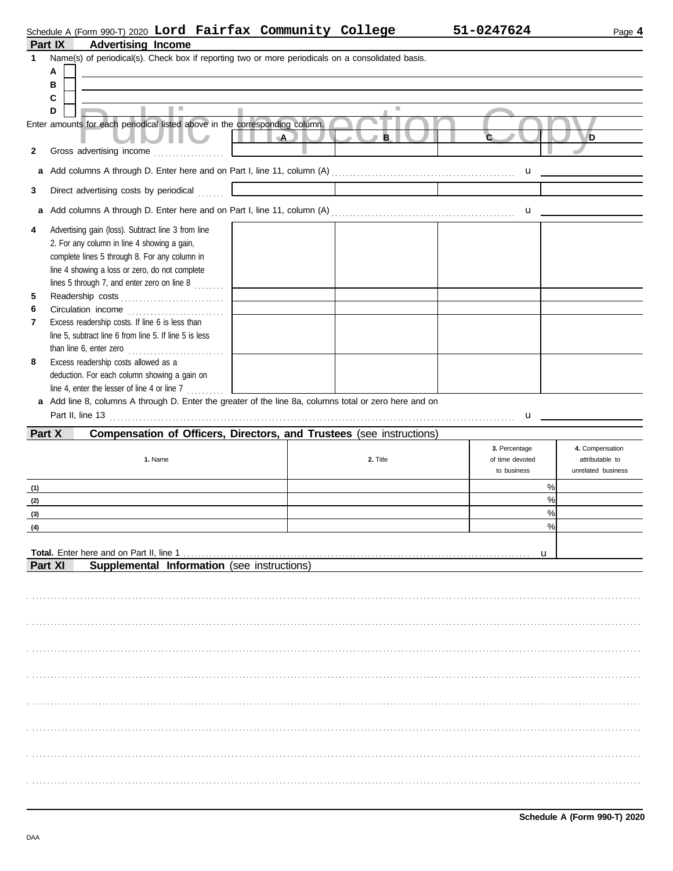| 51-0247 |
|---------|
|         |

## **Part IX Advertising Income** Schedule A (Form 990-T) 2020 L**ord Fairfax Community College 51-0247624** Page **4**

| 1      | Name(s) of periodical(s). Check box if reporting two or more periodicals on a consolidated basis.                                                                                                                                                            |                                           |                                                                                                                                                                                                                                                                                                  |                                                          |
|--------|--------------------------------------------------------------------------------------------------------------------------------------------------------------------------------------------------------------------------------------------------------------|-------------------------------------------|--------------------------------------------------------------------------------------------------------------------------------------------------------------------------------------------------------------------------------------------------------------------------------------------------|----------------------------------------------------------|
|        | А<br>в                                                                                                                                                                                                                                                       |                                           |                                                                                                                                                                                                                                                                                                  |                                                          |
|        | C                                                                                                                                                                                                                                                            |                                           |                                                                                                                                                                                                                                                                                                  |                                                          |
|        | $\mathbb{R}^n$<br>п<br>D                                                                                                                                                                                                                                     | ×                                         |                                                                                                                                                                                                                                                                                                  |                                                          |
|        | Enter amounts for each periodical listed above in the corresponding column.<br>UIJIU                                                                                                                                                                         | $\sqrt{B}$<br>$\mathcal{L}^{\mathcal{A}}$ | $\mathbf{c}$                                                                                                                                                                                                                                                                                     | D                                                        |
| 2      | Gross advertising income                                                                                                                                                                                                                                     |                                           |                                                                                                                                                                                                                                                                                                  |                                                          |
| a      | Add columns A through D. Enter here and on Part I, line 11, column (A) [11] column (A) [11] columns A through                                                                                                                                                |                                           | u                                                                                                                                                                                                                                                                                                |                                                          |
| 3      | Direct advertising costs by periodical                                                                                                                                                                                                                       |                                           |                                                                                                                                                                                                                                                                                                  |                                                          |
| а      |                                                                                                                                                                                                                                                              |                                           | $\mathbf{u}$                                                                                                                                                                                                                                                                                     |                                                          |
| 4      | Advertising gain (loss). Subtract line 3 from line<br>2. For any column in line 4 showing a gain,<br>complete lines 5 through 8. For any column in<br>line 4 showing a loss or zero, do not complete<br>lines 5 through 7, and enter zero on line 8 $\ldots$ |                                           |                                                                                                                                                                                                                                                                                                  |                                                          |
| 5      | the control of the control of                                                                                                                                                                                                                                |                                           |                                                                                                                                                                                                                                                                                                  |                                                          |
| 6<br>7 | Excess readership costs. If line 6 is less than<br>line 5, subtract line 6 from line 5. If line 5 is less<br>than line 6, enter zero                                                                                                                         |                                           |                                                                                                                                                                                                                                                                                                  |                                                          |
| 8      | Excess readership costs allowed as a<br>deduction. For each column showing a gain on<br>line 4, enter the lesser of line 4 or line 7 $\ldots$                                                                                                                |                                           |                                                                                                                                                                                                                                                                                                  |                                                          |
|        | a Add line 8, columns A through D. Enter the greater of the line 8a, columns total or zero here and on<br>Part II, line 13 <b>Part II, line 13</b>                                                                                                           |                                           | $\mathbf{u}$ and $\mathbf{u}$ and $\mathbf{u}$ and $\mathbf{u}$ and $\mathbf{u}$ and $\mathbf{u}$ and $\mathbf{u}$ and $\mathbf{u}$ and $\mathbf{u}$ and $\mathbf{u}$ and $\mathbf{u}$ and $\mathbf{u}$ and $\mathbf{u}$ and $\mathbf{u}$ and $\mathbf{u}$ and $\mathbf{u}$ and $\mathbf{u}$ and |                                                          |
|        |                                                                                                                                                                                                                                                              |                                           |                                                                                                                                                                                                                                                                                                  |                                                          |
|        |                                                                                                                                                                                                                                                              |                                           |                                                                                                                                                                                                                                                                                                  |                                                          |
|        | Compensation of Officers, Directors, and Trustees (see instructions)<br>Part X<br>1. Name                                                                                                                                                                    | 2. Title                                  | 3. Percentage<br>of time devoted<br>to business                                                                                                                                                                                                                                                  | 4. Compensation<br>attributable to<br>unrelated business |
| (1)    |                                                                                                                                                                                                                                                              |                                           | %                                                                                                                                                                                                                                                                                                |                                                          |
| (2)    |                                                                                                                                                                                                                                                              |                                           | %                                                                                                                                                                                                                                                                                                |                                                          |
| (3)    |                                                                                                                                                                                                                                                              |                                           | %                                                                                                                                                                                                                                                                                                |                                                          |
| (4)    |                                                                                                                                                                                                                                                              |                                           | %                                                                                                                                                                                                                                                                                                |                                                          |
|        |                                                                                                                                                                                                                                                              |                                           |                                                                                                                                                                                                                                                                                                  |                                                          |
|        | Total. Enter here and on Part II, line 1<br><b>Supplemental Information</b> (see instructions)<br>Part XI                                                                                                                                                    |                                           | u                                                                                                                                                                                                                                                                                                |                                                          |
|        |                                                                                                                                                                                                                                                              |                                           |                                                                                                                                                                                                                                                                                                  |                                                          |
|        |                                                                                                                                                                                                                                                              |                                           |                                                                                                                                                                                                                                                                                                  |                                                          |
|        |                                                                                                                                                                                                                                                              |                                           |                                                                                                                                                                                                                                                                                                  |                                                          |
|        |                                                                                                                                                                                                                                                              |                                           |                                                                                                                                                                                                                                                                                                  |                                                          |
|        |                                                                                                                                                                                                                                                              |                                           |                                                                                                                                                                                                                                                                                                  |                                                          |
|        |                                                                                                                                                                                                                                                              |                                           |                                                                                                                                                                                                                                                                                                  |                                                          |
|        |                                                                                                                                                                                                                                                              |                                           |                                                                                                                                                                                                                                                                                                  |                                                          |
|        |                                                                                                                                                                                                                                                              |                                           |                                                                                                                                                                                                                                                                                                  |                                                          |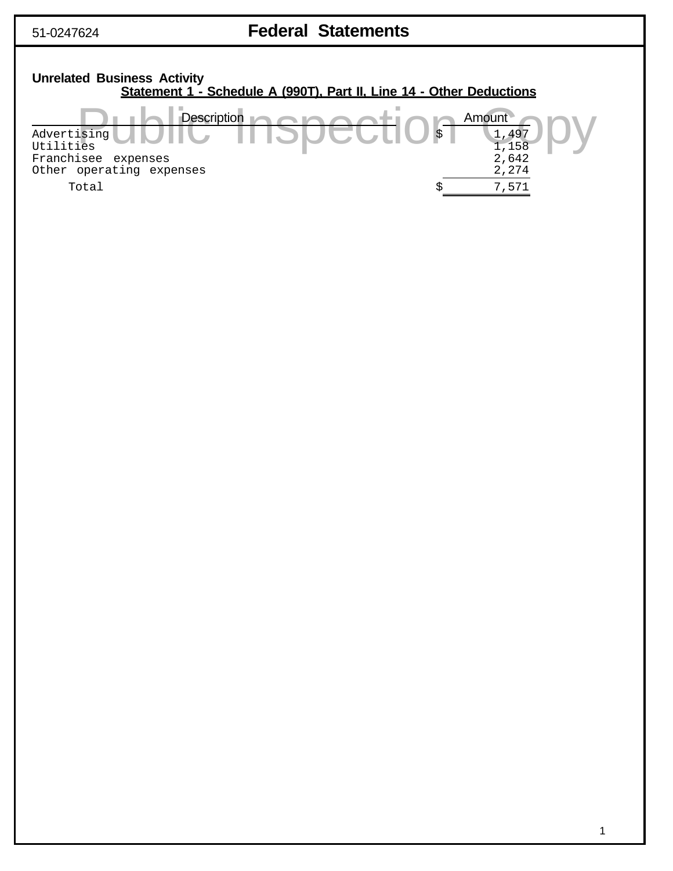# 51-0247624 **Federal Statements**

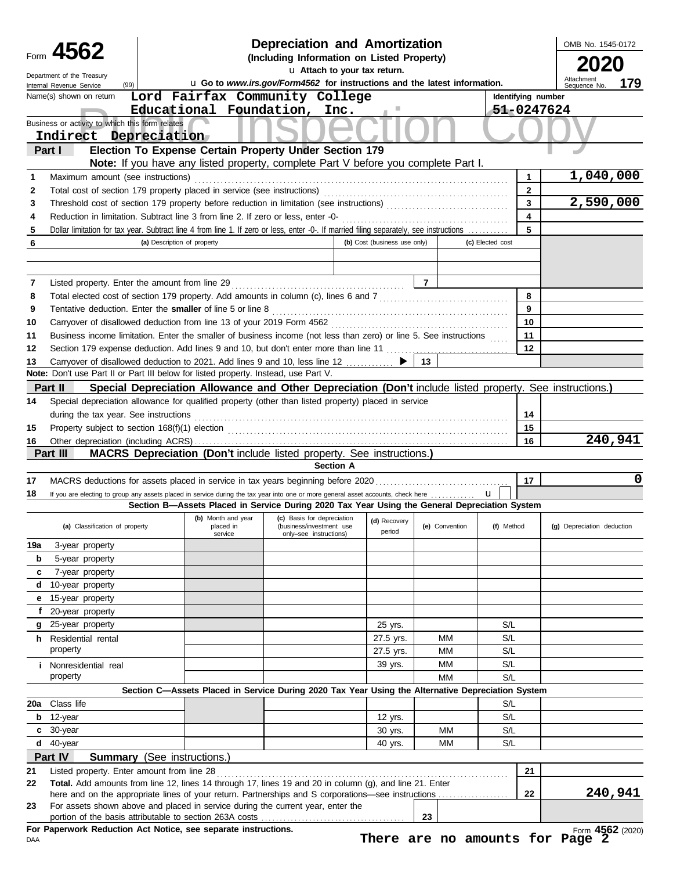|        | Form 4562                                                                                                                                                                                                     |                             |                                            | <b>Depreciation and Amortization</b><br>(Including Information on Listed Property)                       |                              |                |                |                  |                              | OMB No. 1545-0172          |         |
|--------|---------------------------------------------------------------------------------------------------------------------------------------------------------------------------------------------------------------|-----------------------------|--------------------------------------------|----------------------------------------------------------------------------------------------------------|------------------------------|----------------|----------------|------------------|------------------------------|----------------------------|---------|
|        | Department of the Treasury                                                                                                                                                                                    |                             |                                            |                                                                                                          | u Attach to your tax return. |                |                |                  |                              |                            |         |
|        | (99)<br>Internal Revenue Service                                                                                                                                                                              |                             |                                            | u Go to www.irs.gov/Form4562 for instructions and the latest information.                                |                              |                |                |                  |                              | Attachmen<br>Sequence No.  | 179     |
|        | Name(s) shown on return                                                                                                                                                                                       |                             |                                            | Lord Fairfax Community College                                                                           |                              |                |                |                  | Identifying number           |                            |         |
|        | Business or activity to which this form relates                                                                                                                                                               |                             |                                            | Educational Foundation, Inc.                                                                             |                              |                |                |                  |                              | 51-0247624                 |         |
|        | Indirect Depreciation                                                                                                                                                                                         |                             |                                            |                                                                                                          |                              |                |                |                  |                              |                            |         |
|        | Part I                                                                                                                                                                                                        |                             |                                            | Election To Expense Certain Property Under Section 179                                                   |                              |                |                |                  |                              |                            |         |
|        |                                                                                                                                                                                                               |                             |                                            | Note: If you have any listed property, complete Part V before you complete Part I.                       |                              |                |                |                  |                              |                            |         |
| 1      | Maximum amount (see instructions)                                                                                                                                                                             |                             |                                            |                                                                                                          |                              |                |                |                  | 1                            | 1,040,000                  |         |
| 2      | Total cost of section 179 property placed in service (see instructions)                                                                                                                                       |                             |                                            |                                                                                                          |                              |                |                |                  | $\overline{2}$               |                            |         |
| 3      |                                                                                                                                                                                                               |                             |                                            |                                                                                                          |                              |                |                |                  | $\overline{\mathbf{3}}$      | 2,590,000                  |         |
| 4      | Reduction in limitation. Subtract line 3 from line 2. If zero or less, enter -0-                                                                                                                              |                             |                                            |                                                                                                          |                              |                |                |                  | $\overline{\mathbf{4}}$<br>5 |                            |         |
| 5<br>6 | Dollar limitation for tax year. Subtract line 4 from line 1. If zero or less, enter -0-. If married filing separately, see instructions                                                                       | (a) Description of property |                                            |                                                                                                          | (b) Cost (business use only) |                |                | (c) Elected cost |                              |                            |         |
|        |                                                                                                                                                                                                               |                             |                                            |                                                                                                          |                              |                |                |                  |                              |                            |         |
|        |                                                                                                                                                                                                               |                             |                                            |                                                                                                          |                              |                |                |                  |                              |                            |         |
| 7      | Listed property. Enter the amount from line 29                                                                                                                                                                |                             |                                            |                                                                                                          |                              | $\overline{7}$ |                |                  |                              |                            |         |
| 8      | Total elected cost of section 179 property. Add amounts in column (c), lines 6 and 7 [[[[[[[[[[[[[[[[[[[[[[[[[                                                                                                |                             |                                            |                                                                                                          |                              |                |                |                  | 8                            |                            |         |
| 9      | Tentative deduction. Enter the smaller of line 5 or line 8                                                                                                                                                    |                             |                                            |                                                                                                          |                              |                |                |                  | 9                            |                            |         |
| 10     |                                                                                                                                                                                                               |                             |                                            |                                                                                                          |                              |                |                |                  | 10                           |                            |         |
| 11     | Business income limitation. Enter the smaller of business income (not less than zero) or line 5. See instructions                                                                                             |                             |                                            |                                                                                                          |                              |                |                |                  | 11                           |                            |         |
| 12     |                                                                                                                                                                                                               |                             |                                            |                                                                                                          |                              |                |                |                  | 12                           |                            |         |
| 13     | Carryover of disallowed deduction to 2021. Add lines 9 and 10, less line 12<br>Note: Don't use Part II or Part III below for listed property. Instead, use Part V.                                            |                             |                                            |                                                                                                          |                              | 13             |                |                  |                              |                            |         |
|        | Part II                                                                                                                                                                                                       |                             |                                            | Special Depreciation Allowance and Other Depreciation (Don't include listed property. See instructions.) |                              |                |                |                  |                              |                            |         |
| 14     | Special depreciation allowance for qualified property (other than listed property) placed in service                                                                                                          |                             |                                            |                                                                                                          |                              |                |                |                  |                              |                            |         |
|        | during the tax year. See instructions                                                                                                                                                                         |                             |                                            |                                                                                                          |                              |                |                |                  | 14                           |                            |         |
| 15     |                                                                                                                                                                                                               |                             |                                            |                                                                                                          |                              |                |                |                  | 15                           |                            |         |
| 16     |                                                                                                                                                                                                               |                             |                                            |                                                                                                          |                              |                |                |                  | 16                           |                            | 240,941 |
|        | Part III                                                                                                                                                                                                      |                             |                                            | <b>MACRS Depreciation (Don't include listed property. See instructions.)</b>                             |                              |                |                |                  |                              |                            |         |
|        |                                                                                                                                                                                                               |                             |                                            |                                                                                                          | <b>Section A</b>             |                |                |                  |                              |                            |         |
| 17     | MACRS deductions for assets placed in service in tax years beginning before 2020                                                                                                                              |                             |                                            |                                                                                                          |                              |                |                |                  | 17                           |                            | 0       |
| 18     | If you are electing to group any assets placed in service during the tax year into one or more general asset accounts, check here                                                                             |                             |                                            |                                                                                                          |                              |                |                | $\mathbf{u}$     |                              |                            |         |
|        |                                                                                                                                                                                                               |                             |                                            | Section B-Assets Placed in Service During 2020 Tax Year Using the General Depreciation System            |                              |                |                |                  |                              |                            |         |
|        | (a) Classification of property                                                                                                                                                                                |                             | (b) Month and year<br>placed in<br>service | (c) Basis for depreciation<br>(business/investment use<br>only-see instructions)                         | (d) Recovery<br>period       |                | (e) Convention | (f) Method       |                              | (g) Depreciation deduction |         |
| 19a    | 3-year property                                                                                                                                                                                               |                             |                                            |                                                                                                          |                              |                |                |                  |                              |                            |         |
| b      | 5-year property                                                                                                                                                                                               |                             |                                            |                                                                                                          |                              |                |                |                  |                              |                            |         |
| c      | 7-year property                                                                                                                                                                                               |                             |                                            |                                                                                                          |                              |                |                |                  |                              |                            |         |
| d      | 10-year property                                                                                                                                                                                              |                             |                                            |                                                                                                          |                              |                |                |                  |                              |                            |         |
| е      | 15-year property                                                                                                                                                                                              |                             |                                            |                                                                                                          |                              |                |                |                  |                              |                            |         |
|        | f 20-year property                                                                                                                                                                                            |                             |                                            |                                                                                                          |                              |                |                |                  |                              |                            |         |
|        | g 25-year property<br>h Residential rental                                                                                                                                                                    |                             |                                            |                                                                                                          | 25 yrs.<br>27.5 yrs.         |                | MM             | S/L<br>S/L       |                              |                            |         |
|        | property                                                                                                                                                                                                      |                             |                                            |                                                                                                          | 27.5 yrs.                    |                | MM             | S/L              |                              |                            |         |
|        | <i>i</i> Nonresidential real                                                                                                                                                                                  |                             |                                            |                                                                                                          | 39 yrs.                      |                | MМ             | S/L              |                              |                            |         |
|        | property                                                                                                                                                                                                      |                             |                                            |                                                                                                          |                              |                | <b>MM</b>      | S/L              |                              |                            |         |
|        |                                                                                                                                                                                                               |                             |                                            | Section C-Assets Placed in Service During 2020 Tax Year Using the Alternative Depreciation System        |                              |                |                |                  |                              |                            |         |
|        | 20a Class life                                                                                                                                                                                                |                             |                                            |                                                                                                          |                              |                |                | S/L              |                              |                            |         |
|        | $b$ 12-year                                                                                                                                                                                                   |                             |                                            |                                                                                                          | 12 yrs.                      |                |                | S/L              |                              |                            |         |
|        | c 30-year                                                                                                                                                                                                     |                             |                                            |                                                                                                          | 30 yrs.                      |                | МM             | S/L              |                              |                            |         |
|        | d 40-year                                                                                                                                                                                                     |                             |                                            |                                                                                                          | 40 yrs.                      |                | МM             | S/L              |                              |                            |         |
|        | Part IV<br><b>Summary</b> (See instructions.)                                                                                                                                                                 |                             |                                            |                                                                                                          |                              |                |                |                  |                              |                            |         |
| 21     | Listed property. Enter amount from line 28                                                                                                                                                                    |                             |                                            |                                                                                                          |                              |                |                |                  | 21                           |                            |         |
| 22     | Total. Add amounts from line 12, lines 14 through 17, lines 19 and 20 in column (g), and line 21. Enter<br>here and on the appropriate lines of your return. Partnerships and S corporations—see instructions |                             |                                            |                                                                                                          |                              |                |                |                  | 22                           |                            | 240,941 |
|        |                                                                                                                                                                                                               |                             |                                            |                                                                                                          |                              |                |                |                  |                              |                            |         |
| 23     | For assets shown above and placed in service during the current year, enter the                                                                                                                               |                             |                                            |                                                                                                          |                              |                |                |                  |                              |                            |         |
|        | For Paperwork Reduction Act Notice, see separate instructions.                                                                                                                                                |                             |                                            |                                                                                                          |                              | 23             |                |                  |                              | Form 4562 (2020)           |         |

**There are no amounts for Page 2**